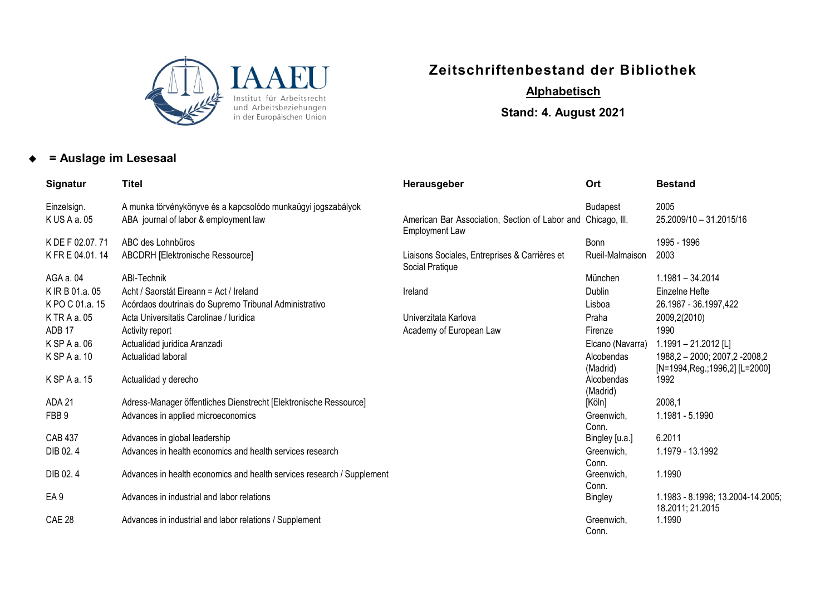

## **Zeitschriftenbestand der Bibliothek**

## *<sup>U</sup>***Alphabetisch**

**Stand: 4. August 2021**

## **= Auslage im Lesesaal**

| Signatur          | <b>Titel</b>                                                           | Herausgeber                                                                           | Ort                                | <b>Bestand</b>                                        |
|-------------------|------------------------------------------------------------------------|---------------------------------------------------------------------------------------|------------------------------------|-------------------------------------------------------|
| Einzelsign.       | A munka törvénykönyve és a kapcsolódo munkaügyi jogszabályok           |                                                                                       | <b>Budapest</b>                    | 2005                                                  |
| K US A a. 05      | ABA journal of labor & employment law                                  | American Bar Association, Section of Labor and Chicago, III.<br><b>Employment Law</b> |                                    | 25.2009/10 - 31.2015/16                               |
| K DE F 02.07.71   | ABC des Lohnbüros                                                      |                                                                                       | Bonn                               | 1995 - 1996                                           |
| K FR E 04.01.14   | <b>ABCDRH [Elektronische Ressource]</b>                                | Liaisons Sociales, Entreprises & Carrières et<br>Social Pratique                      | Rueil-Malmaison                    | 2003                                                  |
| AGA a. 04         | ABI-Technik                                                            |                                                                                       | München                            | 1.1981 - 34.2014                                      |
| K IR B 01.a. 05   | Acht / Saorstát Eireann = Act / Ireland                                | Ireland                                                                               | Dublin                             | Einzelne Hefte                                        |
| KPO C 01.a. 15    | Acórdaos doutrinais do Supremo Tribunal Administrativo                 |                                                                                       | Lisboa                             | 26.1987 - 36.1997,422                                 |
| K TR A a. 05      | Acta Universitatis Carolinae / Iuridica                                | Univerzitata Karlova                                                                  | Praha                              | 2009,2(2010)                                          |
| ADB <sub>17</sub> | Activity report                                                        | Academy of European Law                                                               | Firenze                            | 1990                                                  |
| K SP A a. 06      | Actualidad juridica Aranzadi                                           |                                                                                       | Elcano (Navarra)                   | $1.1991 - 21.2012$ [L]                                |
| K SP A a. 10      | Actualidad laboral                                                     |                                                                                       | Alcobendas                         | 1988, 2 - 2000; 2007, 2-2008, 2                       |
| K SP A a. 15      | Actualidad y derecho                                                   |                                                                                       | (Madrid)<br>Alcobendas<br>(Madrid) | [N=1994, Reg.; 1996, 2] [L=2000]<br>1992              |
| ADA 21            | Adress-Manager öffentliches Dienstrecht [Elektronische Ressource]      |                                                                                       | [Köln]                             | 2008,1                                                |
| FBB <sub>9</sub>  | Advances in applied microeconomics                                     |                                                                                       | Greenwich,<br>Conn.                | 1.1981 - 5.1990                                       |
| <b>CAB 437</b>    | Advances in global leadership                                          |                                                                                       | Bingley [u.a.]                     | 6.2011                                                |
| DIB 02.4          | Advances in health economics and health services research              |                                                                                       | Greenwich,<br>Conn.                | 1.1979 - 13.1992                                      |
| DIB 02.4          | Advances in health economics and health services research / Supplement |                                                                                       | Greenwich,<br>Conn.                | 1.1990                                                |
| EA <sub>9</sub>   | Advances in industrial and labor relations                             |                                                                                       | Bingley                            | 1.1983 - 8.1998; 13.2004-14.2005;<br>18.2011; 21.2015 |
| <b>CAE 28</b>     | Advances in industrial and labor relations / Supplement                |                                                                                       | Greenwich,<br>Conn.                | 1.1990                                                |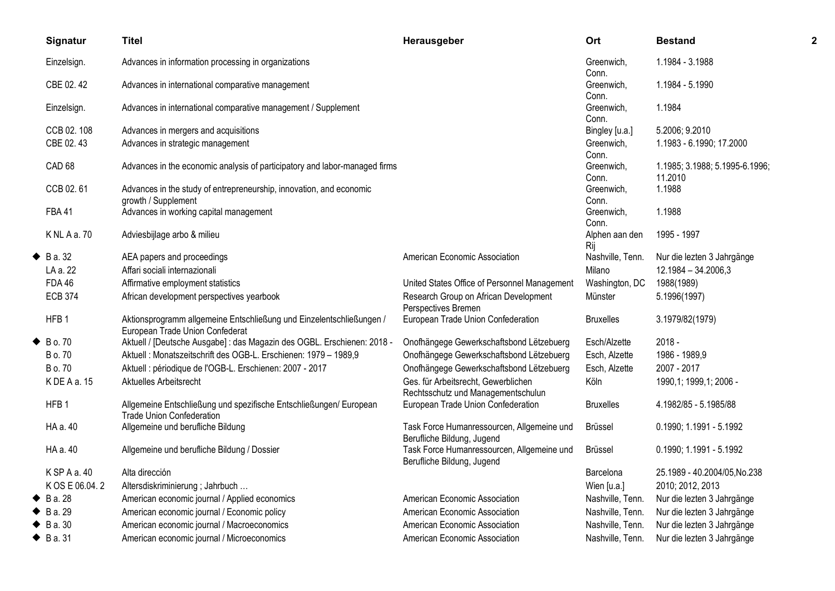|   | Signatur            | <b>Titel</b>                                                                                            | Herausgeber                                                               | Ort                   | <b>Bestand</b>                            | 2 |
|---|---------------------|---------------------------------------------------------------------------------------------------------|---------------------------------------------------------------------------|-----------------------|-------------------------------------------|---|
|   | Einzelsign.         | Advances in information processing in organizations                                                     |                                                                           | Greenwich.<br>Conn.   | 1.1984 - 3.1988                           |   |
|   | CBE 02.42           | Advances in international comparative management                                                        |                                                                           | Greenwich,<br>Conn.   | 1.1984 - 5.1990                           |   |
|   | Einzelsign.         | Advances in international comparative management / Supplement                                           |                                                                           | Greenwich,<br>Conn.   | 1.1984                                    |   |
|   | CCB 02, 108         | Advances in mergers and acquisitions                                                                    |                                                                           | Bingley [u.a.]        | 5.2006; 9.2010                            |   |
|   | CBE 02.43           | Advances in strategic management                                                                        |                                                                           | Greenwich,<br>Conn.   | 1.1983 - 6.1990; 17.2000                  |   |
|   | CAD <sub>68</sub>   | Advances in the economic analysis of participatory and labor-managed firms                              |                                                                           | Greenwich,<br>Conn.   | 1.1985; 3.1988; 5.1995-6.1996;<br>11.2010 |   |
|   | CCB 02.61           | Advances in the study of entrepreneurship, innovation, and economic<br>growth / Supplement              |                                                                           | Greenwich,<br>Conn.   | 1.1988                                    |   |
|   | <b>FBA41</b>        | Advances in working capital management                                                                  |                                                                           | Greenwich,<br>Conn.   | 1.1988                                    |   |
|   | K NL A a. 70        | Adviesbijlage arbo & milieu                                                                             |                                                                           | Alphen aan den<br>Rij | 1995 - 1997                               |   |
| ٠ | B a. 32             | AEA papers and proceedings                                                                              | American Economic Association                                             | Nashville, Tenn.      | Nur die lezten 3 Jahrgänge                |   |
|   | LA a. 22            | Affari sociali internazionali                                                                           |                                                                           | Milano                | 12.1984 - 34.2006,3                       |   |
|   | <b>FDA 46</b>       | Affirmative employment statistics                                                                       | United States Office of Personnel Management                              | Washington, DC        | 1988(1989)                                |   |
|   | <b>ECB 374</b>      | African development perspectives yearbook                                                               | Research Group on African Development<br>Perspectives Bremen              | Münster               | 5.1996(1997)                              |   |
|   | HFB <sub>1</sub>    | Aktionsprogramm allgemeine Entschließung und Einzelentschließungen /<br>European Trade Union Confederat | European Trade Union Confederation                                        | <b>Bruxelles</b>      | 3.1979/82(1979)                           |   |
| ◆ | B o. 70             | Aktuell / [Deutsche Ausgabe] : das Magazin des OGBL. Erschienen: 2018 -                                 | Onofhängege Gewerkschaftsbond Lëtzebuerg                                  | Esch/Alzette          | $2018 -$                                  |   |
|   | B o. 70             | Aktuell : Monatszeitschrift des OGB-L. Erschienen: 1979 - 1989,9                                        | Onofhängege Gewerkschaftsbond Lëtzebuerg                                  | Esch, Alzette         | 1986 - 1989,9                             |   |
|   | B o. 70             | Aktuell : périodique de l'OGB-L. Erschienen: 2007 - 2017                                                | Onofhängege Gewerkschaftsbond Lëtzebuerg                                  | Esch, Alzette         | 2007 - 2017                               |   |
|   | KDEAa.15            | Aktuelles Arbeitsrecht                                                                                  | Ges. für Arbeitsrecht, Gewerblichen<br>Rechtsschutz und Managementschulun | Köln                  | 1990,1; 1999,1; 2006 -                    |   |
|   | HFB <sub>1</sub>    | Allgemeine Entschließung und spezifische Entschließungen/ European<br><b>Trade Union Confederation</b>  | European Trade Union Confederation                                        | <b>Bruxelles</b>      | 4.1982/85 - 5.1985/88                     |   |
|   | HA a. 40            | Allgemeine und berufliche Bildung                                                                       | Task Force Humanressourcen, Allgemeine und<br>Berufliche Bildung, Jugend  | Brüssel               | 0.1990; 1.1991 - 5.1992                   |   |
|   | HA a. 40            | Allgemeine und berufliche Bildung / Dossier                                                             | Task Force Humanressourcen, Allgemeine und<br>Berufliche Bildung, Jugend  | <b>Brüssel</b>        | 0.1990; 1.1991 - 5.1992                   |   |
|   | K SP A a. 40        | Alta dirección                                                                                          |                                                                           | <b>Barcelona</b>      | 25.1989 - 40.2004/05, No.238              |   |
|   | K OS E 06.04.2      | Altersdiskriminierung ; Jahrbuch                                                                        |                                                                           | Wien [u.a.]           | 2010; 2012, 2013                          |   |
|   | $\bullet$ B a. 28   | American economic journal / Applied economics                                                           | American Economic Association                                             | Nashville, Tenn.      | Nur die lezten 3 Jahrgänge                |   |
|   | $\bullet$ B a. 29   | American economic journal / Economic policy                                                             | American Economic Association                                             | Nashville, Tenn.      | Nur die lezten 3 Jahrgänge                |   |
| ◆ | B a. 30             | American economic journal / Macroeconomics                                                              | American Economic Association                                             | Nashville, Tenn.      | Nur die lezten 3 Jahrgänge                |   |
|   | $\triangle$ B a. 31 | American economic journal / Microeconomics                                                              | American Economic Association                                             | Nashville, Tenn.      | Nur die lezten 3 Jahrgänge                |   |
|   |                     |                                                                                                         |                                                                           |                       |                                           |   |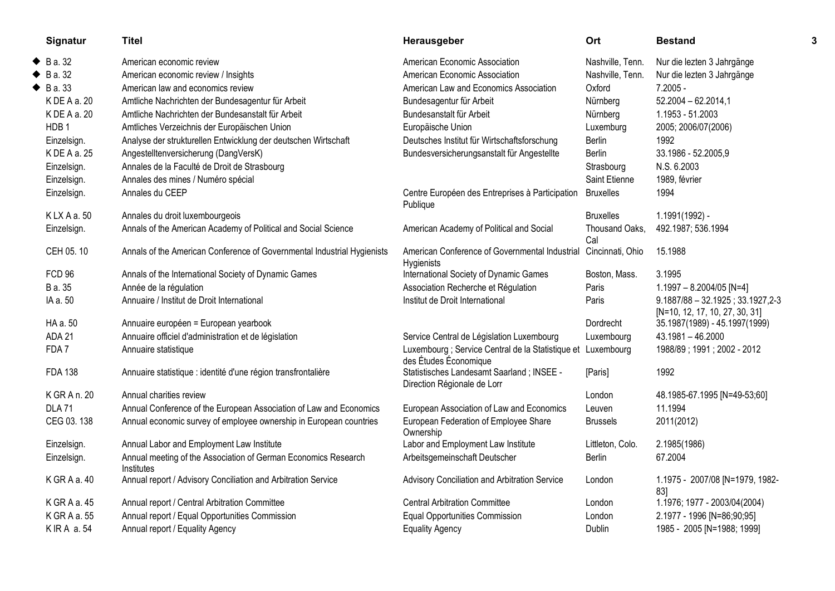|   | Signatur          | <b>Titel</b>                                                                 | Herausgeber                                                                           | Ort                   | <b>Bestand</b>                                                        |  |
|---|-------------------|------------------------------------------------------------------------------|---------------------------------------------------------------------------------------|-----------------------|-----------------------------------------------------------------------|--|
| ◆ | B a. 32           | American economic review                                                     | American Economic Association                                                         | Nashville, Tenn.      | Nur die lezten 3 Jahrgänge                                            |  |
| ◆ | B a. 32           | American economic review / Insights                                          | American Economic Association                                                         | Nashville, Tenn.      | Nur die lezten 3 Jahrgänge                                            |  |
|   | $\bullet$ B a. 33 | American law and economics review                                            | American Law and Economics Association                                                | Oxford                | $7.2005 -$                                                            |  |
|   | KDEAa.20          | Amtliche Nachrichten der Bundesagentur für Arbeit                            | Bundesagentur für Arbeit                                                              | Nürnberg              | $52.2004 - 62.2014,1$                                                 |  |
|   | KDEAa.20          | Amtliche Nachrichten der Bundesanstalt für Arbeit                            | Bundesanstalt für Arbeit                                                              | Nürnberg              | 1.1953 - 51.2003                                                      |  |
|   | HDB <sub>1</sub>  | Amtliches Verzeichnis der Europäischen Union                                 | Europäische Union                                                                     | Luxemburg             | 2005; 2006/07(2006)                                                   |  |
|   | Einzelsign.       | Analyse der strukturellen Entwicklung der deutschen Wirtschaft               | Deutsches Institut für Wirtschaftsforschung                                           | Berlin                | 1992                                                                  |  |
|   | K DE A a. 25      | Angestelltenversicherung (DangVersK)                                         | Bundesversicherungsanstalt für Angestellte                                            | Berlin                | 33.1986 - 52.2005,9                                                   |  |
|   | Einzelsign.       | Annales de la Faculté de Droit de Strasbourg                                 |                                                                                       | Strasbourg            | N.S. 6.2003                                                           |  |
|   | Einzelsign.       | Annales des mines / Numéro spécial                                           |                                                                                       | Saint Etienne         | 1989, février                                                         |  |
|   | Einzelsign.       | Annales du CEEP                                                              | Centre Européen des Entreprises à Participation<br>Publique                           | <b>Bruxelles</b>      | 1994                                                                  |  |
|   | KLXAa.50          | Annales du droit luxembourgeois                                              |                                                                                       | <b>Bruxelles</b>      | 1.1991(1992) -                                                        |  |
|   | Einzelsign.       | Annals of the American Academy of Political and Social Science               | American Academy of Political and Social                                              | Thousand Oaks,<br>Cal | 492.1987; 536.1994                                                    |  |
|   | CEH 05.10         | Annals of the American Conference of Governmental Industrial Hygienists      | American Conference of Governmental Industrial<br>Hygienists                          | Cincinnati, Ohio      | 15.1988                                                               |  |
|   | FCD 96            | Annals of the International Society of Dynamic Games                         | International Society of Dynamic Games                                                | Boston, Mass.         | 3.1995                                                                |  |
|   | B a. 35           | Année de la régulation                                                       | Association Recherche et Régulation                                                   | Paris                 | $1.1997 - 8.2004/05$ [N=4]                                            |  |
|   | IA a. 50          | Annuaire / Institut de Droit International                                   | Institut de Droit International                                                       | Paris                 | $9.1887/88 - 32.1925$ ; 33.1927,2-3<br>[N=10, 12, 17, 10, 27, 30, 31] |  |
|   | HA a. 50          | Annuaire européen = European yearbook                                        |                                                                                       | Dordrecht             | 35.1987(1989) - 45.1997(1999)                                         |  |
|   | ADA 21            | Annuaire officiel d'administration et de législation                         | Service Central de Législation Luxembourg                                             | Luxembourg            | 43.1981 - 46.2000                                                     |  |
|   | FDA7              | Annuaire statistique                                                         | Luxembourg ; Service Central de la Statistique et Luxembourg<br>des Études Économique |                       | 1988/89; 1991; 2002 - 2012                                            |  |
|   | <b>FDA 138</b>    | Annuaire statistique : identité d'une région transfrontalière                | Statistisches Landesamt Saarland; INSEE -<br>Direction Régionale de Lorr              | [Paris]               | 1992                                                                  |  |
|   | K GR A n. 20      | Annual charities review                                                      |                                                                                       | London                | 48.1985-67.1995 [N=49-53;60]                                          |  |
|   | <b>DLA71</b>      | Annual Conference of the European Association of Law and Economics           | European Association of Law and Economics                                             | Leuven                | 11.1994                                                               |  |
|   | CEG 03.138        | Annual economic survey of employee ownership in European countries           | European Federation of Employee Share<br>Ownership                                    | <b>Brussels</b>       | 2011(2012)                                                            |  |
|   | Einzelsign.       | Annual Labor and Employment Law Institute                                    | Labor and Employment Law Institute                                                    | Littleton, Colo.      | 2.1985(1986)                                                          |  |
|   | Einzelsign.       | Annual meeting of the Association of German Economics Research<br>Institutes | Arbeitsgemeinschaft Deutscher                                                         | <b>Berlin</b>         | 67.2004                                                               |  |
|   | K GR A a. 40      | Annual report / Advisory Conciliation and Arbitration Service                | Advisory Conciliation and Arbitration Service                                         | London                | 1.1975 - 2007/08 [N=1979, 1982-<br>83]                                |  |
|   | K GRAa. 45        | Annual report / Central Arbitration Committee                                | <b>Central Arbitration Committee</b>                                                  | London                | 1.1976; 1977 - 2003/04(2004)                                          |  |
|   | KGRAa.55          | Annual report / Equal Opportunities Commission                               | <b>Equal Opportunities Commission</b>                                                 | London                | 2.1977 - 1996 [N=86;90;95]                                            |  |
|   | K IR A a. 54      | Annual report / Equality Agency                                              | <b>Equality Agency</b>                                                                | Dublin                | 1985 - 2005 [N=1988; 1999]                                            |  |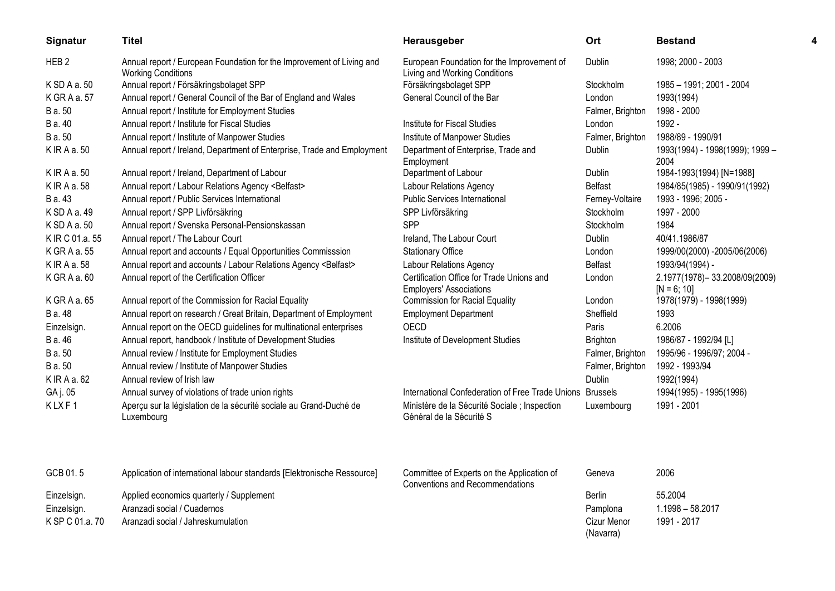| Signatur         | Titel                                                                                              | Herausgeber                                                                          | Ort                      | <b>Bestand</b>                                 |  |
|------------------|----------------------------------------------------------------------------------------------------|--------------------------------------------------------------------------------------|--------------------------|------------------------------------------------|--|
| HEB <sub>2</sub> | Annual report / European Foundation for the Improvement of Living and<br><b>Working Conditions</b> | European Foundation for the Improvement of<br>Living and Working Conditions          | <b>Dublin</b>            | 1998; 2000 - 2003                              |  |
| K SD A a. 50     | Annual report / Försäkringsbolaget SPP                                                             | Försäkringsbolaget SPP                                                               | Stockholm                | 1985 - 1991; 2001 - 2004                       |  |
| K GR A a. 57     | Annual report / General Council of the Bar of England and Wales                                    | General Council of the Bar                                                           | London                   | 1993(1994)                                     |  |
| B a. 50          | Annual report / Institute for Employment Studies                                                   |                                                                                      | Falmer, Brighton         | 1998 - 2000                                    |  |
| B a. 40          | Annual report / Institute for Fiscal Studies                                                       | Institute for Fiscal Studies                                                         | London                   | 1992 -                                         |  |
| B a. 50          | Annual report / Institute of Manpower Studies                                                      | Institute of Manpower Studies                                                        | Falmer, Brighton         | 1988/89 - 1990/91                              |  |
| K IR A a. 50     | Annual report / Ireland, Department of Enterprise, Trade and Employment                            | Department of Enterprise, Trade and<br>Employment                                    | Dublin                   | 1993(1994) - 1998(1999); 1999 -<br>2004        |  |
| K IR A a. 50     | Annual report / Ireland, Department of Labour                                                      | Department of Labour                                                                 | Dublin                   | 1984-1993(1994) [N=1988]                       |  |
| K IR A a. 58     | Annual report / Labour Relations Agency <belfast></belfast>                                        | <b>Labour Relations Agency</b>                                                       | <b>Belfast</b>           | 1984/85(1985) - 1990/91(1992)                  |  |
| B a. 43          | Annual report / Public Services International                                                      | <b>Public Services International</b>                                                 | Ferney-Voltaire          | 1993 - 1996; 2005 -                            |  |
| K SD A a. 49     | Annual report / SPP Livförsäkring                                                                  | SPP Livförsäkring                                                                    | Stockholm                | 1997 - 2000                                    |  |
| K SD A a. 50     | Annual report / Svenska Personal-Pensionskassan                                                    | SPP                                                                                  | <b>Stockholm</b>         | 1984                                           |  |
| K IR C 01.a. 55  | Annual report / The Labour Court                                                                   | Ireland, The Labour Court                                                            | Dublin                   | 40/41.1986/87                                  |  |
| K GR A a. 55     | Annual report and accounts / Equal Opportunities Commisssion                                       | <b>Stationary Office</b>                                                             | London                   | 1999/00(2000) -2005/06(2006)                   |  |
| K IR A a. 58     | Annual report and accounts / Labour Relations Agency <belfast></belfast>                           | <b>Labour Relations Agency</b>                                                       | Belfast                  | 1993/94(1994) -                                |  |
| K GR A a. 60     | Annual report of the Certification Officer                                                         | Certification Office for Trade Unions and<br><b>Employers' Associations</b>          | London                   | 2.1977(1978)-33.2008/09(2009)<br>$[N = 6; 10]$ |  |
| K GR A a. 65     | Annual report of the Commission for Racial Equality                                                | <b>Commission for Racial Equality</b>                                                | London                   | 1978(1979) - 1998(1999)                        |  |
| B a. 48          | Annual report on research / Great Britain, Department of Employment                                | <b>Employment Department</b>                                                         | Sheffield                | 1993                                           |  |
| Einzelsign.      | Annual report on the OECD guidelines for multinational enterprises                                 | <b>OECD</b>                                                                          | Paris                    | 6.2006                                         |  |
| B a. 46          | Annual report, handbook / Institute of Development Studies                                         | Institute of Development Studies                                                     | <b>Brighton</b>          | 1986/87 - 1992/94 [L]                          |  |
| B a. 50          | Annual review / Institute for Employment Studies                                                   |                                                                                      | Falmer, Brighton         | 1995/96 - 1996/97; 2004 -                      |  |
| B a. 50          | Annual review / Institute of Manpower Studies                                                      |                                                                                      | Falmer, Brighton         | 1992 - 1993/94                                 |  |
| K IR A a. 62     | Annual review of Irish law                                                                         |                                                                                      | Dublin                   | 1992(1994)                                     |  |
| GA j. 05         | Annual survey of violations of trade union rights                                                  | International Confederation of Free Trade Unions                                     | <b>Brussels</b>          | 1994(1995) - 1995(1996)                        |  |
| KLXF1            | Aperçu sur la législation de la sécurité sociale au Grand-Duché de<br>Luxembourg                   | Ministère de la Sécurité Sociale ; Inspection<br>Général de la Sécurité S            | Luxembourg               | 1991 - 2001                                    |  |
|                  |                                                                                                    |                                                                                      |                          |                                                |  |
| GCB 01.5         | Application of international labour standards [Elektronische Ressource]                            | Committee of Experts on the Application of<br><b>Conventions and Recommendations</b> | Geneva                   | 2006                                           |  |
| Einzelsign.      | Applied economics quarterly / Supplement                                                           |                                                                                      | Berlin                   | 55.2004                                        |  |
| Einzelsign.      | Aranzadi social / Cuadernos                                                                        |                                                                                      | Pamplona                 | $1.1998 - 58.2017$                             |  |
| K SP C 01.a. 70  | Aranzadi social / Jahreskumulation                                                                 |                                                                                      | Cizur Menor<br>(Navarra) | 1991 - 2017                                    |  |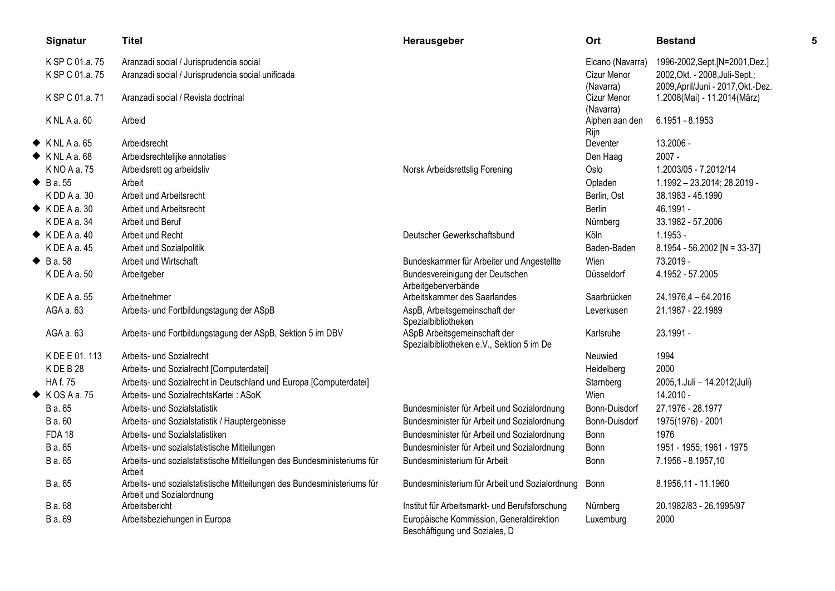| Signatur                  | Titel                                                                                               | Herausgeber                                                               | Ort                         | <b>Bestand</b>                     |  |
|---------------------------|-----------------------------------------------------------------------------------------------------|---------------------------------------------------------------------------|-----------------------------|------------------------------------|--|
| K SP C 01.a. 75           | Aranzadi social / Jurisprudencia social                                                             |                                                                           | Elcano (Navarra)            | 1996-2002, Sept. [N=2001, Dez.]    |  |
| K SP C 01.a. 75           | Aranzadi social / Jurisprudencia social unificada                                                   |                                                                           | Cizur Menor                 | 2002, Okt. - 2008, Juli-Sept.;     |  |
|                           |                                                                                                     |                                                                           | (Navarra)                   | 2009, April/Juni - 2017, Okt.-Dez. |  |
| K SP C 01.a. 71           | Aranzadi social / Revista doctrinal                                                                 |                                                                           | Cizur Menor                 | 1.2008(Mai) - 11.2014(März)        |  |
| $K$ NL A a. 60            | Arbeid                                                                                              |                                                                           | (Navarra)<br>Alphen aan den | 6.1951 - 8.1953                    |  |
|                           |                                                                                                     |                                                                           | Rijn                        |                                    |  |
| $\blacklozenge$ KNLA a.65 | Arbeidsrecht                                                                                        |                                                                           | Deventer                    | 13.2006 -                          |  |
| $\blacklozenge$ KNLAa.68  | Arbeidsrechtelijke annotaties                                                                       |                                                                           | Den Haag                    | $2007 -$                           |  |
| K NO A a. 75              | Arbeidsrett og arbeidsliv                                                                           | Norsk Arbeidsrettslig Forening                                            | Oslo                        | 1.2003/05 - 7.2012/14              |  |
| $\triangle$ B a. 55       | Arbeit                                                                                              |                                                                           | Opladen                     | 1.1992 - 23.2014; 28.2019 -        |  |
| $K$ DD A a. 30            | Arbeit und Arbeitsrecht                                                                             |                                                                           | Berlin, Ost                 | 38.1983 - 45.1990                  |  |
| $\blacklozenge$ KDEAa, 30 | Arbeit und Arbeitsrecht                                                                             |                                                                           | <b>Berlin</b>               | 46.1991 -                          |  |
| KDEAa.34                  | Arbeit und Beruf                                                                                    |                                                                           | Nürnberg                    | 33.1982 - 57.2006                  |  |
| $\blacklozenge$ KDEA a.40 | Arbeit und Recht                                                                                    | Deutscher Gewerkschaftsbund                                               | Köln                        | $1.1953 -$                         |  |
| K DE A a. 45              | Arbeit und Sozialpolitik                                                                            |                                                                           | Baden-Baden                 | $8.1954 - 56.2002$ [N = 33-37]     |  |
| $\bullet$ B a.58          | Arbeit und Wirtschaft                                                                               | Bundeskammer für Arbeiter und Angestellte                                 | Wien                        | 73.2019 -                          |  |
| K DE A a. 50              | Arbeitgeber                                                                                         | Bundesvereinigung der Deutschen<br>Arbeitgeberverbände                    | Düsseldorf                  | 4.1952 - 57.2005                   |  |
| K DE A a. 55              | Arbeitnehmer                                                                                        | Arbeitskammer des Saarlandes                                              | Saarbrücken                 | 24.1976,4 - 64.2016                |  |
| AGA a. 63                 | Arbeits- und Fortbildungstagung der ASpB                                                            | AspB, Arbeitsgemeinschaft der                                             | Leverkusen                  | 21.1987 - 22.1989                  |  |
|                           |                                                                                                     | Spezialbibliotheken                                                       |                             |                                    |  |
| AGA a. 63                 | Arbeits- und Fortbildungstagung der ASpB, Sektion 5 im DBV                                          | ASpB Arbeitsgemeinschaft der<br>Spezialbibliotheken e.V., Sektion 5 im De | Karlsruhe                   | 23.1991 -                          |  |
| K DE E 01.113             | Arbeits- und Sozialrecht                                                                            |                                                                           | Neuwied                     | 1994                               |  |
| KDEB28                    | Arbeits- und Sozialrecht [Computerdatei]                                                            |                                                                           | Heidelberg                  | 2000                               |  |
| <b>HAf. 75</b>            | Arbeits- und Sozialrecht in Deutschland und Europa [Computerdatei]                                  |                                                                           | Starnberg                   | 2005,1.Juli - 14.2012(Juli)        |  |
| $\blacklozenge$ KOSAa.75  | Arbeits- und SozialrechtsKartei: ASoK                                                               |                                                                           | Wien                        | 14.2010 -                          |  |
| B a. 65                   | Arbeits- und Sozialstatistik                                                                        | Bundesminister für Arbeit und Sozialordnung                               | Bonn-Duisdorf               | 27.1976 - 28.1977                  |  |
| B a. 60                   | Arbeits- und Sozialstatistik / Hauptergebnisse                                                      | Bundesminister für Arbeit und Sozialordnung                               | Bonn-Duisdorf               | 1975(1976) - 2001                  |  |
| <b>FDA 18</b>             | Arbeits- und Sozialstatistiken                                                                      | Bundesminister für Arbeit und Sozialordnung                               | Bonn                        | 1976                               |  |
| B a. 65                   | Arbeits- und sozialstatistische Mitteilungen                                                        | Bundesminister für Arbeit und Sozialordnung                               | Bonn                        | 1951 - 1955; 1961 - 1975           |  |
| B a. 65                   | Arbeits- und sozialstatistische Mitteilungen des Bundesministeriums für<br>Arbeit                   | Bundesministerium für Arbeit                                              | Bonn                        | 7.1956 - 8.1957,10                 |  |
| B a. 65                   | Arbeits- und sozialstatistische Mitteilungen des Bundesministeriums für<br>Arbeit und Sozialordnung | Bundesministerium für Arbeit und Sozialordnung                            | <b>Bonn</b>                 | 8.1956,11 - 11.1960                |  |
| B a. 68                   | Arbeitsbericht                                                                                      | Institut für Arbeitsmarkt- und Berufsforschung                            | Nürnberg                    | 20.1982/83 - 26.1995/97            |  |
| B a. 69                   | Arbeitsbeziehungen in Europa                                                                        | Europäische Kommission, Generaldirektion<br>Beschäftigung und Soziales, D | Luxemburg                   | 2000                               |  |
|                           |                                                                                                     |                                                                           |                             |                                    |  |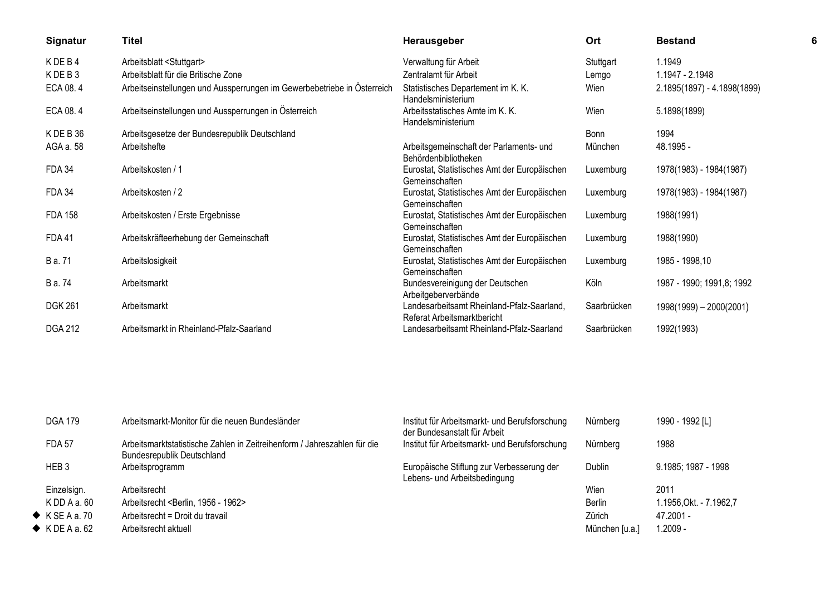| Signatur       | <b>Titel</b>                                                            | Herausgeber                                                               | Ort         | <b>Bestand</b>              |  |
|----------------|-------------------------------------------------------------------------|---------------------------------------------------------------------------|-------------|-----------------------------|--|
| KDEB4          | Arbeitsblatt <stuttgart></stuttgart>                                    | Verwaltung für Arbeit                                                     | Stuttgart   | 1.1949                      |  |
| KDEB3          | Arbeitsblatt für die Britische Zone                                     | Zentralamt für Arbeit                                                     | Lemgo       | 1.1947 - 2.1948             |  |
| ECA 08.4       | Arbeitseinstellungen und Aussperrungen im Gewerbebetriebe in Österreich | Statistisches Departement im K. K.<br>Handelsministerium                  | Wien        | 2.1895(1897) - 4.1898(1899) |  |
| ECA 08.4       | Arbeitseinstellungen und Aussperrungen in Österreich                    | Arbeitsstatisches Amte im K. K.<br>Handelsministerium                     | Wien        | 5.1898(1899)                |  |
| KDEB36         | Arbeitsgesetze der Bundesrepublik Deutschland                           |                                                                           | Bonn        | 1994                        |  |
| AGA a. 58      | Arbeitshefte                                                            | Arbeitsgemeinschaft der Parlaments- und<br>Behördenbibliotheken           | München     | 48.1995 -                   |  |
| <b>FDA 34</b>  | Arbeitskosten / 1                                                       | Eurostat, Statistisches Amt der Europäischen<br>Gemeinschaften            | Luxemburg   | 1978(1983) - 1984(1987)     |  |
| <b>FDA 34</b>  | Arbeitskosten / 2                                                       | Eurostat, Statistisches Amt der Europäischen<br>Gemeinschaften            | Luxemburg   | 1978(1983) - 1984(1987)     |  |
| <b>FDA 158</b> | Arbeitskosten / Erste Ergebnisse                                        | Eurostat, Statistisches Amt der Europäischen<br>Gemeinschaften            | Luxemburg   | 1988(1991)                  |  |
| <b>FDA41</b>   | Arbeitskräfteerhebung der Gemeinschaft                                  | Eurostat, Statistisches Amt der Europäischen<br>Gemeinschaften            | Luxemburg   | 1988(1990)                  |  |
| B a. 71        | Arbeitslosigkeit                                                        | Eurostat, Statistisches Amt der Europäischen<br>Gemeinschaften            | Luxemburg   | 1985 - 1998,10              |  |
| B a. 74        | Arbeitsmarkt                                                            | Bundesvereinigung der Deutschen<br>Arbeitgeberverbände                    | Köln        | 1987 - 1990; 1991,8; 1992   |  |
| <b>DGK 261</b> | Arbeitsmarkt                                                            | Landesarbeitsamt Rheinland-Pfalz-Saarland,<br>Referat Arbeitsmarktbericht | Saarbrücken | $1998(1999) - 2000(2001)$   |  |
| <b>DGA 212</b> | Arbeitsmarkt in Rheinland-Pfalz-Saarland                                | Landesarbeitsamt Rheinland-Pfalz-Saarland                                 | Saarbrücken | 1992(1993)                  |  |
|                |                                                                         |                                                                           |             |                             |  |

| <b>DGA 179</b>           | Arbeitsmarkt-Monitor für die neuen Bundesländer                                                               | Institut für Arbeitsmarkt- und Berufsforschung<br>der Bundesanstalt für Arbeit | Nürnberg       | 1990 - 1992 [L]        |
|--------------------------|---------------------------------------------------------------------------------------------------------------|--------------------------------------------------------------------------------|----------------|------------------------|
| <b>FDA 57</b>            | Arbeitsmarktstatistische Zahlen in Zeitreihenform / Jahreszahlen für die<br><b>Bundesrepublik Deutschland</b> | Institut für Arbeitsmarkt- und Berufsforschung                                 | Nürnberg       | 1988                   |
| HEB <sub>3</sub>         | Arbeitsprogramm                                                                                               | Europäische Stiftung zur Verbesserung der<br>Lebens- und Arbeitsbedingung      | <b>Dublin</b>  | 9.1985; 1987 - 1998    |
| Einzelsign.              | Arbeitsrecht                                                                                                  |                                                                                | Wien           | 2011                   |
| KDD A a.60               | Arbeitsrecht <berlin, -="" 1956="" 1962=""></berlin,>                                                         |                                                                                | <b>Berlin</b>  | 1.1956,Okt. - 7.1962,7 |
| $\blacklozenge$ KSEAa.70 | Arbeitsrecht = Droit du travail                                                                               |                                                                                | Zürich         | 47.2001 -              |
| $\blacklozenge$ KDEAa.62 | Arbeitsrecht aktuell                                                                                          |                                                                                | München [u.a.] | - 2009. ا              |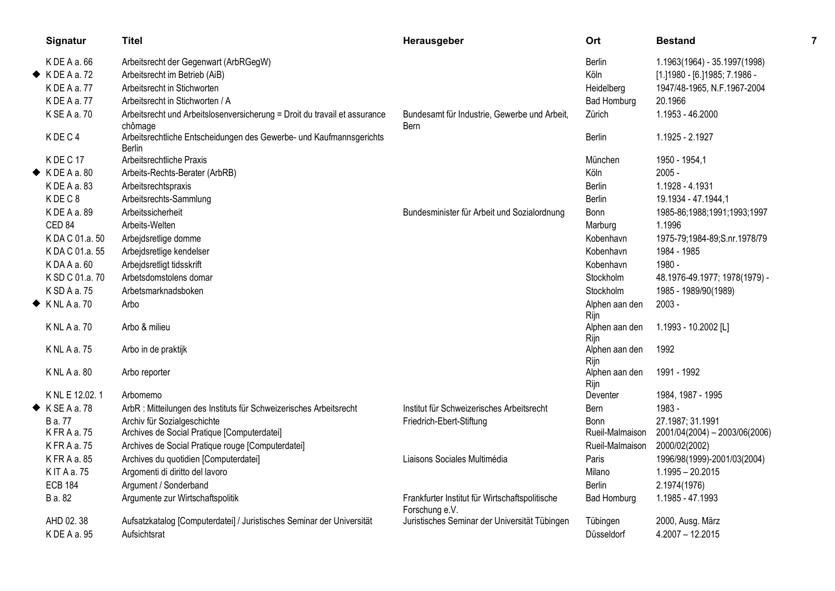| Signatur                     | <b>Titel</b>                                                                         | Herausgeber                                    | Ort                    | <b>Bestand</b>                  | 7 |
|------------------------------|--------------------------------------------------------------------------------------|------------------------------------------------|------------------------|---------------------------------|---|
| K DE A a. 66                 | Arbeitsrecht der Gegenwart (ArbRGegW)                                                |                                                | <b>Berlin</b>          | 1.1963(1964) - 35.1997(1998)    |   |
| $\blacklozenge$ KDEA a.72    | Arbeitsrecht im Betrieb (AiB)                                                        |                                                | Köln                   | [1.] 1980 - [6.] 1985; 7.1986 - |   |
| KDEAa.77                     | Arbeitsrecht in Stichworten                                                          |                                                | Heidelberg             | 1947/48-1965, N.F.1967-2004     |   |
| KDEAa.77                     | Arbeitsrecht in Stichworten / A                                                      |                                                | <b>Bad Homburg</b>     | 20.1966                         |   |
| K SE A a. 70                 | Arbeitsrecht und Arbeitslosenversicherung = Droit du travail et assurance            | Bundesamt für Industrie, Gewerbe und Arbeit,   | Zürich                 | 1.1953 - 46.2000                |   |
|                              | chômage                                                                              | Bern                                           |                        |                                 |   |
| KDEC4                        | Arbeitsrechtliche Entscheidungen des Gewerbe- und Kaufmannsgerichts<br><b>Berlin</b> |                                                | <b>Berlin</b>          | 1.1925 - 2.1927                 |   |
| KDEC <sub>17</sub>           | Arbeitsrechtliche Praxis                                                             |                                                | München                | 1950 - 1954,1                   |   |
| $\blacklozenge$ KDEA a.80    | Arbeits-Rechts-Berater (ArbRB)                                                       |                                                | Köln                   | $2005 -$                        |   |
| K DE A a. 83                 | Arbeitsrechtspraxis                                                                  |                                                | Berlin                 | 1.1928 - 4.1931                 |   |
| KDEC8                        | Arbeitsrechts-Sammlung                                                               |                                                | Berlin                 | 19.1934 - 47.1944,1             |   |
| K DE A a. 89                 | Arbeitssicherheit                                                                    | Bundesminister für Arbeit und Sozialordnung    | Bonn                   | 1985-86;1988;1991;1993;1997     |   |
| CED <sub>84</sub>            | Arbeits-Welten                                                                       |                                                | Marburg                | 1.1996                          |   |
| K DA C 01.a. 50              | Arbejdsretlige domme                                                                 |                                                | Kobenhavn              | 1975-79;1984-89;S.nr.1978/79    |   |
| K DA C 01.a. 55              | Arbejdsretlige kendelser                                                             |                                                | Kobenhavn              | 1984 - 1985                     |   |
| KDAAa.60                     | Arbejdsretligt tidsskrift                                                            |                                                | Kobenhavn              | 1980 -                          |   |
| K SD C 01.a. 70              | Arbetsdomstolens domar                                                               |                                                | Stockholm              | 48.1976-49.1977; 1978(1979) -   |   |
| K SD A a. 75                 | Arbetsmarknadsboken                                                                  |                                                | Stockholm              | 1985 - 1989/90(1989)            |   |
| $\blacklozenge$ KNLAa.70     | Arbo                                                                                 |                                                | Alphen aan den         | $2003 -$                        |   |
|                              |                                                                                      |                                                | Rijn                   |                                 |   |
| K NL A a. 70                 | Arbo & milieu                                                                        |                                                | Alphen aan den         | 1.1993 - 10.2002 [L]            |   |
|                              |                                                                                      |                                                | Rijn                   |                                 |   |
| K NL A a. 75                 | Arbo in de praktijk                                                                  |                                                | Alphen aan den<br>Rijn | 1992                            |   |
| KNLAa.80                     | Arbo reporter                                                                        |                                                | Alphen aan den         | 1991 - 1992                     |   |
|                              |                                                                                      |                                                | Rijn                   |                                 |   |
| K NL E 12.02.1               | Arbomemo                                                                             |                                                | Deventer               | 1984, 1987 - 1995               |   |
| $\blacklozenge$ K SE A a. 78 | ArbR : Mitteilungen des Instituts für Schweizerisches Arbeitsrecht                   | Institut für Schweizerisches Arbeitsrecht      | Bern                   | 1983 -                          |   |
| B a. 77                      | Archiv für Sozialgeschichte                                                          | Friedrich-Ebert-Stiftung                       | Bonn                   | 27.1987; 31.1991                |   |
| K FR A a. 75                 | Archives de Social Pratique [Computerdatei]                                          |                                                | Rueil-Malmaison        | 2001/04(2004) - 2003/06(2006)   |   |
| KFRAa.75                     | Archives de Social Pratique rouge [Computerdatei]                                    |                                                | Rueil-Malmaison        | 2000/02(2002)                   |   |
| KFRAa.85                     | Archives du quotidien [Computerdatei]                                                | Liaisons Sociales Multimédia                   | Paris                  | 1996/98(1999)-2001/03(2004)     |   |
| K IT A a. 75                 | Argomenti di diritto del lavoro                                                      |                                                | Milano                 | $1.1995 - 20.2015$              |   |
| <b>ECB 184</b>               | Argument / Sonderband                                                                |                                                | <b>Berlin</b>          | 2.1974(1976)                    |   |
| B a. 82                      | Argumente zur Wirtschaftspolitik                                                     | Frankfurter Institut für Wirtschaftspolitische | <b>Bad Homburg</b>     | 1.1985 - 47.1993                |   |
|                              |                                                                                      | Forschung e.V.                                 |                        |                                 |   |
| AHD 02.38                    | Aufsatzkatalog [Computerdatei] / Juristisches Seminar der Universität                | Juristisches Seminar der Universität Tübingen  | Tübingen               | 2000, Ausg. März                |   |
| K DE A a. 95                 | Aufsichtsrat                                                                         |                                                | Düsseldorf             | $4.2007 - 12.2015$              |   |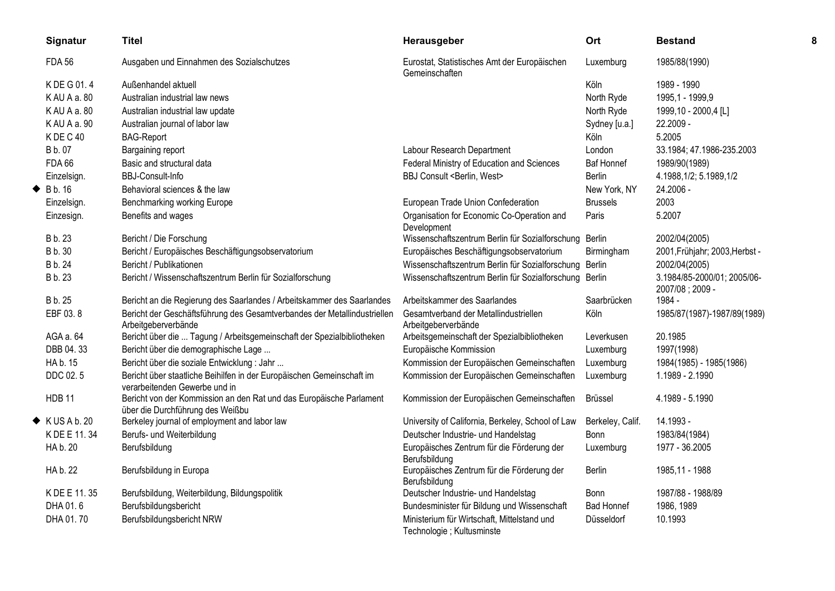| Signatur                   | Titel                                                                                                   | Herausgeber                                                               | Ort               | <b>Bestand</b>                                 | 8 |
|----------------------------|---------------------------------------------------------------------------------------------------------|---------------------------------------------------------------------------|-------------------|------------------------------------------------|---|
| <b>FDA 56</b>              | Ausgaben und Einnahmen des Sozialschutzes                                                               | Eurostat, Statistisches Amt der Europäischen<br>Gemeinschaften            | Luxemburg         | 1985/88(1990)                                  |   |
| K DE G 01.4                | Außenhandel aktuell                                                                                     |                                                                           | Köln              | 1989 - 1990                                    |   |
| KAU A a. 80                | Australian industrial law news                                                                          |                                                                           | North Ryde        | 1995,1 - 1999,9                                |   |
| KAU A a. 80                | Australian industrial law update                                                                        |                                                                           | North Ryde        | 1999,10 - 2000,4 [L]                           |   |
| KAU A a. 90                | Australian journal of labor law                                                                         |                                                                           | Sydney [u.a.]     | 22.2009 -                                      |   |
| KDEC40                     | <b>BAG-Report</b>                                                                                       |                                                                           | Köln              | 5.2005                                         |   |
| B b. 07                    | Bargaining report                                                                                       | Labour Research Department                                                | London            | 33.1984; 47.1986-235.2003                      |   |
| <b>FDA 66</b>              | Basic and structural data                                                                               | Federal Ministry of Education and Sciences                                | <b>Baf Honnef</b> | 1989/90(1989)                                  |   |
| Einzelsign.                | BBJ-Consult-Info                                                                                        | BBJ Consult <berlin, west=""></berlin,>                                   | <b>Berlin</b>     | 4.1988, 1/2; 5.1989, 1/2                       |   |
| $\blacklozenge$ Bb. 16     | Behavioral sciences & the law                                                                           |                                                                           | New York, NY      | 24.2006 -                                      |   |
| Einzelsign.                | Benchmarking working Europe                                                                             | European Trade Union Confederation                                        | <b>Brussels</b>   | 2003                                           |   |
| Einzesign.                 | Benefits and wages                                                                                      | Organisation for Economic Co-Operation and<br>Development                 | Paris             | 5.2007                                         |   |
| B b. 23                    | Bericht / Die Forschung                                                                                 | Wissenschaftszentrum Berlin für Sozialforschung                           | Berlin            | 2002/04(2005)                                  |   |
| <b>B</b> b. 30             | Bericht / Europäisches Beschäftigungsobservatorium                                                      | Europäisches Beschäftigungsobservatorium                                  | Birmingham        | 2001, Frühjahr; 2003, Herbst -                 |   |
| B b. 24                    | Bericht / Publikationen                                                                                 | Wissenschaftszentrum Berlin für Sozialforschung Berlin                    |                   | 2002/04(2005)                                  |   |
| B b. 23                    | Bericht / Wissenschaftszentrum Berlin für Sozialforschung                                               | Wissenschaftszentrum Berlin für Sozialforschung Berlin                    |                   | 3.1984/85-2000/01; 2005/06-<br>2007/08; 2009 - |   |
| B b. 25                    | Bericht an die Regierung des Saarlandes / Arbeitskammer des Saarlandes                                  | Arbeitskammer des Saarlandes                                              | Saarbrücken       | 1984 -                                         |   |
| EBF 03.8                   | Bericht der Geschäftsführung des Gesamtverbandes der Metallindustriellen<br>Arbeitgeberverbände         | Gesamtverband der Metallindustriellen<br>Arbeitgeberverbände              | Köln              | 1985/87(1987)-1987/89(1989)                    |   |
| AGA a. 64                  | Bericht über die  Tagung / Arbeitsgemeinschaft der Spezialbibliotheken                                  | Arbeitsgemeinschaft der Spezialbibliotheken                               | Leverkusen        | 20.1985                                        |   |
| DBB 04.33                  | Bericht über die demographische Lage                                                                    | Europäische Kommission                                                    | Luxemburg         | 1997(1998)                                     |   |
| HA b. 15                   | Bericht über die soziale Entwicklung : Jahr                                                             | Kommission der Europäischen Gemeinschaften                                | Luxemburg         | 1984(1985) - 1985(1986)                        |   |
| DDC 02.5                   | Bericht über staatliche Beihilfen in der Europäischen Gemeinschaft im<br>verarbeitenden Gewerbe und in  | Kommission der Europäischen Gemeinschaften                                | Luxemburg         | 1.1989 - 2.1990                                |   |
| <b>HDB 11</b>              | Bericht von der Kommission an den Rat und das Europäische Parlament<br>über die Durchführung des Weißbu | Kommission der Europäischen Gemeinschaften                                | <b>Brüssel</b>    | 4.1989 - 5.1990                                |   |
| $\blacklozenge$ KUSA b. 20 | Berkeley journal of employment and labor law                                                            | University of California, Berkeley, School of Law                         | Berkeley, Calif.  | 14.1993 -                                      |   |
| K DE E 11.34               | Berufs- und Weiterbildung                                                                               | Deutscher Industrie- und Handelstag                                       | <b>Bonn</b>       | 1983/84(1984)                                  |   |
| HA b. 20                   | Berufsbildung                                                                                           | Europäisches Zentrum für die Förderung der<br>Berufsbildung               | Luxemburg         | 1977 - 36.2005                                 |   |
| HA b. 22                   | Berufsbildung in Europa                                                                                 | Europäisches Zentrum für die Förderung der<br>Berufsbildung               | <b>Berlin</b>     | 1985,11 - 1988                                 |   |
| K DE E 11.35               | Berufsbildung, Weiterbildung, Bildungspolitik                                                           | Deutscher Industrie- und Handelstag                                       | Bonn              | 1987/88 - 1988/89                              |   |
| DHA 01.6                   | Berufsbildungsbericht                                                                                   | Bundesminister für Bildung und Wissenschaft                               | <b>Bad Honnef</b> | 1986, 1989                                     |   |
| DHA 01.70                  | Berufsbildungsbericht NRW                                                                               | Ministerium für Wirtschaft, Mittelstand und<br>Technologie ; Kultusminste | Düsseldorf        | 10.1993                                        |   |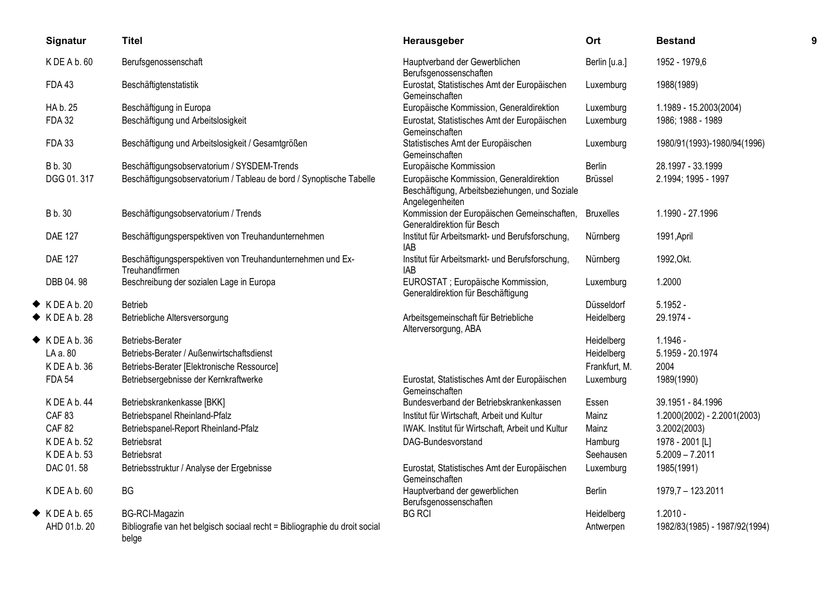| Signatur                  | <b>Titel</b>                                                                         | Herausgeber                                                                                                   | Ort              | <b>Bestand</b>                |  |
|---------------------------|--------------------------------------------------------------------------------------|---------------------------------------------------------------------------------------------------------------|------------------|-------------------------------|--|
| K DE A b. 60              | Berufsgenossenschaft                                                                 | Hauptverband der Gewerblichen<br>Berufsgenossenschaften                                                       | Berlin [u.a.]    | 1952 - 1979,6                 |  |
| <b>FDA43</b>              | Beschäftigtenstatistik                                                               | Eurostat, Statistisches Amt der Europäischen<br>Gemeinschaften                                                | Luxemburg        | 1988(1989)                    |  |
| HA b. 25                  | Beschäftigung in Europa                                                              | Europäische Kommission, Generaldirektion                                                                      | Luxemburg        | 1.1989 - 15.2003(2004)        |  |
| <b>FDA 32</b>             | Beschäftigung und Arbeitslosigkeit                                                   | Eurostat, Statistisches Amt der Europäischen<br>Gemeinschaften                                                | Luxemburg        | 1986; 1988 - 1989             |  |
| <b>FDA 33</b>             | Beschäftigung und Arbeitslosigkeit / Gesamtgrößen                                    | Statistisches Amt der Europäischen<br>Gemeinschaften                                                          | Luxemburg        | 1980/91(1993)-1980/94(1996)   |  |
| <b>B</b> b. 30            | Beschäftigungsobservatorium / SYSDEM-Trends                                          | Europäische Kommission                                                                                        | Berlin           | 28.1997 - 33.1999             |  |
| DGG 01.317                | Beschäftigungsobservatorium / Tableau de bord / Synoptische Tabelle                  | Europäische Kommission, Generaldirektion<br>Beschäftigung, Arbeitsbeziehungen, und Soziale<br>Angelegenheiten | Brüssel          | 2.1994; 1995 - 1997           |  |
| <b>B</b> b. 30            | Beschäftigungsobservatorium / Trends                                                 | Kommission der Europäischen Gemeinschaften,<br>Generaldirektion für Besch                                     | <b>Bruxelles</b> | 1.1990 - 27.1996              |  |
| <b>DAE 127</b>            | Beschäftigungsperspektiven von Treuhandunternehmen                                   | Institut für Arbeitsmarkt- und Berufsforschung,<br>IAB                                                        | Nürnberg         | 1991, April                   |  |
| <b>DAE 127</b>            | Beschäftigungsperspektiven von Treuhandunternehmen und Ex-<br>Treuhandfirmen         | Institut für Arbeitsmarkt- und Berufsforschung,<br>IAB                                                        | Nürnberg         | 1992, Okt.                    |  |
| DBB 04.98                 | Beschreibung der sozialen Lage in Europa                                             | EUROSTAT ; Europäische Kommission,<br>Generaldirektion für Beschäftigung                                      | Luxemburg        | 1.2000                        |  |
| $\blacklozenge$ KDEAb. 20 | <b>Betrieb</b>                                                                       |                                                                                                               | Düsseldorf       | $5.1952 -$                    |  |
| $\blacklozenge$ KDEAb. 28 | Betriebliche Altersversorgung                                                        | Arbeitsgemeinschaft für Betriebliche<br>Alterversorgung, ABA                                                  | Heidelberg       | 29.1974 -                     |  |
| $\blacklozenge$ KDEAb.36  | Betriebs-Berater                                                                     |                                                                                                               | Heidelberg       | 1.1946 -                      |  |
| LA a. 80                  | Betriebs-Berater / Außenwirtschaftsdienst                                            |                                                                                                               | Heidelberg       | 5.1959 - 20.1974              |  |
| K DE A b. 36              | Betriebs-Berater [Elektronische Ressource]                                           |                                                                                                               | Frankfurt, M.    | 2004                          |  |
| <b>FDA 54</b>             | Betriebsergebnisse der Kernkraftwerke                                                | Eurostat, Statistisches Amt der Europäischen<br>Gemeinschaften                                                | Luxemburg        | 1989(1990)                    |  |
| KDEAb.44                  | Betriebskrankenkasse [BKK]                                                           | Bundesverband der Betriebskrankenkassen                                                                       | Essen            | 39.1951 - 84.1996             |  |
| <b>CAF 83</b>             | Betriebspanel Rheinland-Pfalz                                                        | Institut für Wirtschaft, Arbeit und Kultur                                                                    | Mainz            | 1.2000(2002) - 2.2001(2003)   |  |
| <b>CAF 82</b>             | Betriebspanel-Report Rheinland-Pfalz                                                 | IWAK. Institut für Wirtschaft, Arbeit und Kultur                                                              | Mainz            | 3.2002(2003)                  |  |
| K DE A b. 52              | Betriebsrat                                                                          | DAG-Bundesvorstand                                                                                            | Hamburg          | 1978 - 2001 [L]               |  |
| K DE A b. 53              | <b>Betriebsrat</b>                                                                   |                                                                                                               | Seehausen        | $5.2009 - 7.2011$             |  |
| DAC 01.58                 | Betriebsstruktur / Analyse der Ergebnisse                                            | Eurostat, Statistisches Amt der Europäischen<br>Gemeinschaften                                                | Luxemburg        | 1985(1991)                    |  |
| K DE A b. 60              | BG                                                                                   | Hauptverband der gewerblichen<br>Berufsgenossenschaften                                                       | Berlin           | 1979,7 - 123.2011             |  |
| $\blacklozenge$ KDEAb.65  | <b>BG-RCI-Magazin</b>                                                                | <b>BG RCI</b>                                                                                                 | Heidelberg       | $1.2010 -$                    |  |
| AHD 01.b. 20              | Bibliografie van het belgisch sociaal recht = Bibliographie du droit social<br>belge |                                                                                                               | Antwerpen        | 1982/83(1985) - 1987/92(1994) |  |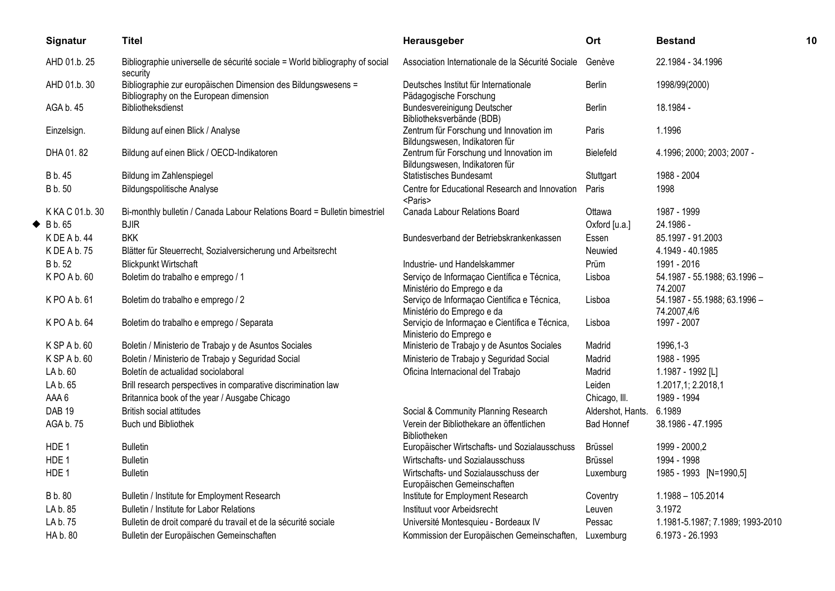| Signatur                | <b>Titel</b>                                                                                            | Herausgeber                                                               | Ort               | <b>Bestand</b>                              | 10 |
|-------------------------|---------------------------------------------------------------------------------------------------------|---------------------------------------------------------------------------|-------------------|---------------------------------------------|----|
| AHD 01.b. 25            | Bibliographie universelle de sécurité sociale = World bibliography of social<br>security                | Association Internationale de la Sécurité Sociale                         | Genève            | 22.1984 - 34.1996                           |    |
| AHD 01.b. 30            | Bibliographie zur europäischen Dimension des Bildungswesens =<br>Bibliography on the European dimension | Deutsches Institut für Internationale<br>Pädagogische Forschung           | Berlin            | 1998/99(2000)                               |    |
| AGA b. 45               | Bibliotheksdienst                                                                                       | Bundesvereinigung Deutscher<br>Bibliotheksverbände (BDB)                  | Berlin            | 18.1984 -                                   |    |
| Einzelsign.             | Bildung auf einen Blick / Analyse                                                                       | Zentrum für Forschung und Innovation im<br>Bildungswesen, Indikatoren für | Paris             | 1.1996                                      |    |
| DHA 01.82               | Bildung auf einen Blick / OECD-Indikatoren                                                              | Zentrum für Forschung und Innovation im<br>Bildungswesen, Indikatoren für | Bielefeld         | 4.1996; 2000; 2003; 2007 -                  |    |
| B b. 45                 | Bildung im Zahlenspiegel                                                                                | <b>Statistisches Bundesamt</b>                                            | Stuttgart         | 1988 - 2004                                 |    |
| B b. 50                 | <b>Bildungspolitische Analyse</b>                                                                       | Centre for Educational Research and Innovation<br><paris></paris>         | Paris             | 1998                                        |    |
| K KA C 01.b. 30         | Bi-monthly bulletin / Canada Labour Relations Board = Bulletin bimestriel                               | Canada Labour Relations Board                                             | Ottawa            | 1987 - 1999                                 |    |
| $\blacklozenge$ B b. 65 | <b>BJIR</b>                                                                                             |                                                                           | Oxford [u.a.]     | 24.1986 -                                   |    |
| K DE A b. 44            | <b>BKK</b>                                                                                              | Bundesverband der Betriebskrankenkassen                                   | Essen             | 85.1997 - 91.2003                           |    |
| K DE A b. 75            | Blätter für Steuerrecht, Sozialversicherung und Arbeitsrecht                                            |                                                                           | Neuwied           | 4.1949 - 40.1985                            |    |
| B b. 52                 | <b>Blickpunkt Wirtschaft</b>                                                                            | Industrie- und Handelskammer                                              | Prüm              | 1991 - 2016                                 |    |
| K PO A b. 60            | Boletim do trabalho e emprego / 1                                                                       | Serviço de Informação Científica e Técnica,<br>Ministério do Emprego e da | Lisboa            | 54.1987 - 55.1988; 63.1996 -<br>74.2007     |    |
| KPO A b. 61             | Boletim do trabalho e emprego / 2                                                                       | Serviço de Informação Científica e Técnica,<br>Ministério do Emprego e da | Lisboa            | 54.1987 - 55.1988; 63.1996 -<br>74.2007,4/6 |    |
| K PO A b. 64            | Boletim do trabalho e emprego / Separata                                                                | Serviçio de Informaçao e Científica e Técnica,<br>Ministerio do Emprego e | Lisboa            | 1997 - 2007                                 |    |
| K SP A b. 60            | Boletin / Ministerio de Trabajo y de Asuntos Sociales                                                   | Ministerio de Trabajo y de Asuntos Sociales                               | Madrid            | 1996,1-3                                    |    |
| K SP A b. 60            | Boletin / Ministerio de Trabajo y Seguridad Social                                                      | Ministerio de Trabajo y Seguridad Social                                  | Madrid            | 1988 - 1995                                 |    |
| LA b. 60                | Boletín de actualidad sociolaboral                                                                      | Oficina Internacional del Trabajo                                         | Madrid            | 1.1987 - 1992 [L]                           |    |
| LA b. 65                | Brill research perspectives in comparative discrimination law                                           |                                                                           | Leiden            | 1.2017,1; 2.2018,1                          |    |
| AAA6                    | Britannica book of the year / Ausgabe Chicago                                                           |                                                                           | Chicago, III.     | 1989 - 1994                                 |    |
| <b>DAB 19</b>           | <b>British social attitudes</b>                                                                         | Social & Community Planning Research                                      | Aldershot, Hants. | 6.1989                                      |    |
| AGA b. 75               | Buch und Bibliothek                                                                                     | Verein der Bibliothekare an öffentlichen<br><b>Bibliotheken</b>           | <b>Bad Honnef</b> | 38.1986 - 47.1995                           |    |
| HDE <sub>1</sub>        | <b>Bulletin</b>                                                                                         | Europäischer Wirtschafts- und Sozialausschuss                             | <b>Brüssel</b>    | 1999 - 2000,2                               |    |
| HDE <sub>1</sub>        | <b>Bulletin</b>                                                                                         | Wirtschafts- und Sozialausschuss                                          | <b>Brüssel</b>    | 1994 - 1998                                 |    |
| HDE 1                   | <b>Bulletin</b>                                                                                         | Wirtschafts- und Sozialausschuss der<br>Europäischen Gemeinschaften       | Luxemburg         | 1985 - 1993 [N=1990,5]                      |    |
| B b. 80                 | Bulletin / Institute for Employment Research                                                            | Institute for Employment Research                                         | Coventry          | 1.1988 - 105.2014                           |    |
| LA b. 85                | Bulletin / Institute for Labor Relations                                                                | Instituut voor Arbeidsrecht                                               | Leuven            | 3.1972                                      |    |
| LA b. 75                | Bulletin de droit comparé du travail et de la sécurité sociale                                          | Université Montesquieu - Bordeaux IV                                      | Pessac            | 1.1981-5.1987; 7.1989; 1993-2010            |    |
| HA b. 80                | Bulletin der Europäischen Gemeinschaften                                                                | Kommission der Europäischen Gemeinschaften,                               | Luxemburg         | 6.1973 - 26.1993                            |    |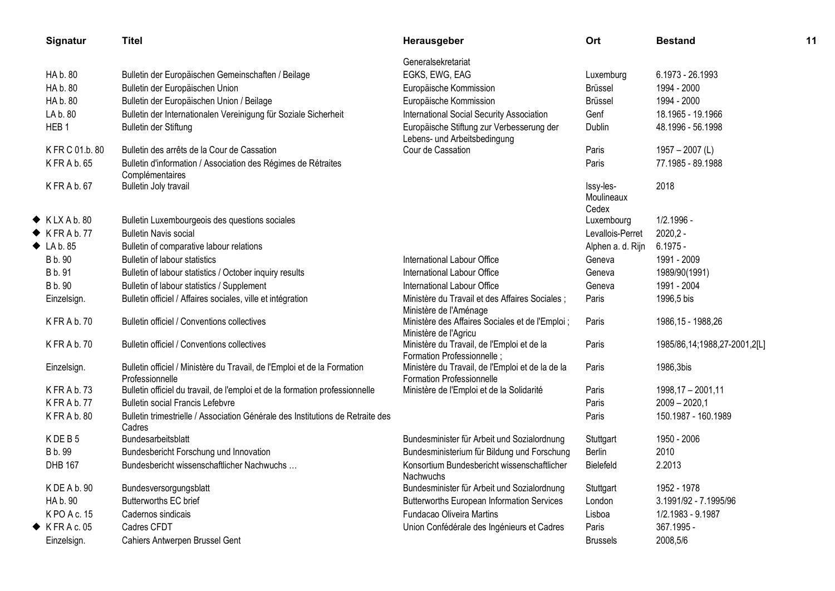| Signatur                  | <b>Titel</b>                                                                                | Herausgeber                                                                          | Ort                     | <b>Bestand</b>               | 11 |
|---------------------------|---------------------------------------------------------------------------------------------|--------------------------------------------------------------------------------------|-------------------------|------------------------------|----|
|                           |                                                                                             | Generalsekretariat                                                                   |                         |                              |    |
| HA b. 80                  | Bulletin der Europäischen Gemeinschaften / Beilage                                          | EGKS, EWG, EAG                                                                       | Luxemburg               | 6.1973 - 26.1993             |    |
| HA b. 80                  | Bulletin der Europäischen Union                                                             | Europäische Kommission                                                               | <b>Brüssel</b>          | 1994 - 2000                  |    |
| HA b. 80                  | Bulletin der Europäischen Union / Beilage                                                   | Europäische Kommission                                                               | <b>Brüssel</b>          | 1994 - 2000                  |    |
| LA b. 80                  | Bulletin der Internationalen Vereinigung für Soziale Sicherheit                             | International Social Security Association                                            | Genf                    | 18.1965 - 19.1966            |    |
| HEB <sub>1</sub>          | Bulletin der Stiftung                                                                       | Europäische Stiftung zur Verbesserung der<br>Lebens- und Arbeitsbedingung            | Dublin                  | 48.1996 - 56.1998            |    |
| K FR C 01.b. 80           | Bulletin des arrêts de la Cour de Cassation                                                 | Cour de Cassation                                                                    | Paris                   | $1957 - 2007$ (L)            |    |
| K FR A b. 65              | Bulletin d'information / Association des Régimes de Rétraites<br>Complémentaires            |                                                                                      | Paris                   | 77.1985 - 89.1988            |    |
| KFRAb. 67                 | Bulletin Joly travail                                                                       |                                                                                      | Issy-les-<br>Moulineaux | 2018                         |    |
|                           |                                                                                             |                                                                                      | Cedex                   |                              |    |
| $\blacklozenge$ KLXAb.80  | Bulletin Luxembourgeois des questions sociales                                              |                                                                                      | Luxembourg              | 1/2.1996 -                   |    |
| $\blacklozenge$ KFRAb.77  | <b>Bulletin Navis social</b>                                                                |                                                                                      | Levallois-Perret        | $2020,2 -$                   |    |
| $\blacklozenge$ LA b. 85  | Bulletin of comparative labour relations                                                    |                                                                                      | Alphen a. d. Rijn       | $6.1975 -$                   |    |
| B b. 90                   | Bulletin of labour statistics                                                               | International Labour Office                                                          | Geneva                  | 1991 - 2009                  |    |
| B b. 91                   | Bulletin of labour statistics / October inquiry results                                     | International Labour Office                                                          | Geneva                  | 1989/90(1991)                |    |
| B b. 90                   | Bulletin of labour statistics / Supplement                                                  | International Labour Office                                                          | Geneva                  | 1991 - 2004                  |    |
| Einzelsign.               | Bulletin officiel / Affaires sociales, ville et intégration                                 | Ministère du Travail et des Affaires Sociales ;<br>Ministère de l'Aménage            | Paris                   | 1996,5 bis                   |    |
| K FR A b. 70              | Bulletin officiel / Conventions collectives                                                 | Ministère des Affaires Sociales et de l'Emploi ;<br>Ministère de l'Agricu            | Paris                   | 1986, 15 - 1988, 26          |    |
| K FR A b. 70              | Bulletin officiel / Conventions collectives                                                 | Ministère du Travail, de l'Emploi et de la<br>Formation Professionnelle;             | Paris                   | 1985/86,14;1988,27-2001,2[L] |    |
| Einzelsign.               | Bulletin officiel / Ministère du Travail, de l'Emploi et de la Formation<br>Professionnelle | Ministère du Travail, de l'Emploi et de la de la<br><b>Formation Professionnelle</b> | Paris                   | 1986,3bis                    |    |
| KFRA b.73                 | Bulletin officiel du travail, de l'emploi et de la formation professionnelle                | Ministère de l'Emploi et de la Solidarité                                            | Paris                   | 1998,17 - 2001,11            |    |
| KFRAb.77                  | <b>Bulletin social Francis Lefebvre</b>                                                     |                                                                                      | Paris                   | $2009 - 2020,1$              |    |
| KFRAb.80                  | Bulletin trimestrielle / Association Générale des Institutions de Retraite des<br>Cadres    |                                                                                      | Paris                   | 150.1987 - 160.1989          |    |
| KDEB5                     | Bundesarbeitsblatt                                                                          | Bundesminister für Arbeit und Sozialordnung                                          | Stuttgart               | 1950 - 2006                  |    |
| B b. 99                   | Bundesbericht Forschung und Innovation                                                      | Bundesministerium für Bildung und Forschung                                          | <b>Berlin</b>           | 2010                         |    |
| <b>DHB 167</b>            | Bundesbericht wissenschaftlicher Nachwuchs                                                  | Konsortium Bundesbericht wissenschaftlicher<br><b>Nachwuchs</b>                      | Bielefeld               | 2.2013                       |    |
| K DE A b. 90              | Bundesversorgungsblatt                                                                      | Bundesminister für Arbeit und Sozialordnung                                          | Stuttgart               | 1952 - 1978                  |    |
| HA b. 90                  | Butterworths EC brief                                                                       | <b>Butterworths European Information Services</b>                                    | London                  | 3.1991/92 - 7.1995/96        |    |
| KPO A c. 15               | Cadernos sindicais                                                                          | Fundacao Oliveira Martins                                                            | Lisboa                  | 1/2.1983 - 9.1987            |    |
| $\blacklozenge$ KFRAc. 05 | Cadres CFDT                                                                                 | Union Confédérale des Ingénieurs et Cadres                                           | Paris                   | 367.1995 -                   |    |
| Einzelsign.               | Cahiers Antwerpen Brussel Gent                                                              |                                                                                      | <b>Brussels</b>         | 2008,5/6                     |    |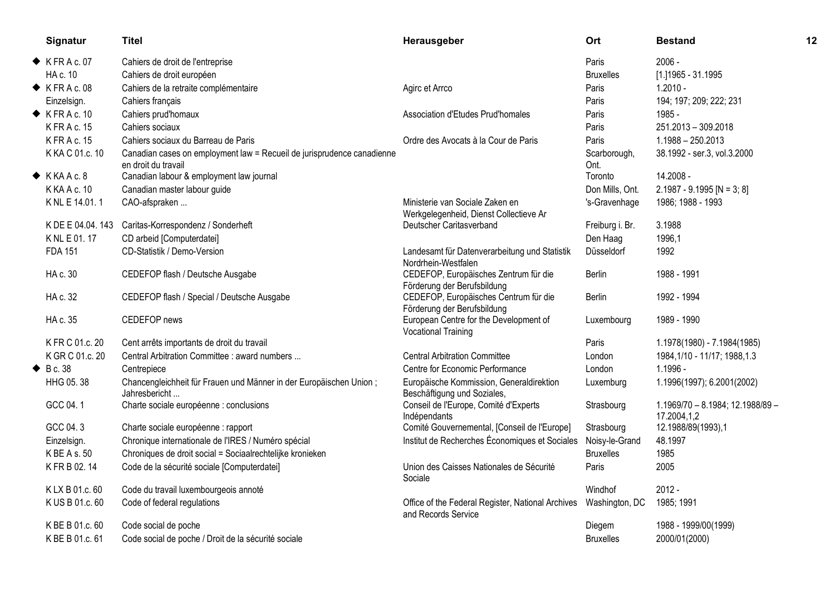| Signatur                  | <b>Titel</b>                                                                                  | Herausgeber                                                               | Ort                  | <b>Bestand</b>                                  | 12 |
|---------------------------|-----------------------------------------------------------------------------------------------|---------------------------------------------------------------------------|----------------------|-------------------------------------------------|----|
| $\blacklozenge$ KFRAc.07  | Cahiers de droit de l'entreprise                                                              |                                                                           | Paris                | $2006 -$                                        |    |
| HA c. 10                  | Cahiers de droit européen                                                                     |                                                                           | <b>Bruxelles</b>     | [1.] 1965 - 31.1995                             |    |
| $\blacklozenge$ KFRAc.08  | Cahiers de la retraite complémentaire                                                         | Agirc et Arrco                                                            | Paris                | $1.2010 -$                                      |    |
| Einzelsign.               | Cahiers français                                                                              |                                                                           | Paris                | 194; 197; 209; 222; 231                         |    |
| $\blacklozenge$ KFRAc. 10 | Cahiers prud'homaux                                                                           | Association d'Etudes Prud'homales                                         | Paris                | 1985 -                                          |    |
| K FR A c. 15              | Cahiers sociaux                                                                               |                                                                           | Paris                | 251.2013 - 309.2018                             |    |
| <b>KFRAc. 15</b>          | Cahiers sociaux du Barreau de Paris                                                           | Ordre des Avocats à la Cour de Paris                                      | Paris                | $1.1988 - 250.2013$                             |    |
| K KA C 01.c. 10           | Canadian cases on employment law = Recueil de jurisprudence canadienne<br>en droit du travail |                                                                           | Scarborough,<br>Ont. | 38.1992 - ser.3, vol.3.2000                     |    |
| $\blacklozenge$ KKAAc.8   | Canadian labour & employment law journal                                                      |                                                                           | Toronto              | 14.2008 -                                       |    |
| K KA A c. 10              | Canadian master labour guide                                                                  |                                                                           | Don Mills, Ont.      | $2.1987 - 9.1995$ [N = 3; 8]                    |    |
| K NL E 14.01.1            | CAO-afspraken                                                                                 | Ministerie van Sociale Zaken en<br>Werkgelegenheid, Dienst Collectieve Ar | 's-Gravenhage        | 1986; 1988 - 1993                               |    |
| K DE E 04.04.143          | Caritas-Korrespondenz / Sonderheft                                                            | Deutscher Caritasverband                                                  | Freiburg i. Br.      | 3.1988                                          |    |
| K NL E 01.17              | CD arbeid [Computerdatei]                                                                     |                                                                           | Den Haag             | 1996,1                                          |    |
| <b>FDA 151</b>            | CD-Statistik / Demo-Version                                                                   | Landesamt für Datenverarbeitung und Statistik<br>Nordrhein-Westfalen      | Düsseldorf           | 1992                                            |    |
| HA c. 30                  | CEDEFOP flash / Deutsche Ausgabe                                                              | CEDEFOP, Europäisches Zentrum für die<br>Förderung der Berufsbildung      | Berlin               | 1988 - 1991                                     |    |
| HA c. 32                  | CEDEFOP flash / Special / Deutsche Ausgabe                                                    | CEDEFOP, Europäisches Centrum für die<br>Förderung der Berufsbildung      | <b>Berlin</b>        | 1992 - 1994                                     |    |
| HA c. 35                  | CEDEFOP news                                                                                  | European Centre for the Development of<br><b>Vocational Training</b>      | Luxembourg           | 1989 - 1990                                     |    |
| K FR C 01.c. 20           | Cent arrêts importants de droit du travail                                                    |                                                                           | Paris                | 1.1978(1980) - 7.1984(1985)                     |    |
| K GR C 01.c. 20           | Central Arbitration Committee : award numbers                                                 | <b>Central Arbitration Committee</b>                                      | London               | 1984, 1/10 - 11/17; 1988, 1.3                   |    |
| $\triangle$ Bc. 38        | Centrepiece                                                                                   | Centre for Economic Performance                                           | London               | 1.1996 -                                        |    |
| HHG 05.38                 | Chancengleichheit für Frauen und Männer in der Europäischen Union;<br>Jahresbericht           | Europäische Kommission, Generaldirektion<br>Beschäftigung und Soziales,   | Luxemburg            | 1.1996(1997); 6.2001(2002)                      |    |
| GCC 04.1                  | Charte sociale européenne : conclusions                                                       | Conseil de l'Europe, Comité d'Experts<br>Indépendants                     | Strasbourg           | 1.1969/70 - 8.1984; 12.1988/89 -<br>17.2004,1,2 |    |
| GCC 04.3                  | Charte sociale européenne : rapport                                                           | Comité Gouvernemental, [Conseil de l'Europe]                              | Strasbourg           | 12.1988/89(1993),1                              |    |
| Einzelsign.               | Chronique internationale de l'IRES / Numéro spécial                                           | Institut de Recherches Économiques et Sociales                            | Noisy-le-Grand       | 48.1997                                         |    |
| K BE A s. 50              | Chroniques de droit social = Sociaalrechtelijke kronieken                                     |                                                                           | <b>Bruxelles</b>     | 1985                                            |    |
| K FR B 02.14              | Code de la sécurité sociale [Computerdatei]                                                   | Union des Caisses Nationales de Sécurité<br>Sociale                       | Paris                | 2005                                            |    |
| KLX B 01.c. 60            | Code du travail luxembourgeois annoté                                                         |                                                                           | Windhof              | $2012 -$                                        |    |
| K US B 01.c. 60           | Code of federal regulations                                                                   | Office of the Federal Register, National Archives<br>and Records Service  | Washington, DC       | 1985; 1991                                      |    |
| K BE B 01.c. 60           | Code social de poche                                                                          |                                                                           | Diegem               | 1988 - 1999/00(1999)                            |    |
| K BE B 01.c. 61           | Code social de poche / Droit de la sécurité sociale                                           |                                                                           | <b>Bruxelles</b>     | 2000/01(2000)                                   |    |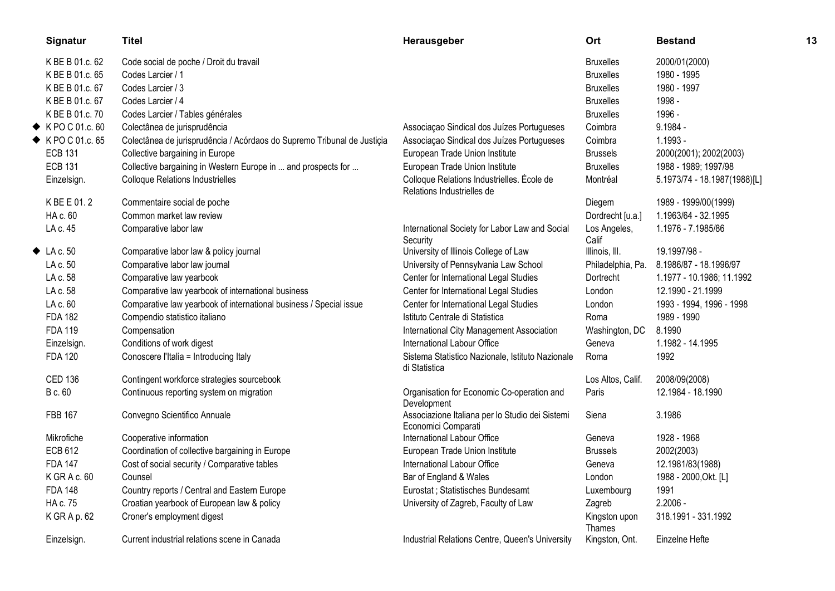| Signatur                        | <b>Titel</b>                                                            | Herausgeber                                                              | Ort                     | <b>Bestand</b>               | 13 |
|---------------------------------|-------------------------------------------------------------------------|--------------------------------------------------------------------------|-------------------------|------------------------------|----|
| K BE B 01.c. 62                 | Code social de poche / Droit du travail                                 |                                                                          | <b>Bruxelles</b>        | 2000/01(2000)                |    |
| K BE B 01.c. 65                 | Codes Larcier / 1                                                       |                                                                          | <b>Bruxelles</b>        | 1980 - 1995                  |    |
| K BE B 01.c. 67                 | Codes Larcier / 3                                                       |                                                                          | <b>Bruxelles</b>        | 1980 - 1997                  |    |
| K BE B 01.c. 67                 | Codes Larcier / 4                                                       |                                                                          | <b>Bruxelles</b>        | 1998 -                       |    |
| K BE B 01.c. 70                 | Codes Larcier / Tables générales                                        |                                                                          | <b>Bruxelles</b>        | 1996 -                       |    |
| $\blacklozenge$ K PO C 01.c. 60 | Colectânea de jurisprudência                                            | Associação Sindical dos Juízes Portugueses                               | Coimbra                 | $9.1984 -$                   |    |
| ◆ KPO C 01.c. 65                | Colectânea de jurisprudência / Acórdaos do Supremo Tribunal de Justiçia | Associação Sindical dos Juízes Portugueses                               | Coimbra                 | $1.1993 -$                   |    |
| <b>ECB 131</b>                  | Collective bargaining in Europe                                         | European Trade Union Institute                                           | <b>Brussels</b>         | 2000(2001); 2002(2003)       |    |
| <b>ECB 131</b>                  | Collective bargaining in Western Europe in  and prospects for           | European Trade Union Institute                                           | <b>Bruxelles</b>        | 1988 - 1989; 1997/98         |    |
| Einzelsign.                     | <b>Colloque Relations Industrielles</b>                                 | Colloque Relations Industrielles. École de<br>Relations Industrielles de | Montréal                | 5.1973/74 - 18.1987(1988)[L] |    |
| K BE E 01.2                     | Commentaire social de poche                                             |                                                                          | Diegem                  | 1989 - 1999/00(1999)         |    |
| HA c. 60                        | Common market law review                                                |                                                                          | Dordrecht [u.a.]        | 1.1963/64 - 32.1995          |    |
| LA c. 45                        | Comparative labor law                                                   | International Society for Labor Law and Social<br>Security               | Los Angeles,<br>Calif   | 1.1976 - 7.1985/86           |    |
| $\blacklozenge$ LA c. 50        | Comparative labor law & policy journal                                  | University of Illinois College of Law                                    | Illinois, III.          | 19.1997/98 -                 |    |
| LA c. 50                        | Comparative labor law journal                                           | University of Pennsylvania Law School                                    | Philadelphia, Pa.       | 8.1986/87 - 18.1996/97       |    |
| LA c. 58                        | Comparative law yearbook                                                | Center for International Legal Studies                                   | Dortrecht               | 1.1977 - 10.1986; 11.1992    |    |
| LA c. 58                        | Comparative law yearbook of international business                      | Center for International Legal Studies                                   | London                  | 12.1990 - 21.1999            |    |
| LA c. 60                        | Comparative law yearbook of international business / Special issue      | Center for International Legal Studies                                   | London                  | 1993 - 1994, 1996 - 1998     |    |
| <b>FDA 182</b>                  | Compendio statistico italiano                                           | Istituto Centrale di Statistica                                          | Roma                    | 1989 - 1990                  |    |
| <b>FDA 119</b>                  | Compensation                                                            | International City Management Association                                | Washington, DC          | 8.1990                       |    |
| Einzelsign.                     | Conditions of work digest                                               | International Labour Office                                              | Geneva                  | 1.1982 - 14.1995             |    |
| <b>FDA 120</b>                  | Conoscere l'Italia = Introducing Italy                                  | Sistema Statistico Nazionale, Istituto Nazionale<br>di Statistica        | Roma                    | 1992                         |    |
| <b>CED 136</b>                  | Contingent workforce strategies sourcebook                              |                                                                          | Los Altos, Calif.       | 2008/09(2008)                |    |
| B c. 60                         | Continuous reporting system on migration                                | Organisation for Economic Co-operation and<br>Development                | Paris                   | 12.1984 - 18.1990            |    |
| <b>FBB 167</b>                  | Convegno Scientifico Annuale                                            | Associazione Italiana per lo Studio dei Sistemi<br>Economici Comparati   | Siena                   | 3.1986                       |    |
| Mikrofiche                      | Cooperative information                                                 | International Labour Office                                              | Geneva                  | 1928 - 1968                  |    |
| <b>ECB 612</b>                  | Coordination of collective bargaining in Europe                         | European Trade Union Institute                                           | <b>Brussels</b>         | 2002(2003)                   |    |
| <b>FDA 147</b>                  | Cost of social security / Comparative tables                            | International Labour Office                                              | Geneva                  | 12.1981/83(1988)             |    |
| K GR A c. 60                    | Counsel                                                                 | Bar of England & Wales                                                   | London                  | 1988 - 2000, Okt. [L]        |    |
| <b>FDA 148</b>                  | Country reports / Central and Eastern Europe                            | Eurostat ; Statistisches Bundesamt                                       | Luxembourg              | 1991                         |    |
| HA c. 75                        | Croatian yearbook of European law & policy                              | University of Zagreb, Faculty of Law                                     | Zagreb                  | $2.2006 -$                   |    |
| KGRAp.62                        | Croner's employment digest                                              |                                                                          | Kingston upon<br>Thames | 318.1991 - 331.1992          |    |
| Einzelsign.                     | Current industrial relations scene in Canada                            | Industrial Relations Centre, Queen's University                          | Kingston, Ont.          | Einzelne Hefte               |    |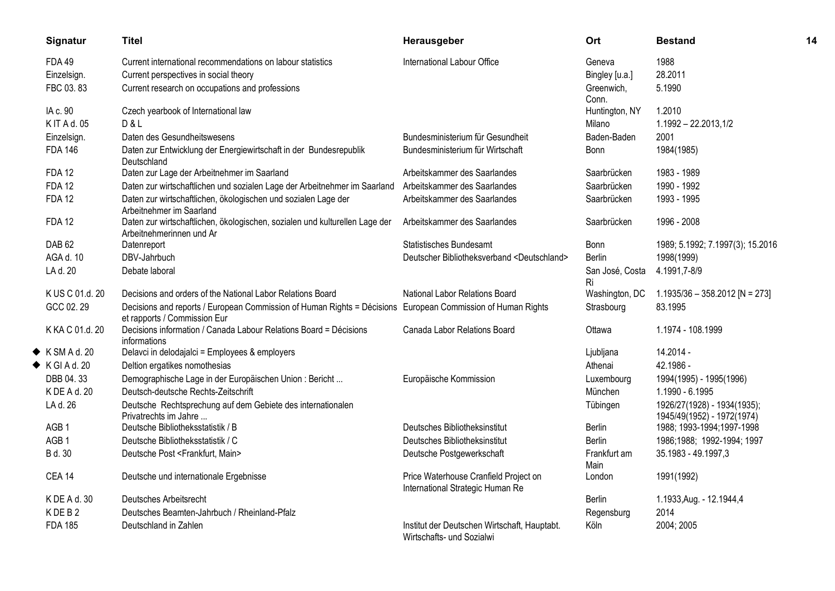| Signatur                  | <b>Titel</b>                                                                                                                                | Herausgeber                                                               | Ort                   | <b>Bestand</b>                                            | 14 |
|---------------------------|---------------------------------------------------------------------------------------------------------------------------------------------|---------------------------------------------------------------------------|-----------------------|-----------------------------------------------------------|----|
| <b>FDA 49</b>             | Current international recommendations on labour statistics                                                                                  | International Labour Office                                               | Geneva                | 1988                                                      |    |
| Einzelsign.               | Current perspectives in social theory                                                                                                       |                                                                           | Bingley [u.a.]        | 28.2011                                                   |    |
| FBC 03.83                 | Current research on occupations and professions                                                                                             |                                                                           | Greenwich,<br>Conn.   | 5.1990                                                    |    |
| IA c. 90                  | Czech yearbook of International law                                                                                                         |                                                                           | Huntington, NY        | 1.2010                                                    |    |
| K IT A d. 05              | D & L                                                                                                                                       |                                                                           | Milano                | 1.1992 - 22.2013,1/2                                      |    |
| Einzelsign.               | Daten des Gesundheitswesens                                                                                                                 | Bundesministerium für Gesundheit                                          | Baden-Baden           | 2001                                                      |    |
| <b>FDA 146</b>            | Daten zur Entwicklung der Energiewirtschaft in der Bundesrepublik<br>Deutschland                                                            | Bundesministerium für Wirtschaft                                          | <b>Bonn</b>           | 1984(1985)                                                |    |
| <b>FDA 12</b>             | Daten zur Lage der Arbeitnehmer im Saarland                                                                                                 | Arbeitskammer des Saarlandes                                              | Saarbrücken           | 1983 - 1989                                               |    |
| <b>FDA 12</b>             | Daten zur wirtschaftlichen und sozialen Lage der Arbeitnehmer im Saarland                                                                   | Arbeitskammer des Saarlandes                                              | Saarbrücken           | 1990 - 1992                                               |    |
| <b>FDA 12</b>             | Daten zur wirtschaftlichen, ökologischen und sozialen Lage der<br>Arbeitnehmer im Saarland                                                  | Arbeitskammer des Saarlandes                                              | Saarbrücken           | 1993 - 1995                                               |    |
| <b>FDA 12</b>             | Daten zur wirtschaftlichen, ökologischen, sozialen und kulturellen Lage der<br>Arbeitnehmerinnen und Ar                                     | Arbeitskammer des Saarlandes                                              | Saarbrücken           | 1996 - 2008                                               |    |
| DAB <sub>62</sub>         | Datenreport                                                                                                                                 | <b>Statistisches Bundesamt</b>                                            | Bonn                  | 1989; 5.1992; 7.1997(3); 15.2016                          |    |
| AGA d. 10                 | DBV-Jahrbuch                                                                                                                                | Deutscher Bibliotheksverband <deutschland></deutschland>                  | <b>Berlin</b>         | 1998(1999)                                                |    |
| LA d. 20                  | Debate laboral                                                                                                                              |                                                                           | San José, Costa<br>Ri | 4.1991,7-8/9                                              |    |
| K US C 01.d. 20           | Decisions and orders of the National Labor Relations Board                                                                                  | National Labor Relations Board                                            | Washington, DC        | $1.1935/36 - 358.2012$ [N = 273]                          |    |
| GCC 02.29                 | Decisions and reports / European Commission of Human Rights = Décisions European Commission of Human Rights<br>et rapports / Commission Eur |                                                                           | Strasbourg            | 83.1995                                                   |    |
| K KA C 01.d. 20           | Decisions information / Canada Labour Relations Board = Décisions<br>informations                                                           | Canada Labor Relations Board                                              | Ottawa                | 1.1974 - 108.1999                                         |    |
| $\blacklozenge$ KSMAd. 20 | Delavci in delodajalci = Employees & employers                                                                                              |                                                                           | Ljubljana             | 14.2014 -                                                 |    |
| $\blacklozenge$ KGIAd. 20 | Deltion ergatikes nomothesias                                                                                                               |                                                                           | Athenai               | 42.1986 -                                                 |    |
| DBB 04.33                 | Demographische Lage in der Europäischen Union: Bericht                                                                                      | Europäische Kommission                                                    | Luxembourg            | 1994(1995) - 1995(1996)                                   |    |
| K DE A d. 20              | Deutsch-deutsche Rechts-Zeitschrift                                                                                                         |                                                                           | München               | 1.1990 - 6.1995                                           |    |
| LA d. 26                  | Deutsche Rechtsprechung auf dem Gebiete des internationalen<br>Privatrechts im Jahre                                                        |                                                                           | Tübingen              | 1926/27(1928) - 1934(1935);<br>1945/49(1952) - 1972(1974) |    |
| AGB <sub>1</sub>          | Deutsche Bibliotheksstatistik / B                                                                                                           | Deutsches Bibliotheksinstitut                                             | Berlin                | 1988; 1993-1994; 1997-1998                                |    |
| AGB <sub>1</sub>          | Deutsche Bibliotheksstatistik / C                                                                                                           | Deutsches Bibliotheksinstitut                                             | <b>Berlin</b>         | 1986;1988; 1992-1994; 1997                                |    |
| B d. 30                   | Deutsche Post <frankfurt, main=""></frankfurt,>                                                                                             | Deutsche Postgewerkschaft                                                 | Frankfurt am<br>Main  | 35.1983 - 49.1997,3                                       |    |
| <b>CEA 14</b>             | Deutsche und internationale Ergebnisse                                                                                                      | Price Waterhouse Cranfield Project on<br>International Strategic Human Re | London                | 1991(1992)                                                |    |
| K DE A d. 30              | Deutsches Arbeitsrecht                                                                                                                      |                                                                           | Berlin                | 1.1933, Aug. - 12.1944, 4                                 |    |
| KDEB2                     | Deutsches Beamten-Jahrbuch / Rheinland-Pfalz                                                                                                |                                                                           | Regensburg            | 2014                                                      |    |
| <b>FDA 185</b>            | Deutschland in Zahlen                                                                                                                       | Institut der Deutschen Wirtschaft, Hauptabt.<br>Wirtschafts- und Sozialwi | Köln                  | 2004; 2005                                                |    |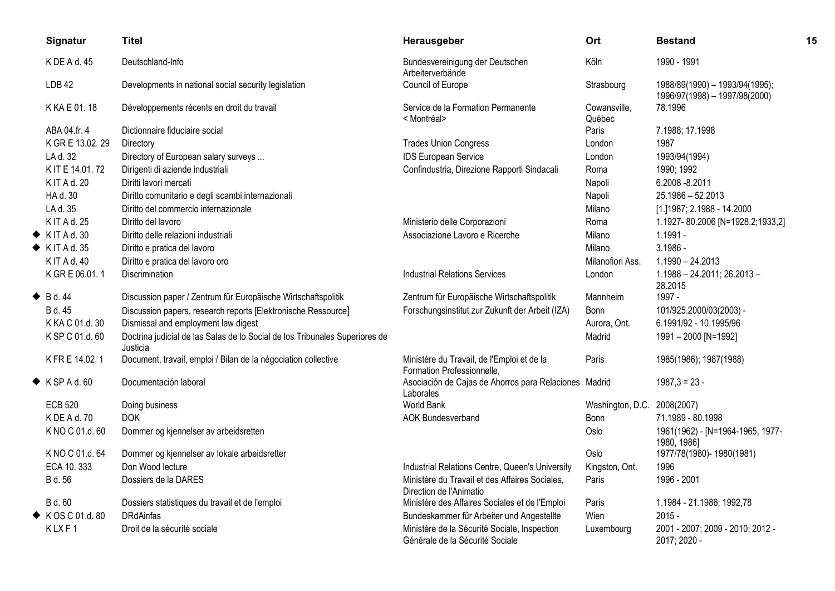| Signatur                    | <b>Titel</b>                                                                            | Herausgeber                                                                     | Ort                         | <b>Bestand</b>                                                  | 15 |
|-----------------------------|-----------------------------------------------------------------------------------------|---------------------------------------------------------------------------------|-----------------------------|-----------------------------------------------------------------|----|
| K DE A d. 45                | Deutschland-Info                                                                        | Bundesvereinigung der Deutschen<br>Arbeiterverbände                             | Köln                        | 1990 - 1991                                                     |    |
| LDB <sub>42</sub>           | Developments in national social security legislation                                    | Council of Europe                                                               | Strasbourg                  | 1988/89(1990) - 1993/94(1995);<br>1996/97(1998) - 1997/98(2000) |    |
| K KA E 01.18                | Développements récents en droit du travail                                              | Service de la Formation Permanente<br>< Montréal>                               | Cowansville,<br>Québec      | 78.1996                                                         |    |
| ABA 04.fr. 4                | Dictionnaire fiduciaire social                                                          |                                                                                 | Paris                       | 7.1988; 17.1998                                                 |    |
| K GR E 13.02.29             | Directory                                                                               | <b>Trades Union Congress</b>                                                    | London                      | 1987                                                            |    |
| LA d. 32                    | Directory of European salary surveys                                                    | <b>IDS European Service</b>                                                     | London                      | 1993/94(1994)                                                   |    |
| K IT E 14.01.72             | Dirigenti di aziende industriali                                                        | Confindustria, Direzione Rapporti Sindacali                                     | Roma                        | 1990; 1992                                                      |    |
| K IT A d. 20                | Diritti lavori mercati                                                                  |                                                                                 | Napoli                      | 6.2008 - 8.2011                                                 |    |
| HA d. 30                    | Diritto comunitario e degli scambi internazionali                                       |                                                                                 | Napoli                      | 25.1986 - 52.2013                                               |    |
| LA d. 35                    | Diritto del commercio internazionale                                                    |                                                                                 | Milano                      | [1.]1987; 2.1988 - 14.2000                                      |    |
| K IT A d. 25                | Diritto del lavoro                                                                      | Ministerio delle Corporazioni                                                   | Roma                        | 1.1927-80.2006 [N=1928,2;1933,2]                                |    |
| $\blacklozenge$ KIT A d. 30 | Diritto delle relazioni industriali                                                     | Associazione Lavoro e Ricerche                                                  | Milano                      | $1.1991 -$                                                      |    |
| $\blacklozenge$ KIT A d. 35 | Diritto e pratica del lavoro                                                            |                                                                                 | Milano                      | $3.1986 -$                                                      |    |
| K IT A d. 40                | Diritto e pratica del lavoro oro                                                        |                                                                                 | Milanofiori Ass.            | $1.1990 - 24.2013$                                              |    |
| K GR E 06.01.1              | Discrimination                                                                          | Industrial Relations Services                                                   | London                      | $1.1988 - 24.2011$ ; 26.2013 -<br>28.2015                       |    |
| $\blacklozenge$ Bd. 44      | Discussion paper / Zentrum für Europäische Wirtschaftspolitik                           | Zentrum für Europäische Wirtschaftspolitik                                      | Mannheim                    | 1997 -                                                          |    |
| B d. 45                     | Discussion papers, research reports [Elektronische Ressource]                           | Forschungsinstitut zur Zukunft der Arbeit (IZA)                                 | <b>Bonn</b>                 | 101/925.2000/03(2003) -                                         |    |
| K KA C 01.d. 30             | Dismissal and employment law digest                                                     |                                                                                 | Aurora, Ont.                | 6.1991/92 - 10.1995/96                                          |    |
| K SP C 01.d. 60             | Doctrina judicial de las Salas de lo Social de los Tribunales Superiores de<br>Justicia |                                                                                 | Madrid                      | 1991-2000 [N=1992]                                              |    |
| K FR E 14.02.1              | Document, travail, emploi / Bilan de la négociation collective                          | Ministère du Travail, de l'Emploi et de la<br>Formation Professionnelle,        | Paris                       | 1985(1986); 1987(1988)                                          |    |
| $\blacklozenge$ KSPAd.60    | Documentación laboral                                                                   | Asociación de Cajas de Ahorros para Relaciones Madrid<br>Laborales              |                             | $1987.3 = 23 -$                                                 |    |
| <b>ECB 520</b>              | Doing business                                                                          | World Bank                                                                      | Washington, D.C. 2008(2007) |                                                                 |    |
| K DE A d. 70                | <b>DOK</b>                                                                              | <b>AOK Bundesverband</b>                                                        | Bonn                        | 71.1989 - 80.1998                                               |    |
| K NO C 01.d. 60             | Dommer og kjennelser av arbeidsretten                                                   |                                                                                 | Oslo                        | 1961(1962) - [N=1964-1965, 1977-<br>1980, 1986]                 |    |
| K NO C 01.d. 64             | Dommer og kjennelser av lokale arbeidsretter                                            |                                                                                 | Oslo                        | 1977/78(1980)-1980(1981)                                        |    |
| ECA 10.333                  | Don Wood lecture                                                                        | Industrial Relations Centre, Queen's University                                 | Kingston, Ont.              | 1996                                                            |    |
| B d. 56                     | Dossiers de la DARES                                                                    | Ministère du Travail et des Affaires Sociales,<br>Direction de l'Animatio       | Paris                       | 1996 - 2001                                                     |    |
| B d. 60                     | Dossiers statistiques du travail et de l'emploi                                         | Ministère des Affaires Sociales et de l'Emploi                                  | Paris                       | 1.1984 - 21.1986; 1992,78                                       |    |
| ◆ KOS C 01.d. 80            | <b>DRdAinfas</b>                                                                        | Bundeskammer für Arbeiter und Angestellte                                       | Wien                        | $2015 -$                                                        |    |
| KLXF1                       | Droit de la sécurité sociale                                                            | Ministère de la Sécurité Sociale, Inspection<br>Générale de la Sécurité Sociale | Luxembourg                  | 2001 - 2007; 2009 - 2010; 2012 -<br>2017; 2020 -                |    |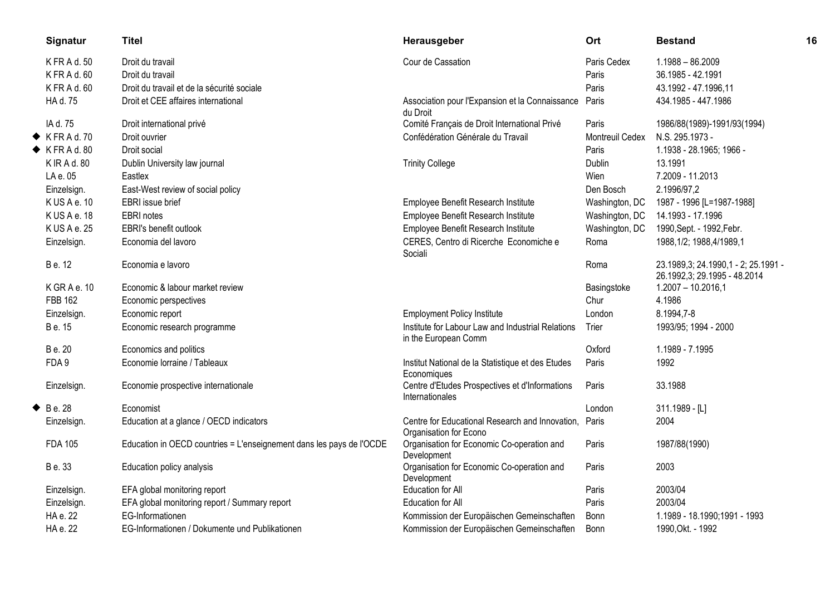|   | Signatur                  | <b>Titel</b>                                                         | Herausgeber                                                               | Ort             | <b>Bestand</b>                                                        | 16 |
|---|---------------------------|----------------------------------------------------------------------|---------------------------------------------------------------------------|-----------------|-----------------------------------------------------------------------|----|
|   | K FR A d. 50              | Droit du travail                                                     | Cour de Cassation                                                         | Paris Cedex     | $1.1988 - 86.2009$                                                    |    |
|   | KFRAd.60                  | Droit du travail                                                     |                                                                           | Paris           | 36.1985 - 42.1991                                                     |    |
|   | K FR A d. 60              | Droit du travail et de la sécurité sociale                           |                                                                           | Paris           | 43.1992 - 47.1996,11                                                  |    |
|   | HA d. 75                  | Droit et CEE affaires international                                  | Association pour l'Expansion et la Connaissance<br>du Droit               | Paris           | 434.1985 - 447.1986                                                   |    |
|   | IA d. 75                  | Droit international privé                                            | Comité Français de Droit International Privé                              | Paris           | 1986/88(1989)-1991/93(1994)                                           |    |
|   | $\blacklozenge$ KFRAd.70  | Droit ouvrier                                                        | Confédération Générale du Travail                                         | Montreuil Cedex | N.S. 295.1973 -                                                       |    |
|   | $\blacklozenge$ KFRAd. 80 | Droit social                                                         |                                                                           | Paris           | 1.1938 - 28.1965; 1966 -                                              |    |
|   | K IR A d. 80              | Dublin University law journal                                        | <b>Trinity College</b>                                                    | <b>Dublin</b>   | 13.1991                                                               |    |
|   | LA e. 05                  | Eastlex                                                              |                                                                           | Wien            | 7.2009 - 11.2013                                                      |    |
|   | Einzelsign.               | East-West review of social policy                                    |                                                                           | Den Bosch       | 2.1996/97,2                                                           |    |
|   | KUSAe.10                  | EBRI issue brief                                                     | Employee Benefit Research Institute                                       | Washington, DC  | 1987 - 1996 [L=1987-1988]                                             |    |
|   | KUSAe.18                  | <b>EBRI</b> notes                                                    | Employee Benefit Research Institute                                       | Washington, DC  | 14.1993 - 17.1996                                                     |    |
|   | K US A e. 25              | EBRI's benefit outlook                                               | Employee Benefit Research Institute                                       | Washington, DC  | 1990, Sept. - 1992, Febr.                                             |    |
|   | Einzelsign.               | Economia del lavoro                                                  | CERES, Centro di Ricerche Economiche e<br>Sociali                         | Roma            | 1988, 1/2; 1988, 4/1989, 1                                            |    |
|   | B e. 12                   | Economia e lavoro                                                    |                                                                           | Roma            | 23.1989, 3; 24.1990, 1 - 2; 25.1991 -<br>26.1992,3; 29.1995 - 48.2014 |    |
|   | KGRAe.10                  | Economic & labour market review                                      |                                                                           | Basingstoke     | $1.2007 - 10.2016,1$                                                  |    |
|   | FBB 162                   | Economic perspectives                                                |                                                                           | Chur            | 4.1986                                                                |    |
|   | Einzelsign.               | Economic report                                                      | <b>Employment Policy Institute</b>                                        | London          | 8.1994,7-8                                                            |    |
|   | B e. 15                   | Economic research programme                                          | Institute for Labour Law and Industrial Relations<br>in the European Comm | Trier           | 1993/95; 1994 - 2000                                                  |    |
|   | B e. 20                   | Economics and politics                                               |                                                                           | Oxford          | 1.1989 - 7.1995                                                       |    |
|   | FDA 9                     | Economie lorraine / Tableaux                                         | Institut National de la Statistique et des Etudes<br>Economiques          | Paris           | 1992                                                                  |    |
|   | Einzelsign.               | Economie prospective internationale                                  | Centre d'Etudes Prospectives et d'Informations<br>Internationales         | Paris           | 33.1988                                                               |    |
| ◆ | B e. 28                   | Economist                                                            |                                                                           | London          | 311.1989 - [L]                                                        |    |
|   | Einzelsign.               | Education at a glance / OECD indicators                              | Centre for Educational Research and Innovation,<br>Organisation for Econo | Paris           | 2004                                                                  |    |
|   | <b>FDA 105</b>            | Education in OECD countries = L'enseignement dans les pays de l'OCDE | Organisation for Economic Co-operation and<br>Development                 | Paris           | 1987/88(1990)                                                         |    |
|   | B e. 33                   | Education policy analysis                                            | Organisation for Economic Co-operation and<br>Development                 | Paris           | 2003                                                                  |    |
|   | Einzelsign.               | EFA global monitoring report                                         | Education for All                                                         | Paris           | 2003/04                                                               |    |
|   | Einzelsign.               | EFA global monitoring report / Summary report                        | Education for All                                                         | Paris           | 2003/04                                                               |    |
|   | HA e. 22                  | EG-Informationen                                                     | Kommission der Europäischen Gemeinschaften                                | Bonn            | 1.1989 - 18.1990;1991 - 1993                                          |    |
|   | HA e. 22                  | EG-Informationen / Dokumente und Publikationen                       | Kommission der Europäischen Gemeinschaften                                | Bonn            | 1990, Okt. - 1992                                                     |    |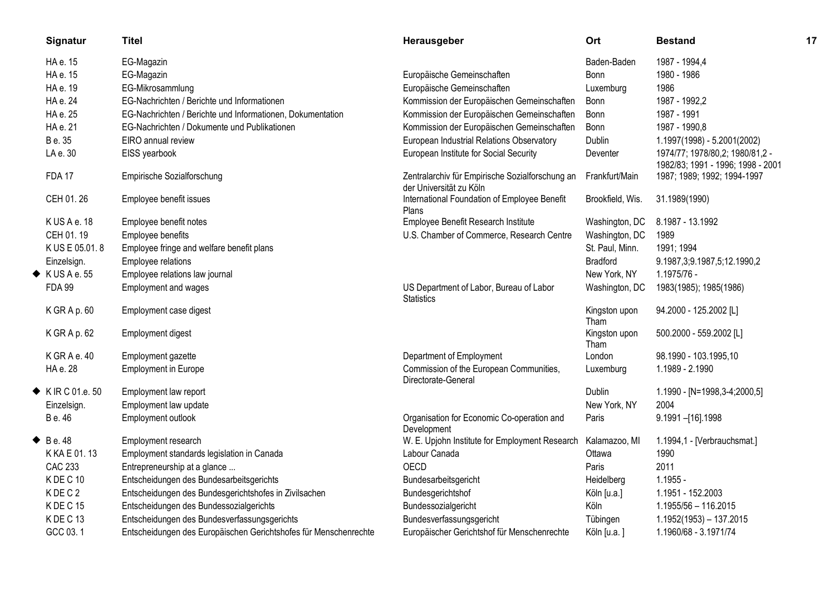|   | Signatur                        | <b>Titel</b>                                                     | Herausgeber                                                                | Ort                   | <b>Bestand</b>                                                       | 17 |
|---|---------------------------------|------------------------------------------------------------------|----------------------------------------------------------------------------|-----------------------|----------------------------------------------------------------------|----|
|   | HA e. 15                        | EG-Magazin                                                       |                                                                            | Baden-Baden           | 1987 - 1994,4                                                        |    |
|   | HA e. 15                        | EG-Magazin                                                       | Europäische Gemeinschaften                                                 | Bonn                  | 1980 - 1986                                                          |    |
|   | HA e. 19                        | EG-Mikrosammlung                                                 | Europäische Gemeinschaften                                                 | Luxemburg             | 1986                                                                 |    |
|   | HA e. 24                        | EG-Nachrichten / Berichte und Informationen                      | Kommission der Europäischen Gemeinschaften                                 | Bonn                  | 1987 - 1992,2                                                        |    |
|   | HA e. 25                        | EG-Nachrichten / Berichte und Informationen, Dokumentation       | Kommission der Europäischen Gemeinschaften                                 | Bonn                  | 1987 - 1991                                                          |    |
|   | HA e. 21                        | EG-Nachrichten / Dokumente und Publikationen                     | Kommission der Europäischen Gemeinschaften                                 | <b>Bonn</b>           | 1987 - 1990,8                                                        |    |
|   | B e. 35                         | EIRO annual review                                               | European Industrial Relations Observatory                                  | Dublin                | 1.1997(1998) - 5.2001(2002)                                          |    |
|   | LA e. 30                        | EISS yearbook                                                    | European Institute for Social Security                                     | Deventer              | 1974/77; 1978/80,2; 1980/81,2 -<br>1982/83; 1991 - 1996; 1998 - 2001 |    |
|   | <b>FDA 17</b>                   | Empirische Sozialforschung                                       | Zentralarchiv für Empirische Sozialforschung an<br>der Universität zu Köln | Frankfurt/Main        | 1987; 1989; 1992; 1994-1997                                          |    |
|   | CEH 01.26                       | Employee benefit issues                                          | International Foundation of Employee Benefit<br>Plans                      | Brookfield, Wis.      | 31.1989(1990)                                                        |    |
|   | KUSAe.18                        | Employee benefit notes                                           | Employee Benefit Research Institute                                        | Washington, DC        | 8.1987 - 13.1992                                                     |    |
|   | CEH 01.19                       | Employee benefits                                                | U.S. Chamber of Commerce, Research Centre                                  | Washington, DC        | 1989                                                                 |    |
|   | K US E 05.01.8                  | Employee fringe and welfare benefit plans                        |                                                                            | St. Paul, Minn.       | 1991; 1994                                                           |    |
|   | Einzelsign.                     | Employee relations                                               |                                                                            | <b>Bradford</b>       | 9.1987, 3; 9.1987, 5; 12.1990, 2                                     |    |
|   | $\blacklozenge$ KUSA e.55       | Employee relations law journal                                   |                                                                            | New York, NY          | 1.1975/76 -                                                          |    |
|   | <b>FDA 99</b>                   | Employment and wages                                             | US Department of Labor, Bureau of Labor<br><b>Statistics</b>               | Washington, DC        | 1983(1985); 1985(1986)                                               |    |
|   | K GR A p. 60                    | Employment case digest                                           |                                                                            | Kingston upon<br>Tham | 94.2000 - 125.2002 [L]                                               |    |
|   | K GR A p. 62                    | Employment digest                                                |                                                                            | Kingston upon<br>Tham | 500.2000 - 559.2002 [L]                                              |    |
|   | K GRAe. 40                      | Employment gazette                                               | Department of Employment                                                   | London                | 98.1990 - 103.1995,10                                                |    |
|   | HA e. 28                        | <b>Employment in Europe</b>                                      | Commission of the European Communities,<br>Directorate-General             | Luxemburg             | 1.1989 - 2.1990                                                      |    |
|   | $\blacklozenge$ K IR C 01.e. 50 | Employment law report                                            |                                                                            | <b>Dublin</b>         | 1.1990 - [N=1998,3-4;2000,5]                                         |    |
|   | Einzelsign.                     | Employment law update                                            |                                                                            | New York, NY          | 2004                                                                 |    |
|   | B e. 46                         | Employment outlook                                               | Organisation for Economic Co-operation and<br>Development                  | Paris                 | 9.1991-[16].1998                                                     |    |
| ◆ | B e. 48                         | Employment research                                              | W. E. Upjohn Institute for Employment Research                             | Kalamazoo, MI         | 1.1994,1 - [Verbrauchsmat.]                                          |    |
|   | K KA E 01.13                    | Employment standards legislation in Canada                       | Labour Canada                                                              | Ottawa                | 1990                                                                 |    |
|   | <b>CAC 233</b>                  | Entrepreneurship at a glance                                     | OECD                                                                       | Paris                 | 2011                                                                 |    |
|   | KDEC <sub>10</sub>              | Entscheidungen des Bundesarbeitsgerichts                         | Bundesarbeitsgericht                                                       | Heidelberg            | $1.1955 -$                                                           |    |
|   | KDEC <sub>2</sub>               | Entscheidungen des Bundesgerichtshofes in Zivilsachen            | Bundesgerichtshof                                                          | Köln [u.a.]           | 1.1951 - 152.2003                                                    |    |
|   | KDEC <sub>15</sub>              | Entscheidungen des Bundessozialgerichts                          | Bundessozialgericht                                                        | Köln                  | 1.1955/56 - 116.2015                                                 |    |
|   | KDEC <sub>13</sub>              | Entscheidungen des Bundesverfassungsgerichts                     | Bundesverfassungsgericht                                                   | Tübingen              | $1.1952(1953) - 137.2015$                                            |    |
|   | GCC 03.1                        | Entscheidungen des Europäischen Gerichtshofes für Menschenrechte | Europäischer Gerichtshof für Menschenrechte                                | Köln [u.a.]           | 1.1960/68 - 3.1971/74                                                |    |
|   |                                 |                                                                  |                                                                            |                       |                                                                      |    |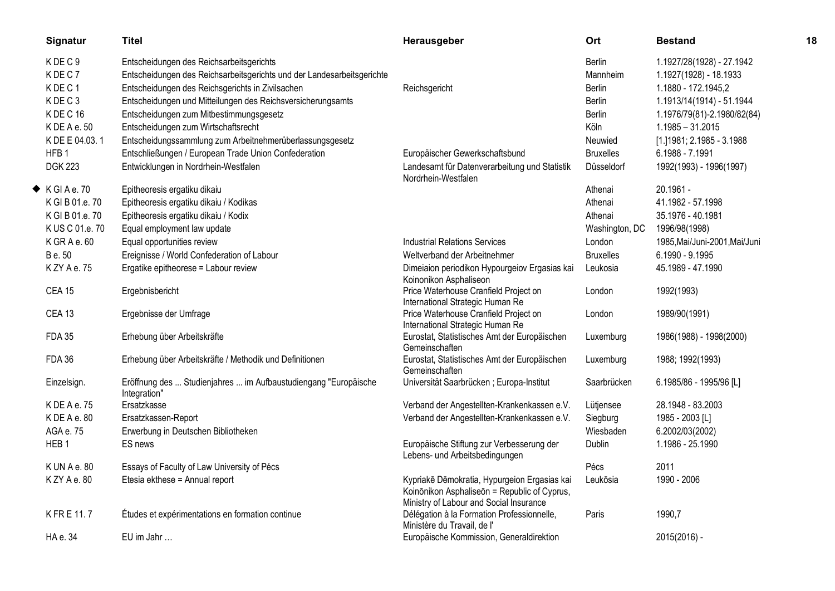| Signatur                 | <b>Titel</b>                                                                    | Herausgeber                                                                                                                             | Ort              | <b>Bestand</b>                | 18 |
|--------------------------|---------------------------------------------------------------------------------|-----------------------------------------------------------------------------------------------------------------------------------------|------------------|-------------------------------|----|
| KDEC9                    | Entscheidungen des Reichsarbeitsgerichts                                        |                                                                                                                                         | <b>Berlin</b>    | 1.1927/28(1928) - 27.1942     |    |
| KDEC7                    | Entscheidungen des Reichsarbeitsgerichts und der Landesarbeitsgerichte          |                                                                                                                                         | <b>Mannheim</b>  | 1.1927(1928) - 18.1933        |    |
| KDEC1                    | Entscheidungen des Reichsgerichts in Zivilsachen                                | Reichsgericht                                                                                                                           | Berlin           | 1.1880 - 172.1945,2           |    |
| KDEC3                    | Entscheidungen und Mitteilungen des Reichsversicherungsamts                     |                                                                                                                                         | <b>Berlin</b>    | 1.1913/14(1914) - 51.1944     |    |
| KDEC <sub>16</sub>       | Entscheidungen zum Mitbestimmungsgesetz                                         |                                                                                                                                         | <b>Berlin</b>    | 1.1976/79(81)-2.1980/82(84)   |    |
| KDEAe.50                 | Entscheidungen zum Wirtschaftsrecht                                             |                                                                                                                                         | Köln             | $1.1985 - 31.2015$            |    |
| K DE E 04.03.1           | Entscheidungssammlung zum Arbeitnehmerüberlassungsgesetz                        |                                                                                                                                         | Neuwied          | [1.] 1981; 2.1985 - 3.1988    |    |
| HFB <sub>1</sub>         | Entschließungen / European Trade Union Confederation                            | Europäischer Gewerkschaftsbund                                                                                                          | <b>Bruxelles</b> | 6.1988 - 7.1991               |    |
| <b>DGK 223</b>           | Entwicklungen in Nordrhein-Westfalen                                            | Landesamt für Datenverarbeitung und Statistik<br>Nordrhein-Westfalen                                                                    | Düsseldorf       | 1992(1993) - 1996(1997)       |    |
| $\blacklozenge$ KGIAe.70 | Epitheoresis ergatiku dikaiu                                                    |                                                                                                                                         | Athenai          | 20.1961 -                     |    |
| K GI B 01.e. 70          | Epitheoresis ergatiku dikaiu / Kodikas                                          |                                                                                                                                         | Athenai          | 41.1982 - 57.1998             |    |
| K GI B 01.e. 70          | Epitheoresis ergatiku dikaiu / Kodix                                            |                                                                                                                                         | Athenai          | 35.1976 - 40.1981             |    |
| K US C 01.e. 70          | Equal employment law update                                                     |                                                                                                                                         | Washington, DC   | 1996/98(1998)                 |    |
| $K$ GR A e. 60           | Equal opportunities review                                                      | <b>Industrial Relations Services</b>                                                                                                    | London           | 1985, Mai/Juni-2001, Mai/Juni |    |
| B e. 50                  | Ereignisse / World Confederation of Labour                                      | Weltverband der Arbeitnehmer                                                                                                            | <b>Bruxelles</b> | 6.1990 - 9.1995               |    |
| K ZY A e. 75             | Ergatike epitheorese = Labour review                                            | Dimeiaion periodikon Hypourgeiov Ergasias kai<br>Koinonikon Asphaliseon                                                                 | Leukosia         | 45.1989 - 47.1990             |    |
| <b>CEA 15</b>            | Ergebnisbericht                                                                 | Price Waterhouse Cranfield Project on<br>International Strategic Human Re                                                               | London           | 1992(1993)                    |    |
| <b>CEA 13</b>            | Ergebnisse der Umfrage                                                          | Price Waterhouse Cranfield Project on<br>International Strategic Human Re                                                               | London           | 1989/90(1991)                 |    |
| <b>FDA 35</b>            | Erhebung über Arbeitskräfte                                                     | Eurostat, Statistisches Amt der Europäischen<br>Gemeinschaften                                                                          | Luxemburg        | 1986(1988) - 1998(2000)       |    |
| <b>FDA 36</b>            | Erhebung über Arbeitskräfte / Methodik und Definitionen                         | Eurostat, Statistisches Amt der Europäischen<br>Gemeinschaften                                                                          | Luxemburg        | 1988; 1992(1993)              |    |
| Einzelsign.              | Eröffnung des  Studienjahres  im Aufbaustudiengang "Europäische<br>Integration" | Universität Saarbrücken; Europa-Institut                                                                                                | Saarbrücken      | 6.1985/86 - 1995/96 [L]       |    |
| KDEAe.75                 | Ersatzkasse                                                                     | Verband der Angestellten-Krankenkassen e.V.                                                                                             | Lütjensee        | 28.1948 - 83.2003             |    |
| KDEAe.80                 | Ersatzkassen-Report                                                             | Verband der Angestellten-Krankenkassen e.V.                                                                                             | Siegburg         | 1985 - 2003 [L]               |    |
| AGA e. 75                | Erwerbung in Deutschen Bibliotheken                                             |                                                                                                                                         | Wiesbaden        | 6.2002/03(2002)               |    |
| HEB <sub>1</sub>         | ES news                                                                         | Europäische Stiftung zur Verbesserung der<br>Lebens- und Arbeitsbedingungen                                                             | Dublin           | 1.1986 - 25.1990              |    |
| K UN A e. 80             | Essays of Faculty of Law University of Pécs                                     |                                                                                                                                         | Pécs             | 2011                          |    |
| KZYAe.80                 | Etesia ekthese = Annual report                                                  | Kypriakē Dēmokratia, Hypurgeion Ergasias kai<br>Koinōnikon Asphaliseōn = Republic of Cyprus,<br>Ministry of Labour and Social Insurance | Leukōsia         | 1990 - 2006                   |    |
| KFRE 11.7                | Études et expérimentations en formation continue                                | Délégation à la Formation Professionnelle,<br>Ministère du Travail, de l'                                                               | Paris            | 1990,7                        |    |
| HA e. 34                 | EU im Jahr                                                                      | Europäische Kommission, Generaldirektion                                                                                                |                  | 2015(2016) -                  |    |
|                          |                                                                                 |                                                                                                                                         |                  |                               |    |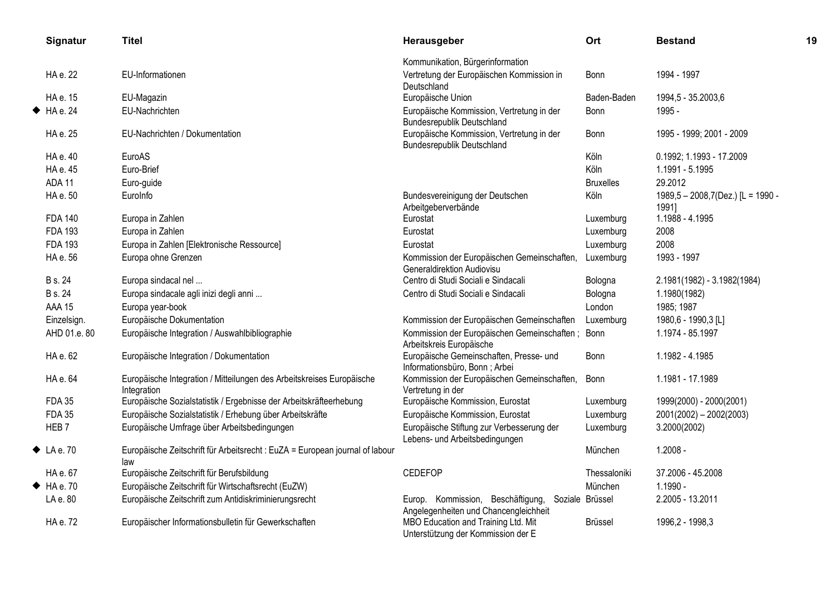| Signatur                 | <b>Titel</b>                                                                         | Herausgeber                                                                    | Ort              | <b>Bestand</b>                             | 19 |
|--------------------------|--------------------------------------------------------------------------------------|--------------------------------------------------------------------------------|------------------|--------------------------------------------|----|
|                          |                                                                                      | Kommunikation, Bürgerinformation                                               |                  |                                            |    |
| HA e. 22                 | EU-Informationen                                                                     | Vertretung der Europäischen Kommission in<br>Deutschland                       | Bonn             | 1994 - 1997                                |    |
| HA e. 15                 | EU-Magazin                                                                           | Europäische Union                                                              | Baden-Baden      | 1994,5 - 35.2003,6                         |    |
| HA e. 24                 | EU-Nachrichten                                                                       | Europäische Kommission, Vertretung in der<br><b>Bundesrepublik Deutschland</b> | Bonn             | 1995 -                                     |    |
| HA e. 25                 | EU-Nachrichten / Dokumentation                                                       | Europäische Kommission, Vertretung in der<br><b>Bundesrepublik Deutschland</b> | <b>Bonn</b>      | 1995 - 1999; 2001 - 2009                   |    |
| HA e. 40                 | EuroAS                                                                               |                                                                                | Köln             | 0.1992; 1.1993 - 17.2009                   |    |
| HA e. 45                 | Euro-Brief                                                                           |                                                                                | Köln             | 1.1991 - 5.1995                            |    |
| ADA 11                   | Euro-guide                                                                           |                                                                                | <b>Bruxelles</b> | 29.2012                                    |    |
| HA e. 50                 | EuroInfo                                                                             | Bundesvereinigung der Deutschen<br>Arbeitgeberverbände                         | Köln             | 1989,5 - 2008,7(Dez.) [L = 1990 -<br>1991] |    |
| <b>FDA 140</b>           | Europa in Zahlen                                                                     | Eurostat                                                                       | Luxemburg        | 1.1988 - 4.1995                            |    |
| <b>FDA 193</b>           | Europa in Zahlen                                                                     | Eurostat                                                                       | Luxemburg        | 2008                                       |    |
| <b>FDA 193</b>           | Europa in Zahlen [Elektronische Ressource]                                           | Eurostat                                                                       | Luxemburg        | 2008                                       |    |
| HA e. 56                 | Europa ohne Grenzen                                                                  | Kommission der Europäischen Gemeinschaften,<br>Generaldirektion Audiovisu      | Luxemburg        | 1993 - 1997                                |    |
| <b>B</b> s. 24           | Europa sindacal nel                                                                  | Centro di Studi Sociali e Sindacali                                            | Bologna          | 2.1981(1982) - 3.1982(1984)                |    |
| <b>B</b> s. 24           | Europa sindacale agli inizi degli anni                                               | Centro di Studi Sociali e Sindacali                                            | Bologna          | 1.1980(1982)                               |    |
| <b>AAA 15</b>            | Europa year-book                                                                     |                                                                                | London           | 1985; 1987                                 |    |
| Einzelsign.              | Europäische Dokumentation                                                            | Kommission der Europäischen Gemeinschaften                                     | Luxemburg        | 1980,6 - 1990,3 [L]                        |    |
| AHD 01.e. 80             | Europäische Integration / Auswahlbibliographie                                       | Kommission der Europäischen Gemeinschaften;<br>Arbeitskreis Europäische        | Bonn             | 1.1974 - 85.1997                           |    |
| HA e. 62                 | Europäische Integration / Dokumentation                                              | Europäische Gemeinschaften, Presse- und<br>Informationsbüro, Bonn; Arbei       | Bonn             | 1.1982 - 4.1985                            |    |
| HA e. 64                 | Europäische Integration / Mitteilungen des Arbeitskreises Europäische<br>Integration | Kommission der Europäischen Gemeinschaften,<br>Vertretung in der               | Bonn             | 1.1981 - 17.1989                           |    |
| <b>FDA 35</b>            | Europäische Sozialstatistik / Ergebnisse der Arbeitskräfteerhebung                   | Europäische Kommission, Eurostat                                               | Luxemburg        | 1999(2000) - 2000(2001)                    |    |
| <b>FDA 35</b>            | Europäische Sozialstatistik / Erhebung über Arbeitskräfte                            | Europäische Kommission, Eurostat                                               | Luxemburg        | 2001(2002) - 2002(2003)                    |    |
| HEB <sub>7</sub>         | Europäische Umfrage über Arbeitsbedingungen                                          | Europäische Stiftung zur Verbesserung der<br>Lebens- und Arbeitsbedingungen    | Luxemburg        | 3.2000(2002)                               |    |
| $\blacklozenge$ LA e. 70 | Europäische Zeitschrift für Arbeitsrecht : EuZA = European journal of labour<br>law  |                                                                                | München          | $1.2008 -$                                 |    |
| HA e. 67                 | Europäische Zeitschrift für Berufsbildung                                            | <b>CEDEFOP</b>                                                                 | Thessaloniki     | 37.2006 - 45.2008                          |    |
| H A e. 70                | Europäische Zeitschrift für Wirtschaftsrecht (EuZW)                                  |                                                                                | München          | 1.1990 -                                   |    |
| LA e. 80                 | Europäische Zeitschrift zum Antidiskriminierungsrecht                                | Europ. Kommission, Beschäftigung,<br>Angelegenheiten und Chancengleichheit     | Soziale Brüssel  | 2.2005 - 13.2011                           |    |
| HA e. 72                 | Europäischer Informationsbulletin für Gewerkschaften                                 | MBO Education and Training Ltd. Mit<br>Unterstützung der Kommission der E      | <b>Brüssel</b>   | 1996,2 - 1998,3                            |    |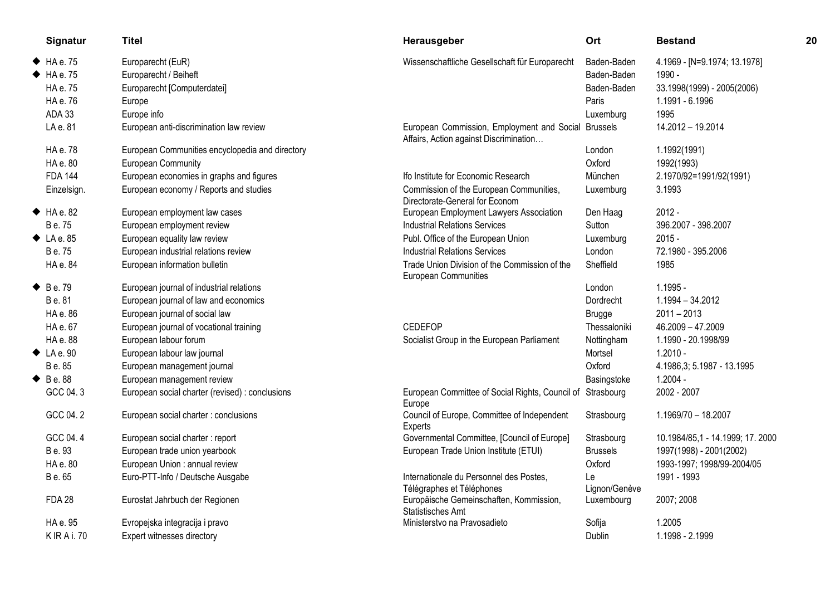| Signatur                 | <b>Titel</b>                                    | Herausgeber                                                                                   | Ort                 | <b>Bestand</b>                  | 20 |
|--------------------------|-------------------------------------------------|-----------------------------------------------------------------------------------------------|---------------------|---------------------------------|----|
| $HA$ e. 75               | Europarecht (EuR)                               | Wissenschaftliche Gesellschaft für Europarecht                                                | Baden-Baden         | 4.1969 - [N=9.1974; 13.1978]    |    |
| HAe.75                   | Europarecht / Beiheft                           |                                                                                               | Baden-Baden         | 1990 -                          |    |
| HA e. 75                 | Europarecht [Computerdatei]                     |                                                                                               | Baden-Baden         | 33.1998(1999) - 2005(2006)      |    |
| HA e. 76                 | Europe                                          |                                                                                               | Paris               | 1.1991 - 6.1996                 |    |
| ADA 33                   | Europe info                                     |                                                                                               | Luxemburg           | 1995                            |    |
| LA e. 81                 | European anti-discrimination law review         | European Commission, Employment and Social Brussels<br>Affairs, Action against Discrimination |                     | 14.2012 - 19.2014               |    |
| HA e. 78                 | European Communities encyclopedia and directory |                                                                                               | London              | 1.1992(1991)                    |    |
| HA e. 80                 | European Community                              |                                                                                               | Oxford              | 1992(1993)                      |    |
| <b>FDA 144</b>           | European economies in graphs and figures        | Ifo Institute for Economic Research                                                           | München             | 2.1970/92=1991/92(1991)         |    |
| Einzelsign.              | European economy / Reports and studies          | Commission of the European Communities,<br>Directorate-General for Econom                     | Luxemburg           | 3.1993                          |    |
| HA e. 82                 | European employment law cases                   | European Employment Lawyers Association                                                       | Den Haag            | $2012 -$                        |    |
| B e. 75                  | European employment review                      | <b>Industrial Relations Services</b>                                                          | Sutton              | 396.2007 - 398.2007             |    |
| $\blacklozenge$ LA e. 85 | European equality law review                    | Publ. Office of the European Union                                                            | Luxemburg           | $2015 -$                        |    |
| B e. 75                  | European industrial relations review            | <b>Industrial Relations Services</b>                                                          | London              | 72.1980 - 395.2006              |    |
| HA e. 84                 | European information bulletin                   | Trade Union Division of the Commission of the<br>European Communities                         | Sheffield           | 1985                            |    |
| $\triangle$ Be. 79       | European journal of industrial relations        |                                                                                               | London              | $1.1995 -$                      |    |
| B e. 81                  | European journal of law and economics           |                                                                                               | Dordrecht           | 1.1994 - 34.2012                |    |
| HA e. 86                 | European journal of social law                  |                                                                                               | <b>Brugge</b>       | $2011 - 2013$                   |    |
| HA e. 67                 | European journal of vocational training         | <b>CEDEFOP</b>                                                                                | Thessaloniki        | 46.2009 - 47.2009               |    |
| HA e. 88                 | European labour forum                           | Socialist Group in the European Parliament                                                    | Nottingham          | 1.1990 - 20.1998/99             |    |
| $\blacklozenge$ LA e. 90 | European labour law journal                     |                                                                                               | Mortsel             | $1.2010 -$                      |    |
| B e. 85                  | European management journal                     |                                                                                               | Oxford              | 4.1986,3; 5.1987 - 13.1995      |    |
| $\blacklozenge$ Be. 88   | European management review                      |                                                                                               | Basingstoke         | $1.2004 -$                      |    |
| GCC 04.3                 | European social charter (revised) : conclusions | European Committee of Social Rights, Council of Strasbourg<br>Europe                          |                     | 2002 - 2007                     |    |
| GCC 04.2                 | European social charter : conclusions           | Council of Europe, Committee of Independent<br>Experts                                        | Strasbourg          | 1.1969/70 - 18.2007             |    |
| GCC 04.4                 | European social charter : report                | Governmental Committee, [Council of Europe]                                                   | Strasbourg          | 10.1984/85,1 - 14.1999; 17.2000 |    |
| B e. 93                  | European trade union yearbook                   | European Trade Union Institute (ETUI)                                                         | <b>Brussels</b>     | 1997(1998) - 2001(2002)         |    |
| HA e. 80                 | European Union : annual review                  |                                                                                               | Oxford              | 1993-1997; 1998/99-2004/05      |    |
| B e. 65                  | Euro-PTT-Info / Deutsche Ausgabe                | Internationale du Personnel des Postes,<br>Télégraphes et Téléphones                          | Le<br>Lignon/Genève | 1991 - 1993                     |    |
| <b>FDA 28</b>            | Eurostat Jahrbuch der Regionen                  | Europäische Gemeinschaften, Kommission,<br>Statistisches Amt                                  | Luxembourg          | 2007; 2008                      |    |
| HA e. 95                 | Evropejska integracija i pravo                  | Ministerstvo na Pravosadieto                                                                  | Sofija              | 1.2005                          |    |
| <b>KIRAi.70</b>          | Expert witnesses directory                      |                                                                                               | Dublin              | 1.1998 - 2.1999                 |    |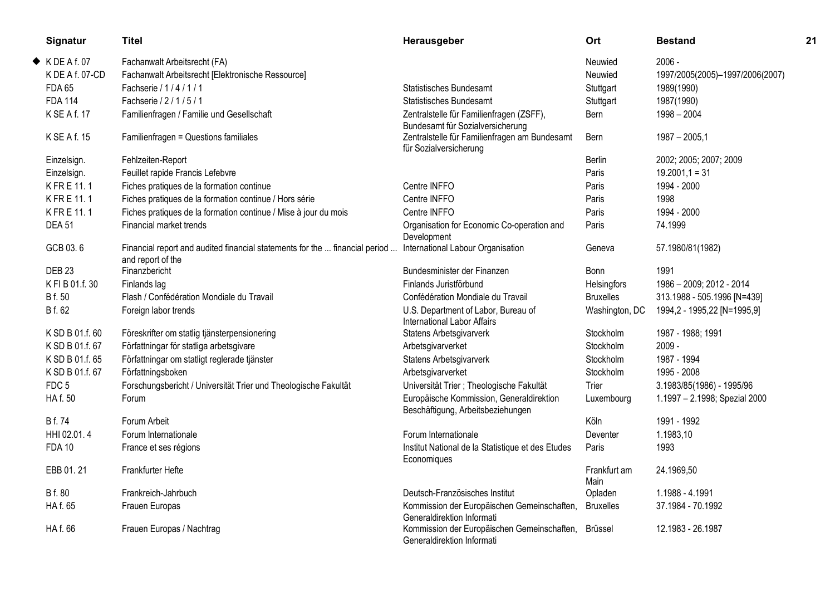| Signatur                 | Titel                                                                                            | Herausgeber                                                                       | Ort                  | <b>Bestand</b>                  | 21 |
|--------------------------|--------------------------------------------------------------------------------------------------|-----------------------------------------------------------------------------------|----------------------|---------------------------------|----|
| $\blacklozenge$ KDEAf.07 | Fachanwalt Arbeitsrecht (FA)                                                                     |                                                                                   | Neuwied              | $2006 -$                        |    |
| K DE A f. 07-CD          | Fachanwalt Arbeitsrecht [Elektronische Ressource]                                                |                                                                                   | Neuwied              | 1997/2005(2005)-1997/2006(2007) |    |
| <b>FDA 65</b>            | Fachserie / 1 / 4 / 1 / 1                                                                        | <b>Statistisches Bundesamt</b>                                                    | Stuttgart            | 1989(1990)                      |    |
| <b>FDA 114</b>           | Fachserie / 2 / 1 / 5 / 1                                                                        | <b>Statistisches Bundesamt</b>                                                    | Stuttgart            | 1987(1990)                      |    |
| K SE A f. 17             | Familienfragen / Familie und Gesellschaft                                                        | Zentralstelle für Familienfragen (ZSFF),<br>Bundesamt für Sozialversicherung      | Bern                 | $1998 - 2004$                   |    |
| K SE A f. 15             | Familienfragen = Questions familiales                                                            | Zentralstelle für Familienfragen am Bundesamt<br>für Sozialversicherung           | Bern                 | $1987 - 2005,1$                 |    |
| Einzelsign.              | Fehlzeiten-Report                                                                                |                                                                                   | Berlin               | 2002; 2005; 2007; 2009          |    |
| Einzelsign.              | Feuillet rapide Francis Lefebvre                                                                 |                                                                                   | Paris                | $19.2001,1 = 31$                |    |
| KFRE 11.1                | Fiches pratiques de la formation continue                                                        | Centre INFFO                                                                      | Paris                | 1994 - 2000                     |    |
| KFRE 11.1                | Fiches pratiques de la formation continue / Hors série                                           | Centre INFFO                                                                      | Paris                | 1998                            |    |
| KFRE 11.1                | Fiches pratiques de la formation continue / Mise à jour du mois                                  | Centre INFFO                                                                      | Paris                | 1994 - 2000                     |    |
| <b>DEA 51</b>            | Financial market trends                                                                          | Organisation for Economic Co-operation and<br>Development                         | Paris                | 74.1999                         |    |
| GCB 03.6                 | Financial report and audited financial statements for the  financial period<br>and report of the | International Labour Organisation                                                 | Geneva               | 57.1980/81(1982)                |    |
| <b>DEB 23</b>            | Finanzbericht                                                                                    | Bundesminister der Finanzen                                                       | <b>Bonn</b>          | 1991                            |    |
| K FI B 01.f. 30          | Finlands lag                                                                                     | Finlands Juristförbund                                                            | Helsingfors          | 1986 - 2009; 2012 - 2014        |    |
| <b>B</b> f. 50           | Flash / Confédération Mondiale du Travail                                                        | Confédération Mondiale du Travail                                                 | <b>Bruxelles</b>     | 313.1988 - 505.1996 [N=439]     |    |
| B f. 62                  | Foreign labor trends                                                                             | U.S. Department of Labor, Bureau of<br>International Labor Affairs                | Washington, DC       | 1994,2 - 1995,22 [N=1995,9]     |    |
| K SD B 01.f. 60          | Föreskrifter om statlig tjänsterpensionering                                                     | Statens Arbetsgivarverk                                                           | Stockholm            | 1987 - 1988; 1991               |    |
| K SD B 01.f. 67          | Författningar för statliga arbetsgivare                                                          | Arbetsgivarverket                                                                 | Stockholm            | $2009 -$                        |    |
| K SD B 01.f. 65          | Författningar om statligt reglerade tjänster                                                     | Statens Arbetsgivarverk                                                           | Stockholm            | 1987 - 1994                     |    |
| K SD B 01.f. 67          | Författningsboken                                                                                | Arbetsgivarverket                                                                 | Stockholm            | 1995 - 2008                     |    |
| FDC <sub>5</sub>         | Forschungsbericht / Universität Trier und Theologische Fakultät                                  | Universität Trier ; Theologische Fakultät                                         | Trier                | 3.1983/85(1986) - 1995/96       |    |
| HA f. 50                 | Forum                                                                                            | Europäische Kommission, Generaldirektion<br>Beschäftigung, Arbeitsbeziehungen     | Luxembourg           | 1.1997 - 2.1998; Spezial 2000   |    |
| <b>B</b> f. 74           | Forum Arbeit                                                                                     |                                                                                   | Köln                 | 1991 - 1992                     |    |
| HHI 02.01.4              | Forum Internationale                                                                             | Forum Internationale                                                              | Deventer             | 1.1983,10                       |    |
| <b>FDA 10</b>            | France et ses régions                                                                            | Institut National de la Statistique et des Etudes<br>Economiques                  | Paris                | 1993                            |    |
| EBB 01.21                | Frankfurter Hefte                                                                                |                                                                                   | Frankfurt am<br>Main | 24.1969,50                      |    |
| B f. 80                  | Frankreich-Jahrbuch                                                                              | Deutsch-Französisches Institut                                                    | Opladen              | 1.1988 - 4.1991                 |    |
| HA f. 65                 | Frauen Europas                                                                                   | Kommission der Europäischen Gemeinschaften,<br>Generaldirektion Informati         | <b>Bruxelles</b>     | 37.1984 - 70.1992               |    |
| HA f. 66                 | Frauen Europas / Nachtrag                                                                        | Kommission der Europäischen Gemeinschaften, Brüssel<br>Generaldirektion Informati |                      | 12.1983 - 26.1987               |    |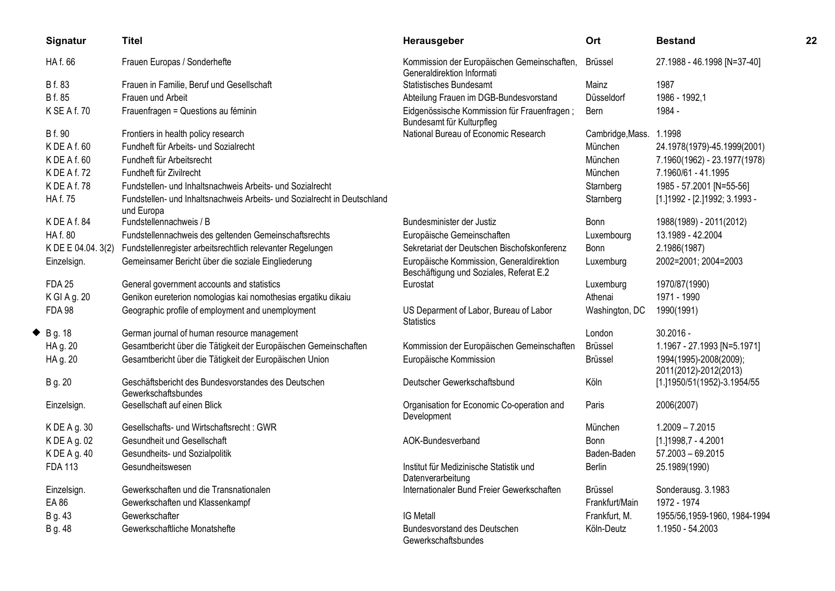| Signatur               | <b>Titel</b>                                                                           | Herausgeber                                                                         | Ort              | <b>Bestand</b>                                  | 22 |
|------------------------|----------------------------------------------------------------------------------------|-------------------------------------------------------------------------------------|------------------|-------------------------------------------------|----|
| HA f. 66               | Frauen Europas / Sonderhefte                                                           | Kommission der Europäischen Gemeinschaften,<br>Generaldirektion Informati           | Brüssel          | 27.1988 - 46.1998 [N=37-40]                     |    |
| B f. 83                | Frauen in Familie, Beruf und Gesellschaft                                              | <b>Statistisches Bundesamt</b>                                                      | Mainz            | 1987                                            |    |
| B f. 85                | Frauen und Arbeit                                                                      | Abteilung Frauen im DGB-Bundesvorstand                                              | Düsseldorf       | 1986 - 1992,1                                   |    |
| K SE A f. 70           | Frauenfragen = Questions au féminin                                                    | Eidgenössische Kommission für Frauenfragen;<br>Bundesamt für Kulturpfleg            | Bern             | 1984 -                                          |    |
| <b>B</b> f. 90         | Frontiers in health policy research                                                    | National Bureau of Economic Research                                                | Cambridge, Mass. | 1.1998                                          |    |
| K DE A f. 60           | Fundheft für Arbeits- und Sozialrecht                                                  |                                                                                     | München          | 24.1978(1979)-45.1999(2001)                     |    |
| KDEAf.60               | Fundheft für Arbeitsrecht                                                              |                                                                                     | München          | 7.1960(1962) - 23.1977(1978)                    |    |
| K DE A f. 72           | Fundheft für Zivilrecht                                                                |                                                                                     | München          | 7.1960/61 - 41.1995                             |    |
| KDEAf.78               | Fundstellen- und Inhaltsnachweis Arbeits- und Sozialrecht                              |                                                                                     | Starnberg        | 1985 - 57.2001 [N=55-56]                        |    |
| HA f. 75               | Fundstellen- und Inhaltsnachweis Arbeits- und Sozialrecht in Deutschland<br>und Europa |                                                                                     | Starnberg        | [1.] 1992 - [2.] 1992; 3.1993 -                 |    |
| KDEAf.84               | Fundstellennachweis / B                                                                | Bundesminister der Justiz                                                           | Bonn             | 1988(1989) - 2011(2012)                         |    |
| HA f. 80               | Fundstellennachweis des geltenden Gemeinschaftsrechts                                  | Europäische Gemeinschaften                                                          | Luxembourg       | 13.1989 - 42.2004                               |    |
| K DE E 04.04. 3(2)     | Fundstellenregister arbeitsrechtlich relevanter Regelungen                             | Sekretariat der Deutschen Bischofskonferenz                                         | <b>Bonn</b>      | 2.1986(1987)                                    |    |
| Einzelsign.            | Gemeinsamer Bericht über die soziale Eingliederung                                     | Europäische Kommission, Generaldirektion<br>Beschäftigung und Soziales, Referat E.2 | Luxemburg        | 2002=2001; 2004=2003                            |    |
| <b>FDA 25</b>          | General government accounts and statistics                                             | Eurostat                                                                            | Luxemburg        | 1970/87(1990)                                   |    |
| K GI A g. 20           | Genikon eureterion nomologias kai nomothesias ergatiku dikaiu                          |                                                                                     | Athenai          | 1971 - 1990                                     |    |
| <b>FDA 98</b>          | Geographic profile of employment and unemployment                                      | US Deparment of Labor, Bureau of Labor<br><b>Statistics</b>                         | Washington, DC   | 1990(1991)                                      |    |
| $\blacklozenge$ Bg. 18 | German journal of human resource management                                            |                                                                                     | London           | $30.2016 -$                                     |    |
| HA g. 20               | Gesamtbericht über die Tätigkeit der Europäischen Gemeinschaften                       | Kommission der Europäischen Gemeinschaften                                          | Brüssel          | 1.1967 - 27.1993 [N=5.1971]                     |    |
| HA g. 20               | Gesamtbericht über die Tätigkeit der Europäischen Union                                | Europäische Kommission                                                              | <b>Brüssel</b>   | 1994(1995)-2008(2009);<br>2011(2012)-2012(2013) |    |
| B g. 20                | Geschäftsbericht des Bundesvorstandes des Deutschen<br>Gewerkschaftsbundes             | Deutscher Gewerkschaftsbund                                                         | Köln             | [1.]1950/51(1952)-3.1954/55                     |    |
| Einzelsign.            | Gesellschaft auf einen Blick                                                           | Organisation for Economic Co-operation and<br>Development                           | Paris            | 2006(2007)                                      |    |
| K DE A g. 30           | Gesellschafts- und Wirtschaftsrecht : GWR                                              |                                                                                     | München          | $1.2009 - 7.2015$                               |    |
| K DE A g. 02           | Gesundheit und Gesellschaft                                                            | AOK-Bundesverband                                                                   | Bonn             | [1.] 1998, 7 - 4.2001                           |    |
| K DE A g. 40           | Gesundheits- und Sozialpolitik                                                         |                                                                                     | Baden-Baden      | $57.2003 - 69.2015$                             |    |
| <b>FDA 113</b>         | Gesundheitswesen                                                                       | Institut für Medizinische Statistik und<br>Datenverarbeitung                        | <b>Berlin</b>    | 25.1989(1990)                                   |    |
| Einzelsign.            | Gewerkschaften und die Transnationalen                                                 | Internationaler Bund Freier Gewerkschaften                                          | <b>Brüssel</b>   | Sonderausg. 3.1983                              |    |
| EA 86                  | Gewerkschaften und Klassenkampf                                                        |                                                                                     | Frankfurt/Main   | 1972 - 1974                                     |    |
| B g. 43                | Gewerkschafter                                                                         | <b>IG Metall</b>                                                                    | Frankfurt, M.    | 1955/56,1959-1960, 1984-1994                    |    |
| B g. 48                | Gewerkschaftliche Monatshefte                                                          | Bundesvorstand des Deutschen<br>Gewerkschaftsbundes                                 | Köln-Deutz       | 1.1950 - 54.2003                                |    |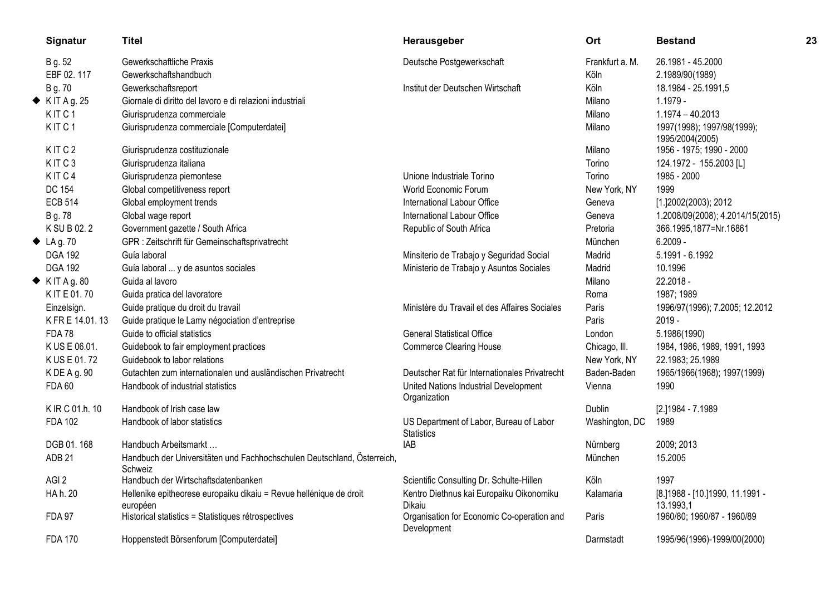| Signatur                   | Titel                                                                              | Herausgeber                                                  | Ort             | <b>Bestand</b>                                 | 23 |
|----------------------------|------------------------------------------------------------------------------------|--------------------------------------------------------------|-----------------|------------------------------------------------|----|
| B g. 52                    | Gewerkschaftliche Praxis                                                           | Deutsche Postgewerkschaft                                    | Frankfurt a. M. | 26.1981 - 45.2000                              |    |
| EBF 02.117                 | Gewerkschaftshandbuch                                                              |                                                              | Köln            | 2.1989/90(1989)                                |    |
| B g. 70                    | Gewerkschaftsreport                                                                | Institut der Deutschen Wirtschaft                            | Köln            | 18.1984 - 25.1991,5                            |    |
| $\blacklozenge$ KIT Ag. 25 | Giornale di diritto del lavoro e di relazioni industriali                          |                                                              | Milano          | $1.1979 -$                                     |    |
| KITC <sub>1</sub>          | Giurisprudenza commerciale                                                         |                                                              | Milano          | $1.1974 - 40.2013$                             |    |
| KITC <sub>1</sub>          | Giurisprudenza commerciale [Computerdatei]                                         |                                                              | Milano          | 1997(1998); 1997/98(1999);<br>1995/2004(2005)  |    |
| KITC <sub>2</sub>          | Giurisprudenza costituzionale                                                      |                                                              | Milano          | 1956 - 1975; 1990 - 2000                       |    |
| KITC3                      | Giurisprudenza italiana                                                            |                                                              | Torino          | 124.1972 - 155.2003 [L]                        |    |
| KITC4                      | Giurisprudenza piemontese                                                          | Unione Industriale Torino                                    | Torino          | 1985 - 2000                                    |    |
| <b>DC 154</b>              | Global competitiveness report                                                      | World Economic Forum                                         | New York, NY    | 1999                                           |    |
| <b>ECB 514</b>             | Global employment trends                                                           | International Labour Office                                  | Geneva          | [1.]2002(2003); 2012                           |    |
| B g. 78                    | Global wage report                                                                 | International Labour Office                                  | Geneva          | 1.2008/09(2008); 4.2014/15(2015)               |    |
| K SU B 02.2                | Government gazette / South Africa                                                  | Republic of South Africa                                     | Pretoria        | 366.1995,1877=Nr.16861                         |    |
| $\triangle$ LAg. 70        | GPR : Zeitschrift für Gemeinschaftsprivatrecht                                     |                                                              | München         | $6.2009 -$                                     |    |
| <b>DGA 192</b>             | Guía laboral                                                                       | Minsiterio de Trabajo y Seguridad Social                     | Madrid          | 5.1991 - 6.1992                                |    |
| <b>DGA 192</b>             | Guía laboral  y de asuntos sociales                                                | Ministerio de Trabajo y Asuntos Sociales                     | Madrid          | 10.1996                                        |    |
| $\blacklozenge$ KIT Ag. 80 | Guida al lavoro                                                                    |                                                              | Milano          | 22.2018 -                                      |    |
| K IT E 01.70               | Guida pratica del lavoratore                                                       |                                                              | Roma            | 1987; 1989                                     |    |
| Einzelsign.                | Guide pratique du droit du travail                                                 | Ministère du Travail et des Affaires Sociales                | Paris           | 1996/97(1996); 7.2005; 12.2012                 |    |
| K FR E 14.01.13            | Guide pratique le Lamy négociation d'entreprise                                    |                                                              | Paris           | $2019 -$                                       |    |
| <b>FDA78</b>               | Guide to official statistics                                                       | <b>General Statistical Office</b>                            | London          | 5.1986(1990)                                   |    |
| K US E 06.01.              | Guidebook to fair employment practices                                             | <b>Commerce Clearing House</b>                               | Chicago, III.   | 1984, 1986, 1989, 1991, 1993                   |    |
| K US E 01.72               | Guidebook to labor relations                                                       |                                                              | New York, NY    | 22.1983; 25.1989                               |    |
| K DE A g. 90               | Gutachten zum internationalen und ausländischen Privatrecht                        | Deutscher Rat für Internationales Privatrecht                | Baden-Baden     | 1965/1966(1968); 1997(1999)                    |    |
| <b>FDA 60</b>              | Handbook of industrial statistics                                                  | United Nations Industrial Development<br>Organization        | Vienna          | 1990                                           |    |
| K IR C 01.h. 10            | Handbook of Irish case law                                                         |                                                              | <b>Dublin</b>   | [2.]1984 - 7.1989                              |    |
| <b>FDA 102</b>             | Handbook of labor statistics                                                       | US Department of Labor, Bureau of Labor<br><b>Statistics</b> | Washington, DC  | 1989                                           |    |
| DGB 01.168                 | Handbuch Arbeitsmarkt                                                              | <b>IAB</b>                                                   | Nürnberg        | 2009; 2013                                     |    |
| ADB <sub>21</sub>          | Handbuch der Universitäten und Fachhochschulen Deutschland, Österreich,<br>Schweiz |                                                              | München         | 15.2005                                        |    |
| AGI <sub>2</sub>           | Handbuch der Wirtschaftsdatenbanken                                                | Scientific Consulting Dr. Schulte-Hillen                     | Köln            | 1997                                           |    |
| HA h. 20                   | Hellenike epitheorese europaiku dikaiu = Revue hellénique de droit<br>européen     | Kentro Diethnus kai Europaiku Oikonomiku<br>Dikaiu           | Kalamaria       | [8.] 1988 - [10.] 1990, 11.1991 -<br>13.1993,1 |    |
| <b>FDA 97</b>              | Historical statistics = Statistiques rétrospectives                                | Organisation for Economic Co-operation and<br>Development    | Paris           | 1960/80; 1960/87 - 1960/89                     |    |
| <b>FDA 170</b>             | Hoppenstedt Börsenforum [Computerdatei]                                            |                                                              | Darmstadt       | 1995/96(1996)-1999/00(2000)                    |    |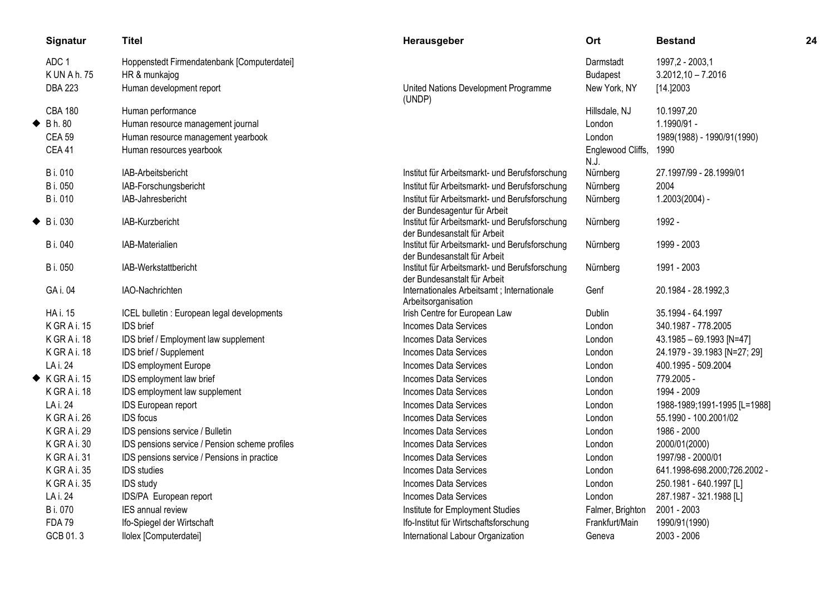| Signatur                  | <b>Titel</b>                                   | Herausgeber                                                                    | Ort                       | <b>Bestand</b>               | 24 |
|---------------------------|------------------------------------------------|--------------------------------------------------------------------------------|---------------------------|------------------------------|----|
| ADC <sub>1</sub>          | Hoppenstedt Firmendatenbank [Computerdatei]    |                                                                                | Darmstadt                 | 1997,2 - 2003,1              |    |
| K UN A h. 75              | HR & munkajog                                  |                                                                                | <b>Budapest</b>           | $3.2012,10 - 7.2016$         |    |
| <b>DBA 223</b>            | Human development report                       | United Nations Development Programme<br>(UNDP)                                 | New York, NY              | [14.]2003                    |    |
| <b>CBA 180</b>            | Human performance                              |                                                                                | Hillsdale, NJ             | 10.1997,20                   |    |
| $\blacklozenge$ Bh. 80    | Human resource management journal              |                                                                                | London                    | 1.1990/91 -                  |    |
| <b>CEA 59</b>             | Human resource management yearbook             |                                                                                | London                    | 1989(1988) - 1990/91(1990)   |    |
| <b>CEA 41</b>             | Human resources yearbook                       |                                                                                | Englewood Cliffs,<br>N.J. | 1990                         |    |
| B i. 010                  | IAB-Arbeitsbericht                             | Institut für Arbeitsmarkt- und Berufsforschung                                 | Nürnberg                  | 27.1997/99 - 28.1999/01      |    |
| B i. 050                  | IAB-Forschungsbericht                          | Institut für Arbeitsmarkt- und Berufsforschung                                 | Nürnberg                  | 2004                         |    |
| B i. 010                  | IAB-Jahresbericht                              | Institut für Arbeitsmarkt- und Berufsforschung                                 | Nürnberg                  | $1.2003(2004) -$             |    |
|                           |                                                | der Bundesagentur für Arbeit                                                   |                           |                              |    |
| $\blacklozenge$ B i. 030  | IAB-Kurzbericht                                | Institut für Arbeitsmarkt- und Berufsforschung<br>der Bundesanstalt für Arbeit | Nürnberg                  | 1992 -                       |    |
| B i. 040                  | IAB-Materialien                                | Institut für Arbeitsmarkt- und Berufsforschung                                 | Nürnberg                  | 1999 - 2003                  |    |
|                           |                                                | der Bundesanstalt für Arbeit                                                   |                           |                              |    |
| B i. 050                  | IAB-Werkstattbericht                           | Institut für Arbeitsmarkt- und Berufsforschung                                 | Nürnberg                  | 1991 - 2003                  |    |
| GA i. 04                  | IAO-Nachrichten                                | der Bundesanstalt für Arbeit<br>Internationales Arbeitsamt ; Internationale    | Genf                      | 20.1984 - 28.1992,3          |    |
|                           |                                                | Arbeitsorganisation                                                            |                           |                              |    |
| <b>HA i. 15</b>           | ICEL bulletin : European legal developments    | Irish Centre for European Law                                                  | <b>Dublin</b>             | 35.1994 - 64.1997            |    |
| KGRAi. 15                 | IDS brief                                      | <b>Incomes Data Services</b>                                                   | London                    | 340.1987 - 778.2005          |    |
| KGRAi. 18                 | IDS brief / Employment law supplement          | <b>Incomes Data Services</b>                                                   | London                    | 43.1985 - 69.1993 [N=47]     |    |
| KGRAi. 18                 | IDS brief / Supplement                         | <b>Incomes Data Services</b>                                                   | London                    | 24.1979 - 39.1983 [N=27; 29] |    |
| LA i. 24                  | IDS employment Europe                          | <b>Incomes Data Services</b>                                                   | London                    | 400.1995 - 509.2004          |    |
| $\blacklozenge$ KGRAi. 15 | IDS employment law brief                       | Incomes Data Services                                                          | London                    | 779.2005 -                   |    |
| KGRAi. 18                 | IDS employment law supplement                  | <b>Incomes Data Services</b>                                                   | London                    | 1994 - 2009                  |    |
| LA i. 24                  | IDS European report                            | <b>Incomes Data Services</b>                                                   | London                    | 1988-1989;1991-1995 [L=1988] |    |
| K GRAi. 26                | <b>IDS</b> focus                               | <b>Incomes Data Services</b>                                                   | London                    | 55.1990 - 100.2001/02        |    |
| K GRAi. 29                | IDS pensions service / Bulletin                | <b>Incomes Data Services</b>                                                   | London                    | 1986 - 2000                  |    |
| K GR A i. 30              | IDS pensions service / Pension scheme profiles | <b>Incomes Data Services</b>                                                   | London                    | 2000/01(2000)                |    |
| K GR A i. 31              | IDS pensions service / Pensions in practice    | <b>Incomes Data Services</b>                                                   | London                    | 1997/98 - 2000/01            |    |
| KGRAi.35                  | <b>IDS</b> studies                             | <b>Incomes Data Services</b>                                                   | London                    | 641.1998-698.2000;726.2002 - |    |
| KGRAi.35                  | <b>IDS</b> study                               | <b>Incomes Data Services</b>                                                   | London                    | 250.1981 - 640.1997 [L]      |    |
| LA i. 24                  | IDS/PA European report                         | Incomes Data Services                                                          | London                    | 287.1987 - 321.1988 [L]      |    |
| B i. 070                  | IES annual review                              | Institute for Employment Studies                                               | Falmer, Brighton          | 2001 - 2003                  |    |
| <b>FDA 79</b>             | Ifo-Spiegel der Wirtschaft                     | Ifo-Institut für Wirtschaftsforschung                                          | Frankfurt/Main            | 1990/91(1990)                |    |
| GCB 01.3                  | Ilolex [Computerdatei]                         | International Labour Organization                                              | Geneva                    | 2003 - 2006                  |    |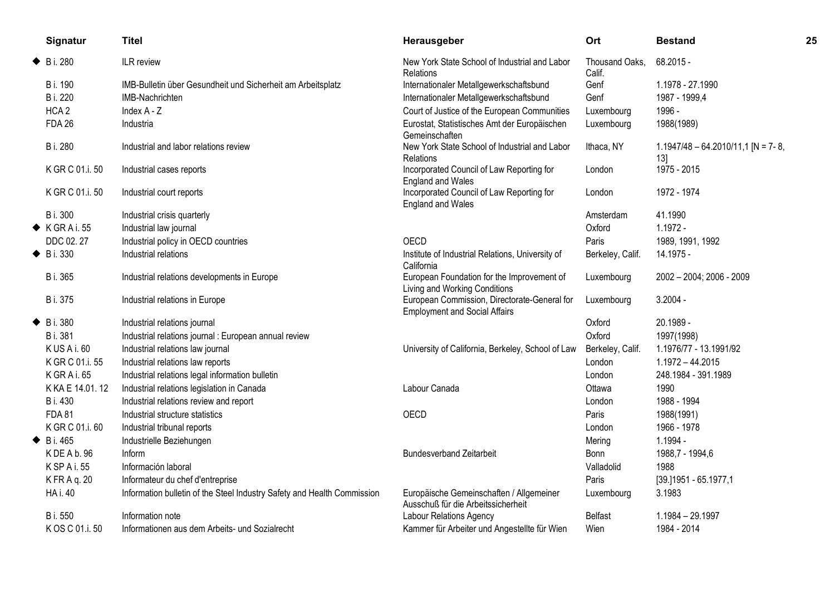| Signatur                 | <b>Titel</b>                                                            | Herausgeber                                                                          | Ort                      | <b>Bestand</b>                             | 25 |
|--------------------------|-------------------------------------------------------------------------|--------------------------------------------------------------------------------------|--------------------------|--------------------------------------------|----|
| $\blacklozenge$ B i. 280 | ILR review                                                              | New York State School of Industrial and Labor<br><b>Relations</b>                    | Thousand Oaks.<br>Calif. | 68.2015 -                                  |    |
| B i. 190                 | IMB-Bulletin über Gesundheit und Sicherheit am Arbeitsplatz             | Internationaler Metallgewerkschaftsbund                                              | Genf                     | 1.1978 - 27.1990                           |    |
| B i. 220                 | IMB-Nachrichten                                                         | Internationaler Metallgewerkschaftsbund                                              | Genf                     | 1987 - 1999,4                              |    |
| HCA <sub>2</sub>         | Index A - Z                                                             | Court of Justice of the European Communities                                         | Luxembourg               | 1996 -                                     |    |
| <b>FDA 26</b>            | Industria                                                               | Eurostat, Statistisches Amt der Europäischen<br>Gemeinschaften                       | Luxembourg               | 1988(1989)                                 |    |
| B i. 280                 | Industrial and labor relations review                                   | New York State School of Industrial and Labor<br>Relations                           | Ithaca, NY               | $1.1947/48 - 64.2010/11,1$ [N = 7-8,<br>13 |    |
| K GR C 01.i. 50          | Industrial cases reports                                                | Incorporated Council of Law Reporting for<br><b>England and Wales</b>                | London                   | 1975 - 2015                                |    |
| K GR C 01.i. 50          | Industrial court reports                                                | Incorporated Council of Law Reporting for<br><b>England and Wales</b>                | London                   | 1972 - 1974                                |    |
| B i. 300                 | Industrial crisis quarterly                                             |                                                                                      | Amsterdam                | 41.1990                                    |    |
| $\blacklozenge$ KGRAi.55 | Industrial law journal                                                  |                                                                                      | Oxford                   | $1.1972 -$                                 |    |
| DDC 02.27                | Industrial policy in OECD countries                                     | OECD                                                                                 | Paris                    | 1989, 1991, 1992                           |    |
| $\blacklozenge$ B i. 330 | Industrial relations                                                    | Institute of Industrial Relations, University of<br>California                       | Berkeley, Calif.         | 14.1975 -                                  |    |
| B i. 365                 | Industrial relations developments in Europe                             | European Foundation for the Improvement of<br>Living and Working Conditions          | Luxembourg               | 2002 - 2004; 2006 - 2009                   |    |
| <b>B</b> i. 375          | Industrial relations in Europe                                          | European Commission, Directorate-General for<br><b>Employment and Social Affairs</b> | Luxembourg               | $3.2004 -$                                 |    |
| $\blacklozenge$ B i. 380 | Industrial relations journal                                            |                                                                                      | Oxford                   | 20.1989 -                                  |    |
| B i. 381                 | Industrial relations journal : European annual review                   |                                                                                      | Oxford                   | 1997(1998)                                 |    |
| KUSAi.60                 | Industrial relations law journal                                        | University of California, Berkeley, School of Law                                    | Berkeley, Calif.         | 1.1976/77 - 13.1991/92                     |    |
| K GR C 01.i. 55          | Industrial relations law reports                                        |                                                                                      | London                   | $1.1972 - 44.2015$                         |    |
| K GRAi.65                | Industrial relations legal information bulletin                         |                                                                                      | London                   | 248.1984 - 391.1989                        |    |
| K KA E 14.01.12          | Industrial relations legislation in Canada                              | Labour Canada                                                                        | Ottawa                   | 1990                                       |    |
| B i. 430                 | Industrial relations review and report                                  |                                                                                      | London                   | 1988 - 1994                                |    |
| <b>FDA 81</b>            | Industrial structure statistics                                         | OECD                                                                                 | Paris                    | 1988(1991)                                 |    |
| K GR C 01.i. 60          | Industrial tribunal reports                                             |                                                                                      | London                   | 1966 - 1978                                |    |
| $\blacklozenge$ B i. 465 | Industrielle Beziehungen                                                |                                                                                      | Mering                   | 1.1994 -                                   |    |
| KDEAb.96                 | <b>Inform</b>                                                           | <b>Bundesverband Zeitarbeit</b>                                                      | Bonn                     | 1988,7 - 1994,6                            |    |
| K SP A i. 55             | Información laboral                                                     |                                                                                      | Valladolid               | 1988                                       |    |
| K FR A q. 20             | Informateur du chef d'entreprise                                        |                                                                                      | Paris                    | [39.]1951 - 65.1977,1                      |    |
| <b>HA i. 40</b>          | Information bulletin of the Steel Industry Safety and Health Commission | Europäische Gemeinschaften / Allgemeiner<br>Ausschuß für die Arbeitssicherheit       | Luxembourg               | 3.1983                                     |    |
| B i. 550                 | Information note                                                        | <b>Labour Relations Agency</b>                                                       | <b>Belfast</b>           | 1.1984 - 29.1997                           |    |
| K OS C 01.i. 50          | Informationen aus dem Arbeits- und Sozialrecht                          | Kammer für Arbeiter und Angestellte für Wien                                         | Wien                     | 1984 - 2014                                |    |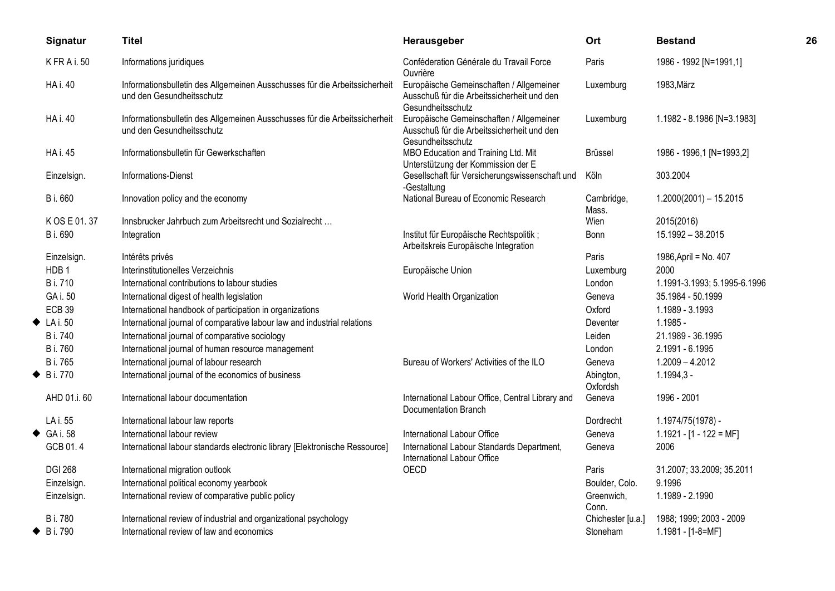|   | Signatur                 | <b>Titel</b>                                                                                            | Herausgeber                                                                                                 | Ort                   | <b>Bestand</b>               | 26 |
|---|--------------------------|---------------------------------------------------------------------------------------------------------|-------------------------------------------------------------------------------------------------------------|-----------------------|------------------------------|----|
|   | KFRAi.50                 | Informations juridiques                                                                                 | Conféderation Générale du Travail Force<br>Ouvrière                                                         | Paris                 | 1986 - 1992 [N=1991,1]       |    |
|   | <b>HA i. 40</b>          | Informationsbulletin des Allgemeinen Ausschusses für die Arbeitssicherheit<br>und den Gesundheitsschutz | Europäische Gemeinschaften / Allgemeiner<br>Ausschuß für die Arbeitssicherheit und den<br>Gesundheitsschutz | Luxemburg             | 1983, März                   |    |
|   | <b>HA i. 40</b>          | Informationsbulletin des Allgemeinen Ausschusses für die Arbeitssicherheit<br>und den Gesundheitsschutz | Europäische Gemeinschaften / Allgemeiner<br>Ausschuß für die Arbeitssicherheit und den<br>Gesundheitsschutz | Luxemburg             | 1.1982 - 8.1986 [N=3.1983]   |    |
|   | <b>HA i. 45</b>          | Informationsbulletin für Gewerkschaften                                                                 | MBO Education and Training Ltd. Mit<br>Unterstützung der Kommission der E                                   | Brüssel               | 1986 - 1996,1 [N=1993,2]     |    |
|   | Einzelsign.              | Informations-Dienst                                                                                     | Gesellschaft für Versicherungswissenschaft und<br>-Gestaltung                                               | Köln                  | 303.2004                     |    |
|   | B i. 660                 | Innovation policy and the economy                                                                       | National Bureau of Economic Research                                                                        | Cambridge,<br>Mass.   | $1.2000(2001) - 15.2015$     |    |
|   | K OS E 01.37             | Innsbrucker Jahrbuch zum Arbeitsrecht und Sozialrecht                                                   |                                                                                                             | Wien                  | 2015(2016)                   |    |
|   | B i. 690                 | Integration                                                                                             | Institut für Europäische Rechtspolitik;<br>Arbeitskreis Europäische Integration                             | Bonn                  | 15.1992 - 38.2015            |    |
|   | Einzelsign.              | Intérêts privés                                                                                         |                                                                                                             | Paris                 | 1986, April = No. 407        |    |
|   | HDB <sub>1</sub>         | Interinstitutionelles Verzeichnis                                                                       | Europäische Union                                                                                           | Luxemburg             | 2000                         |    |
|   | <b>B</b> i. 710          | International contributions to labour studies                                                           |                                                                                                             | London                | 1.1991-3.1993; 5.1995-6.1996 |    |
|   | GA i. 50                 | International digest of health legislation                                                              | World Health Organization                                                                                   | Geneva                | 35.1984 - 50.1999            |    |
|   | <b>ECB 39</b>            | International handbook of participation in organizations                                                |                                                                                                             | Oxford                | 1.1989 - 3.1993              |    |
|   | $\blacklozenge$ LA i. 50 | International journal of comparative labour law and industrial relations                                |                                                                                                             | Deventer              | $1.1985 -$                   |    |
|   | <b>B</b> i. 740          | International journal of comparative sociology                                                          |                                                                                                             | Leiden                | 21.1989 - 36.1995            |    |
|   | <b>B</b> i. 760          | International journal of human resource management                                                      |                                                                                                             | London                | 2.1991 - 6.1995              |    |
|   | B i. 765                 | International journal of labour research                                                                | Bureau of Workers' Activities of the ILO                                                                    | Geneva                | $1.2009 - 4.2012$            |    |
| ◆ | <b>B</b> i. 770          | International journal of the economics of business                                                      |                                                                                                             | Abington,<br>Oxfordsh | $1.1994,3 -$                 |    |
|   | AHD 01.i. 60             | International labour documentation                                                                      | International Labour Office, Central Library and<br>Documentation Branch                                    | Geneva                | 1996 - 2001                  |    |
|   | LA i. 55                 | International labour law reports                                                                        |                                                                                                             | Dordrecht             | 1.1974/75(1978) -            |    |
|   | $\triangleleft$ GA i. 58 | International labour review                                                                             | International Labour Office                                                                                 | Geneva                | $1.1921 - [1 - 122 = MF]$    |    |
|   | GCB 01.4                 | International labour standards electronic library [Elektronische Ressource]                             | International Labour Standards Department,<br>International Labour Office                                   | Geneva                | 2006                         |    |
|   | <b>DGI 268</b>           | International migration outlook                                                                         | OECD                                                                                                        | Paris                 | 31.2007; 33.2009; 35.2011    |    |
|   | Einzelsign.              | International political economy yearbook                                                                |                                                                                                             | Boulder, Colo.        | 9.1996                       |    |
|   | Einzelsign.              | International review of comparative public policy                                                       |                                                                                                             | Greenwich,<br>Conn.   | 1.1989 - 2.1990              |    |
|   | <b>B</b> i. 780          | International review of industrial and organizational psychology                                        |                                                                                                             | Chichester [u.a.]     | 1988; 1999; 2003 - 2009      |    |
|   | $\blacklozenge$ B i. 790 | International review of law and economics                                                               |                                                                                                             | Stoneham              | 1.1981 - [1-8=MF]            |    |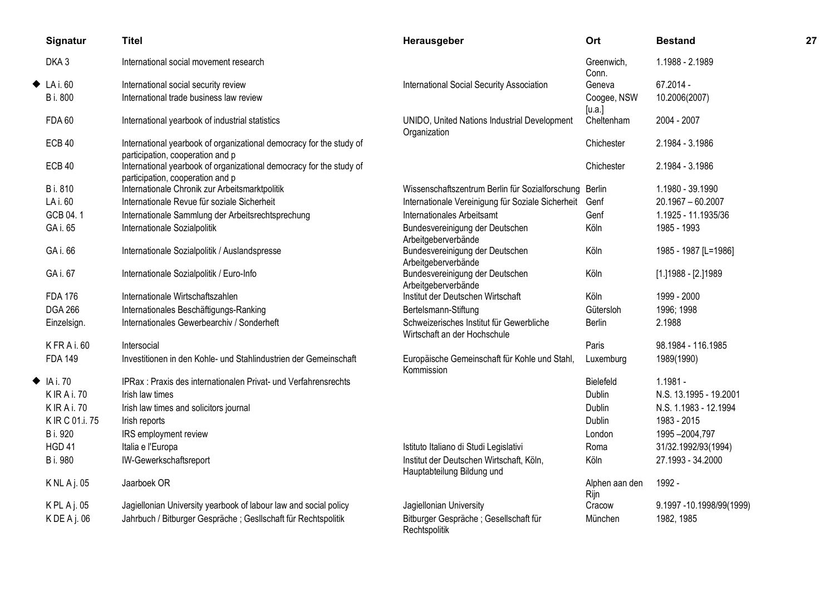|   | Signatur                 | <b>Titel</b>                                                                                            | Herausgeber                                                              | Ort                    | <b>Bestand</b>           | 27 |
|---|--------------------------|---------------------------------------------------------------------------------------------------------|--------------------------------------------------------------------------|------------------------|--------------------------|----|
|   | DKA3                     | International social movement research                                                                  |                                                                          | Greenwich,<br>Conn.    | 1.1988 - 2.1989          |    |
| ◆ | LA i. 60                 | International social security review                                                                    | <b>International Social Security Association</b>                         | Geneva                 | 67.2014 -                |    |
|   | B i. 800                 | International trade business law review                                                                 |                                                                          | Coogee, NSW<br>[u.a.]  | 10.2006(2007)            |    |
|   | <b>FDA 60</b>            | International yearbook of industrial statistics                                                         | UNIDO, United Nations Industrial Development<br>Organization             | Cheltenham             | 2004 - 2007              |    |
|   | ECB <sub>40</sub>        | International yearbook of organizational democracy for the study of<br>participation, cooperation and p |                                                                          | Chichester             | 2.1984 - 3.1986          |    |
|   | <b>ECB 40</b>            | International yearbook of organizational democracy for the study of<br>participation, cooperation and p |                                                                          | Chichester             | 2.1984 - 3.1986          |    |
|   | B i. 810                 | Internationale Chronik zur Arbeitsmarktpolitik                                                          | Wissenschaftszentrum Berlin für Sozialforschung Berlin                   |                        | 1.1980 - 39.1990         |    |
|   | LA i. 60                 | Internationale Revue für soziale Sicherheit                                                             | Internationale Vereinigung für Soziale Sicherheit                        | Genf                   | $20.1967 - 60.2007$      |    |
|   | GCB 04.1                 | Internationale Sammlung der Arbeitsrechtsprechung                                                       | Internationales Arbeitsamt                                               | Genf                   | 1.1925 - 11.1935/36      |    |
|   | GA i. 65                 | Internationale Sozialpolitik                                                                            | Bundesvereinigung der Deutschen<br>Arbeitgeberverbände                   | Köln                   | 1985 - 1993              |    |
|   | GA i. 66                 | Internationale Sozialpolitik / Auslandspresse                                                           | Bundesvereinigung der Deutschen<br>Arbeitgeberverbände                   | Köln                   | 1985 - 1987 [L=1986]     |    |
|   | GA i. 67                 | Internationale Sozialpolitik / Euro-Info                                                                | Bundesvereinigung der Deutschen<br>Arbeitgeberverbände                   | Köln                   | [1.] 1988 - [2.] 1989    |    |
|   | <b>FDA 176</b>           | Internationale Wirtschaftszahlen                                                                        | Institut der Deutschen Wirtschaft                                        | Köln                   | 1999 - 2000              |    |
|   | <b>DGA 266</b>           | Internationales Beschäftigungs-Ranking                                                                  | Bertelsmann-Stiftung                                                     | Gütersloh              | 1996; 1998               |    |
|   | Einzelsign.              | Internationales Gewerbearchiv / Sonderheft                                                              | Schweizerisches Institut für Gewerbliche<br>Wirtschaft an der Hochschule | Berlin                 | 2.1988                   |    |
|   | KFRAi.60                 | Intersocial                                                                                             |                                                                          | Paris                  | 98.1984 - 116.1985       |    |
|   | <b>FDA 149</b>           | Investitionen in den Kohle- und Stahlindustrien der Gemeinschaft                                        | Europäische Gemeinschaft für Kohle und Stahl,<br>Kommission              | Luxemburg              | 1989(1990)               |    |
|   | $\blacklozenge$ IA i. 70 | IPRax: Praxis des internationalen Privat- und Verfahrensrechts                                          |                                                                          | Bielefeld              | $1.1981 -$               |    |
|   | <b>KIRAi.70</b>          | Irish law times                                                                                         |                                                                          | Dublin                 | N.S. 13.1995 - 19.2001   |    |
|   | <b>KIRAi.70</b>          | Irish law times and solicitors journal                                                                  |                                                                          | Dublin                 | N.S. 1.1983 - 12.1994    |    |
|   | K IR C 01.i. 75          | Irish reports                                                                                           |                                                                          | <b>Dublin</b>          | 1983 - 2015              |    |
|   | B i. 920                 | IRS employment review                                                                                   |                                                                          | London                 | 1995-2004,797            |    |
|   | HGD <sub>41</sub>        | Italia e l'Europa                                                                                       | Istituto Italiano di Studi Legislativi                                   | Roma                   | 31/32.1992/93(1994)      |    |
|   | B i. 980                 | IW-Gewerkschaftsreport                                                                                  | Institut der Deutschen Wirtschaft, Köln,<br>Hauptabteilung Bildung und   | Köln                   | 27.1993 - 34.2000        |    |
|   | K NL A j. 05             | Jaarboek OR                                                                                             |                                                                          | Alphen aan den<br>Rijn | 1992 -                   |    |
|   | KPLAj.05                 | Jagiellonian University yearbook of labour law and social policy                                        | Jagiellonian University                                                  | Cracow                 | 9.1997 -10.1998/99(1999) |    |
|   | $K$ DE A j. 06           | Jahrbuch / Bitburger Gespräche; Gesllschaft für Rechtspolitik                                           | Bitburger Gespräche; Gesellschaft für<br>Rechtspolitik                   | München                | 1982, 1985               |    |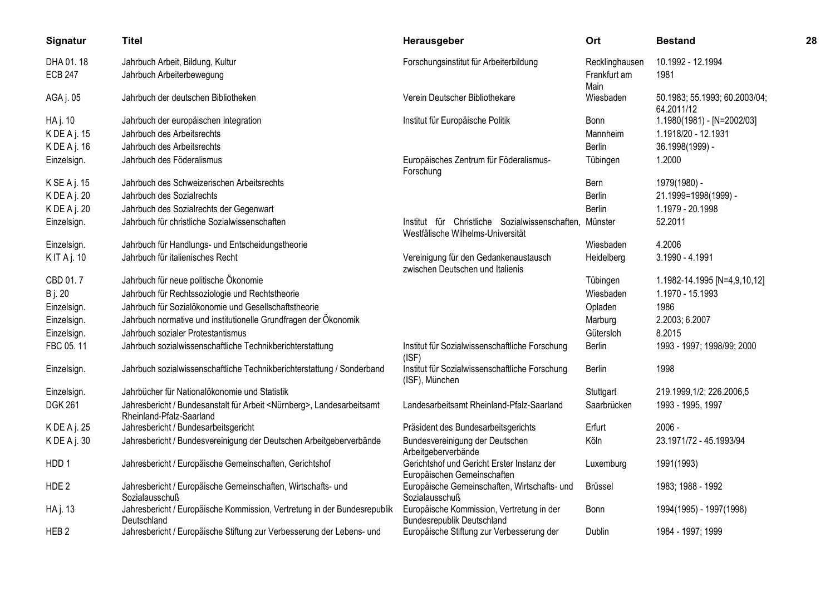| Signatur                    | <b>Titel</b>                                                                                                  | Herausgeber                                                                                 | Ort                            | <b>Bestand</b>                              | 28 |
|-----------------------------|---------------------------------------------------------------------------------------------------------------|---------------------------------------------------------------------------------------------|--------------------------------|---------------------------------------------|----|
| DHA 01.18<br><b>ECB 247</b> | Jahrbuch Arbeit, Bildung, Kultur<br>Jahrbuch Arbeiterbewegung                                                 | Forschungsinstitut für Arbeiterbildung                                                      | Recklinghausen<br>Frankfurt am | 10.1992 - 12.1994<br>1981                   |    |
| AGA j. 05                   | Jahrbuch der deutschen Bibliotheken                                                                           | Verein Deutscher Bibliothekare                                                              | Main<br>Wiesbaden              | 50.1983; 55.1993; 60.2003/04;<br>64.2011/12 |    |
| HA j. 10                    | Jahrbuch der europäischen Integration                                                                         | Institut für Europäische Politik                                                            | Bonn                           | 1.1980(1981) - [N=2002/03]                  |    |
| K DE A j. 15                | Jahrbuch des Arbeitsrechts                                                                                    |                                                                                             | Mannheim                       | 1.1918/20 - 12.1931                         |    |
| K DE A j. 16                | Jahrbuch des Arbeitsrechts                                                                                    |                                                                                             | <b>Berlin</b>                  | 36.1998(1999) -                             |    |
| Einzelsign.                 | Jahrbuch des Föderalismus                                                                                     | Europäisches Zentrum für Föderalismus-<br>Forschung                                         | Tübingen                       | 1.2000                                      |    |
| K SE A j. 15                | Jahrbuch des Schweizerischen Arbeitsrechts                                                                    |                                                                                             | Bern                           | 1979(1980) -                                |    |
| K DE A j. 20                | Jahrbuch des Sozialrechts                                                                                     |                                                                                             | Berlin                         | 21.1999=1998(1999) -                        |    |
| K DE A j. 20                | Jahrbuch des Sozialrechts der Gegenwart                                                                       |                                                                                             | Berlin                         | 1.1979 - 20.1998                            |    |
| Einzelsign.                 | Jahrbuch für christliche Sozialwissenschaften                                                                 | Institut für Christliche Sozialwissenschaften, Münster<br>Westfälische Wilhelms-Universität |                                | 52.2011                                     |    |
| Einzelsign.                 | Jahrbuch für Handlungs- und Entscheidungstheorie                                                              |                                                                                             | Wiesbaden                      | 4.2006                                      |    |
| KITAj. 10                   | Jahrbuch für italienisches Recht                                                                              | Vereinigung für den Gedankenaustausch<br>zwischen Deutschen und Italienis                   | Heidelberg                     | 3.1990 - 4.1991                             |    |
| CBD 01.7                    | Jahrbuch für neue politische Ökonomie                                                                         |                                                                                             | Tübingen                       | 1.1982-14.1995 [N=4,9,10,12]                |    |
| <b>B</b> j. 20              | Jahrbuch für Rechtssoziologie und Rechtstheorie                                                               |                                                                                             | Wiesbaden                      | 1.1970 - 15.1993                            |    |
| Einzelsign.                 | Jahrbuch für Sozialökonomie und Gesellschaftstheorie                                                          |                                                                                             | Opladen                        | 1986                                        |    |
| Einzelsign.                 | Jahrbuch normative und institutionelle Grundfragen der Ökonomik                                               |                                                                                             | Marburg                        | 2.2003; 6.2007                              |    |
| Einzelsign.                 | Jahrbuch sozialer Protestantismus                                                                             |                                                                                             | Gütersloh                      | 8.2015                                      |    |
| FBC 05.11                   | Jahrbuch sozialwissenschaftliche Technikberichterstattung                                                     | Institut für Sozialwissenschaftliche Forschung<br>(ISF)                                     | Berlin                         | 1993 - 1997; 1998/99; 2000                  |    |
| Einzelsign.                 | Jahrbuch sozialwissenschaftliche Technikberichterstattung / Sonderband                                        | Institut für Sozialwissenschaftliche Forschung<br>(ISF), München                            | Berlin                         | 1998                                        |    |
| Einzelsign.                 | Jahrbücher für Nationalökonomie und Statistik                                                                 |                                                                                             | Stuttgart                      | 219.1999,1/2; 226.2006,5                    |    |
| <b>DGK 261</b>              | Jahresbericht / Bundesanstalt für Arbeit <nürnberg>, Landesarbeitsamt<br/>Rheinland-Pfalz-Saarland</nürnberg> | Landesarbeitsamt Rheinland-Pfalz-Saarland                                                   | Saarbrücken                    | 1993 - 1995, 1997                           |    |
| K DE A j. 25                | Jahresbericht / Bundesarbeitsgericht                                                                          | Präsident des Bundesarbeitsgerichts                                                         | Erfurt                         | $2006 -$                                    |    |
| KDEAj. 30                   | Jahresbericht / Bundesvereinigung der Deutschen Arbeitgeberverbände                                           | Bundesvereinigung der Deutschen<br>Arbeitgeberverbände                                      | Köln                           | 23.1971/72 - 45.1993/94                     |    |
| HDD <sub>1</sub>            | Jahresbericht / Europäische Gemeinschaften, Gerichtshof                                                       | Gerichtshof und Gericht Erster Instanz der<br>Europäischen Gemeinschaften                   | Luxemburg                      | 1991(1993)                                  |    |
| HDE <sub>2</sub>            | Jahresbericht / Europäische Gemeinschaften, Wirtschafts- und<br>Sozialausschuß                                | Europäische Gemeinschaften, Wirtschafts- und<br>Sozialausschuß                              | <b>Brüssel</b>                 | 1983; 1988 - 1992                           |    |
| HA j. 13                    | Jahresbericht / Europäische Kommission, Vertretung in der Bundesrepublik<br>Deutschland                       | Europäische Kommission, Vertretung in der<br><b>Bundesrepublik Deutschland</b>              | Bonn                           | 1994(1995) - 1997(1998)                     |    |
| HEB <sub>2</sub>            | Jahresbericht / Europäische Stiftung zur Verbesserung der Lebens- und                                         | Europäische Stiftung zur Verbesserung der                                                   | Dublin                         | 1984 - 1997; 1999                           |    |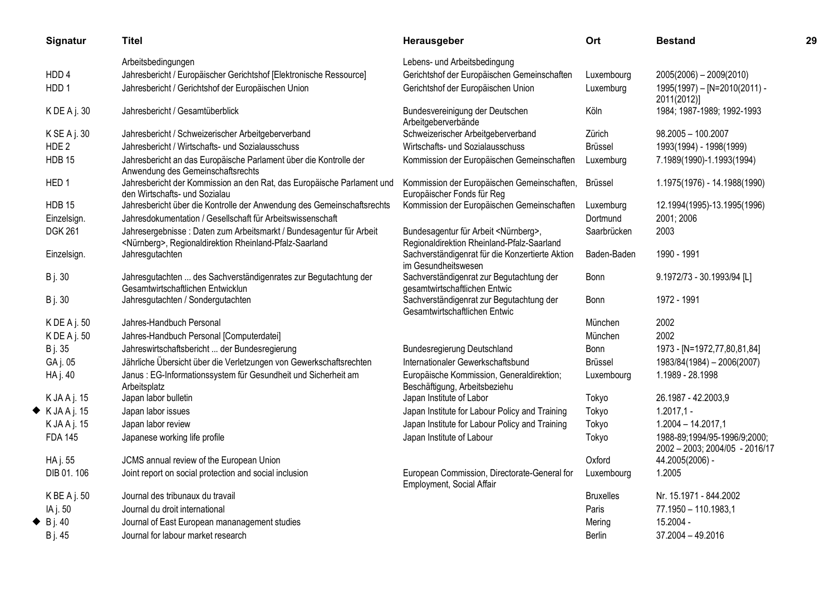| Signatur                     | <b>Titel</b>                                                                                                                              | Herausgeber                                                                                    | Ort              | <b>Bestand</b>                                                 | 29 |
|------------------------------|-------------------------------------------------------------------------------------------------------------------------------------------|------------------------------------------------------------------------------------------------|------------------|----------------------------------------------------------------|----|
|                              | Arbeitsbedingungen                                                                                                                        | Lebens- und Arbeitsbedingung                                                                   |                  |                                                                |    |
| HDD <sub>4</sub>             | Jahresbericht / Europäischer Gerichtshof [Elektronische Ressource]                                                                        | Gerichtshof der Europäischen Gemeinschaften                                                    | Luxembourg       | 2005(2006) - 2009(2010)                                        |    |
| HDD <sub>1</sub>             | Jahresbericht / Gerichtshof der Europäischen Union                                                                                        | Gerichtshof der Europäischen Union                                                             | Luxemburg        | 1995(1997) - [N=2010(2011) -<br>2011(2012)]                    |    |
| $KDEA$ j. 30                 | Jahresbericht / Gesamtüberblick                                                                                                           | Bundesvereinigung der Deutschen<br>Arbeitgeberverbände                                         | Köln             | 1984; 1987-1989; 1992-1993                                     |    |
| K SE A j. 30                 | Jahresbericht / Schweizerischer Arbeitgeberverband                                                                                        | Schweizerischer Arbeitgeberverband                                                             | Zürich           | 98.2005 - 100.2007                                             |    |
| HDE <sub>2</sub>             | Jahresbericht / Wirtschafts- und Sozialausschuss                                                                                          | Wirtschafts- und Sozialausschuss                                                               | Brüssel          | 1993(1994) - 1998(1999)                                        |    |
| <b>HDB 15</b>                | Jahresbericht an das Europäische Parlament über die Kontrolle der<br>Anwendung des Gemeinschaftsrechts                                    | Kommission der Europäischen Gemeinschaften                                                     | Luxemburg        | 7.1989(1990)-1.1993(1994)                                      |    |
| HED <sub>1</sub>             | Jahresbericht der Kommission an den Rat, das Europäische Parlament und<br>den Wirtschafts- und Sozialau                                   | Kommission der Europäischen Gemeinschaften,<br>Europäischer Fonds für Reg                      | Brüssel          | 1.1975(1976) - 14.1988(1990)                                   |    |
| HDB <sub>15</sub>            | Jahresbericht über die Kontrolle der Anwendung des Gemeinschaftsrechts                                                                    | Kommission der Europäischen Gemeinschaften                                                     | Luxemburg        | 12.1994(1995)-13.1995(1996)                                    |    |
| Einzelsign.                  | Jahresdokumentation / Gesellschaft für Arbeitswissenschaft                                                                                |                                                                                                | Dortmund         | 2001; 2006                                                     |    |
| <b>DGK 261</b>               | Jahresergebnisse : Daten zum Arbeitsmarkt / Bundesagentur für Arbeit<br><nürnberg>, Regionaldirektion Rheinland-Pfalz-Saarland</nürnberg> | Bundesagentur für Arbeit <nürnberg>,<br/>Regionaldirektion Rheinland-Pfalz-Saarland</nürnberg> | Saarbrücken      | 2003                                                           |    |
| Einzelsign.                  | Jahresgutachten                                                                                                                           | Sachverständigenrat für die Konzertierte Aktion<br>im Gesundheitswesen                         | Baden-Baden      | 1990 - 1991                                                    |    |
| <b>B</b> j. 30               | Jahresgutachten  des Sachverständigenrates zur Begutachtung der<br>Gesamtwirtschaftlichen Entwicklun                                      | Sachverständigenrat zur Begutachtung der<br>gesamtwirtschaftlichen Entwic                      | <b>Bonn</b>      | 9.1972/73 - 30.1993/94 [L]                                     |    |
| <b>B</b> j. 30               | Jahresgutachten / Sondergutachten                                                                                                         | Sachverständigenrat zur Begutachtung der<br>Gesamtwirtschaftlichen Entwic                      | Bonn             | 1972 - 1991                                                    |    |
| $KDEA$ j. 50                 | Jahres-Handbuch Personal                                                                                                                  |                                                                                                | München          | 2002                                                           |    |
| $K$ DE A j. 50               | Jahres-Handbuch Personal [Computerdatei]                                                                                                  |                                                                                                | München          | 2002                                                           |    |
| B j. 35                      | Jahreswirtschaftsbericht  der Bundesregierung                                                                                             | Bundesregierung Deutschland                                                                    | <b>Bonn</b>      | 1973 - [N=1972,77,80,81,84]                                    |    |
| GA j. 05                     | Jährliche Übersicht über die Verletzungen von Gewerkschaftsrechten                                                                        | Internationaler Gewerkschaftsbund                                                              | <b>Brüssel</b>   | 1983/84(1984) - 2006(2007)                                     |    |
| HA j. 40                     | Janus : EG-Informationssystem für Gesundheit und Sicherheit am<br>Arbeitsplatz                                                            | Europäische Kommission, Generaldirektion;<br>Beschäftigung, Arbeitsbeziehu                     | Luxembourg       | 1.1989 - 28.1998                                               |    |
| K JA A j. 15                 | Japan labor bulletin                                                                                                                      | Japan Institute of Labor                                                                       | Tokyo            | 26.1987 - 42.2003,9                                            |    |
| $\blacklozenge$ K JA A j. 15 | Japan labor issues                                                                                                                        | Japan Institute for Labour Policy and Training                                                 | Tokyo            | $1.2017,1 -$                                                   |    |
| K JA A j. 15                 | Japan labor review                                                                                                                        | Japan Institute for Labour Policy and Training                                                 | Tokyo            | $1.2004 - 14.2017,1$                                           |    |
| <b>FDA 145</b>               | Japanese working life profile                                                                                                             | Japan Institute of Labour                                                                      | Tokyo            | 1988-89;1994/95-1996/9;2000;<br>2002 - 2003; 2004/05 - 2016/17 |    |
| HA j. 55                     | JCMS annual review of the European Union                                                                                                  |                                                                                                | Oxford           | 44.2005(2006) -                                                |    |
| DIB 01.106                   | Joint report on social protection and social inclusion                                                                                    | European Commission, Directorate-General for<br>Employment, Social Affair                      | Luxembourg       | 1.2005                                                         |    |
| K BE A j. 50                 | Journal des tribunaux du travail                                                                                                          |                                                                                                | <b>Bruxelles</b> | Nr. 15.1971 - 844.2002                                         |    |
| IA j. 50                     | Journal du droit international                                                                                                            |                                                                                                | Paris            | 77.1950 - 110.1983,1                                           |    |
| $\bullet$ B j. 40            | Journal of East European mananagement studies                                                                                             |                                                                                                | Mering           | 15.2004 -                                                      |    |
| B j. 45                      | Journal for labour market research                                                                                                        |                                                                                                | <b>Berlin</b>    | 37.2004 - 49.2016                                              |    |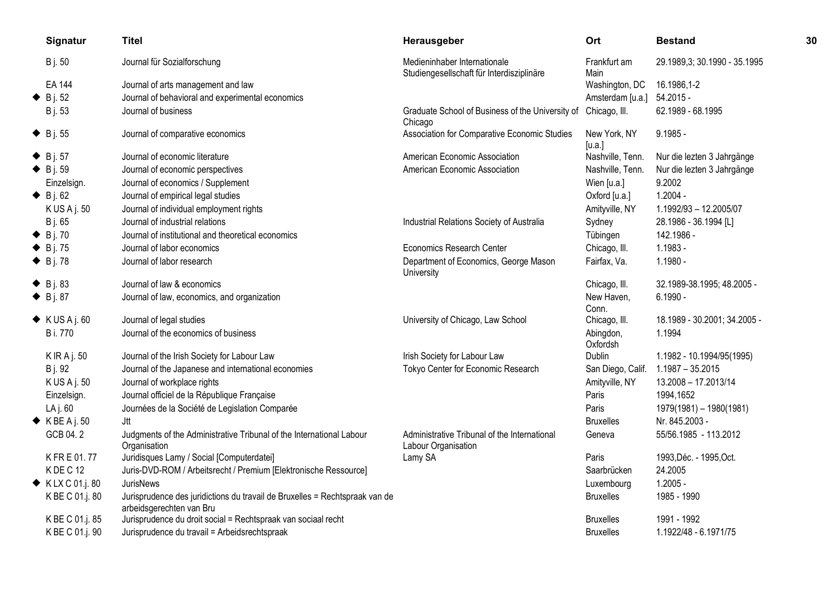| Signatur                       | <b>Titel</b>                                                                                            | Herausgeber                                                               | Ort                    | <b>Bestand</b>               | 30 |
|--------------------------------|---------------------------------------------------------------------------------------------------------|---------------------------------------------------------------------------|------------------------|------------------------------|----|
| <b>B</b> j. 50                 | Journal für Sozialforschung                                                                             | Medieninhaber Internationale<br>Studiengesellschaft für Interdisziplinäre | Frankfurt am<br>Main   | 29.1989,3; 30.1990 - 35.1995 |    |
| EA 144                         | Journal of arts management and law                                                                      |                                                                           | Washington, DC         | 16.1986,1-2                  |    |
| $\bullet$ B j. 52              | Journal of behavioral and experimental economics                                                        |                                                                           | Amsterdam [u.a.]       | $54.2015 -$                  |    |
| <b>B</b> j. 53                 | Journal of business                                                                                     | Graduate School of Business of the University of<br>Chicago               | Chicago, III.          | 62.1989 - 68.1995            |    |
| $\bullet$ B j. 55              | Journal of comparative economics                                                                        | Association for Comparative Economic Studies                              | New York, NY<br>[u.a.] | $9.1985 -$                   |    |
| $\bullet$ B j. 57              | Journal of economic literature                                                                          | American Economic Association                                             | Nashville, Tenn.       | Nur die lezten 3 Jahrgänge   |    |
| $\bullet$ B j. 59              | Journal of economic perspectives                                                                        | American Economic Association                                             | Nashville, Tenn.       | Nur die lezten 3 Jahrgänge   |    |
| Einzelsign.                    | Journal of economics / Supplement                                                                       |                                                                           | Wien [u.a.]            | 9.2002                       |    |
| $\bullet$ B j. 62              | Journal of empirical legal studies                                                                      |                                                                           | Oxford [u.a.]          | $1.2004 -$                   |    |
| K US A j. 50                   | Journal of individual employment rights                                                                 |                                                                           | Amityville, NY         | 1.1992/93 - 12.2005/07       |    |
| B j. 65                        | Journal of industrial relations                                                                         | Industrial Relations Society of Australia                                 | Sydney                 | 28.1986 - 36.1994 [L]        |    |
| $\triangle$ B j. 70            | Journal of institutional and theoretical economics                                                      |                                                                           | Tübingen               | 142.1986 -                   |    |
| $\blacklozenge$ B j. 75        | Journal of labor economics                                                                              | Economics Research Center                                                 | Chicago, III.          | $1.1983 -$                   |    |
| $\bullet$ B j. 78              | Journal of labor research                                                                               | Department of Economics, George Mason<br>University                       | Fairfax, Va.           | $1.1980 -$                   |    |
| $\blacklozenge$ B j. 83        | Journal of law & economics                                                                              |                                                                           | Chicago, III.          | 32.1989-38.1995; 48.2005 -   |    |
| $\bullet$ B j. 87              | Journal of law, economics, and organization                                                             |                                                                           | New Haven,<br>Conn.    | $6.1990 -$                   |    |
| $\blacklozenge$ KUSAj. 60      | Journal of legal studies                                                                                | University of Chicago, Law School                                         | Chicago, III.          | 18.1989 - 30.2001; 34.2005 - |    |
| <b>B</b> i. 770                | Journal of the economics of business                                                                    |                                                                           | Abingdon,<br>Oxfordsh  | 1.1994                       |    |
| K IR A j. 50                   | Journal of the Irish Society for Labour Law                                                             | Irish Society for Labour Law                                              | <b>Dublin</b>          | 1.1982 - 10.1994/95(1995)    |    |
| B j. 92                        | Journal of the Japanese and international economies                                                     | Tokyo Center for Economic Research                                        | San Diego, Calif.      | $1.1987 - 35.2015$           |    |
| K US A j. 50                   | Journal of workplace rights                                                                             |                                                                           | Amityville, NY         | 13.2008 - 17.2013/14         |    |
| Einzelsign.                    | Journal officiel de la République Française                                                             |                                                                           | Paris                  | 1994,1652                    |    |
| LA j. 60                       | Journées de la Société de Legislation Comparée                                                          |                                                                           | Paris                  | 1979(1981) - 1980(1981)      |    |
| $\blacklozenge$ K BE A j. 50   | Jtt                                                                                                     |                                                                           | <b>Bruxelles</b>       | Nr. 845.2003 -               |    |
| GCB 04.2                       | Judgments of the Administrative Tribunal of the International Labour<br>Organisation                    | Administrative Tribunal of the International<br>Labour Organisation       | Geneva                 | 55/56.1985 - 113.2012        |    |
| K FR E 01.77                   | Juridisques Lamy / Social [Computerdatei]                                                               | Lamy SA                                                                   | Paris                  | 1993, Déc. - 1995, Oct.      |    |
| KDEC <sub>12</sub>             | Juris-DVD-ROM / Arbeitsrecht / Premium [Elektronische Ressource]                                        |                                                                           | Saarbrücken            | 24.2005                      |    |
| $\blacklozenge$ KLX C 01.j. 80 | <b>JurisNews</b>                                                                                        |                                                                           | Luxembourg             | $1.2005 -$                   |    |
| K BE C 01.j. 80                | Jurisprudence des juridictions du travail de Bruxelles = Rechtspraak van de<br>arbeidsgerechten van Bru |                                                                           | <b>Bruxelles</b>       | 1985 - 1990                  |    |
| K BE C 01.j. 85                | Jurisprudence du droit social = Rechtspraak van sociaal recht                                           |                                                                           | <b>Bruxelles</b>       | 1991 - 1992                  |    |
| K BE C 01.j. 90                | Jurisprudence du travail = Arbeidsrechtspraak                                                           |                                                                           | <b>Bruxelles</b>       | 1.1922/48 - 6.1971/75        |    |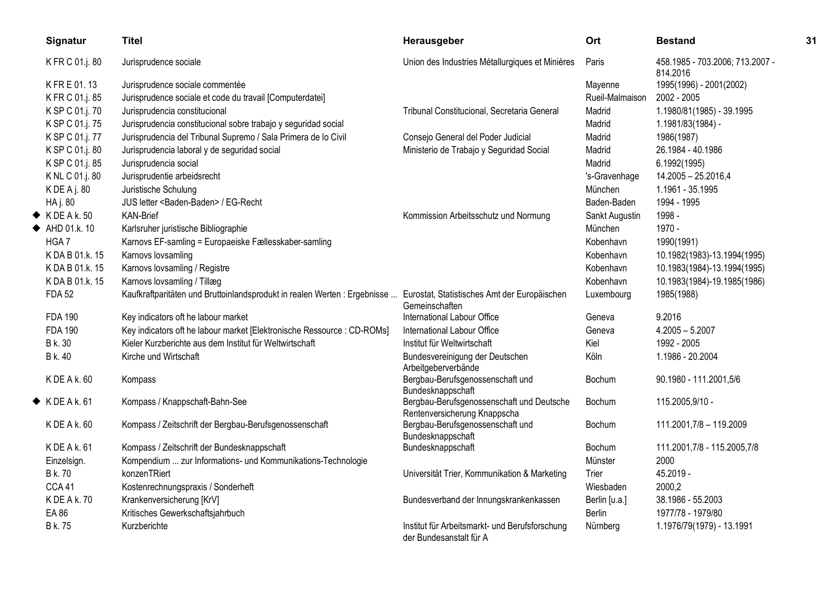| Signatur                  | <b>Titel</b>                                                                                                            | Herausgeber                                                               | <b>Ort</b>      | <b>Bestand</b>                              | 31 |
|---------------------------|-------------------------------------------------------------------------------------------------------------------------|---------------------------------------------------------------------------|-----------------|---------------------------------------------|----|
| K FR C 01.j. 80           | Jurisprudence sociale                                                                                                   | Union des Industries Métallurgiques et Minières                           | Paris           | 458.1985 - 703.2006; 713.2007 -<br>814.2016 |    |
| K FR E 01.13              | Jurisprudence sociale commentée                                                                                         |                                                                           | Mayenne         | 1995(1996) - 2001(2002)                     |    |
| K FR C 01.j. 85           | Jurisprudence sociale et code du travail [Computerdatei]                                                                |                                                                           | Rueil-Malmaison | 2002 - 2005                                 |    |
| K SP C 01.j. 70           | Jurisprudencia constitucional                                                                                           | Tribunal Constitucional, Secretaria General                               | Madrid          | 1.1980/81(1985) - 39.1995                   |    |
| K SP C 01.j. 75           | Jurisprudencia constitucional sobre trabajo y seguridad social                                                          |                                                                           | Madrid          | 1.1981/83(1984) -                           |    |
| K SP C 01.j. 77           | Jurisprudencia del Tribunal Supremo / Sala Primera de lo Civil                                                          | Consejo General del Poder Judicial                                        | Madrid          | 1986(1987)                                  |    |
| K SP C 01.j. 80           | Jurisprudencia laboral y de seguridad social                                                                            | Ministerio de Trabajo y Seguridad Social                                  | Madrid          | 26.1984 - 40.1986                           |    |
| K SP C 01.j. 85           | Jurisprudencia social                                                                                                   |                                                                           | Madrid          | 6.1992(1995)                                |    |
| K NL C 01.j. 80           | Jurisprudentie arbeidsrecht                                                                                             |                                                                           | 's-Gravenhage   | 14.2005 - 25.2016,4                         |    |
| K DE A j. 80              | Juristische Schulung                                                                                                    |                                                                           | München         | 1.1961 - 35.1995                            |    |
| HA j. 80                  | JUS letter <baden-baden> / EG-Recht</baden-baden>                                                                       |                                                                           | Baden-Baden     | 1994 - 1995                                 |    |
| $\blacklozenge$ KDEA k.50 | <b>KAN-Brief</b>                                                                                                        | Kommission Arbeitsschutz und Normung                                      | Sankt Augustin  | 1998 -                                      |    |
| ← AHD 01.k. 10            | Karlsruher juristische Bibliographie                                                                                    |                                                                           | München         | 1970 -                                      |    |
| HGA7                      | Karnovs EF-samling = Europaeiske Fællesskaber-samling                                                                   |                                                                           | Kobenhavn       | 1990(1991)                                  |    |
| K DA B 01.k. 15           | Karnovs lovsamling                                                                                                      |                                                                           | Kobenhavn       | 10.1982(1983)-13.1994(1995)                 |    |
| K DA B 01.k. 15           | Karnovs lovsamling / Registre                                                                                           |                                                                           | Kobenhavn       | 10.1983(1984)-13.1994(1995)                 |    |
| K DA B 01.k. 15           | Karnovs lovsamling / Tillæg                                                                                             |                                                                           | Kobenhavn       | 10.1983(1984)-19.1985(1986)                 |    |
| <b>FDA 52</b>             | Kaufkraftparitäten und Bruttoinlandsprodukt in realen Werten : Ergebnisse  Eurostat, Statistisches Amt der Europäischen | Gemeinschaften                                                            | Luxembourg      | 1985(1988)                                  |    |
| <b>FDA 190</b>            | Key indicators oft he labour market                                                                                     | International Labour Office                                               | Geneva          | 9.2016                                      |    |
| <b>FDA 190</b>            | Key indicators oft he labour market [Elektronische Ressource : CD-ROMs]                                                 | International Labour Office                                               | Geneva          | $4.2005 - 5.2007$                           |    |
| B k. 30                   | Kieler Kurzberichte aus dem Institut für Weltwirtschaft                                                                 | Institut für Weltwirtschaft                                               | Kiel            | 1992 - 2005                                 |    |
| B k. 40                   | Kirche und Wirtschaft                                                                                                   | Bundesvereinigung der Deutschen<br>Arbeitgeberverbände                    | Köln            | 1.1986 - 20.2004                            |    |
| K DE A k. 60              | Kompass                                                                                                                 | Bergbau-Berufsgenossenschaft und<br>Bundesknappschaft                     | Bochum          | 90.1980 - 111.2001,5/6                      |    |
| $\blacklozenge$ KDEA k.61 | Kompass / Knappschaft-Bahn-See                                                                                          | Bergbau-Berufsgenossenschaft und Deutsche<br>Rentenversicherung Knappscha | Bochum          | 115.2005,9/10 -                             |    |
| K DE A k. 60              | Kompass / Zeitschrift der Bergbau-Berufsgenossenschaft                                                                  | Bergbau-Berufsgenossenschaft und<br>Bundesknappschaft                     | Bochum          | 111.2001,7/8 - 119.2009                     |    |
| K DE A k. 61              | Kompass / Zeitschrift der Bundesknappschaft                                                                             | Bundesknappschaft                                                         | Bochum          | 111.2001,7/8 - 115.2005,7/8                 |    |
| Einzelsign.               | Kompendium  zur Informations- und Kommunikations-Technologie                                                            |                                                                           | Münster         | 2000                                        |    |
| <b>B</b> k.70             | konzenTRiert                                                                                                            | Universität Trier, Kommunikation & Marketing                              | Trier           | 45.2019 -                                   |    |
| CCA41                     | Kostenrechnungspraxis / Sonderheft                                                                                      |                                                                           | Wiesbaden       | 2000,2                                      |    |
| K DE A k. 70              | Krankenversicherung [KrV]                                                                                               | Bundesverband der Innungskrankenkassen                                    | Berlin [u.a.]   | 38.1986 - 55.2003                           |    |
| EA 86                     | Kritisches Gewerkschaftsjahrbuch                                                                                        |                                                                           | Berlin          | 1977/78 - 1979/80                           |    |
| <b>B</b> k. 75            | Kurzberichte                                                                                                            | Institut für Arbeitsmarkt- und Berufsforschung<br>der Bundesanstalt für A | Nürnberg        | 1.1976/79(1979) - 13.1991                   |    |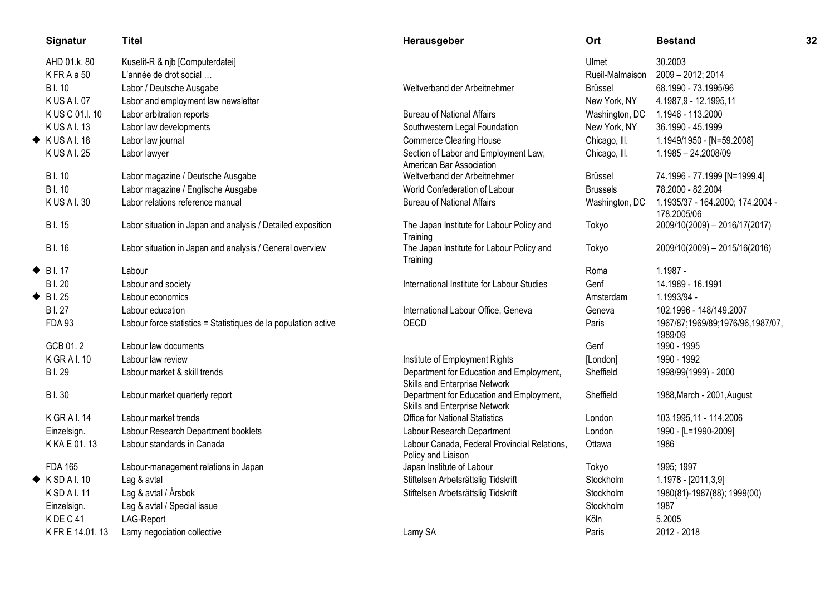|   | Signatur                 | <b>Titel</b>                                                   | Herausgeber                                                               | Ort             | <b>Bestand</b>                                  | 32 |
|---|--------------------------|----------------------------------------------------------------|---------------------------------------------------------------------------|-----------------|-------------------------------------------------|----|
|   | AHD 01.k. 80             | Kuselit-R & njb [Computerdatei]                                |                                                                           | Ulmet           | 30.2003                                         |    |
|   | KFRAa50                  | L'année de drot social                                         |                                                                           | Rueil-Malmaison | 2009 - 2012; 2014                               |    |
|   | <b>BI.10</b>             | Labor / Deutsche Ausgabe                                       | Weltverband der Arbeitnehmer                                              | <b>Brüssel</b>  | 68.1990 - 73.1995/96                            |    |
|   | K US A I. 07             | Labor and employment law newsletter                            |                                                                           | New York, NY    | 4.1987,9 - 12.1995,11                           |    |
|   | K US C 01.I.10           | Labor arbitration reports                                      | <b>Bureau of National Affairs</b>                                         | Washington, DC  | 1.1946 - 113.2000                               |    |
|   | <b>KUSAI.13</b>          | Labor law developments                                         | Southwestern Legal Foundation                                             | New York, NY    | 36.1990 - 45.1999                               |    |
|   | $\blacklozenge$ KUSAI.18 | Labor law journal                                              | <b>Commerce Clearing House</b>                                            | Chicago, III.   | 1.1949/1950 - [N=59.2008]                       |    |
|   | K US A I. 25             | Labor lawyer                                                   | Section of Labor and Employment Law,<br>American Bar Association          | Chicago, III.   | 1.1985 - 24.2008/09                             |    |
|   | <b>BI.10</b>             | Labor magazine / Deutsche Ausgabe                              | Weltverband der Arbeitnehmer                                              | <b>Brüssel</b>  | 74.1996 - 77.1999 [N=1999,4]                    |    |
|   | <b>BI.10</b>             | Labor magazine / Englische Ausgabe                             | World Confederation of Labour                                             | <b>Brussels</b> | 78.2000 - 82.2004                               |    |
|   | K US A I. 30             | Labor relations reference manual                               | <b>Bureau of National Affairs</b>                                         | Washington, DC  | 1.1935/37 - 164.2000; 174.2004 -<br>178.2005/06 |    |
|   | <b>BI.15</b>             | Labor situation in Japan and analysis / Detailed exposition    | The Japan Institute for Labour Policy and<br>Training                     | Tokyo           | 2009/10(2009) - 2016/17(2017)                   |    |
|   | <b>BI.16</b>             | Labor situation in Japan and analysis / General overview       | The Japan Institute for Labour Policy and<br>Training                     | Tokyo           | 2009/10(2009) - 2015/16(2016)                   |    |
| ◆ | <b>BI.17</b>             | Labour                                                         |                                                                           | Roma            | $1.1987 -$                                      |    |
|   | <b>BI.20</b>             | Labour and society                                             | International Institute for Labour Studies                                | Genf            | 14.1989 - 16.1991                               |    |
|   | $\bullet$ Bl. 25         | Labour economics                                               |                                                                           | Amsterdam       | 1.1993/94 -                                     |    |
|   | <b>BI.27</b>             | Labour education                                               | International Labour Office, Geneva                                       | Geneva          | 102.1996 - 148/149.2007                         |    |
|   | <b>FDA 93</b>            | Labour force statistics = Statistiques de la population active | OECD                                                                      | Paris           | 1967/87;1969/89;1976/96,1987/07,<br>1989/09     |    |
|   | GCB 01.2                 | Labour law documents                                           |                                                                           | Genf            | 1990 - 1995                                     |    |
|   | <b>KGRAI.10</b>          | Labour law review                                              | Institute of Employment Rights                                            | [London]        | 1990 - 1992                                     |    |
|   | <b>BI.29</b>             | Labour market & skill trends                                   | Department for Education and Employment,<br>Skills and Enterprise Network | Sheffield       | 1998/99(1999) - 2000                            |    |
|   | <b>BI.30</b>             | Labour market quarterly report                                 | Department for Education and Employment,<br>Skills and Enterprise Network | Sheffield       | 1988, March - 2001, August                      |    |
|   | <b>KGRAI.14</b>          | Labour market trends                                           | <b>Office for National Statistics</b>                                     | London          | 103.1995,11 - 114.2006                          |    |
|   | Einzelsign.              | Labour Research Department booklets                            | Labour Research Department                                                | London          | 1990 - [L=1990-2009]                            |    |
|   | K KA E 01, 13            | Labour standards in Canada                                     | Labour Canada, Federal Provincial Relations,<br>Policy and Liaison        | Ottawa          | 1986                                            |    |
|   | <b>FDA 165</b>           | Labour-management relations in Japan                           | Japan Institute of Labour                                                 | Tokyo           | 1995; 1997                                      |    |
|   | $\blacklozenge$ KSDAI.10 | Lag & avtal                                                    | Stiftelsen Arbetsrättslig Tidskrift                                       | Stockholm       | 1.1978 - [2011,3,9]                             |    |
|   | K SD A I. 11             | Lag & avtal / Årsbok                                           | Stiftelsen Arbetsrättslig Tidskrift                                       | Stockholm       | 1980(81)-1987(88); 1999(00)                     |    |
|   | Einzelsign.              | Lag & avtal / Special issue                                    |                                                                           | Stockholm       | 1987                                            |    |
|   | KDEC41                   | LAG-Report                                                     |                                                                           | Köln            | 5.2005                                          |    |
|   | K FR E 14.01.13          | Lamy negociation collective                                    | Lamy SA                                                                   | Paris           | 2012 - 2018                                     |    |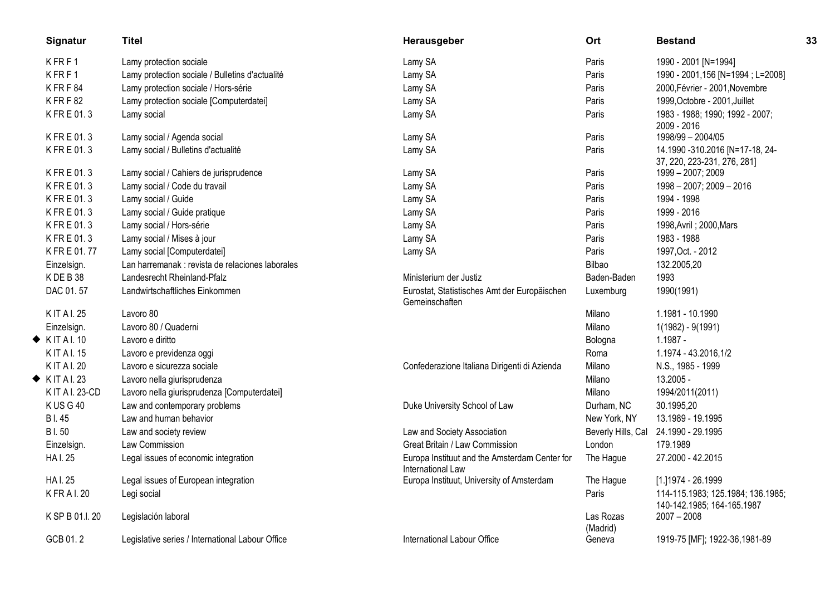| Signatur                   | <b>Titel</b>                                     | Herausgeber                                                        | Ort                   | <b>Bestand</b>                                                  | 33 |
|----------------------------|--------------------------------------------------|--------------------------------------------------------------------|-----------------------|-----------------------------------------------------------------|----|
| KFRF1                      | Lamy protection sociale                          | Lamy SA                                                            | Paris                 | 1990 - 2001 [N=1994]                                            |    |
| KFRF1                      | Lamy protection sociale / Bulletins d'actualité  | Lamy SA                                                            | Paris                 | 1990 - 2001,156 [N=1994 ; L=2008]                               |    |
| KFRF84                     | Lamy protection sociale / Hors-série             | Lamy SA                                                            | Paris                 | 2000, Février - 2001, Novembre                                  |    |
| KFRF82                     | Lamy protection sociale [Computerdatei]          | Lamy SA                                                            | Paris                 | 1999, Octobre - 2001, Juillet                                   |    |
| KFRE01.3                   | Lamy social                                      | Lamy SA                                                            | Paris                 | 1983 - 1988; 1990; 1992 - 2007;<br>2009 - 2016                  |    |
| K FR E 01.3                | Lamy social / Agenda social                      | Lamy SA                                                            | Paris                 | 1998/99 - 2004/05                                               |    |
| KFRE01.3                   | Lamy social / Bulletins d'actualité              | Lamy SA                                                            | Paris                 | 14.1990 -310.2016 [N=17-18, 24-<br>37, 220, 223-231, 276, 281]  |    |
| KFRE01.3                   | Lamy social / Cahiers de jurisprudence           | Lamy SA                                                            | Paris                 | 1999 - 2007; 2009                                               |    |
| K FR E 01.3                | Lamy social / Code du travail                    | Lamy SA                                                            | Paris                 | 1998 - 2007; 2009 - 2016                                        |    |
| K FR E 01.3                | Lamy social / Guide                              | Lamy SA                                                            | Paris                 | 1994 - 1998                                                     |    |
| KFRE01.3                   | Lamy social / Guide pratique                     | Lamy SA                                                            | Paris                 | 1999 - 2016                                                     |    |
| KFRE01.3                   | Lamy social / Hors-série                         | Lamy SA                                                            | Paris                 | 1998, Avril ; 2000, Mars                                        |    |
| KFRE01.3                   | Lamy social / Mises à jour                       | Lamy SA                                                            | Paris                 | 1983 - 1988                                                     |    |
| K FR E 01.77               | Lamy social [Computerdatei]                      | Lamy SA                                                            | Paris                 | 1997, Oct. - 2012                                               |    |
| Einzelsign.                | Lan harremanak : revista de relaciones laborales |                                                                    | Bilbao                | 132.2005,20                                                     |    |
| KDEB38                     | Landesrecht Rheinland-Pfalz                      | Ministerium der Justiz                                             | Baden-Baden           | 1993                                                            |    |
| DAC 01.57                  | Landwirtschaftliches Einkommen                   | Eurostat, Statistisches Amt der Europäischen<br>Gemeinschaften     | Luxemburg             | 1990(1991)                                                      |    |
| <b>KIT AI. 25</b>          | Lavoro 80                                        |                                                                    | Milano                | 1.1981 - 10.1990                                                |    |
| Einzelsign.                | Lavoro 80 / Quaderni                             |                                                                    | Milano                | 1(1982) - 9(1991)                                               |    |
| $\blacklozenge$ KITAI.10   | Lavoro e diritto                                 |                                                                    | Bologna               | $1.1987 -$                                                      |    |
| <b>KIT AI. 15</b>          | Lavoro e previdenza oggi                         |                                                                    | Roma                  | 1.1974 - 43.2016,1/2                                            |    |
| K IT A I. 20               | Lavoro e sicurezza sociale                       | Confederazione Italiana Dirigenti di Azienda                       | Milano                | N.S., 1985 - 1999                                               |    |
| $\blacklozenge$ KIT AI. 23 | Lavoro nella giurisprudenza                      |                                                                    | Milano                | 13.2005 -                                                       |    |
| K IT A I. 23-CD            | Lavoro nella giurisprudenza [Computerdatei]      |                                                                    | Milano                | 1994/2011(2011)                                                 |    |
| KUSG40                     | Law and contemporary problems                    | Duke University School of Law                                      | Durham, NC            | 30.1995,20                                                      |    |
| <b>BI.45</b>               | Law and human behavior                           |                                                                    | New York, NY          | 13.1989 - 19.1995                                               |    |
| <b>BI.50</b>               | Law and society review                           | Law and Society Association                                        | Beverly Hills, Cal    | 24.1990 - 29.1995                                               |    |
| Einzelsign.                | Law Commission                                   | Great Britain / Law Commission                                     | London                | 179.1989                                                        |    |
| <b>HAI.25</b>              | Legal issues of economic integration             | Europa Instituut and the Amsterdam Center for<br>International Law | The Hague             | 27.2000 - 42.2015                                               |    |
| <b>HAI.25</b>              | Legal issues of European integration             | Europa Instituut, University of Amsterdam                          | The Hague             | [1.]1974 - 26.1999                                              |    |
| <b>KFRAL20</b>             | Legi social                                      |                                                                    | Paris                 | 114-115.1983; 125.1984; 136.1985;<br>140-142.1985; 164-165.1987 |    |
| K SP B 01.I. 20            | Legislación laboral                              |                                                                    | Las Rozas<br>(Madrid) | $2007 - 2008$                                                   |    |
| GCB 01.2                   | Legislative series / International Labour Office | International Labour Office                                        | Geneva                | 1919-75 [MF]; 1922-36,1981-89                                   |    |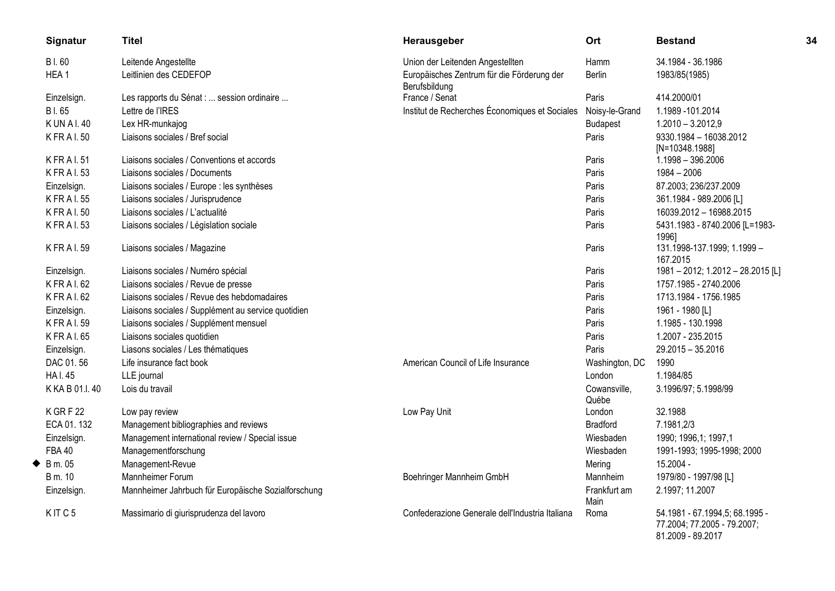|   | Signatur        | <b>Titel</b>                                        | Herausgeber                                                 | Ort                   | <b>Bestand</b>                                                                     | 34 |
|---|-----------------|-----------------------------------------------------|-------------------------------------------------------------|-----------------------|------------------------------------------------------------------------------------|----|
|   | <b>BI.60</b>    | Leitende Angestellte                                | Union der Leitenden Angestellten                            | Hamm                  | 34.1984 - 36.1986                                                                  |    |
|   | HEA1            | Leitlinien des CEDEFOP                              | Europäisches Zentrum für die Förderung der<br>Berufsbildung | Berlin                | 1983/85(1985)                                                                      |    |
|   | Einzelsign.     | Les rapports du Sénat :  session ordinaire          | France / Senat                                              | Paris                 | 414.2000/01                                                                        |    |
|   | B I. 65         | Lettre de l'IRES                                    | Institut de Recherches Économiques et Sociales              | Noisy-le-Grand        | 1.1989 - 101.2014                                                                  |    |
|   | <b>KUNAI.40</b> | Lex HR-munkajog                                     |                                                             | <b>Budapest</b>       | $1.2010 - 3.2012,9$                                                                |    |
|   | <b>KFRAL50</b>  | Liaisons sociales / Bref social                     |                                                             | Paris                 | 9330.1984 - 16038.2012<br>$[N=10348.1988]$                                         |    |
|   | <b>KFRAL51</b>  | Liaisons sociales / Conventions et accords          |                                                             | Paris                 | 1.1998 - 396.2006                                                                  |    |
|   | <b>KFRAL53</b>  | Liaisons sociales / Documents                       |                                                             | Paris                 | 1984 - 2006                                                                        |    |
|   | Einzelsign.     | Liaisons sociales / Europe : les synthèses          |                                                             | Paris                 | 87.2003; 236/237.2009                                                              |    |
|   | <b>KFRAL55</b>  | Liaisons sociales / Jurisprudence                   |                                                             | Paris                 | 361.1984 - 989.2006 [L]                                                            |    |
|   | <b>KFRAL50</b>  | Liaisons sociales / L'actualité                     |                                                             | Paris                 | 16039.2012 - 16988.2015                                                            |    |
|   | <b>KFRAI.53</b> | Liaisons sociales / Législation sociale             |                                                             | Paris                 | 5431.1983 - 8740.2006 [L=1983-<br>1996]                                            |    |
|   | <b>KFRAL59</b>  | Liaisons sociales / Magazine                        |                                                             | Paris                 | 131.1998-137.1999; 1.1999 -<br>167.2015                                            |    |
|   | Einzelsign.     | Liaisons sociales / Numéro spécial                  |                                                             | Paris                 | 1981 - 2012; 1.2012 - 28.2015 [L]                                                  |    |
|   | K FR A I. 62    | Liaisons sociales / Revue de presse                 |                                                             | Paris                 | 1757.1985 - 2740.2006                                                              |    |
|   | K FR A I. 62    | Liaisons sociales / Revue des hebdomadaires         |                                                             | Paris                 | 1713.1984 - 1756.1985                                                              |    |
|   | Einzelsign.     | Liaisons sociales / Supplément au service quotidien |                                                             | Paris                 | 1961 - 1980 [L]                                                                    |    |
|   | <b>KFRAL59</b>  | Liaisons sociales / Supplément mensuel              |                                                             | Paris                 | 1.1985 - 130.1998                                                                  |    |
|   | <b>KFRAL65</b>  | Liaisons sociales quotidien                         |                                                             | Paris                 | 1.2007 - 235.2015                                                                  |    |
|   | Einzelsign.     | Liasons sociales / Les thématiques                  |                                                             | Paris                 | $29.2015 - 35.2016$                                                                |    |
|   | DAC 01.56       | Life insurance fact book                            | American Council of Life Insurance                          | Washington, DC        | 1990                                                                               |    |
|   | <b>HAI.45</b>   | LLE journal                                         |                                                             | London                | 1.1984/85                                                                          |    |
|   | K KA B 01.I.40  | Lois du travail                                     |                                                             | Cowansville,<br>Québe | 3.1996/97; 5.1998/99                                                               |    |
|   | K GRF 22        | Low pay review                                      | Low Pay Unit                                                | London                | 32.1988                                                                            |    |
|   | ECA 01.132      | Management bibliographies and reviews               |                                                             | <b>Bradford</b>       | 7.1981,2/3                                                                         |    |
|   | Einzelsign.     | Management international review / Special issue     |                                                             | Wiesbaden             | 1990; 1996,1; 1997,1                                                               |    |
|   | <b>FBA 40</b>   | Managementforschung                                 |                                                             | Wiesbaden             | 1991-1993; 1995-1998; 2000                                                         |    |
| ◆ | B m. 05         | Management-Revue                                    |                                                             | Mering                | 15.2004 -                                                                          |    |
|   | B m. 10         | Mannheimer Forum                                    | Boehringer Mannheim GmbH                                    | <b>Mannheim</b>       | 1979/80 - 1997/98 [L]                                                              |    |
|   | Einzelsign.     | Mannheimer Jahrbuch für Europäische Sozialforschung |                                                             | Frankfurt am<br>Main  | 2.1997; 11.2007                                                                    |    |
|   | KITC5           | Massimario di giurisprudenza del lavoro             | Confederazione Generale dell'Industria Italiana             | Roma                  | 54.1981 - 67.1994,5; 68.1995 -<br>77.2004; 77.2005 - 79.2007;<br>81.2009 - 89.2017 |    |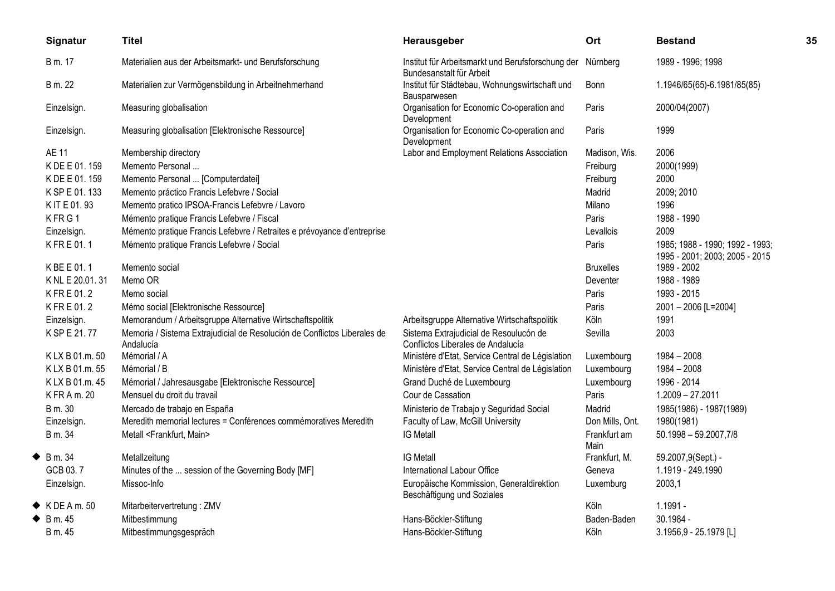|   | Signatur                   | <b>Titel</b>                                                                          | Herausgeber                                                                   | Ort                  | <b>Bestand</b>                                                    | 35 |
|---|----------------------------|---------------------------------------------------------------------------------------|-------------------------------------------------------------------------------|----------------------|-------------------------------------------------------------------|----|
|   | B m. 17                    | Materialien aus der Arbeitsmarkt- und Berufsforschung                                 | Institut für Arbeitsmarkt und Berufsforschung der<br>Bundesanstalt für Arbeit | Nürnberg             | 1989 - 1996; 1998                                                 |    |
|   | B m. 22                    | Materialien zur Vermögensbildung in Arbeitnehmerhand                                  | Institut für Städtebau, Wohnungswirtschaft und<br>Bausparwesen                | <b>Bonn</b>          | 1.1946/65(65)-6.1981/85(85)                                       |    |
|   | Einzelsign.                | Measuring globalisation                                                               | Organisation for Economic Co-operation and<br>Development                     | Paris                | 2000/04(2007)                                                     |    |
|   | Einzelsign.                | Measuring globalisation [Elektronische Ressource]                                     | Organisation for Economic Co-operation and<br>Development                     | Paris                | 1999                                                              |    |
|   | AE 11                      | Membership directory                                                                  | Labor and Employment Relations Association                                    | Madison, Wis.        | 2006                                                              |    |
|   | K DE E 01.159              | Memento Personal                                                                      |                                                                               | Freiburg             | 2000(1999)                                                        |    |
|   | K DE E 01.159              | Memento Personal  [Computerdatei]                                                     |                                                                               | Freiburg             | 2000                                                              |    |
|   | K SP E 01.133              | Memento práctico Francis Lefebvre / Social                                            |                                                                               | Madrid               | 2009; 2010                                                        |    |
|   | K IT E 01.93               | Memento pratico IPSOA-Francis Lefebvre / Lavoro                                       |                                                                               | Milano               | 1996                                                              |    |
|   | KFRG1                      | Mémento pratique Francis Lefebvre / Fiscal                                            |                                                                               | Paris                | 1988 - 1990                                                       |    |
|   | Einzelsign.                | Mémento pratique Francis Lefebvre / Retraites e prévoyance d'entreprise               |                                                                               | Levallois            | 2009                                                              |    |
|   | KFRE01.1                   | Mémento pratique Francis Lefebvre / Social                                            |                                                                               | Paris                | 1985; 1988 - 1990; 1992 - 1993;<br>1995 - 2001; 2003; 2005 - 2015 |    |
|   | K BE E 01.1                | Memento social                                                                        |                                                                               | <b>Bruxelles</b>     | 1989 - 2002                                                       |    |
|   | K NL E 20.01.31            | Memo OR                                                                               |                                                                               | Deventer             | 1988 - 1989                                                       |    |
|   | KFRE01.2                   | Memo social                                                                           |                                                                               | Paris                | 1993 - 2015                                                       |    |
|   | KFRE01.2                   | Mémo social [Elektronische Ressource]                                                 |                                                                               | Paris                | 2001-2006 [L=2004]                                                |    |
|   | Einzelsign.                | Memorandum / Arbeitsgruppe Alternative Wirtschaftspolitik                             | Arbeitsgruppe Alternative Wirtschaftspolitik                                  | Köln                 | 1991                                                              |    |
|   | K SP E 21.77               | Memoria / Sistema Extrajudicial de Resolución de Conflictos Liberales de<br>Andalucía | Sistema Extrajudicial de Resoulucón de<br>Conflictos Liberales de Andalucía   | Sevilla              | 2003                                                              |    |
|   | KLX B 01.m. 50             | Mémorial / A                                                                          | Ministère d'Etat, Service Central de Législation                              | Luxembourg           | 1984 - 2008                                                       |    |
|   | KLX B 01.m. 55             | Mémorial / B                                                                          | Ministère d'Etat, Service Central de Législation                              | Luxembourg           | $1984 - 2008$                                                     |    |
|   | KLX B 01.m. 45             | Mémorial / Jahresausgabe [Elektronische Ressource]                                    | Grand Duché de Luxembourg                                                     | Luxembourg           | 1996 - 2014                                                       |    |
|   | K FR A m. 20               | Mensuel du droit du travail                                                           | Cour de Cassation                                                             | Paris                | $1.2009 - 27.2011$                                                |    |
|   | B m. 30                    | Mercado de trabajo en España                                                          | Ministerio de Trabajo y Seguridad Social                                      | Madrid               | 1985(1986) - 1987(1989)                                           |    |
|   | Einzelsign.                | Meredith memorial lectures = Conférences commémoratives Meredith                      | Faculty of Law, McGill University                                             | Don Mills, Ont.      | 1980(1981)                                                        |    |
|   | B m. 34                    | Metall <frankfurt, main=""></frankfurt,>                                              | <b>IG Metall</b>                                                              | Frankfurt am<br>Main | $50.1998 - 59.2007,7/8$                                           |    |
| ◆ | B m. 34                    | Metallzeitung                                                                         | <b>IG Metall</b>                                                              | Frankfurt, M.        | 59.2007,9(Sept.) -                                                |    |
|   | GCB 03.7                   | Minutes of the  session of the Governing Body [MF]                                    | International Labour Office                                                   | Geneva               | 1.1919 - 249.1990                                                 |    |
|   | Einzelsign.                | Missoc-Info                                                                           | Europäische Kommission, Generaldirektion<br>Beschäftigung und Soziales        | Luxemburg            | 2003,1                                                            |    |
|   | $\blacklozenge$ KDEA m. 50 | Mitarbeitervertretung: ZMV                                                            |                                                                               | Köln                 | $1.1991 -$                                                        |    |
| ◆ | B m. 45                    | Mitbestimmung                                                                         | Hans-Böckler-Stiftung                                                         | Baden-Baden          | 30.1984 -                                                         |    |
|   | B m. 45                    | Mitbestimmungsgespräch                                                                | Hans-Böckler-Stiftung                                                         | Köln                 | 3.1956,9 - 25.1979 [L]                                            |    |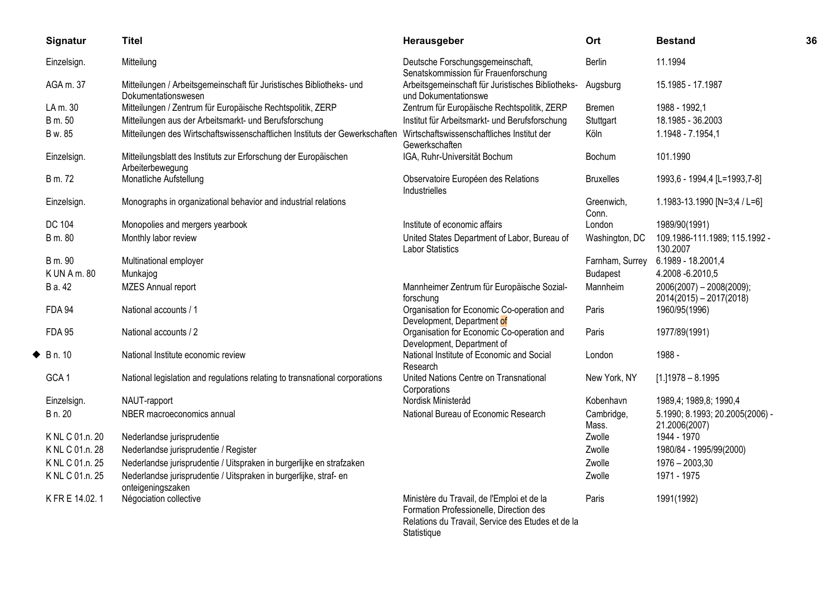| Signatur         | <b>Titel</b>                                                                                                           | Herausgeber                                                                                                                                               | Ort                 | <b>Bestand</b>                                        | 36 |
|------------------|------------------------------------------------------------------------------------------------------------------------|-----------------------------------------------------------------------------------------------------------------------------------------------------------|---------------------|-------------------------------------------------------|----|
| Einzelsign.      | Mitteilung                                                                                                             | Deutsche Forschungsgemeinschaft,<br>Senatskommission für Frauenforschung                                                                                  | Berlin              | 11.1994                                               |    |
| AGA m. 37        | Mitteilungen / Arbeitsgemeinschaft für Juristisches Bibliotheks- und<br>Dokumentationswesen                            | Arbeitsgemeinschaft für Juristisches Bibliotheks-<br>und Dokumentationswe                                                                                 | Augsburg            | 15.1985 - 17.1987                                     |    |
| LA m. 30         | Mitteilungen / Zentrum für Europäische Rechtspolitik, ZERP                                                             | Zentrum für Europäische Rechtspolitik, ZERP                                                                                                               | Bremen              | 1988 - 1992,1                                         |    |
| B m. 50          | Mitteilungen aus der Arbeitsmarkt- und Berufsforschung                                                                 | Institut für Arbeitsmarkt- und Berufsforschung                                                                                                            | Stuttgart           | 18.1985 - 36.2003                                     |    |
| B w. 85          | Mitteilungen des Wirtschaftswissenschaftlichen Instituts der Gewerkschaften Wirtschaftswissenschaftliches Institut der | Gewerkschaften                                                                                                                                            | Köln                | 1.1948 - 7.1954,1                                     |    |
| Einzelsign.      | Mitteilungsblatt des Instituts zur Erforschung der Europäischen<br>Arbeiterbewegung                                    | IGA, Ruhr-Universität Bochum                                                                                                                              | Bochum              | 101.1990                                              |    |
| B m. 72          | Monatliche Aufstellung                                                                                                 | Observatoire Européen des Relations<br>Industrielles                                                                                                      | <b>Bruxelles</b>    | 1993,6 - 1994,4 [L=1993,7-8]                          |    |
| Einzelsign.      | Monographs in organizational behavior and industrial relations                                                         |                                                                                                                                                           | Greenwich,<br>Conn. | 1.1983-13.1990 [N=3;4 / L=6]                          |    |
| DC 104           | Monopolies and mergers yearbook                                                                                        | Institute of economic affairs                                                                                                                             | London              | 1989/90(1991)                                         |    |
| B m. 80          | Monthly labor review                                                                                                   | United States Department of Labor, Bureau of<br><b>Labor Statistics</b>                                                                                   | Washington, DC      | 109.1986-111.1989; 115.1992 -<br>130.2007             |    |
| B m. 90          | Multinational employer                                                                                                 |                                                                                                                                                           | Farnham, Surrey     | 6.1989 - 18.2001,4                                    |    |
| K UN A m. 80     | Munkajog                                                                                                               |                                                                                                                                                           | <b>Budapest</b>     | 4.2008 - 6.2010, 5                                    |    |
| B a. 42          | <b>MZES Annual report</b>                                                                                              | Mannheimer Zentrum für Europäische Sozial-<br>forschung                                                                                                   | Mannheim            | 2006(2007) - 2008(2009);<br>$2014(2015) - 2017(2018)$ |    |
| <b>FDA 94</b>    | National accounts / 1                                                                                                  | Organisation for Economic Co-operation and<br>Development, Department of                                                                                  | Paris               | 1960/95(1996)                                         |    |
| <b>FDA 95</b>    | National accounts / 2                                                                                                  | Organisation for Economic Co-operation and<br>Development, Department of                                                                                  | Paris               | 1977/89(1991)                                         |    |
| B n. 10          | National Institute economic review                                                                                     | National Institute of Economic and Social<br>Research                                                                                                     | London              | 1988 -                                                |    |
| GCA <sub>1</sub> | National legislation and regulations relating to transnational corporations                                            | United Nations Centre on Transnational<br>Corporations                                                                                                    | New York, NY        | $[1.11978 - 8.1995]$                                  |    |
| Einzelsign.      | NAUT-rapport                                                                                                           | Nordisk Ministeråd                                                                                                                                        | Kobenhavn           | 1989,4; 1989,8; 1990,4                                |    |
| B n. 20          | NBER macroeconomics annual                                                                                             | National Bureau of Economic Research                                                                                                                      | Cambridge,<br>Mass. | 5.1990; 8.1993; 20.2005(2006) -<br>21.2006(2007)      |    |
| K NL C 01.n. 20  | Nederlandse jurisprudentie                                                                                             |                                                                                                                                                           | Zwolle              | 1944 - 1970                                           |    |
| K NL C 01.n. 28  | Nederlandse jurisprudentie / Register                                                                                  |                                                                                                                                                           | Zwolle              | 1980/84 - 1995/99(2000)                               |    |
| K NL C 01.n. 25  | Nederlandse jurisprudentie / Uitspraken in burgerlijke en strafzaken                                                   |                                                                                                                                                           | Zwolle              | $1976 - 2003,30$                                      |    |
| K NL C 01.n. 25  | Nederlandse jurisprudentie / Uitspraken in burgerlijke, straf- en<br>onteigeningszaken                                 |                                                                                                                                                           | Zwolle              | 1971 - 1975                                           |    |
| K FR E 14.02.1   | Négociation collective                                                                                                 | Ministère du Travail, de l'Emploi et de la<br>Formation Professionelle, Direction des<br>Relations du Travail, Service des Etudes et de la<br>Statistique | Paris               | 1991(1992)                                            |    |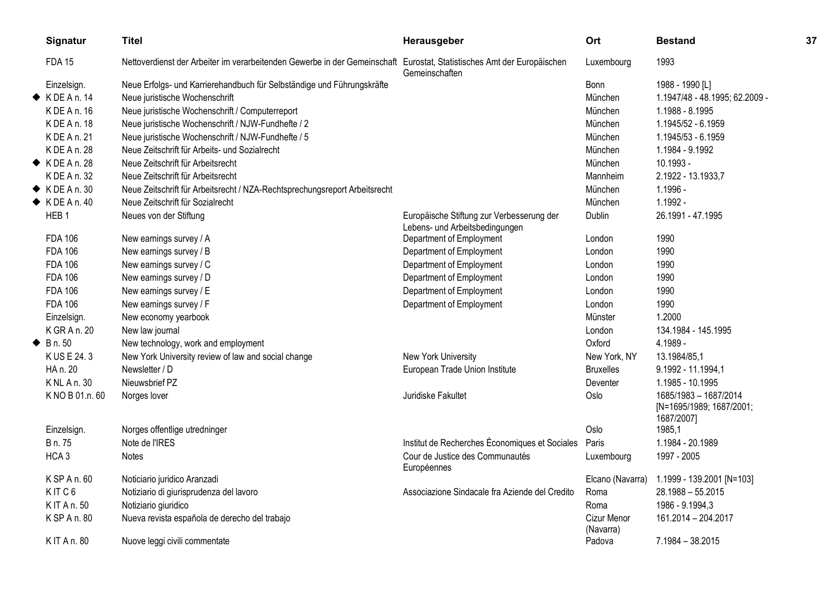| Signatur                  | <b>Titel</b>                                                                                                           | Herausgeber                                                                 | Ort                      | <b>Bestand</b>                                                  | 37 |
|---------------------------|------------------------------------------------------------------------------------------------------------------------|-----------------------------------------------------------------------------|--------------------------|-----------------------------------------------------------------|----|
| <b>FDA 15</b>             | Nettoverdienst der Arbeiter im verarbeitenden Gewerbe in der Gemeinschaft Eurostat, Statistisches Amt der Europäischen | Gemeinschaften                                                              | Luxembourg               | 1993                                                            |    |
| Einzelsign.               | Neue Erfolgs- und Karrierehandbuch für Selbständige und Führungskräfte                                                 |                                                                             | Bonn                     | 1988 - 1990 [L]                                                 |    |
| $\blacklozenge$ KDEAn. 14 | Neue juristische Wochenschrift                                                                                         |                                                                             | München                  | 1.1947/48 - 48.1995; 62.2009 -                                  |    |
| K DE A n. 16              | Neue juristische Wochenschrift / Computerreport                                                                        |                                                                             | München                  | 1.1988 - 8.1995                                                 |    |
| K DE A n. 18              | Neue juristische Wochenschrift / NJW-Fundhefte / 2                                                                     |                                                                             | München                  | 1.1945/52 - 6.1959                                              |    |
| K DE A n. 21              | Neue juristische Wochenschrift / NJW-Fundhefte / 5                                                                     |                                                                             | München                  | 1.1945/53 - 6.1959                                              |    |
| K DE A n. 28              | Neue Zeitschrift für Arbeits- und Sozialrecht                                                                          |                                                                             | München                  | 1.1984 - 9.1992                                                 |    |
| $\blacklozenge$ KDEAn. 28 | Neue Zeitschrift für Arbeitsrecht                                                                                      |                                                                             | München                  | 10.1993 -                                                       |    |
| K DE A n. 32              | Neue Zeitschrift für Arbeitsrecht                                                                                      |                                                                             | Mannheim                 | 2.1922 - 13.1933,7                                              |    |
| $\blacklozenge$ KDEAn. 30 | Neue Zeitschrift für Arbeitsrecht / NZA-Rechtsprechungsreport Arbeitsrecht                                             |                                                                             | München                  | 1.1996 -                                                        |    |
| $\blacklozenge$ KDEAn. 40 | Neue Zeitschrift für Sozialrecht                                                                                       |                                                                             | München                  | 1.1992 -                                                        |    |
| HEB <sub>1</sub>          | Neues von der Stiftung                                                                                                 | Europäische Stiftung zur Verbesserung der<br>Lebens- und Arbeitsbedingungen | Dublin                   | 26.1991 - 47.1995                                               |    |
| <b>FDA 106</b>            | New earnings survey / A                                                                                                | Department of Employment                                                    | London                   | 1990                                                            |    |
| <b>FDA 106</b>            | New earnings survey / B                                                                                                | Department of Employment                                                    | London                   | 1990                                                            |    |
| <b>FDA 106</b>            | New earnings survey / C                                                                                                | Department of Employment                                                    | London                   | 1990                                                            |    |
| <b>FDA 106</b>            | New earnings survey / D                                                                                                | Department of Employment                                                    | London                   | 1990                                                            |    |
| <b>FDA 106</b>            | New earnings survey / E                                                                                                | Department of Employment                                                    | London                   | 1990                                                            |    |
| <b>FDA 106</b>            | New earnings survey / F                                                                                                | Department of Employment                                                    | London                   | 1990                                                            |    |
| Einzelsign.               | New economy yearbook                                                                                                   |                                                                             | Münster                  | 1.2000                                                          |    |
| K GR A n. 20              | New law journal                                                                                                        |                                                                             | London                   | 134.1984 - 145.1995                                             |    |
| $\triangle$ B n. 50       | New technology, work and employment                                                                                    |                                                                             | Oxford                   | 4.1989 -                                                        |    |
| K US E 24.3               | New York University review of law and social change                                                                    | New York University                                                         | New York, NY             | 13.1984/85,1                                                    |    |
| HA n. 20                  | Newsletter / D                                                                                                         | European Trade Union Institute                                              | <b>Bruxelles</b>         | 9.1992 - 11.1994,1                                              |    |
| K NL A n. 30              | Nieuwsbrief PZ                                                                                                         |                                                                             | Deventer                 | 1.1985 - 10.1995                                                |    |
| K NO B 01.n. 60           | Norges lover                                                                                                           | Juridiske Fakultet                                                          | Oslo                     | 1685/1983 - 1687/2014<br>[N=1695/1989; 1687/2001;<br>1687/2007] |    |
| Einzelsign.               | Norges offentlige utredninger                                                                                          |                                                                             | Oslo                     | 1985,1                                                          |    |
| B n. 75                   | Note de l'IRES                                                                                                         | Institut de Recherches Économiques et Sociales                              | Paris                    | 1.1984 - 20.1989                                                |    |
| HCA <sub>3</sub>          | Notes                                                                                                                  | Cour de Justice des Communautés<br>Européennes                              | Luxembourg               | 1997 - 2005                                                     |    |
| K SP A n. 60              | Noticiario juridico Aranzadi                                                                                           |                                                                             | Elcano (Navarra)         | 1.1999 - 139.2001 [N=103]                                       |    |
| KITC6                     | Notiziario di giurisprudenza del lavoro                                                                                | Associazione Sindacale fra Aziende del Credito                              | Roma                     | $28.1988 - 55.2015$                                             |    |
| K IT A n. 50              | Notiziario giuridico                                                                                                   |                                                                             | Roma                     | 1986 - 9.1994,3                                                 |    |
| K SP A n. 80              | Nueva revista española de derecho del trabajo                                                                          |                                                                             | Cizur Menor<br>(Navarra) | 161.2014 - 204.2017                                             |    |
| K IT A n. 80              | Nuove leggi civili commentate                                                                                          |                                                                             | Padova                   | 7.1984 - 38.2015                                                |    |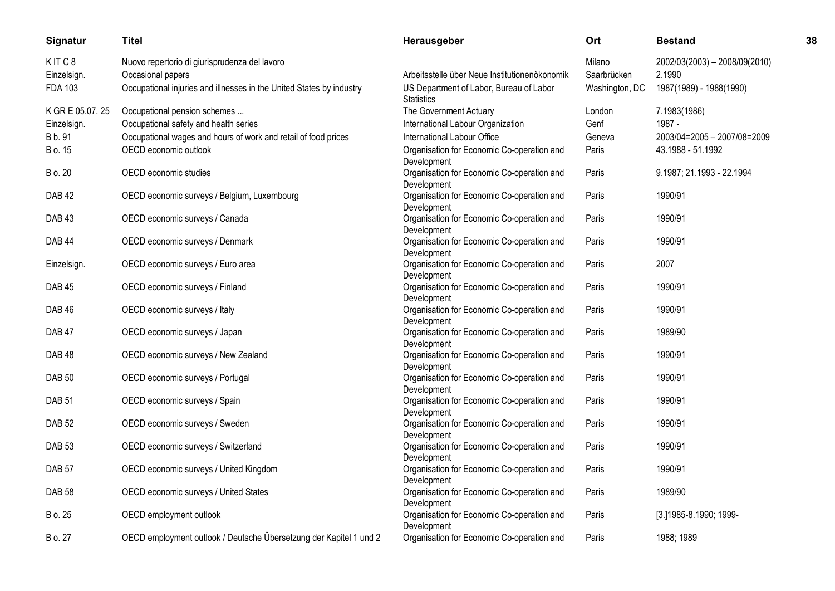| <b>Signatur</b>   | Titel                                                                | <b>Herausgeber</b>                                           | Ort            | Bestand                       | 38 |
|-------------------|----------------------------------------------------------------------|--------------------------------------------------------------|----------------|-------------------------------|----|
| KITC8             | Nuovo repertorio di giurisprudenza del lavoro                        |                                                              | Milano         | 2002/03(2003) - 2008/09(2010) |    |
| Einzelsign.       | Occasional papers                                                    | Arbeitsstelle über Neue Institutionenökonomik                | Saarbrücken    | 2.1990                        |    |
| <b>FDA 103</b>    | Occupational injuries and illnesses in the United States by industry | US Department of Labor, Bureau of Labor<br><b>Statistics</b> | Washington, DC | 1987(1989) - 1988(1990)       |    |
| K GR E 05.07.25   | Occupational pension schemes                                         | The Government Actuary                                       | London         | 7.1983(1986)                  |    |
| Einzelsign.       | Occupational safety and health series                                | International Labour Organization                            | Genf           | 1987 -                        |    |
| B b. 91           | Occupational wages and hours of work and retail of food prices       | International Labour Office                                  | Geneva         | 2003/04=2005 - 2007/08=2009   |    |
| B o. 15           | OECD economic outlook                                                | Organisation for Economic Co-operation and<br>Development    | Paris          | 43.1988 - 51.1992             |    |
| B o. 20           | OECD economic studies                                                | Organisation for Economic Co-operation and<br>Development    | Paris          | 9.1987; 21.1993 - 22.1994     |    |
| <b>DAB 42</b>     | OECD economic surveys / Belgium, Luxembourg                          | Organisation for Economic Co-operation and<br>Development    | Paris          | 1990/91                       |    |
| DAB <sub>43</sub> | OECD economic surveys / Canada                                       | Organisation for Economic Co-operation and<br>Development    | Paris          | 1990/91                       |    |
| <b>DAB 44</b>     | OECD economic surveys / Denmark                                      | Organisation for Economic Co-operation and<br>Development    | Paris          | 1990/91                       |    |
| Einzelsign.       | OECD economic surveys / Euro area                                    | Organisation for Economic Co-operation and<br>Development    | Paris          | 2007                          |    |
| <b>DAB 45</b>     | OECD economic surveys / Finland                                      | Organisation for Economic Co-operation and<br>Development    | Paris          | 1990/91                       |    |
| <b>DAB 46</b>     | OECD economic surveys / Italy                                        | Organisation for Economic Co-operation and<br>Development    | Paris          | 1990/91                       |    |
| DAB <sub>47</sub> | OECD economic surveys / Japan                                        | Organisation for Economic Co-operation and<br>Development    | Paris          | 1989/90                       |    |
| <b>DAB48</b>      | OECD economic surveys / New Zealand                                  | Organisation for Economic Co-operation and<br>Development    | Paris          | 1990/91                       |    |
| <b>DAB 50</b>     | OECD economic surveys / Portugal                                     | Organisation for Economic Co-operation and<br>Development    | Paris          | 1990/91                       |    |
| <b>DAB 51</b>     | OECD economic surveys / Spain                                        | Organisation for Economic Co-operation and<br>Development    | Paris          | 1990/91                       |    |
| <b>DAB 52</b>     | OECD economic surveys / Sweden                                       | Organisation for Economic Co-operation and<br>Development    | Paris          | 1990/91                       |    |
| DAB <sub>53</sub> | OECD economic surveys / Switzerland                                  | Organisation for Economic Co-operation and<br>Development    | Paris          | 1990/91                       |    |
| DAB <sub>57</sub> | OECD economic surveys / United Kingdom                               | Organisation for Economic Co-operation and<br>Development    | Paris          | 1990/91                       |    |
| <b>DAB 58</b>     | OECD economic surveys / United States                                | Organisation for Economic Co-operation and<br>Development    | Paris          | 1989/90                       |    |
| B o. 25           | OECD employment outlook                                              | Organisation for Economic Co-operation and<br>Development    | Paris          | [3.]1985-8.1990; 1999-        |    |
| B o. 27           | OECD employment outlook / Deutsche Übersetzung der Kapitel 1 und 2   | Organisation for Economic Co-operation and                   | Paris          | 1988; 1989                    |    |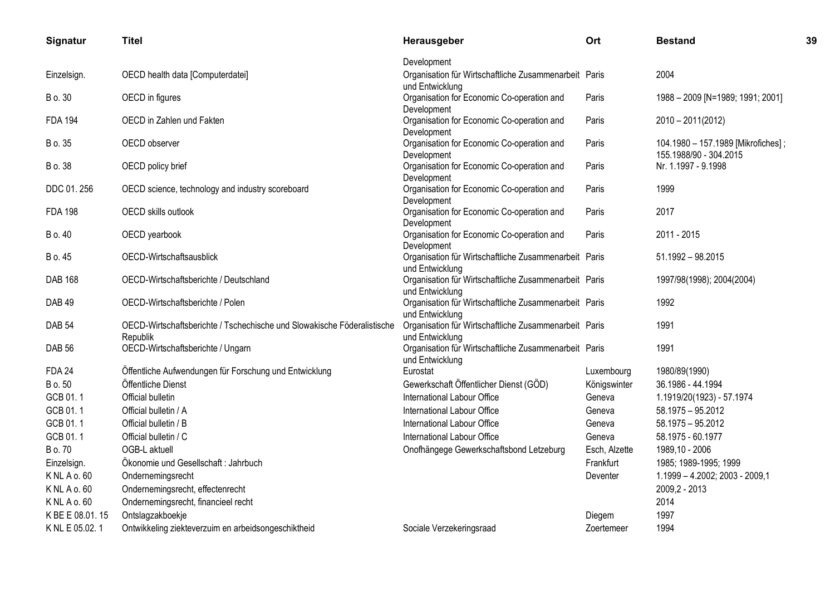| Signatur          | <b>Titel</b>                                                                        | Herausgeber                                                              | Ort           | <b>Bestand</b>                                               | 39 |
|-------------------|-------------------------------------------------------------------------------------|--------------------------------------------------------------------------|---------------|--------------------------------------------------------------|----|
|                   |                                                                                     | Development                                                              |               |                                                              |    |
| Einzelsign.       | OECD health data [Computerdatei]                                                    | Organisation für Wirtschaftliche Zusammenarbeit Paris<br>und Entwicklung |               | 2004                                                         |    |
| B o. 30           | OECD in figures                                                                     | Organisation for Economic Co-operation and<br>Development                | Paris         | 1988 - 2009 [N=1989; 1991; 2001]                             |    |
| <b>FDA 194</b>    | OECD in Zahlen und Fakten                                                           | Organisation for Economic Co-operation and<br>Development                | Paris         | 2010 - 2011(2012)                                            |    |
| B o. 35           | OECD observer                                                                       | Organisation for Economic Co-operation and<br>Development                | Paris         | 104.1980 - 157.1989 [Mikrofiches];<br>155.1988/90 - 304.2015 |    |
| B o. 38           | OECD policy brief                                                                   | Organisation for Economic Co-operation and<br>Development                | Paris         | Nr. 1.1997 - 9.1998                                          |    |
| DDC 01.256        | OECD science, technology and industry scoreboard                                    | Organisation for Economic Co-operation and<br>Development                | Paris         | 1999                                                         |    |
| <b>FDA 198</b>    | OECD skills outlook                                                                 | Organisation for Economic Co-operation and<br>Development                | Paris         | 2017                                                         |    |
| B o. 40           | OECD yearbook                                                                       | Organisation for Economic Co-operation and<br>Development                | Paris         | 2011 - 2015                                                  |    |
| B o. 45           | OECD-Wirtschaftsausblick                                                            | Organisation für Wirtschaftliche Zusammenarbeit Paris<br>und Entwicklung |               | $51.1992 - 98.2015$                                          |    |
| <b>DAB 168</b>    | OECD-Wirtschaftsberichte / Deutschland                                              | Organisation für Wirtschaftliche Zusammenarbeit Paris<br>und Entwicklung |               | 1997/98(1998); 2004(2004)                                    |    |
| DAB <sub>49</sub> | OECD-Wirtschaftsberichte / Polen                                                    | Organisation für Wirtschaftliche Zusammenarbeit Paris<br>und Entwicklung |               | 1992                                                         |    |
| <b>DAB 54</b>     | OECD-Wirtschaftsberichte / Tschechische und Slowakische Föderalistische<br>Republik | Organisation für Wirtschaftliche Zusammenarbeit Paris<br>und Entwicklung |               | 1991                                                         |    |
| <b>DAB 56</b>     | OECD-Wirtschaftsberichte / Ungarn                                                   | Organisation für Wirtschaftliche Zusammenarbeit Paris<br>und Entwicklung |               | 1991                                                         |    |
| <b>FDA 24</b>     | Öffentliche Aufwendungen für Forschung und Entwicklung                              | Eurostat                                                                 | Luxembourg    | 1980/89(1990)                                                |    |
| B o. 50           | Öffentliche Dienst                                                                  | Gewerkschaft Öffentlicher Dienst (GÖD)                                   | Königswinter  | 36.1986 - 44.1994                                            |    |
| GCB 01.1          | Official bulletin                                                                   | International Labour Office                                              | Geneva        | 1.1919/20(1923) - 57.1974                                    |    |
| GCB 01.1          | Official bulletin / A                                                               | International Labour Office                                              | Geneva        | 58.1975 - 95.2012                                            |    |
| GCB 01.1          | Official bulletin / B                                                               | International Labour Office                                              | Geneva        | 58.1975 - 95.2012                                            |    |
| GCB 01.1          | Official bulletin / C                                                               | International Labour Office                                              | Geneva        | 58.1975 - 60.1977                                            |    |
| B o. 70           | OGB-L aktuell                                                                       | Onofhängege Gewerkschaftsbond Letzeburg                                  | Esch, Alzette | 1989,10 - 2006                                               |    |
| Einzelsign.       | Ökonomie und Gesellschaft: Jahrbuch                                                 |                                                                          | Frankfurt     | 1985; 1989-1995; 1999                                        |    |
| K NL A o. 60      | Ondernemingsrecht                                                                   |                                                                          | Deventer      | 1.1999 - 4.2002; 2003 - 2009,1                               |    |
| K NL A o. 60      | Ondernemingsrecht, effectenrecht                                                    |                                                                          |               | 2009,2 - 2013                                                |    |
| K NL A o. 60      | Ondernemingsrecht, financieel recht                                                 |                                                                          |               | 2014                                                         |    |
| K BE E 08.01.15   | Ontslagzakboekje                                                                    |                                                                          | Diegem        | 1997                                                         |    |
| K NL E 05.02.1    | Ontwikkeling ziekteverzuim en arbeidsongeschiktheid                                 | Sociale Verzekeringsraad                                                 | Zoertemeer    | 1994                                                         |    |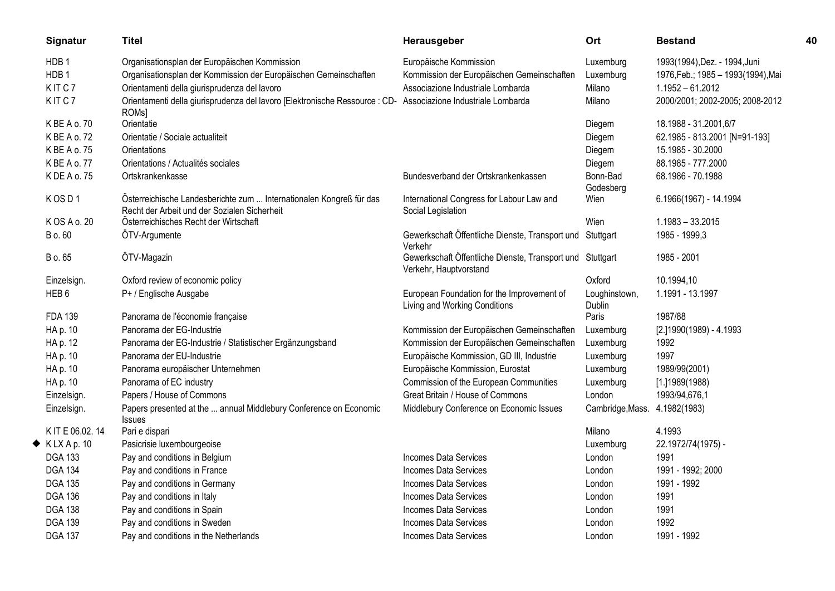| Signatur                   | <b>Titel</b>                                                                                                                      | Herausgeber                                                                         | Ort                            | <b>Bestand</b>                     | 40 |
|----------------------------|-----------------------------------------------------------------------------------------------------------------------------------|-------------------------------------------------------------------------------------|--------------------------------|------------------------------------|----|
| HDB <sub>1</sub>           | Organisationsplan der Europäischen Kommission                                                                                     | Europäische Kommission                                                              | Luxemburg                      | 1993(1994), Dez. - 1994, Juni      |    |
| HDB <sub>1</sub>           | Organisationsplan der Kommission der Europäischen Gemeinschaften                                                                  | Kommission der Europäischen Gemeinschaften                                          | Luxemburg                      | 1976, Feb.; 1985 - 1993(1994), Mai |    |
| KITC7                      | Orientamenti della giurisprudenza del lavoro                                                                                      | Associazione Industriale Lombarda                                                   | Milano                         | $1.1952 - 61.2012$                 |    |
| KITC7                      | Orientamenti della giurisprudenza del lavoro [Elektronische Ressource : CD- Associazione Industriale Lombarda<br>ROM <sub>s</sub> |                                                                                     | Milano                         | 2000/2001; 2002-2005; 2008-2012    |    |
| K BE A o. 70               | Orientatie                                                                                                                        |                                                                                     | Diegem                         | 18.1988 - 31.2001,6/7              |    |
| K BE A o. 72               | Orientatie / Sociale actualiteit                                                                                                  |                                                                                     | Diegem                         | 62.1985 - 813.2001 [N=91-193]      |    |
| K BE A o. 75               | Orientations                                                                                                                      |                                                                                     | Diegem                         | 15.1985 - 30.2000                  |    |
| K BE A o. 77               | Orientations / Actualités sociales                                                                                                |                                                                                     | Diegem                         | 88.1985 - 777.2000                 |    |
| K DE A o. 75               | Ortskrankenkasse                                                                                                                  | Bundesverband der Ortskrankenkassen                                                 | Bonn-Bad<br>Godesberg          | 68.1986 - 70.1988                  |    |
| KOSD1                      | Österreichische Landesberichte zum  Internationalen Kongreß für das<br>Recht der Arbeit und der Sozialen Sicherheit               | International Congress for Labour Law and<br>Social Legislation                     | Wien                           | 6.1966(1967) - 14.1994             |    |
| K OS A o. 20               | Österreichisches Recht der Wirtschaft                                                                                             |                                                                                     | Wien                           | $1.1983 - 33.2015$                 |    |
| B o. 60                    | ÖTV-Argumente                                                                                                                     | Gewerkschaft Öffentliche Dienste, Transport und<br>Verkehr                          | Stuttgart                      | 1985 - 1999,3                      |    |
| B o. 65                    | ÖTV-Magazin                                                                                                                       | Gewerkschaft Öffentliche Dienste, Transport und Stuttgart<br>Verkehr, Hauptvorstand |                                | 1985 - 2001                        |    |
| Einzelsign.                | Oxford review of economic policy                                                                                                  |                                                                                     | Oxford                         | 10.1994,10                         |    |
| HEB <sub>6</sub>           | P+ / Englische Ausgabe                                                                                                            | European Foundation for the Improvement of<br>Living and Working Conditions         | Loughinstown,<br><b>Dublin</b> | 1.1991 - 13.1997                   |    |
| <b>FDA 139</b>             | Panorama de l'économie française                                                                                                  |                                                                                     | Paris                          | 1987/88                            |    |
| HA p. 10                   | Panorama der EG-Industrie                                                                                                         | Kommission der Europäischen Gemeinschaften                                          | Luxemburg                      | [2.]1990(1989) - 4.1993            |    |
| HA p. 12                   | Panorama der EG-Industrie / Statistischer Ergänzungsband                                                                          | Kommission der Europäischen Gemeinschaften                                          | Luxemburg                      | 1992                               |    |
| HA p. 10                   | Panorama der EU-Industrie                                                                                                         | Europäische Kommission, GD III, Industrie                                           | Luxemburg                      | 1997                               |    |
| HA p. 10                   | Panorama europäischer Unternehmen                                                                                                 | Europäische Kommission, Eurostat                                                    | Luxemburg                      | 1989/99(2001)                      |    |
| HA p. 10                   | Panorama of EC industry                                                                                                           | Commission of the European Communities                                              | Luxemburg                      | [1.]1989(1988)                     |    |
| Einzelsign.                | Papers / House of Commons                                                                                                         | Great Britain / House of Commons                                                    | London                         | 1993/94,676,1                      |    |
| Einzelsign.                | Papers presented at the  annual Middlebury Conference on Economic<br><b>Issues</b>                                                | Middlebury Conference on Economic Issues                                            | Cambridge, Mass.               | 4.1982(1983)                       |    |
| K IT E 06.02.14            | Pari e dispari                                                                                                                    |                                                                                     | Milano                         | 4.1993                             |    |
| $\blacklozenge$ KLX Ap. 10 | Pasicrisie luxembourgeoise                                                                                                        |                                                                                     | Luxemburg                      | 22.1972/74(1975) -                 |    |
| <b>DGA 133</b>             | Pay and conditions in Belgium                                                                                                     | <b>Incomes Data Services</b>                                                        | London                         | 1991                               |    |
| <b>DGA 134</b>             | Pay and conditions in France                                                                                                      | <b>Incomes Data Services</b>                                                        | London                         | 1991 - 1992; 2000                  |    |
| <b>DGA 135</b>             | Pay and conditions in Germany                                                                                                     | <b>Incomes Data Services</b>                                                        | London                         | 1991 - 1992                        |    |
| <b>DGA 136</b>             | Pay and conditions in Italy                                                                                                       | <b>Incomes Data Services</b>                                                        | London                         | 1991                               |    |
| <b>DGA 138</b>             | Pay and conditions in Spain                                                                                                       | <b>Incomes Data Services</b>                                                        | London                         | 1991                               |    |
| <b>DGA 139</b>             | Pay and conditions in Sweden                                                                                                      | <b>Incomes Data Services</b>                                                        | London                         | 1992                               |    |
| <b>DGA 137</b>             | Pay and conditions in the Netherlands                                                                                             | Incomes Data Services                                                               | London                         | 1991 - 1992                        |    |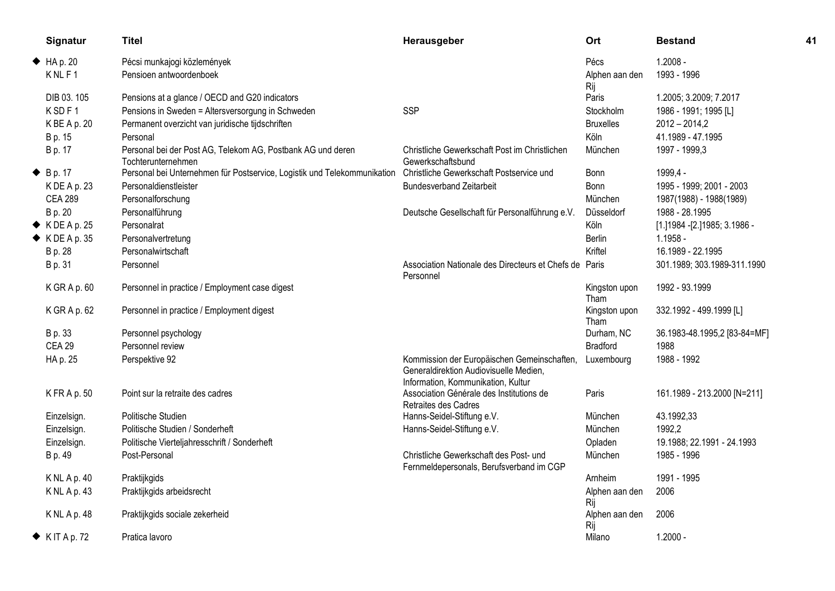| Signatur                  | <b>Titel</b>                                                                      | Herausgeber                                                                                                                 | Ort                   | <b>Bestand</b>                  | 41 |
|---------------------------|-----------------------------------------------------------------------------------|-----------------------------------------------------------------------------------------------------------------------------|-----------------------|---------------------------------|----|
| HAP.20                    | Pécsi munkajogi közlemények                                                       |                                                                                                                             | Pécs                  | $1.2008 -$                      |    |
| KNLF1                     | Pensioen antwoordenboek                                                           |                                                                                                                             | Alphen aan den<br>Rij | 1993 - 1996                     |    |
| DIB 03.105                | Pensions at a glance / OECD and G20 indicators                                    |                                                                                                                             | Paris                 | 1.2005; 3.2009; 7.2017          |    |
| KSDF1                     | Pensions in Sweden = Altersversorgung in Schweden                                 | <b>SSP</b>                                                                                                                  | Stockholm             | 1986 - 1991; 1995 [L]           |    |
| K BE A p. 20              | Permanent overzicht van juridische tijdschriften                                  |                                                                                                                             | <b>Bruxelles</b>      | $2012 - 2014,2$                 |    |
| B p. 15                   | Personal                                                                          |                                                                                                                             | Köln                  | 41.1989 - 47.1995               |    |
| B p. 17                   | Personal bei der Post AG, Telekom AG, Postbank AG und deren<br>Tochterunternehmen | Christliche Gewerkschaft Post im Christlichen<br>Gewerkschaftsbund                                                          | München               | 1997 - 1999,3                   |    |
| $\blacklozenge$ B p. 17   | Personal bei Unternehmen für Postservice, Logistik und Telekommunikation          | Christliche Gewerkschaft Postservice und                                                                                    | Bonn                  | 1999,4 -                        |    |
| KDEAp. 23                 | Personaldienstleister                                                             | <b>Bundesverband Zeitarbeit</b>                                                                                             | Bonn                  | 1995 - 1999; 2001 - 2003        |    |
| <b>CEA 289</b>            | Personalforschung                                                                 |                                                                                                                             | München               | 1987(1988) - 1988(1989)         |    |
| B p. 20                   | Personalführung                                                                   | Deutsche Gesellschaft für Personalführung e.V.                                                                              | Düsseldorf            | 1988 - 28.1995                  |    |
| $\blacklozenge$ KDEAp. 25 | Personalrat                                                                       |                                                                                                                             | Köln                  | [1.] 1984 - [2.] 1985; 3.1986 - |    |
| $\blacklozenge$ KDEAp. 35 | Personalvertretung                                                                |                                                                                                                             | <b>Berlin</b>         | $1.1958 -$                      |    |
| B p. 28                   | Personalwirtschaft                                                                |                                                                                                                             | Kriftel               | 16.1989 - 22.1995               |    |
| B p. 31                   | Personnel                                                                         | Association Nationale des Directeurs et Chefs de Paris<br>Personnel                                                         |                       | 301.1989; 303.1989-311.1990     |    |
| K GR A p. 60              | Personnel in practice / Employment case digest                                    |                                                                                                                             | Kingston upon<br>Tham | 1992 - 93.1999                  |    |
| K GR A p. 62              | Personnel in practice / Employment digest                                         |                                                                                                                             | Kingston upon<br>Tham | 332.1992 - 499.1999 [L]         |    |
| B p. 33                   | Personnel psychology                                                              |                                                                                                                             | Durham, NC            | 36.1983-48.1995,2 [83-84=MF]    |    |
| <b>CEA 29</b>             | Personnel review                                                                  |                                                                                                                             | <b>Bradford</b>       | 1988                            |    |
| HA p. 25                  | Perspektive 92                                                                    | Kommission der Europäischen Gemeinschaften,<br>Generaldirektion Audiovisuelle Medien,<br>Information, Kommunikation, Kultur | Luxembourg            | 1988 - 1992                     |    |
| KFRAp.50                  | Point sur la retraite des cadres                                                  | Association Générale des Institutions de<br>Retraites des Cadres                                                            | Paris                 | 161.1989 - 213.2000 [N=211]     |    |
| Einzelsign.               | Politische Studien                                                                | Hanns-Seidel-Stiftung e.V.                                                                                                  | München               | 43.1992,33                      |    |
| Einzelsign.               | Politische Studien / Sonderheft                                                   | Hanns-Seidel-Stiftung e.V.                                                                                                  | München               | 1992,2                          |    |
| Einzelsign.               | Politische Vierteljahresschrift / Sonderheft                                      |                                                                                                                             | Opladen               | 19.1988; 22.1991 - 24.1993      |    |
| B p. 49                   | Post-Personal                                                                     | Christliche Gewerkschaft des Post- und<br>Fernmeldepersonals, Berufsverband im CGP                                          | München               | 1985 - 1996                     |    |
| K NL A p. 40              | Praktijkgids                                                                      |                                                                                                                             | Arnheim               | 1991 - 1995                     |    |
| $K$ NL A p. 43            | Praktijkgids arbeidsrecht                                                         |                                                                                                                             | Alphen aan den<br>Rij | 2006                            |    |
| K NL A p. 48              | Praktijkgids sociale zekerheid                                                    |                                                                                                                             | Alphen aan den<br>Rij | 2006                            |    |
| $\blacklozenge$ KITAp.72  | Pratica lavoro                                                                    |                                                                                                                             | Milano                | $1.2000 -$                      |    |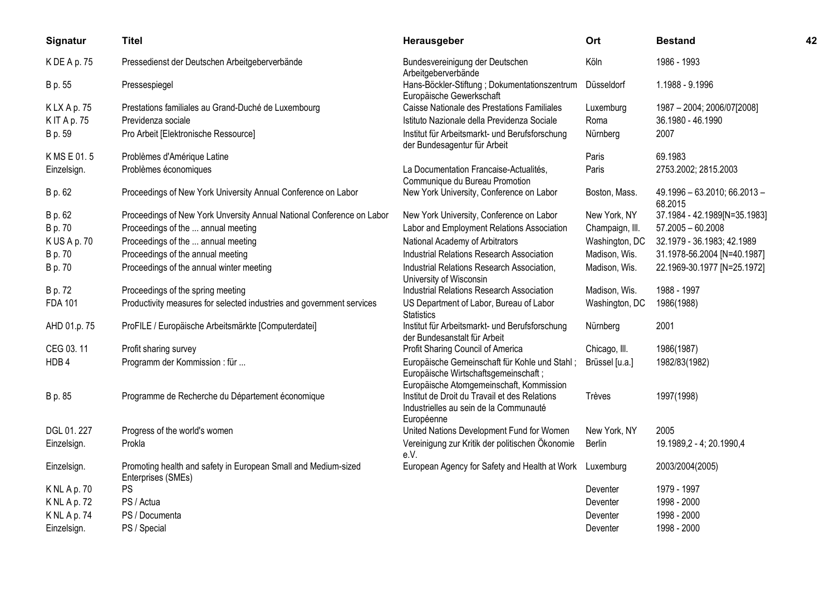| Signatur          | <b>Titel</b>                                                                         | Herausgeber                                                                                                                       | Ort             | <b>Bestand</b>                          | 42 |
|-------------------|--------------------------------------------------------------------------------------|-----------------------------------------------------------------------------------------------------------------------------------|-----------------|-----------------------------------------|----|
| K DE A p. 75      | Pressedienst der Deutschen Arbeitgeberverbände                                       | Bundesvereinigung der Deutschen<br>Arbeitgeberverbände                                                                            | Köln            | 1986 - 1993                             |    |
| B p. 55           | Pressespiegel                                                                        | Hans-Böckler-Stiftung ; Dokumentationszentrum<br>Europäische Gewerkschaft                                                         | Düsseldorf      | 1.1988 - 9.1996                         |    |
| KLXAp.75          | Prestations familiales au Grand-Duché de Luxembourg                                  | Caisse Nationale des Prestations Familiales                                                                                       | Luxemburg       | 1987 - 2004; 2006/07[2008]              |    |
| <b>KIT Ap. 75</b> | Previdenza sociale                                                                   | Istituto Nazionale della Previdenza Sociale                                                                                       | Roma            | 36.1980 - 46.1990                       |    |
| B p. 59           | Pro Arbeit [Elektronische Ressource]                                                 | Institut für Arbeitsmarkt- und Berufsforschung<br>der Bundesagentur für Arbeit                                                    | Nürnberg        | 2007                                    |    |
| K MS E 01.5       | Problèmes d'Amérique Latine                                                          |                                                                                                                                   | Paris           | 69.1983                                 |    |
| Einzelsign.       | Problèmes économiques                                                                | La Documentation Francaise-Actualités,<br>Communique du Bureau Promotion                                                          | Paris           | 2753.2002; 2815.2003                    |    |
| B p. 62           | Proceedings of New York University Annual Conference on Labor                        | New York University, Conference on Labor                                                                                          | Boston, Mass.   | 49.1996 - 63.2010; 66.2013 -<br>68.2015 |    |
| B p. 62           | Proceedings of New York Unversity Annual National Conference on Labor                | New York University, Conference on Labor                                                                                          | New York, NY    | 37.1984 - 42.1989[N=35.1983]            |    |
| B p. 70           | Proceedings of the  annual meeting                                                   | Labor and Employment Relations Association                                                                                        | Champaign, III. | $57.2005 - 60.2008$                     |    |
| KUSAp.70          | Proceedings of the  annual meeting                                                   | National Academy of Arbitrators                                                                                                   | Washington, DC  | 32.1979 - 36.1983; 42.1989              |    |
| B p. 70           | Proceedings of the annual meeting                                                    | Industrial Relations Research Association                                                                                         | Madison, Wis.   | 31.1978-56.2004 [N=40.1987]             |    |
| B p. 70           | Proceedings of the annual winter meeting                                             | Industrial Relations Research Association,<br>University of Wisconsin                                                             | Madison, Wis.   | 22.1969-30.1977 [N=25.1972]             |    |
| B p. 72           | Proceedings of the spring meeting                                                    | <b>Industrial Relations Research Association</b>                                                                                  | Madison, Wis.   | 1988 - 1997                             |    |
| <b>FDA 101</b>    | Productivity measures for selected industries and government services                | US Department of Labor, Bureau of Labor<br><b>Statistics</b>                                                                      | Washington, DC  | 1986(1988)                              |    |
| AHD 01.p. 75      | ProFILE / Europäische Arbeitsmärkte [Computerdatei]                                  | Institut für Arbeitsmarkt- und Berufsforschung<br>der Bundesanstalt für Arbeit                                                    | Nürnberg        | 2001                                    |    |
| CEG 03.11         | Profit sharing survey                                                                | Profit Sharing Council of America                                                                                                 | Chicago, III.   | 1986(1987)                              |    |
| HDB4              | Programm der Kommission : für                                                        | Europäische Gemeinschaft für Kohle und Stahl;<br>Europäische Wirtschaftsgemeinschaft;<br>Europäische Atomgemeinschaft, Kommission | Brüssel [u.a.]  | 1982/83(1982)                           |    |
| B p. 85           | Programme de Recherche du Département économique                                     | Institut de Droit du Travail et des Relations<br>Industrielles au sein de la Communauté<br>Européenne                             | Trèves          | 1997(1998)                              |    |
| DGL 01.227        | Progress of the world's women                                                        | United Nations Development Fund for Women                                                                                         | New York, NY    | 2005                                    |    |
| Einzelsign.       | Prokla                                                                               | Vereinigung zur Kritik der politischen Ökonomie<br>e.V.                                                                           | Berlin          | 19.1989,2 - 4; 20.1990,4                |    |
| Einzelsign.       | Promoting health and safety in European Small and Medium-sized<br>Enterprises (SMEs) | European Agency for Safety and Health at Work Luxemburg                                                                           |                 | 2003/2004(2005)                         |    |
| K NL A p. 70      | PS                                                                                   |                                                                                                                                   | Deventer        | 1979 - 1997                             |    |
| <b>KNLAp.72</b>   | PS / Actua                                                                           |                                                                                                                                   | Deventer        | 1998 - 2000                             |    |
| <b>KNLAp.74</b>   | PS / Documenta                                                                       |                                                                                                                                   | Deventer        | 1998 - 2000                             |    |
| Einzelsign.       | PS / Special                                                                         |                                                                                                                                   | Deventer        | 1998 - 2000                             |    |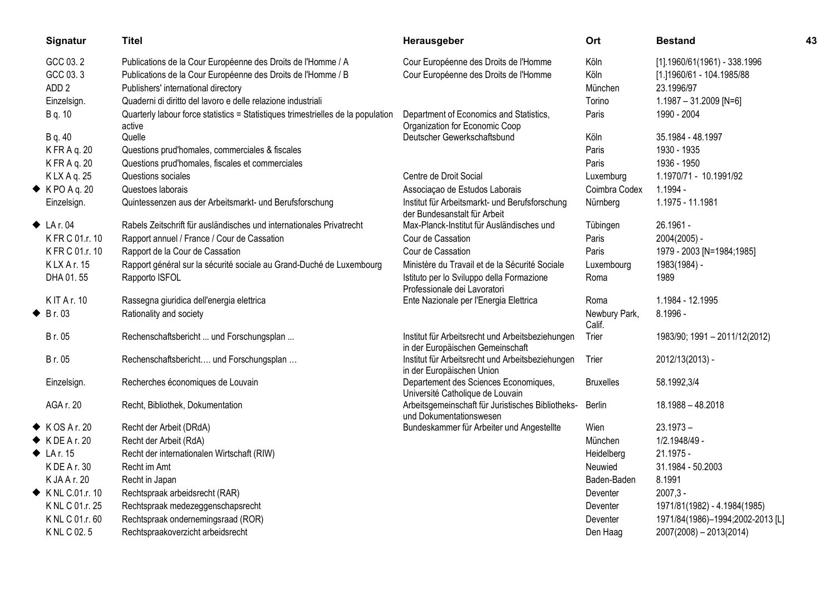| Signatur                    | <b>Titel</b>                                                                               | Herausgeber                                                                          | Ort                     | <b>Bestand</b>                   | 43 |
|-----------------------------|--------------------------------------------------------------------------------------------|--------------------------------------------------------------------------------------|-------------------------|----------------------------------|----|
| GCC 03.2                    | Publications de la Cour Européenne des Droits de l'Homme / A                               | Cour Européenne des Droits de l'Homme                                                | Köln                    | $[1]$ .1960/61(1961) - 338.1996  |    |
| GCC 03.3                    | Publications de la Cour Européenne des Droits de l'Homme / B                               | Cour Européenne des Droits de l'Homme                                                | Köln                    | [1.]1960/61 - 104.1985/88        |    |
| ADD <sub>2</sub>            | Publishers' international directory                                                        |                                                                                      | München                 | 23.1996/97                       |    |
| Einzelsign.                 | Quaderni di diritto del lavoro e delle relazione industriali                               |                                                                                      | Torino                  | $1.1987 - 31.2009$ [N=6]         |    |
| B q. 10                     | Quarterly labour force statistics = Statistiques trimestrielles de la population<br>active | Department of Economics and Statistics,<br>Organization for Economic Coop            | Paris                   | 1990 - 2004                      |    |
| B q. 40                     | Quelle                                                                                     | Deutscher Gewerkschaftsbund                                                          | Köln                    | 35.1984 - 48.1997                |    |
| K FR A q. 20                | Questions prud'homales, commerciales & fiscales                                            |                                                                                      | Paris                   | 1930 - 1935                      |    |
| K FR A q. 20                | Questions prud'homales, fiscales et commerciales                                           |                                                                                      | Paris                   | 1936 - 1950                      |    |
| K LX A q. 25                | Questions sociales                                                                         | Centre de Droit Social                                                               | Luxemburg               | 1.1970/71 - 10.1991/92           |    |
| $\blacklozenge$ KPO A q. 20 | Questoes laborais                                                                          | Associação de Estudos Laborais                                                       | Coimbra Codex           | 1.1994 -                         |    |
| Einzelsign.                 | Quintessenzen aus der Arbeitsmarkt- und Berufsforschung                                    | Institut für Arbeitsmarkt- und Berufsforschung<br>der Bundesanstalt für Arbeit       | Nürnberg                | 1.1975 - 11.1981                 |    |
| $\blacklozenge$ LA r. 04    | Rabels Zeitschrift für ausländisches und internationales Privatrecht                       | Max-Planck-Institut für Ausländisches und                                            | Tübingen                | 26.1961 -                        |    |
| K FR C 01.r. 10             | Rapport annuel / France / Cour de Cassation                                                | Cour de Cassation                                                                    | Paris                   | 2004(2005) -                     |    |
| K FR C 01.r. 10             | Rapport de la Cour de Cassation                                                            | Cour de Cassation                                                                    | Paris                   | 1979 - 2003 [N=1984;1985]        |    |
| KLXAr. 15                   | Rapport général sur la sécurité sociale au Grand-Duché de Luxembourg                       | Ministère du Travail et de la Sécurité Sociale                                       | Luxembourg              | 1983(1984) -                     |    |
| DHA 01.55                   | Rapporto ISFOL                                                                             | Istituto per lo Sviluppo della Formazione<br>Professionale dei Lavoratori            | Roma                    | 1989                             |    |
| <b>KIT Ar. 10</b>           | Rassegna giuridica dell'energia elettrica                                                  | Ente Nazionale per l'Energia Elettrica                                               | Roma                    | 1.1984 - 12.1995                 |    |
| $\triangle$ Br. 03          | Rationality and society                                                                    |                                                                                      | Newbury Park,<br>Calif. | 8.1996 -                         |    |
| B r. 05                     | Rechenschaftsbericht  und Forschungsplan                                                   | Institut für Arbeitsrecht und Arbeitsbeziehungen<br>in der Europäischen Gemeinschaft | Trier                   | 1983/90; 1991 - 2011/12(2012)    |    |
| Br. 05                      | Rechenschaftsbericht und Forschungsplan                                                    | Institut für Arbeitsrecht und Arbeitsbeziehungen<br>in der Europäischen Union        | Trier                   | 2012/13(2013) -                  |    |
| Einzelsign.                 | Recherches économiques de Louvain                                                          | Departement des Sciences Economiques,<br>Université Catholique de Louvain            | <b>Bruxelles</b>        | 58.1992,3/4                      |    |
| AGA r. 20                   | Recht, Bibliothek, Dokumentation                                                           | Arbeitsgemeinschaft für Juristisches Bibliotheks-<br>und Dokumentationswesen         | Berlin                  | 18.1988 - 48.2018                |    |
| $\blacklozenge$ KOSAr. 20   | Recht der Arbeit (DRdA)                                                                    | Bundeskammer für Arbeiter und Angestellte                                            | Wien                    | $23.1973 -$                      |    |
| $\blacklozenge$ KDEAr. 20   | Recht der Arbeit (RdA)                                                                     |                                                                                      | München                 | 1/2.1948/49 -                    |    |
| $\blacklozenge$ LA r. 15    | Recht der internationalen Wirtschaft (RIW)                                                 |                                                                                      | Heidelberg              | 21.1975 -                        |    |
| K DE A r. 30                | Recht im Amt                                                                               |                                                                                      | Neuwied                 | 31.1984 - 50.2003                |    |
| K JA A r. 20                | Recht in Japan                                                                             |                                                                                      | Baden-Baden             | 8.1991                           |    |
| ← KNL C.01.r. 10            | Rechtspraak arbeidsrecht (RAR)                                                             |                                                                                      | Deventer                | $2007,3 -$                       |    |
| K NL C 01.r. 25             | Rechtspraak medezeggenschapsrecht                                                          |                                                                                      | Deventer                | 1971/81(1982) - 4.1984(1985)     |    |
| K NL C 01.r. 60             | Rechtspraak ondernemingsraad (ROR)                                                         |                                                                                      | Deventer                | 1971/84(1986)-1994;2002-2013 [L] |    |
| K NL C 02.5                 | Rechtspraakoverzicht arbeidsrecht                                                          |                                                                                      | Den Haag                | $2007(2008) - 2013(2014)$        |    |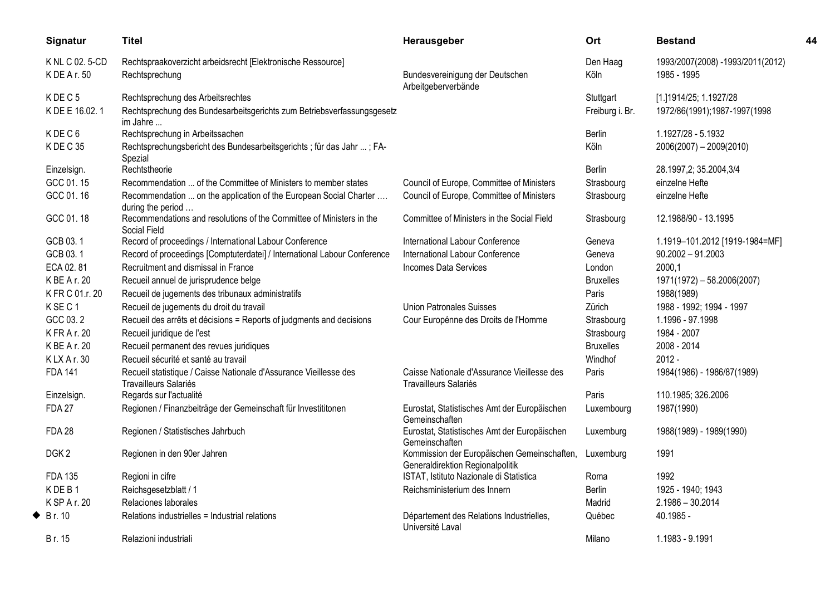|   | Signatur          | <b>Titel</b>                                                                               | Herausgeber                                                                     | Ort              | <b>Bestand</b>                   | 44 |
|---|-------------------|--------------------------------------------------------------------------------------------|---------------------------------------------------------------------------------|------------------|----------------------------------|----|
|   | K NL C 02.5-CD    | Rechtspraakoverzicht arbeidsrecht [Elektronische Ressource]                                |                                                                                 | Den Haag         | 1993/2007(2008) -1993/2011(2012) |    |
|   | K DE A r. 50      | Rechtsprechung                                                                             | Bundesvereinigung der Deutschen<br>Arbeitgeberverbände                          | Köln             | 1985 - 1995                      |    |
|   | KDEC <sub>5</sub> | Rechtsprechung des Arbeitsrechtes                                                          |                                                                                 | Stuttgart        | [1.]1914/25; 1.1927/28           |    |
|   | K DE E 16.02.1    | Rechtsprechung des Bundesarbeitsgerichts zum Betriebsverfassungsgesetz<br>im Jahre         |                                                                                 | Freiburg i. Br.  | 1972/86(1991);1987-1997(1998     |    |
|   | KDEC6             | Rechtsprechung in Arbeitssachen                                                            |                                                                                 | Berlin           | 1.1927/28 - 5.1932               |    |
|   | KDEC35            | Rechtsprechungsbericht des Bundesarbeitsgerichts ; für das Jahr ; FA-<br>Spezial           |                                                                                 | Köln             | $2006(2007) - 2009(2010)$        |    |
|   | Einzelsign.       | Rechtstheorie                                                                              |                                                                                 | <b>Berlin</b>    | 28.1997,2; 35.2004,3/4           |    |
|   | GCC 01.15         | Recommendation  of the Committee of Ministers to member states                             | Council of Europe, Committee of Ministers                                       | Strasbourg       | einzelne Hefte                   |    |
|   | GCC 01.16         | Recommendation  on the application of the European Social Charter<br>during the period     | Council of Europe, Committee of Ministers                                       | Strasbourg       | einzelne Hefte                   |    |
|   | GCC 01.18         | Recommendations and resolutions of the Committee of Ministers in the<br>Social Field       | Committee of Ministers in the Social Field                                      | Strasbourg       | 12.1988/90 - 13.1995             |    |
|   | GCB 03.1          | Record of proceedings / International Labour Conference                                    | International Labour Conference                                                 | Geneva           | 1.1919-101.2012 [1919-1984=MF]   |    |
|   | GCB 03.1          | Record of proceedings [Comptuterdatei] / International Labour Conference                   | International Labour Conference                                                 | Geneva           | $90.2002 - 91.2003$              |    |
|   | ECA 02.81         | Recruitment and dismissal in France                                                        | <b>Incomes Data Services</b>                                                    | London           | 2000,1                           |    |
|   | K BE A r. 20      | Recueil annuel de jurisprudence belge                                                      |                                                                                 | <b>Bruxelles</b> | 1971(1972) - 58.2006(2007)       |    |
|   | K FR C 01.r. 20   | Recueil de jugements des tribunaux administratifs                                          |                                                                                 | Paris            | 1988(1989)                       |    |
|   | KSEC1             | Recueil de jugements du droit du travail                                                   | <b>Union Patronales Suisses</b>                                                 | Zürich           | 1988 - 1992; 1994 - 1997         |    |
|   | GCC 03.2          | Recueil des arrêts et décisions = Reports of judgments and decisions                       | Cour Europénne des Droits de l'Homme                                            | Strasbourg       | 1.1996 - 97.1998                 |    |
|   | K FR A r. 20      | Recueil juridique de l'est                                                                 |                                                                                 | Strasbourg       | 1984 - 2007                      |    |
|   | K BE A r. 20      | Recueil permanent des revues juridiques                                                    |                                                                                 | <b>Bruxelles</b> | 2008 - 2014                      |    |
|   | KLXAr.30          | Recueil sécurité et santé au travail                                                       |                                                                                 | Windhof          | $2012 -$                         |    |
|   | <b>FDA 141</b>    | Recueil statistique / Caisse Nationale d'Assurance Vieillesse des<br>Travailleurs Salariés | Caisse Nationale d'Assurance Vieillesse des<br>Travailleurs Salariés            | Paris            | 1984(1986) - 1986/87(1989)       |    |
|   | Einzelsign.       | Regards sur l'actualité                                                                    |                                                                                 | Paris            | 110.1985; 326.2006               |    |
|   | <b>FDA 27</b>     | Regionen / Finanzbeiträge der Gemeinschaft für Investititonen                              | Eurostat, Statistisches Amt der Europäischen<br>Gemeinschaften                  | Luxembourg       | 1987(1990)                       |    |
|   | <b>FDA 28</b>     | Regionen / Statistisches Jahrbuch                                                          | Eurostat, Statistisches Amt der Europäischen<br>Gemeinschaften                  | Luxemburg        | 1988(1989) - 1989(1990)          |    |
|   | DGK <sub>2</sub>  | Regionen in den 90er Jahren                                                                | Kommission der Europäischen Gemeinschaften,<br>Generaldirektion Regionalpolitik | Luxemburg        | 1991                             |    |
|   | <b>FDA 135</b>    | Regioni in cifre                                                                           | ISTAT, Istituto Nazionale di Statistica                                         | Roma             | 1992                             |    |
|   | KDEB1             | Reichsgesetzblatt / 1                                                                      | Reichsministerium des Innern                                                    | <b>Berlin</b>    | 1925 - 1940; 1943                |    |
|   | K SP A r. 20      | Relaciones laborales                                                                       |                                                                                 | Madrid           | $2.1986 - 30.2014$               |    |
| ◆ | Br. 10            | Relations industrielles = Industrial relations                                             | Département des Relations Industrielles,<br>Université Laval                    | Québec           | 40.1985 -                        |    |
|   | Br. 15            | Relazioni industriali                                                                      |                                                                                 | Milano           | 1.1983 - 9.1991                  |    |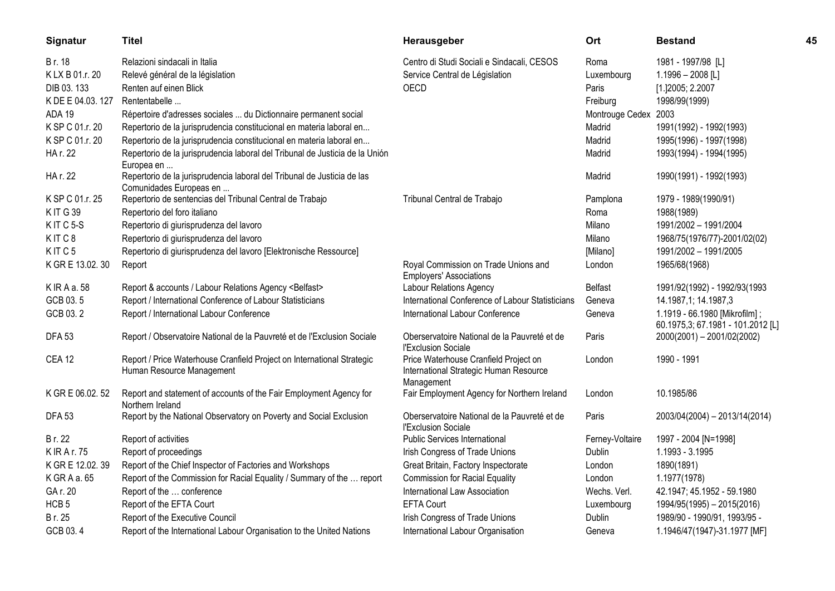| Signatur            | <b>Titel</b>                                                                           | Herausgeber                                                            | Ort                  | <b>Bestand</b>                                                     | 45 |
|---------------------|----------------------------------------------------------------------------------------|------------------------------------------------------------------------|----------------------|--------------------------------------------------------------------|----|
| Br. 18              | Relazioni sindacali in Italia                                                          | Centro di Studi Sociali e Sindacali, CESOS                             | Roma                 | 1981 - 1997/98 [L]                                                 |    |
| K LX B 01.r. 20     | Relevé général de la législation                                                       | Service Central de Législation                                         | Luxembourg           | 1.1996 - 2008 [L]                                                  |    |
| DIB 03.133          | Renten auf einen Blick                                                                 | OECD                                                                   | Paris                | [1.]2005; 2.2007                                                   |    |
| K DE E 04.03.127    | Rententabelle                                                                          |                                                                        | Freiburg             | 1998/99(1999)                                                      |    |
| ADA 19              | Répertoire d'adresses sociales  du Dictionnaire permanent social                       |                                                                        | Montrouge Cedex 2003 |                                                                    |    |
| K SP C 01.r. 20     | Repertorio de la jurisprudencia constitucional en materia laboral en                   |                                                                        | Madrid               | 1991(1992) - 1992(1993)                                            |    |
| K SP C 01.r. 20     | Repertorio de la jurisprudencia constitucional en materia laboral en                   |                                                                        | Madrid               | 1995(1996) - 1997(1998)                                            |    |
| HA r. 22            | Repertorio de la jurisprudencia laboral del Tribunal de Justicia de la Unión           |                                                                        | Madrid               | 1993(1994) - 1994(1995)                                            |    |
|                     | Europea en                                                                             |                                                                        |                      |                                                                    |    |
| HA r. 22            | Repertorio de la jurisprudencia laboral del Tribunal de Justicia de las                |                                                                        | Madrid               | 1990(1991) - 1992(1993)                                            |    |
|                     | Comunidades Europeas en                                                                |                                                                        |                      |                                                                    |    |
| K SP C 01.r. 25     | Repertorio de sentencias del Tribunal Central de Trabajo                               | Tribunal Central de Trabajo                                            | Pamplona             | 1979 - 1989(1990/91)                                               |    |
| <b>KIT G39</b>      | Repertorio del foro italiano                                                           |                                                                        | Roma                 | 1988(1989)                                                         |    |
| KITC <sub>5-S</sub> | Repertorio di giurisprudenza del lavoro                                                |                                                                        | Milano               | 1991/2002 - 1991/2004                                              |    |
| KITC8               | Repertorio di giurisprudenza del lavoro                                                |                                                                        | Milano               | 1968/75(1976/77)-2001/02(02)                                       |    |
| KITC5               | Repertorio di giurisprudenza del lavoro [Elektronische Ressource]                      |                                                                        | [Milano]             | 1991/2002 - 1991/2005                                              |    |
| K GR E 13.02.30     | Report                                                                                 | Royal Commission on Trade Unions and<br><b>Employers' Associations</b> | London               | 1965/68(1968)                                                      |    |
| K IR A a. 58        | Report & accounts / Labour Relations Agency <belfast></belfast>                        | Labour Relations Agency                                                | <b>Belfast</b>       | 1991/92(1992) - 1992/93(1993                                       |    |
| GCB 03.5            | Report / International Conference of Labour Statisticians                              | International Conference of Labour Statisticians                       | Geneva               | 14.1987,1; 14.1987,3                                               |    |
| GCB 03.2            | Report / International Labour Conference                                               | International Labour Conference                                        | Geneva               | 1.1919 - 66.1980 [Mikrofilm];<br>60.1975,3; 67.1981 - 101.2012 [L] |    |
| <b>DFA 53</b>       | Report / Observatoire National de la Pauvreté et de l'Exclusion Sociale                | Oberservatoire National de la Pauvreté et de<br>l'Exclusion Sociale    | Paris                | 2000(2001) - 2001/02(2002)                                         |    |
| <b>CEA 12</b>       | Report / Price Waterhouse Cranfield Project on International Strategic                 | Price Waterhouse Cranfield Project on                                  | London               | 1990 - 1991                                                        |    |
|                     | Human Resource Management                                                              | International Strategic Human Resource<br>Management                   |                      |                                                                    |    |
| K GR E 06.02. 52    | Report and statement of accounts of the Fair Employment Agency for<br>Northern Ireland | Fair Employment Agency for Northern Ireland                            | London               | 10.1985/86                                                         |    |
| <b>DFA 53</b>       | Report by the National Observatory on Poverty and Social Exclusion                     | Oberservatoire National de la Pauvreté et de<br>l'Exclusion Sociale    | Paris                | 2003/04(2004) - 2013/14(2014)                                      |    |
| Br. 22              | Report of activities                                                                   | Public Services International                                          | Ferney-Voltaire      | 1997 - 2004 [N=1998]                                               |    |
| <b>KIRAr.75</b>     | Report of proceedings                                                                  | Irish Congress of Trade Unions                                         | <b>Dublin</b>        | 1.1993 - 3.1995                                                    |    |
| K GR E 12.02.39     | Report of the Chief Inspector of Factories and Workshops                               | Great Britain, Factory Inspectorate                                    | London               | 1890(1891)                                                         |    |
| K GR A a. 65        | Report of the Commission for Racial Equality / Summary of the  report                  | <b>Commission for Racial Equality</b>                                  | London               | 1.1977(1978)                                                       |    |
| GA r. 20            | Report of the  conference                                                              | International Law Association                                          | Wechs. Verl.         | 42.1947; 45.1952 - 59.1980                                         |    |
| HCB <sub>5</sub>    | Report of the EFTA Court                                                               | <b>EFTA Court</b>                                                      | Luxembourg           | 1994/95(1995) - 2015(2016)                                         |    |
| Br. 25              | Report of the Executive Council                                                        | Irish Congress of Trade Unions                                         | <b>Dublin</b>        | 1989/90 - 1990/91, 1993/95 -                                       |    |
| GCB 03.4            | Report of the International Labour Organisation to the United Nations                  | International Labour Organisation                                      | Geneva               | 1.1946/47(1947)-31.1977 [MF]                                       |    |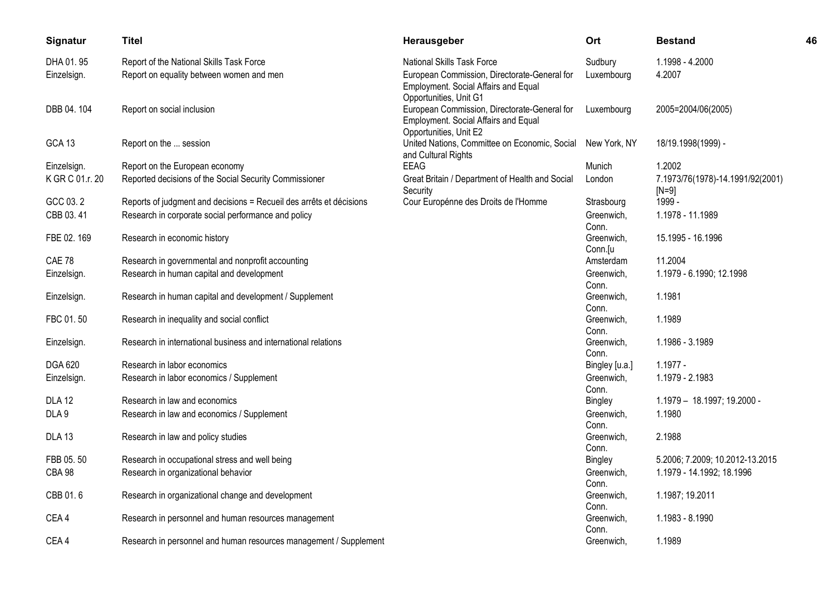| Signatur          | <b>Titel</b>                                                        | Herausgeber                                                                                                    | Ort                   | <b>Bestand</b>                              | 46 |
|-------------------|---------------------------------------------------------------------|----------------------------------------------------------------------------------------------------------------|-----------------------|---------------------------------------------|----|
| DHA 01.95         | Report of the National Skills Task Force                            | National Skills Task Force                                                                                     | Sudbury               | 1.1998 - 4.2000                             |    |
| Einzelsign.       | Report on equality between women and men                            | European Commission, Directorate-General for<br>Employment. Social Affairs and Equal<br>Opportunities, Unit G1 | Luxembourg            | 4.2007                                      |    |
| DBB 04.104        | Report on social inclusion                                          | European Commission, Directorate-General for<br>Employment. Social Affairs and Equal<br>Opportunities, Unit E2 | Luxembourg            | 2005=2004/06(2005)                          |    |
| <b>GCA 13</b>     | Report on the  session                                              | United Nations, Committee on Economic, Social<br>and Cultural Rights                                           | New York, NY          | 18/19.1998(1999) -                          |    |
| Einzelsign.       | Report on the European economy                                      | <b>EEAG</b>                                                                                                    | Munich                | 1.2002                                      |    |
| K GR C 01.r. 20   | Reported decisions of the Social Security Commissioner              | Great Britain / Department of Health and Social<br>Security                                                    | London                | 7.1973/76(1978)-14.1991/92(2001)<br>$[N=9]$ |    |
| GCC 03.2          | Reports of judgment and decisions = Recueil des arrêts et décisions | Cour Europénne des Droits de l'Homme                                                                           | Strasbourg            | 1999 -                                      |    |
| CBB 03.41         | Research in corporate social performance and policy                 |                                                                                                                | Greenwich,<br>Conn.   | 1.1978 - 11.1989                            |    |
| FBE 02. 169       | Research in economic history                                        |                                                                                                                | Greenwich,<br>Conn.[u | 15.1995 - 16.1996                           |    |
| CAE 78            | Research in governmental and nonprofit accounting                   |                                                                                                                | Amsterdam             | 11.2004                                     |    |
| Einzelsign.       | Research in human capital and development                           |                                                                                                                | Greenwich,<br>Conn.   | 1.1979 - 6.1990; 12.1998                    |    |
| Einzelsign.       | Research in human capital and development / Supplement              |                                                                                                                | Greenwich,<br>Conn.   | 1.1981                                      |    |
| FBC 01.50         | Research in inequality and social conflict                          |                                                                                                                | Greenwich,<br>Conn.   | 1.1989                                      |    |
| Einzelsign.       | Research in international business and international relations      |                                                                                                                | Greenwich,<br>Conn.   | 1.1986 - 3.1989                             |    |
| DGA 620           | Research in labor economics                                         |                                                                                                                | Bingley [u.a.]        | $1.1977 -$                                  |    |
| Einzelsign.       | Research in labor economics / Supplement                            |                                                                                                                | Greenwich.<br>Conn.   | 1.1979 - 2.1983                             |    |
| <b>DLA 12</b>     | Research in law and economics                                       |                                                                                                                | Bingley               | 1.1979 - 18.1997; 19.2000 -                 |    |
| DLA <sub>9</sub>  | Research in law and economics / Supplement                          |                                                                                                                | Greenwich,<br>Conn.   | 1.1980                                      |    |
| DLA <sub>13</sub> | Research in law and policy studies                                  |                                                                                                                | Greenwich,<br>Conn.   | 2.1988                                      |    |
| FBB 05.50         | Research in occupational stress and well being                      |                                                                                                                | <b>Bingley</b>        | 5.2006; 7.2009; 10.2012-13.2015             |    |
| <b>CBA 98</b>     | Research in organizational behavior                                 |                                                                                                                | Greenwich,            | 1.1979 - 14.1992; 18.1996                   |    |
|                   |                                                                     |                                                                                                                | Conn.                 |                                             |    |
| CBB 01.6          | Research in organizational change and development                   |                                                                                                                | Greenwich,<br>Conn.   | 1.1987; 19.2011                             |    |
| CEA4              | Research in personnel and human resources management                |                                                                                                                | Greenwich,<br>Conn.   | 1.1983 - 8.1990                             |    |
| CEA4              | Research in personnel and human resources management / Supplement   |                                                                                                                | Greenwich,            | 1.1989                                      |    |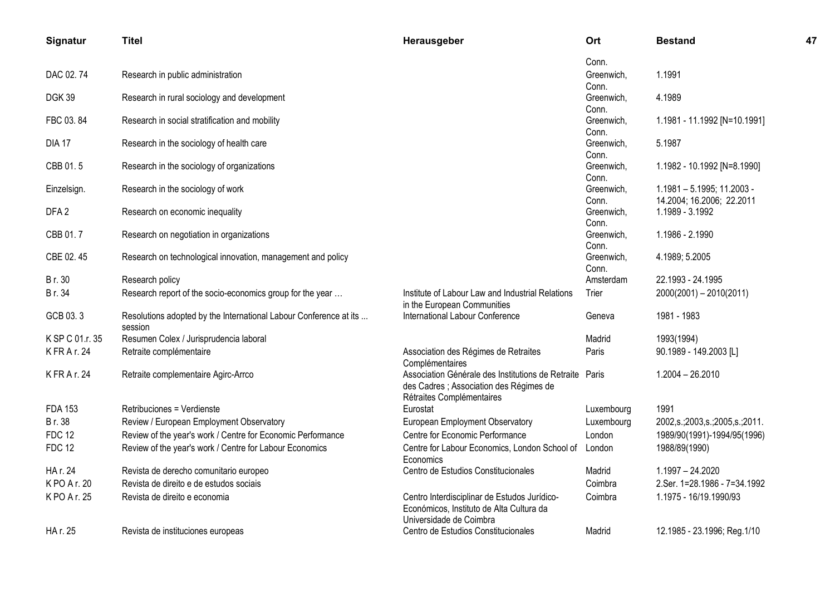| Signatur         | <b>Titel</b>                                                      | Herausgeber                                                          | Ort                 | <b>Bestand</b>                               | 47 |
|------------------|-------------------------------------------------------------------|----------------------------------------------------------------------|---------------------|----------------------------------------------|----|
|                  |                                                                   |                                                                      | Conn.               |                                              |    |
| DAC 02.74        | Research in public administration                                 |                                                                      | Greenwich.          | 1.1991                                       |    |
| <b>DGK39</b>     | Research in rural sociology and development                       |                                                                      | Conn.<br>Greenwich, | 4.1989                                       |    |
|                  |                                                                   |                                                                      | Conn.               |                                              |    |
| FBC 03.84        | Research in social stratification and mobility                    |                                                                      | Greenwich,          | 1.1981 - 11.1992 [N=10.1991]                 |    |
|                  |                                                                   |                                                                      | Conn.               |                                              |    |
| <b>DIA 17</b>    | Research in the sociology of health care                          |                                                                      | Greenwich,<br>Conn. | 5.1987                                       |    |
| CBB 01.5         | Research in the sociology of organizations                        |                                                                      | Greenwich,          | 1.1982 - 10.1992 [N=8.1990]                  |    |
|                  |                                                                   |                                                                      | Conn.               |                                              |    |
| Einzelsign.      | Research in the sociology of work                                 |                                                                      | Greenwich,          | 1.1981 - 5.1995; 11.2003 -                   |    |
| DFA <sub>2</sub> | Research on economic inequality                                   |                                                                      | Conn.<br>Greenwich, | 14.2004; 16.2006; 22.2011<br>1.1989 - 3.1992 |    |
|                  |                                                                   |                                                                      | Conn.               |                                              |    |
| CBB 01.7         | Research on negotiation in organizations                          |                                                                      | Greenwich,          | 1.1986 - 2.1990                              |    |
|                  |                                                                   |                                                                      | Conn.               |                                              |    |
| CBE 02.45        | Research on technological innovation, management and policy       |                                                                      | Greenwich,          | 4.1989; 5.2005                               |    |
|                  |                                                                   |                                                                      | Conn.               | 22.1993 - 24.1995                            |    |
| Br. 30<br>Br. 34 | Research policy                                                   | Institute of Labour Law and Industrial Relations                     | Amsterdam           |                                              |    |
|                  | Research report of the socio-economics group for the year         | in the European Communities                                          | Trier               | $2000(2001) - 2010(2011)$                    |    |
| GCB 03.3         | Resolutions adopted by the International Labour Conference at its | International Labour Conference                                      | Geneva              | 1981 - 1983                                  |    |
|                  | session                                                           |                                                                      |                     |                                              |    |
| K SP C 01.r. 35  | Resumen Colex / Jurisprudencia laboral                            |                                                                      | Madrid              | 1993(1994)                                   |    |
| K FR A r. 24     | Retraite complémentaire                                           | Association des Régimes de Retraites<br>Complémentaires              | Paris               | 90.1989 - 149.2003 [L]                       |    |
| K FR A r. 24     | Retraite complementaire Agirc-Arrco                               | Association Générale des Institutions de Retraite                    | Paris               | $1.2004 - 26.2010$                           |    |
|                  |                                                                   | des Cadres ; Association des Régimes de<br>Rétraites Complémentaires |                     |                                              |    |
| <b>FDA 153</b>   | Retribuciones = Verdienste                                        | Eurostat                                                             | Luxembourg          | 1991                                         |    |
| Br. 38           | Review / European Employment Observatory                          | European Employment Observatory                                      | Luxembourg          | 2002, s.; 2003, s.; 2005, s.; 2011.          |    |
| <b>FDC 12</b>    | Review of the year's work / Centre for Economic Performance       | Centre for Economic Performance                                      | London              | 1989/90(1991)-1994/95(1996)                  |    |
| <b>FDC 12</b>    | Review of the year's work / Centre for Labour Economics           | Centre for Labour Economics, London School of<br>Economics           | London              | 1988/89(1990)                                |    |
| HA r. 24         | Revista de derecho comunitario europeo                            | Centro de Estudios Constitucionales                                  | Madrid              | 1.1997 - 24.2020                             |    |
| KPO A r. 20      | Revista de direito e de estudos sociais                           |                                                                      | Coimbra             | 2.Ser. 1=28.1986 - 7=34.1992                 |    |
| K PO A r. 25     | Revista de direito e economia                                     | Centro Interdisciplinar de Estudos Jurídico-                         | Coimbra             | 1.1975 - 16/19.1990/93                       |    |
|                  |                                                                   | Económicos, Instituto de Alta Cultura da<br>Universidade de Coimbra  |                     |                                              |    |
| HA r. 25         | Revista de instituciones europeas                                 | Centro de Estudios Constitucionales                                  | Madrid              | 12.1985 - 23.1996; Reg.1/10                  |    |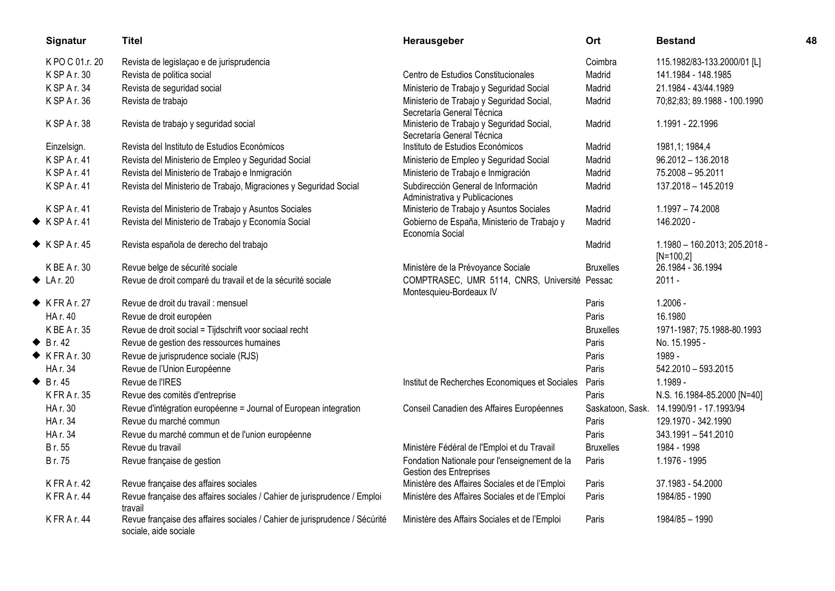| Signatur                  | <b>Titel</b>                                                                                        | Herausgeber                                                              | Ort              | <b>Bestand</b>                               | 48 |
|---------------------------|-----------------------------------------------------------------------------------------------------|--------------------------------------------------------------------------|------------------|----------------------------------------------|----|
| K PO C 01.r. 20           | Revista de legislação e de jurisprudencia                                                           |                                                                          | Coimbra          | 115.1982/83-133.2000/01 [L]                  |    |
| K SP A r. 30              | Revista de politica social                                                                          | Centro de Estudios Constitucionales                                      | Madrid           | 141.1984 - 148.1985                          |    |
| K SP A r. 34              | Revista de seguridad social                                                                         | Ministerio de Trabajo y Seguridad Social                                 | Madrid           | 21.1984 - 43/44.1989                         |    |
| K SP A r. 36              | Revista de trabajo                                                                                  | Ministerio de Trabajo y Seguridad Social,<br>Secretaría General Técnica  | Madrid           | 70;82;83; 89.1988 - 100.1990                 |    |
| K SP A r. 38              | Revista de trabajo y seguridad social                                                               | Ministerio de Trabajo y Seguridad Social,<br>Secretaría General Técnica  | Madrid           | 1.1991 - 22.1996                             |    |
| Einzelsign.               | Revista del Instituto de Estudios Económicos                                                        | Instituto de Estudios Económicos                                         | Madrid           | 1981,1; 1984,4                               |    |
| K SP A r. 41              | Revista del Ministerio de Empleo y Seguridad Social                                                 | Ministerio de Empleo y Seguridad Social                                  | Madrid           | 96.2012 - 136.2018                           |    |
| K SP A r. 41              | Revista del Ministerio de Trabajo e Inmigración                                                     | Ministerio de Trabajo e Inmigración                                      | Madrid           | 75.2008 - 95.2011                            |    |
| K SP A r. 41              | Revista del Ministerio de Trabajo, Migraciones y Seguridad Social                                   | Subdirección General de Información<br>Administrativa y Publicaciones    | Madrid           | 137.2018 - 145.2019                          |    |
| K SP A r. 41              | Revista del Ministerio de Trabajo y Asuntos Sociales                                                | Ministerio de Trabajo y Asuntos Sociales                                 | Madrid           | $1.1997 - 74.2008$                           |    |
| $\blacklozenge$ KSPAr. 41 | Revista del Ministerio de Trabajo y Economía Social                                                 | Gobierno de España, Ministerio de Trabajo y<br>Economía Social           | Madrid           | 146.2020 -                                   |    |
| $\blacklozenge$ KSPAr. 45 | Revista española de derecho del trabajo                                                             |                                                                          | Madrid           | 1.1980 - 160.2013; 205.2018 -<br>$[N=100,2]$ |    |
| K BE A r. 30              | Revue belge de sécurité sociale                                                                     | Ministère de la Prévoyance Sociale                                       | <b>Bruxelles</b> | 26.1984 - 36.1994                            |    |
| $\blacklozenge$ LA r. 20  | Revue de droit comparé du travail et de la sécurité sociale                                         | COMPTRASEC, UMR 5114, CNRS, Université Pessac<br>Montesquieu-Bordeaux IV |                  | $2011 -$                                     |    |
| $\blacklozenge$ KFRAr. 27 | Revue de droit du travail : mensuel                                                                 |                                                                          | Paris            | $1.2006 -$                                   |    |
| HA r. 40                  | Revue de droit européen                                                                             |                                                                          | Paris            | 16.1980                                      |    |
| K BE A r. 35              | Revue de droit social = Tijdschrift voor sociaal recht                                              |                                                                          | <b>Bruxelles</b> | 1971-1987; 75.1988-80.1993                   |    |
| $\bullet$ Br. 42          | Revue de gestion des ressources humaines                                                            |                                                                          | Paris            | No. 15.1995 -                                |    |
| $\blacklozenge$ KFRAr. 30 | Revue de jurisprudence sociale (RJS)                                                                |                                                                          | Paris            | 1989 -                                       |    |
| HA r. 34                  | Revue de l'Union Européenne                                                                         |                                                                          | Paris            | 542.2010 - 593.2015                          |    |
| $\triangle$ Br. 45        | Revue de l'IRES                                                                                     | Institut de Recherches Economiques et Sociales                           | Paris            | 1.1989 -                                     |    |
| K FR A r. 35              | Revue des comités d'entreprise                                                                      |                                                                          | Paris            | N.S. 16.1984-85.2000 [N=40]                  |    |
| HA r. 30                  | Revue d'intégration européenne = Journal of European integration                                    | Conseil Canadien des Affaires Européennes                                | Saskatoon, Sask. | 14.1990/91 - 17.1993/94                      |    |
| HA r. 34                  | Revue du marché commun                                                                              |                                                                          | Paris            | 129.1970 - 342.1990                          |    |
| HA r. 34                  | Revue du marché commun et de l'union européenne                                                     |                                                                          | Paris            | 343.1991 - 541.2010                          |    |
| Br. 55                    | Revue du travail                                                                                    | Ministère Fédéral de l'Emploi et du Travail                              | <b>Bruxelles</b> | 1984 - 1998                                  |    |
| Br. 75                    | Revue française de gestion                                                                          | Fondation Nationale pour l'enseignement de la<br>Gestion des Entreprises | Paris            | 1.1976 - 1995                                |    |
| K FR A r. 42              | Revue française des affaires sociales                                                               | Ministère des Affaires Sociales et de l'Emploi                           | Paris            | 37.1983 - 54.2000                            |    |
| KFRAr. 44                 | Revue française des affaires sociales / Cahier de jurisprudence / Emploi<br>travail                 | Ministère des Affaires Sociales et de l'Emploi                           | Paris            | 1984/85 - 1990                               |    |
| KFRAr. 44                 | Revue française des affaires sociales / Cahier de jurisprudence / Sécúrité<br>sociale, aide sociale | Ministère des Affairs Sociales et de l'Emploi                            | Paris            | 1984/85 - 1990                               |    |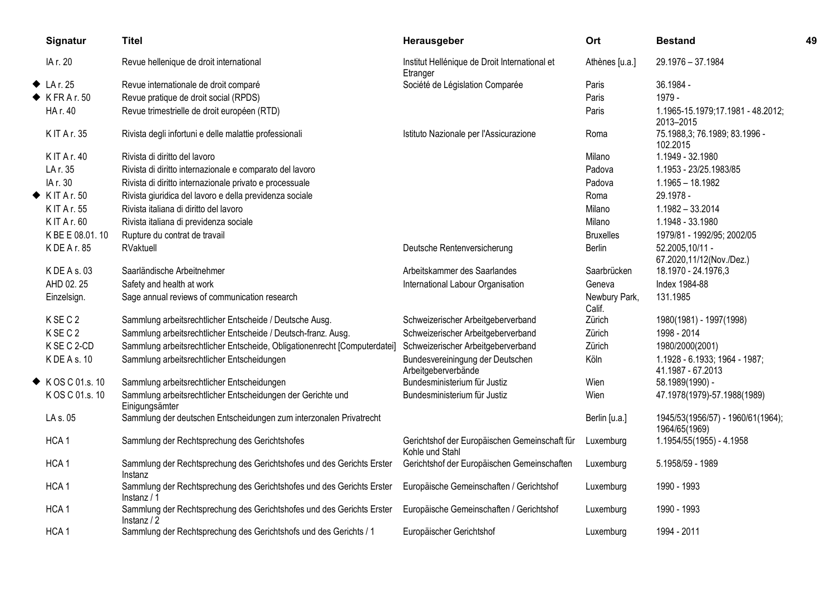| Signatur                   | <b>Titel</b>                                                                         | Herausgeber                                                      | Ort                     | <b>Bestand</b>                                     | 49 |
|----------------------------|--------------------------------------------------------------------------------------|------------------------------------------------------------------|-------------------------|----------------------------------------------------|----|
| IA r. 20                   | Revue hellenique de droit international                                              | Institut Hellénique de Droit International et<br>Etranger        | Athènes [u.a.]          | 29.1976 - 37.1984                                  |    |
| $\blacklozenge$ LA r. 25   | Revue internationale de droit comparé                                                | Société de Législation Comparée                                  | Paris                   | 36.1984 -                                          |    |
| $\blacklozenge$ KFRAr.50   | Revue pratique de droit social (RPDS)                                                |                                                                  | Paris                   | 1979 -                                             |    |
| HA r. 40                   | Revue trimestrielle de droit européen (RTD)                                          |                                                                  | Paris                   | 1.1965-15.1979;17.1981 - 48.2012;<br>2013-2015     |    |
| <b>KIT Ar. 35</b>          | Rivista degli infortuni e delle malattie professionali                               | Istituto Nazionale per l'Assicurazione                           | Roma                    | 75.1988,3; 76.1989; 83.1996 -<br>102.2015          |    |
| <b>KIT Ar. 40</b>          | Rivista di diritto del lavoro                                                        |                                                                  | Milano                  | 1.1949 - 32.1980                                   |    |
| LA r. 35                   | Rivista di diritto internazionale e comparato del lavoro                             |                                                                  | Padova                  | 1.1953 - 23/25.1983/85                             |    |
| IA r. 30                   | Rivista di diritto internazionale privato e processuale                              |                                                                  | Padova                  | $1.1965 - 18.1982$                                 |    |
| $\blacklozenge$ KIT Ar. 50 | Rivista giuridica del lavoro e della previdenza sociale                              |                                                                  | Roma                    | 29.1978 -                                          |    |
| <b>KIT Ar. 55</b>          | Rivista italiana di diritto del lavoro                                               |                                                                  | Milano                  | 1.1982 - 33.2014                                   |    |
| K IT A r. 60               | Rivista italiana di previdenza sociale                                               |                                                                  | Milano                  | 1.1948 - 33.1980                                   |    |
| K BE E 08.01.10            | Rupture du contrat de travail                                                        |                                                                  | <b>Bruxelles</b>        | 1979/81 - 1992/95; 2002/05                         |    |
| K DE A r. 85               | RVaktuell                                                                            | Deutsche Rentenversicherung                                      | Berlin                  | 52.2005,10/11 -<br>67.2020,11/12(Nov./Dez.)        |    |
| K DE A s. 03               | Saarländische Arbeitnehmer                                                           | Arbeitskammer des Saarlandes                                     | Saarbrücken             | 18.1970 - 24.1976,3                                |    |
| AHD 02.25                  | Safety and health at work                                                            | International Labour Organisation                                | Geneva                  | Index 1984-88                                      |    |
| Einzelsign.                | Sage annual reviews of communication research                                        |                                                                  | Newbury Park,<br>Calif. | 131.1985                                           |    |
| KSEC <sub>2</sub>          | Sammlung arbeitsrechtlicher Entscheide / Deutsche Ausg.                              | Schweizerischer Arbeitgeberverband                               | Zürich                  | 1980(1981) - 1997(1998)                            |    |
| KSEC <sub>2</sub>          | Sammlung arbeitsrechtlicher Entscheide / Deutsch-franz. Ausg.                        | Schweizerischer Arbeitgeberverband                               | Zürich                  | 1998 - 2014                                        |    |
| K SE C 2-CD                | Sammlung arbeitsrechtlicher Entscheide, Obligationenrecht [Computerdatei]            | Schweizerischer Arbeitgeberverband                               | Zürich                  | 1980/2000(2001)                                    |    |
| K DE A s. 10               | Sammlung arbeitsrechtlicher Entscheidungen                                           | Bundesvereiningung der Deutschen<br>Arbeitgeberverbände          | Köln                    | 1.1928 - 6.1933; 1964 - 1987;<br>41.1987 - 67.2013 |    |
| ◆ KOS C 01.s. 10           | Sammlung arbeitsrechtlicher Entscheidungen                                           | Bundesministerium für Justiz                                     | Wien                    | 58.1989(1990) -                                    |    |
| KOS C 01.s. 10             | Sammlung arbeitsrechtlicher Entscheidungen der Gerichte und<br>Einigungsämter        | Bundesministerium für Justiz                                     | Wien                    | 47.1978(1979)-57.1988(1989)                        |    |
| LA s. 05                   | Sammlung der deutschen Entscheidungen zum interzonalen Privatrecht                   |                                                                  | Berlin [u.a.]           | 1945/53(1956/57) - 1960/61(1964);<br>1964/65(1969) |    |
| HCA <sub>1</sub>           | Sammlung der Rechtsprechung des Gerichtshofes                                        | Gerichtshof der Europäischen Gemeinschaft für<br>Kohle und Stahl | Luxemburg               | 1.1954/55(1955) - 4.1958                           |    |
| HCA <sub>1</sub>           | Sammlung der Rechtsprechung des Gerichtshofes und des Gerichts Erster<br>Instanz     | Gerichtshof der Europäischen Gemeinschaften                      | Luxemburg               | 5.1958/59 - 1989                                   |    |
| HCA <sub>1</sub>           | Sammlung der Rechtsprechung des Gerichtshofes und des Gerichts Erster<br>Instanz / 1 | Europäische Gemeinschaften / Gerichtshof                         | Luxemburg               | 1990 - 1993                                        |    |
| HCA <sub>1</sub>           | Sammlung der Rechtsprechung des Gerichtshofes und des Gerichts Erster<br>Instantz/2  | Europäische Gemeinschaften / Gerichtshof                         | Luxemburg               | 1990 - 1993                                        |    |
| HCA <sub>1</sub>           | Sammlung der Rechtsprechung des Gerichtshofs und des Gerichts / 1                    | Europäischer Gerichtshof                                         | Luxemburg               | 1994 - 2011                                        |    |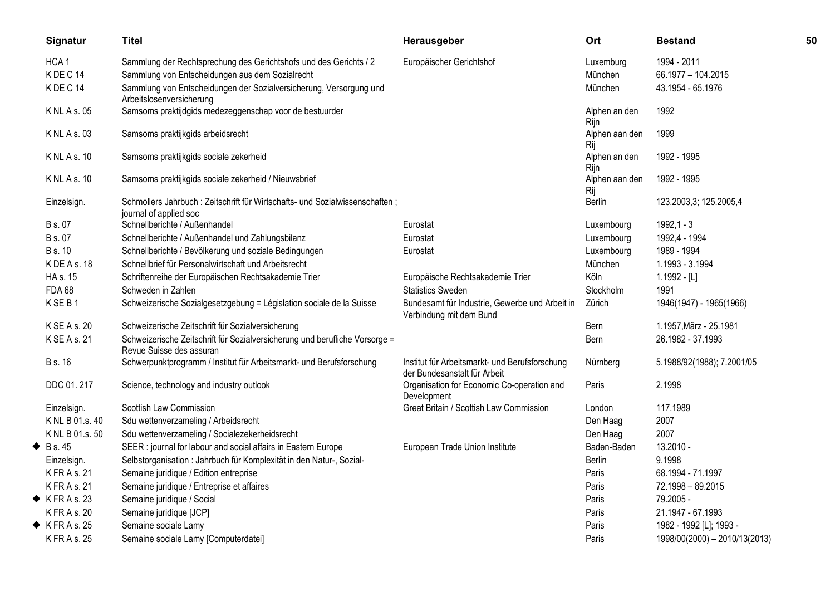| Signatur                  | <b>Titel</b>                                                                                            | Herausgeber                                                                    | Ort                   | <b>Bestand</b>                | 50 |
|---------------------------|---------------------------------------------------------------------------------------------------------|--------------------------------------------------------------------------------|-----------------------|-------------------------------|----|
| HCA <sub>1</sub>          | Sammlung der Rechtsprechung des Gerichtshofs und des Gerichts / 2                                       | Europäischer Gerichtshof                                                       | Luxemburg             | 1994 - 2011                   |    |
| KDEC <sub>14</sub>        | Sammlung von Entscheidungen aus dem Sozialrecht                                                         |                                                                                | München               | 66.1977 - 104.2015            |    |
| KDEC14                    | Sammlung von Entscheidungen der Sozialversicherung, Versorgung und<br>Arbeitslosenversicherung          |                                                                                | München               | 43.1954 - 65.1976             |    |
| $K$ NL A s. 05            | Samsoms praktijdgids medezeggenschap voor de bestuurder                                                 |                                                                                | Alphen an den<br>Rijn | 1992                          |    |
| K NL A s. 03              | Samsoms praktijkgids arbeidsrecht                                                                       |                                                                                | Alphen aan den<br>Rij | 1999                          |    |
| <b>KNLAs.10</b>           | Samsoms praktijkgids sociale zekerheid                                                                  |                                                                                | Alphen an den<br>Rijn | 1992 - 1995                   |    |
| <b>KNLAs.10</b>           | Samsoms praktijkgids sociale zekerheid / Nieuwsbrief                                                    |                                                                                | Alphen aan den<br>Rij | 1992 - 1995                   |    |
| Einzelsign.               | Schmollers Jahrbuch: Zeitschrift für Wirtschafts- und Sozialwissenschaften;<br>journal of applied soc   |                                                                                | Berlin                | 123.2003,3; 125.2005,4        |    |
| B s. 07                   | Schnellberichte / Außenhandel                                                                           | Eurostat                                                                       | Luxembourg            | $1992,1 - 3$                  |    |
| <b>B</b> s. 07            | Schnellberichte / Außenhandel und Zahlungsbilanz                                                        | Eurostat                                                                       | Luxembourg            | 1992,4 - 1994                 |    |
| <b>B</b> s. 10            | Schnellberichte / Bevölkerung und soziale Bedingungen                                                   | Eurostat                                                                       | Luxembourg            | 1989 - 1994                   |    |
| K DE A s. 18              | Schnellbrief für Personalwirtschaft und Arbeitsrecht                                                    |                                                                                | München               | 1.1993 - 3.1994               |    |
| HA s. 15                  | Schriftenreihe der Europäischen Rechtsakademie Trier                                                    | Europäische Rechtsakademie Trier                                               | Köln                  | $1.1992 - [L]$                |    |
| <b>FDA 68</b>             | Schweden in Zahlen                                                                                      | <b>Statistics Sweden</b>                                                       | Stockholm             | 1991                          |    |
| KSEB1                     | Schweizerische Sozialgesetzgebung = Législation sociale de la Suisse                                    | Bundesamt für Industrie, Gewerbe und Arbeit in<br>Verbindung mit dem Bund      | Zürich                | 1946(1947) - 1965(1966)       |    |
| K SE A s. 20              | Schweizerische Zeitschrift für Sozialversicherung                                                       |                                                                                | Bern                  | 1.1957, März - 25.1981        |    |
| K SE A s. 21              | Schweizerische Zeitschrift für Sozialversicherung und berufliche Vorsorge =<br>Revue Suisse des assuran |                                                                                | Bern                  | 26.1982 - 37.1993             |    |
| <b>B</b> s. 16            | Schwerpunktprogramm / Institut für Arbeitsmarkt- und Berufsforschung                                    | Institut für Arbeitsmarkt- und Berufsforschung<br>der Bundesanstalt für Arbeit | Nürnberg              | 5.1988/92(1988); 7.2001/05    |    |
| DDC 01.217                | Science, technology and industry outlook                                                                | Organisation for Economic Co-operation and<br>Development                      | Paris                 | 2.1998                        |    |
| Einzelsign.               | Scottish Law Commission                                                                                 | Great Britain / Scottish Law Commission                                        | London                | 117.1989                      |    |
| K NL B 01.s. 40           | Sdu wettenverzameling / Arbeidsrecht                                                                    |                                                                                | Den Haag              | 2007                          |    |
| K NL B 01.s. 50           | Sdu wettenverzameling / Socialezekerheidsrecht                                                          |                                                                                | Den Haag              | 2007                          |    |
| $\bullet$ Bs. 45          | SEER : journal for labour and social affairs in Eastern Europe                                          | European Trade Union Institute                                                 | Baden-Baden           | 13.2010 -                     |    |
| Einzelsign.               | Selbstorganisation : Jahrbuch für Komplexität in den Natur-, Sozial-                                    |                                                                                | <b>Berlin</b>         | 9.1998                        |    |
| K FR A s. 21              | Semaine juridique / Edition entreprise                                                                  |                                                                                | Paris                 | 68.1994 - 71.1997             |    |
| K FR A s. 21              | Semaine juridique / Entreprise et affaires                                                              |                                                                                | Paris                 | 72.1998 - 89.2015             |    |
| $\blacklozenge$ KFRAs. 23 | Semaine juridique / Social                                                                              |                                                                                | Paris                 | 79.2005 -                     |    |
| K FR A s. 20              | Semaine juridique [JCP]                                                                                 |                                                                                | Paris                 | 21.1947 - 67.1993             |    |
| $\blacklozenge$ KFRAs. 25 | Semaine sociale Lamy                                                                                    |                                                                                | Paris                 | 1982 - 1992 [L]; 1993 -       |    |
| K FR A s. 25              | Semaine sociale Lamy [Computerdatei]                                                                    |                                                                                | Paris                 | 1998/00(2000) - 2010/13(2013) |    |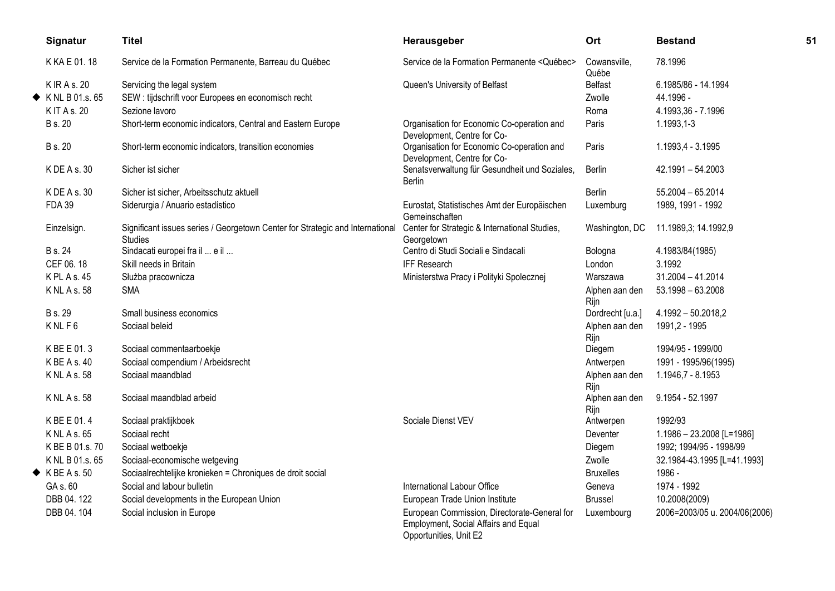| Signatur                      | <b>Titel</b>                                                                                    | Herausgeber                                                                                                    | Ort                    | <b>Bestand</b>                | 51 |
|-------------------------------|-------------------------------------------------------------------------------------------------|----------------------------------------------------------------------------------------------------------------|------------------------|-------------------------------|----|
| K KA E 01.18                  | Service de la Formation Permanente, Barreau du Québec                                           | Service de la Formation Permanente <québec></québec>                                                           | Cowansville,<br>Québe  | 78.1996                       |    |
| K IR A s. 20                  | Servicing the legal system                                                                      | Queen's University of Belfast                                                                                  | <b>Belfast</b>         | 6.1985/86 - 14.1994           |    |
| $\blacklozenge$ KNL B01.s. 65 | SEW : tijdschrift voor Europees en economisch recht                                             |                                                                                                                | Zwolle                 | 44.1996 -                     |    |
| K IT A s. 20                  | Sezione lavoro                                                                                  |                                                                                                                | Roma                   | 4.1993,36 - 7.1996            |    |
| <b>B</b> s. 20                | Short-term economic indicators, Central and Eastern Europe                                      | Organisation for Economic Co-operation and<br>Development, Centre for Co-                                      | Paris                  | 1.1993,1-3                    |    |
| <b>B</b> s. 20                | Short-term economic indicators, transition economies                                            | Organisation for Economic Co-operation and<br>Development, Centre for Co-                                      | Paris                  | 1.1993,4 - 3.1995             |    |
| KDEAs.30                      | Sicher ist sicher                                                                               | Senatsverwaltung für Gesundheit und Soziales,<br>Berlin                                                        | Berlin                 | 42.1991 - 54.2003             |    |
| K DE A s. 30                  | Sicher ist sicher, Arbeitsschutz aktuell                                                        |                                                                                                                | <b>Berlin</b>          | 55.2004 - 65.2014             |    |
| <b>FDA 39</b>                 | Siderurgia / Anuario estadístico                                                                | Eurostat, Statistisches Amt der Europäischen<br>Gemeinschaften                                                 | Luxemburg              | 1989, 1991 - 1992             |    |
| Einzelsign.                   | Significant issues series / Georgetown Center for Strategic and International<br><b>Studies</b> | Center for Strategic & International Studies,<br>Georgetown                                                    | Washington, DC         | 11.1989,3; 14.1992,9          |    |
| B s. 24                       | Sindacati europei fra il  e il                                                                  | Centro di Studi Sociali e Sindacali                                                                            | Bologna                | 4.1983/84(1985)               |    |
| CEF 06.18                     | Skill needs in Britain                                                                          | <b>IFF Research</b>                                                                                            | London                 | 3.1992                        |    |
| K PL A s. 45                  | Służba pracownicza                                                                              | Ministerstwa Pracy i Polityki Spolecznej                                                                       | Warszawa               | $31.2004 - 41.2014$           |    |
| K NL A s. 58                  | <b>SMA</b>                                                                                      |                                                                                                                | Alphen aan den<br>Rijn | $53.1998 - 63.2008$           |    |
| <b>B</b> s. 29                | Small business economics                                                                        |                                                                                                                | Dordrecht [u.a.]       | 4.1992 - 50.2018,2            |    |
| KNLF6                         | Sociaal beleid                                                                                  |                                                                                                                | Alphen aan den<br>Rijn | 1991,2 - 1995                 |    |
| K BE E 01.3                   | Sociaal commentaarboekje                                                                        |                                                                                                                | Diegem                 | 1994/95 - 1999/00             |    |
| K BE A s. 40                  | Sociaal compendium / Arbeidsrecht                                                               |                                                                                                                | Antwerpen              | 1991 - 1995/96(1995)          |    |
| K NL A s. 58                  | Sociaal maandblad                                                                               |                                                                                                                | Alphen aan den<br>Rijn | 1.1946,7 - 8.1953             |    |
| K NL A s. 58                  | Sociaal maandblad arbeid                                                                        |                                                                                                                | Alphen aan den<br>Rijn | 9.1954 - 52.1997              |    |
| K BE E 01.4                   | Sociaal praktijkboek                                                                            | Sociale Dienst VEV                                                                                             | Antwerpen              | 1992/93                       |    |
| K NL A s. 65                  | Sociaal recht                                                                                   |                                                                                                                | Deventer               | $1.1986 - 23.2008$ [L=1986]   |    |
| K BE B 01.s. 70               | Sociaal wetboekje                                                                               |                                                                                                                | Diegem                 | 1992; 1994/95 - 1998/99       |    |
| K NL B 01.s. 65               | Sociaal-economische wetgeving                                                                   |                                                                                                                | Zwolle                 | 32.1984-43.1995 [L=41.1993]   |    |
| $\blacklozenge$ K BE A s. 50  | Sociaalrechtelijke kronieken = Chroniques de droit social                                       |                                                                                                                | <b>Bruxelles</b>       | 1986 -                        |    |
| GA s. 60                      | Social and labour bulletin                                                                      | International Labour Office                                                                                    | Geneva                 | 1974 - 1992                   |    |
| DBB 04.122                    | Social developments in the European Union                                                       | European Trade Union Institute                                                                                 | <b>Brussel</b>         | 10.2008(2009)                 |    |
| DBB 04.104                    | Social inclusion in Europe                                                                      | European Commission, Directorate-General for<br>Employment, Social Affairs and Equal<br>Opportunities, Unit E2 | Luxembourg             | 2006=2003/05 u. 2004/06(2006) |    |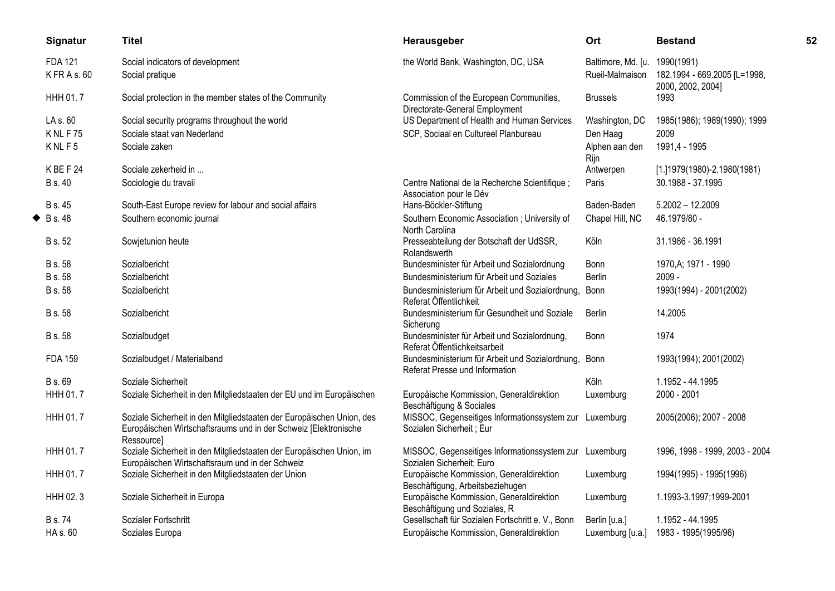|   | Signatur                   | <b>Titel</b>                                                                                                                                           | Herausgeber                                                                       | Ort                                   | <b>Bestand</b>                             | 52 |
|---|----------------------------|--------------------------------------------------------------------------------------------------------------------------------------------------------|-----------------------------------------------------------------------------------|---------------------------------------|--------------------------------------------|----|
|   | <b>FDA 121</b><br>KFRAs.60 | Social indicators of development<br>Social pratique                                                                                                    | the World Bank, Washington, DC, USA                                               | Baltimore, Md. [u.<br>Rueil-Malmaison | 1990(1991)<br>182.1994 - 669.2005 [L=1998, |    |
|   | HHH 01.7                   | Social protection in the member states of the Community                                                                                                | Commission of the European Communities,<br>Directorate-General Employment         | <b>Brussels</b>                       | 2000, 2002, 2004]<br>1993                  |    |
|   | LA s. 60                   | Social security programs throughout the world                                                                                                          | US Department of Health and Human Services                                        | Washington, DC                        | 1985(1986); 1989(1990); 1999               |    |
|   | <b>KNLF75</b>              | Sociale staat van Nederland                                                                                                                            | SCP, Sociaal en Cultureel Planbureau                                              | Den Haag                              | 2009                                       |    |
|   | KNLF5                      | Sociale zaken                                                                                                                                          |                                                                                   | Alphen aan den<br>Rijn                | 1991,4 - 1995                              |    |
|   | KBEF24                     | Sociale zekerheid in                                                                                                                                   |                                                                                   | Antwerpen                             | $[1.]$ 1979(1980)-2.1980(1981)             |    |
|   | <b>B</b> s. 40             | Sociologie du travail                                                                                                                                  | Centre National de la Recherche Scientifique;<br>Association pour le Dév          | Paris                                 | 30.1988 - 37.1995                          |    |
|   | B s. 45                    | South-East Europe review for labour and social affairs                                                                                                 | Hans-Böckler-Stiftung                                                             | Baden-Baden                           | $5.2002 - 12.2009$                         |    |
| ◆ | <b>B</b> s. 48             | Southern economic journal                                                                                                                              | Southern Economic Association ; University of<br>North Carolina                   | Chapel Hill, NC                       | 46.1979/80 -                               |    |
|   | <b>B</b> s. 52             | Sowjetunion heute                                                                                                                                      | Presseabteilung der Botschaft der UdSSR,<br>Rolandswerth                          | Köln                                  | 31.1986 - 36.1991                          |    |
|   | <b>B</b> s. 58             | Sozialbericht                                                                                                                                          | Bundesminister für Arbeit und Sozialordnung                                       | Bonn                                  | 1970, A; 1971 - 1990                       |    |
|   | B s. 58                    | Sozialbericht                                                                                                                                          | Bundesministerium für Arbeit und Soziales                                         | Berlin                                | $2009 -$                                   |    |
|   | B s. 58                    | Sozialbericht                                                                                                                                          | Bundesministerium für Arbeit und Sozialordnung,<br>Referat Öffentlichkeit         | Bonn                                  | 1993(1994) - 2001(2002)                    |    |
|   | <b>B</b> s. 58             | Sozialbericht                                                                                                                                          | Bundesministerium für Gesundheit und Soziale<br>Sicherung                         | Berlin                                | 14.2005                                    |    |
|   | <b>B</b> s. 58             | Sozialbudget                                                                                                                                           | Bundesminister für Arbeit und Sozialordnung,<br>Referat Öffentlichkeitsarbeit     | Bonn                                  | 1974                                       |    |
|   | <b>FDA 159</b>             | Sozialbudget / Materialband                                                                                                                            | Bundesministerium für Arbeit und Sozialordnung,<br>Referat Presse und Information | Bonn                                  | 1993(1994); 2001(2002)                     |    |
|   | <b>B</b> s. 69             | Soziale Sicherheit                                                                                                                                     |                                                                                   | Köln                                  | 1.1952 - 44.1995                           |    |
|   | HHH 01.7                   | Soziale Sicherheit in den Mitgliedstaaten der EU und im Europäischen                                                                                   | Europäische Kommission, Generaldirektion<br>Beschäftigung & Sociales              | Luxemburg                             | 2000 - 2001                                |    |
|   | HHH 01.7                   | Soziale Sicherheit in den Mitgliedstaaten der Europäischen Union, des<br>Europäischen Wirtschaftsraums und in der Schweiz [Elektronische<br>Ressource] | MISSOC, Gegenseitiges Informationssystem zur<br>Sozialen Sicherheit; Eur          | Luxemburg                             | 2005(2006); 2007 - 2008                    |    |
|   | HHH 01.7                   | Soziale Sicherheit in den Mitgliedstaaten der Europäischen Union, im<br>Europäischen Wirtschaftsraum und in der Schweiz                                | MISSOC, Gegenseitiges Informationssystem zur<br>Sozialen Sicherheit: Euro         | Luxemburg                             | 1996, 1998 - 1999, 2003 - 2004             |    |
|   | <b>HHH 01.7</b>            | Soziale Sicherheit in den Mitgliedstaaten der Union                                                                                                    | Europäische Kommission, Generaldirektion<br>Beschäftigung, Arbeitsbeziehugen      | Luxemburg                             | 1994(1995) - 1995(1996)                    |    |
|   | HHH 02.3                   | Soziale Sicherheit in Europa                                                                                                                           | Europäische Kommission, Generaldirektion<br>Beschäftigung und Soziales, R         | Luxemburg                             | 1.1993-3.1997;1999-2001                    |    |
|   | <b>B</b> s. 74             | Sozialer Fortschritt                                                                                                                                   | Gesellschaft für Sozialen Fortschritt e. V., Bonn                                 | Berlin [u.a.]                         | 1.1952 - 44.1995                           |    |
|   | HA s. 60                   | Soziales Europa                                                                                                                                        | Europäische Kommission, Generaldirektion                                          | Luxemburg [u.a.]                      | 1983 - 1995(1995/96)                       |    |
|   |                            |                                                                                                                                                        |                                                                                   |                                       |                                            |    |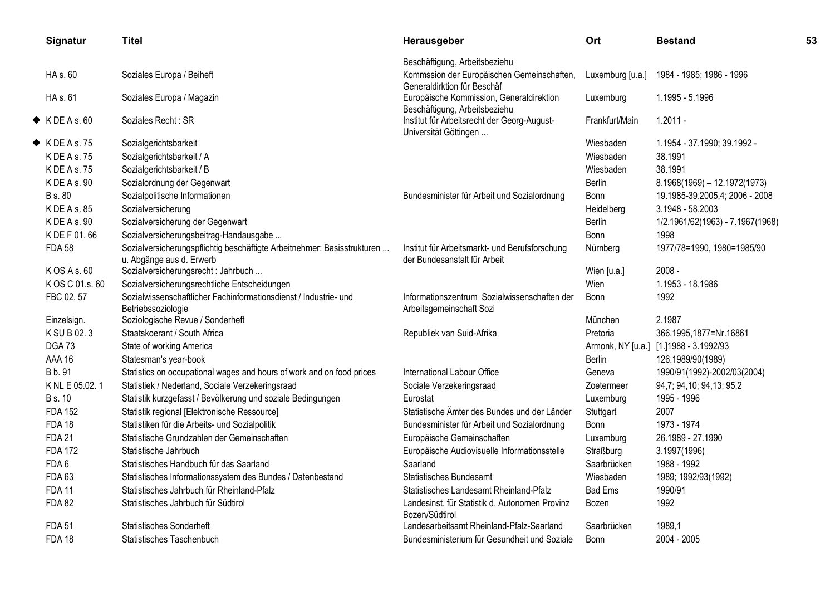| Signatur                 | <b>Titel</b>                                                                                        | Herausgeber                                                                    | Ort              | <b>Bestand</b>                         | 53 |
|--------------------------|-----------------------------------------------------------------------------------------------------|--------------------------------------------------------------------------------|------------------|----------------------------------------|----|
|                          |                                                                                                     | Beschäftigung, Arbeitsbeziehu                                                  |                  |                                        |    |
| HA s. 60                 | Soziales Europa / Beiheft                                                                           | Kommssion der Europäischen Gemeinschaften,<br>Generaldirktion für Beschäf      | Luxemburg [u.a.] | 1984 - 1985; 1986 - 1996               |    |
| HA s. 61                 | Soziales Europa / Magazin                                                                           | Europäische Kommission, Generaldirektion<br>Beschäftigung, Arbeitsbeziehu      | Luxemburg        | 1.1995 - 5.1996                        |    |
| $\blacklozenge$ KDEAs.60 | Soziales Recht: SR                                                                                  | Institut für Arbeitsrecht der Georg-August-<br>Universität Göttingen           | Frankfurt/Main   | $1.2011 -$                             |    |
| $\blacklozenge$ KDEAs.75 | Sozialgerichtsbarkeit                                                                               |                                                                                | Wiesbaden        | 1.1954 - 37.1990; 39.1992 -            |    |
| K DE A s. 75             | Sozialgerichtsbarkeit / A                                                                           |                                                                                | Wiesbaden        | 38.1991                                |    |
| K DE A s. 75             | Sozialgerichtsbarkeit / B                                                                           |                                                                                | Wiesbaden        | 38.1991                                |    |
| K DE A s. 90             | Sozialordnung der Gegenwart                                                                         |                                                                                | <b>Berlin</b>    | $8.1968(1969) - 12.1972(1973)$         |    |
| <b>B</b> s. 80           | Sozialpolitische Informationen                                                                      | Bundesminister für Arbeit und Sozialordnung                                    | Bonn             | 19.1985-39.2005,4; 2006 - 2008         |    |
| K DE A s. 85             | Sozialversicherung                                                                                  |                                                                                | Heidelberg       | 3.1948 - 58.2003                       |    |
| K DE A s. 90             | Sozialversicherung der Gegenwart                                                                    |                                                                                | <b>Berlin</b>    | 1/2.1961/62(1963) - 7.1967(1968)       |    |
| K DE F 01.66             | Sozialversicherungsbeitrag-Handausgabe                                                              |                                                                                | Bonn             | 1998                                   |    |
| <b>FDA 58</b>            | Sozialversicherungspflichtig beschäftigte Arbeitnehmer: Basisstrukturen<br>u. Abgänge aus d. Erwerb | Institut für Arbeitsmarkt- und Berufsforschung<br>der Bundesanstalt für Arbeit | Nürnberg         | 1977/78=1990, 1980=1985/90             |    |
| K OS A s. 60             | Sozialversicherungsrecht : Jahrbuch                                                                 |                                                                                | Wien [u.a.]      | $2008 -$                               |    |
| KOS C 01.s. 60           | Sozialversicherungsrechtliche Entscheidungen                                                        |                                                                                | Wien             | 1.1953 - 18.1986                       |    |
| FBC 02.57                | Sozialwissenschaftlicher Fachinformationsdienst / Industrie- und<br>Betriebssoziologie              | Informationszentrum Sozialwissenschaften der<br>Arbeitsgemeinschaft Sozi       | <b>Bonn</b>      | 1992                                   |    |
| Einzelsign.              | Soziologische Revue / Sonderheft                                                                    |                                                                                | München          | 2.1987                                 |    |
| K SU B 02.3              | Staatskoerant / South Africa                                                                        | Republiek van Suid-Afrika                                                      | Pretoria         | 366.1995,1877=Nr.16861                 |    |
| DGA73                    | State of working America                                                                            |                                                                                |                  | Armonk, NY [u.a.] [1.]1988 - 3.1992/93 |    |
| <b>AAA 16</b>            | Statesman's year-book                                                                               |                                                                                | <b>Berlin</b>    | 126.1989/90(1989)                      |    |
| B b. 91                  | Statistics on occupational wages and hours of work and on food prices                               | International Labour Office                                                    | Geneva           | 1990/91(1992)-2002/03(2004)            |    |
| K NL E 05.02.1           | Statistiek / Nederland, Sociale Verzekeringsraad                                                    | Sociale Verzekeringsraad                                                       | Zoetermeer       | 94,7; 94,10; 94,13; 95,2               |    |
| <b>B</b> s. 10           | Statistik kurzgefasst / Bevölkerung und soziale Bedingungen                                         | Eurostat                                                                       | Luxemburg        | 1995 - 1996                            |    |
| <b>FDA 152</b>           | Statistik regional [Elektronische Ressource]                                                        | Statistische Ämter des Bundes und der Länder                                   | Stuttgart        | 2007                                   |    |
| <b>FDA 18</b>            | Statistiken für die Arbeits- und Sozialpolitik                                                      | Bundesminister für Arbeit und Sozialordnung                                    | Bonn             | 1973 - 1974                            |    |
| <b>FDA 21</b>            | Statistische Grundzahlen der Gemeinschaften                                                         | Europäische Gemeinschaften                                                     | Luxemburg        | 26.1989 - 27.1990                      |    |
| <b>FDA 172</b>           | Statistische Jahrbuch                                                                               | Europäische Audiovisuelle Informationsstelle                                   | Straßburg        | 3.1997(1996)                           |    |
| FDA6                     | Statistisches Handbuch für das Saarland                                                             | Saarland                                                                       | Saarbrücken      | 1988 - 1992                            |    |
| <b>FDA 63</b>            | Statistisches Informationssystem des Bundes / Datenbestand                                          | <b>Statistisches Bundesamt</b>                                                 | Wiesbaden        | 1989; 1992/93(1992)                    |    |
| <b>FDA 11</b>            | Statistisches Jahrbuch für Rheinland-Pfalz                                                          | Statistisches Landesamt Rheinland-Pfalz                                        | <b>Bad Ems</b>   | 1990/91                                |    |
| <b>FDA 82</b>            | Statistisches Jahrbuch für Südtirol                                                                 | Landesinst. für Statistik d. Autonomen Provinz<br>Bozen/Südtirol               | Bozen            | 1992                                   |    |
| <b>FDA 51</b>            | <b>Statistisches Sonderheft</b>                                                                     | Landesarbeitsamt Rheinland-Pfalz-Saarland                                      | Saarbrücken      | 1989,1                                 |    |
| <b>FDA 18</b>            | Statistisches Taschenbuch                                                                           | Bundesministerium für Gesundheit und Soziale                                   | <b>Bonn</b>      | 2004 - 2005                            |    |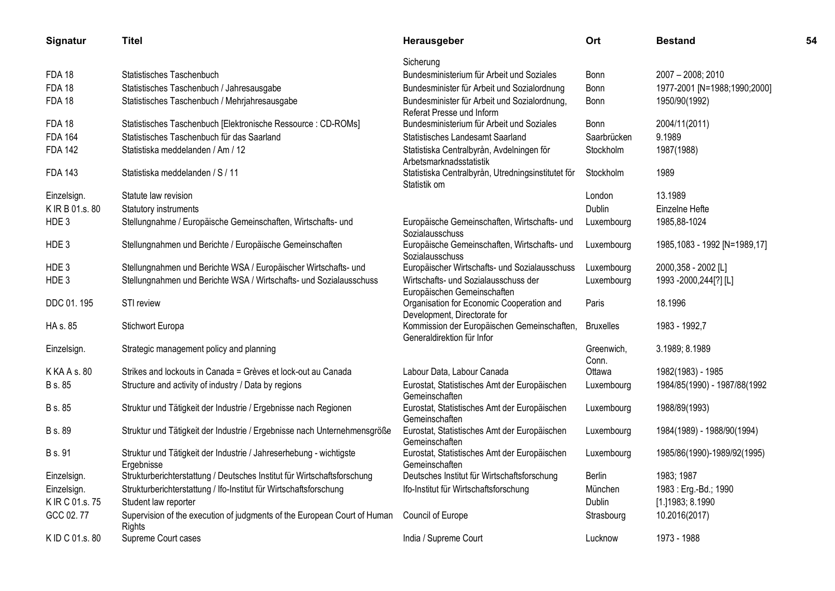| Signatur        | <b>Titel</b>                                                                       | Herausgeber                                                               | Ort                 | <b>Bestand</b>                 | 54 |
|-----------------|------------------------------------------------------------------------------------|---------------------------------------------------------------------------|---------------------|--------------------------------|----|
|                 |                                                                                    | Sicherung                                                                 |                     |                                |    |
| <b>FDA 18</b>   | Statistisches Taschenbuch                                                          | Bundesministerium für Arbeit und Soziales                                 | <b>Bonn</b>         | 2007 - 2008; 2010              |    |
| <b>FDA 18</b>   | Statistisches Taschenbuch / Jahresausgabe                                          | Bundesminister für Arbeit und Sozialordnung                               | Bonn                | 1977-2001 [N=1988;1990;2000]   |    |
| <b>FDA 18</b>   | Statistisches Taschenbuch / Mehrjahresausgabe                                      | Bundesminister für Arbeit und Sozialordnung,<br>Referat Presse und Inform | Bonn                | 1950/90(1992)                  |    |
| <b>FDA 18</b>   | Statistisches Taschenbuch [Elektronische Ressource : CD-ROMs]                      | Bundesministerium für Arbeit und Soziales                                 | Bonn                | 2004/11(2011)                  |    |
| <b>FDA 164</b>  | Statistisches Taschenbuch für das Saarland                                         | Statistisches Landesamt Saarland                                          | Saarbrücken         | 9.1989                         |    |
| <b>FDA 142</b>  | Statistiska meddelanden / Am / 12                                                  | Statistiska Centralbyrån, Avdelningen för<br>Arbetsmarknadsstatistik      | Stockholm           | 1987(1988)                     |    |
| <b>FDA 143</b>  | Statistiska meddelanden / S / 11                                                   | Statistiska Centralbyrån, Utredningsinstitutet för<br>Statistik om        | Stockholm           | 1989                           |    |
| Einzelsign.     | Statute law revision                                                               |                                                                           | London              | 13.1989                        |    |
| K IR B 01.s. 80 | Statutory instruments                                                              |                                                                           | Dublin              | Einzelne Hefte                 |    |
| HDE 3           | Stellungnahme / Europäische Gemeinschaften, Wirtschafts- und                       | Europäische Gemeinschaften, Wirtschafts- und<br>Sozialausschuss           | Luxembourg          | 1985, 88-1024                  |    |
| HDE 3           | Stellungnahmen und Berichte / Europäische Gemeinschaften                           | Europäische Gemeinschaften, Wirtschafts- und<br>Sozialausschuss           | Luxembourg          | 1985, 1083 - 1992 [N=1989, 17] |    |
| HDE3            | Stellungnahmen und Berichte WSA / Europäischer Wirtschafts- und                    | Europäischer Wirtschafts- und Sozialausschuss                             | Luxembourg          | 2000,358 - 2002 [L]            |    |
| HDE 3           | Stellungnahmen und Berichte WSA / Wirtschafts- und Sozialausschuss                 | Wirtschafts- und Sozialausschuss der<br>Europäischen Gemeinschaften       | Luxembourg          | 1993 -2000,244[?] [L]          |    |
| DDC 01.195      | STI review                                                                         | Organisation for Economic Cooperation and<br>Development, Directorate for | Paris               | 18.1996                        |    |
| HA s. 85        | Stichwort Europa                                                                   | Kommission der Europäischen Gemeinschaften,<br>Generaldirektion für Infor | <b>Bruxelles</b>    | 1983 - 1992,7                  |    |
| Einzelsign.     | Strategic management policy and planning                                           |                                                                           | Greenwich,<br>Conn. | 3.1989; 8.1989                 |    |
| K KA A s. 80    | Strikes and lockouts in Canada = Grèves et lock-out au Canada                      | Labour Data, Labour Canada                                                | Ottawa              | 1982(1983) - 1985              |    |
| B s. 85         | Structure and activity of industry / Data by regions                               | Eurostat, Statistisches Amt der Europäischen<br>Gemeinschaften            | Luxembourg          | 1984/85(1990) - 1987/88(1992   |    |
| B s. 85         | Struktur und Tätigkeit der Industrie / Ergebnisse nach Regionen                    | Eurostat, Statistisches Amt der Europäischen<br>Gemeinschaften            | Luxembourg          | 1988/89(1993)                  |    |
| B s. 89         | Struktur und Tätigkeit der Industrie / Ergebnisse nach Unternehmensgröße           | Eurostat, Statistisches Amt der Europäischen<br>Gemeinschaften            | Luxembourg          | 1984(1989) - 1988/90(1994)     |    |
| <b>B</b> s. 91  | Struktur und Tätigkeit der Industrie / Jahreserhebung - wichtigste<br>Ergebnisse   | Eurostat, Statistisches Amt der Europäischen<br>Gemeinschaften            | Luxembourg          | 1985/86(1990)-1989/92(1995)    |    |
| Einzelsign.     | Strukturberichterstattung / Deutsches Institut für Wirtschaftsforschung            | Deutsches Institut für Wirtschaftsforschung                               | <b>Berlin</b>       | 1983; 1987                     |    |
| Einzelsign.     | Strukturberichterstattung / Ifo-Institut für Wirtschaftsforschung                  | Ifo-Institut für Wirtschaftsforschung                                     | München             | 1983: Erg.-Bd.; 1990           |    |
| K IR C 01.s. 75 | Student law reporter                                                               |                                                                           | Dublin              | [1.]1983; 8.1990               |    |
| GCC 02.77       | Supervision of the execution of judgments of the European Court of Human<br>Rights | Council of Europe                                                         | Strasbourg          | 10.2016(2017)                  |    |
| K ID C 01.s. 80 | Supreme Court cases                                                                | India / Supreme Court                                                     | Lucknow             | 1973 - 1988                    |    |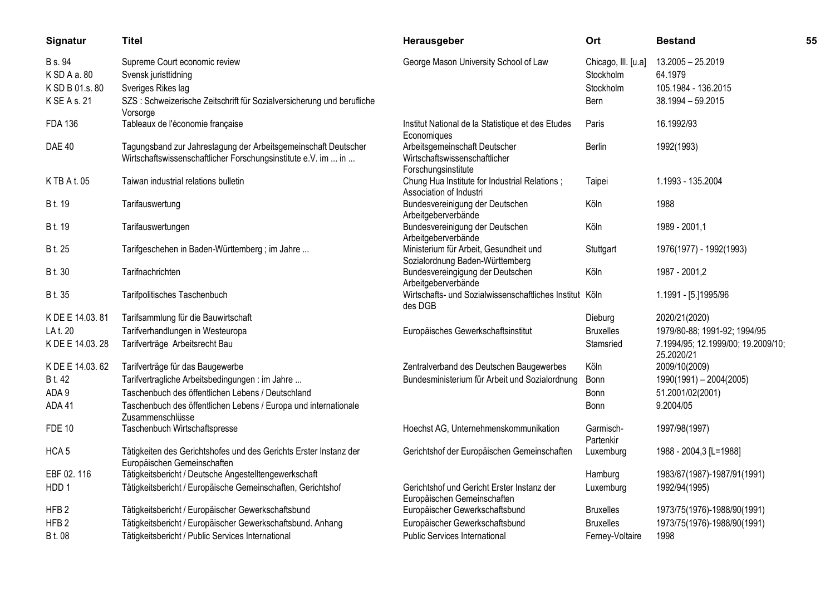| Signatur         | <b>Titel</b>                                                                                                                    | Herausgeber                                                                           | Ort                    | <b>Bestand</b>                                   | 55 |
|------------------|---------------------------------------------------------------------------------------------------------------------------------|---------------------------------------------------------------------------------------|------------------------|--------------------------------------------------|----|
| B s. 94          | Supreme Court economic review                                                                                                   | George Mason University School of Law                                                 | Chicago, III. [u.a]    | 13.2005 - 25.2019                                |    |
| KSDAa.80         | Svensk juristtidning                                                                                                            |                                                                                       | Stockholm              | 64.1979                                          |    |
| K SD B 01.s. 80  | Sveriges Rikes lag                                                                                                              |                                                                                       | Stockholm              | 105.1984 - 136.2015                              |    |
| K SE A s. 21     | SZS: Schweizerische Zeitschrift für Sozialversicherung und berufliche<br>Vorsorge                                               |                                                                                       | Bern                   | 38.1994 - 59.2015                                |    |
| <b>FDA 136</b>   | Tableaux de l'économie française                                                                                                | Institut National de la Statistique et des Etudes<br>Economiques                      | Paris                  | 16.1992/93                                       |    |
| <b>DAE 40</b>    | Tagungsband zur Jahrestagung der Arbeitsgemeinschaft Deutscher<br>Wirtschaftswissenschaftlicher Forschungsinstitute e.V. im  in | Arbeitsgemeinschaft Deutscher<br>Wirtschaftswissenschaftlicher<br>Forschungsinstitute | <b>Berlin</b>          | 1992(1993)                                       |    |
| K TB A t. 05     | Taiwan industrial relations bulletin                                                                                            | Chung Hua Institute for Industrial Relations;<br>Association of Industri              | Taipei                 | 1.1993 - 135.2004                                |    |
| B t. 19          | Tarifauswertung                                                                                                                 | Bundesvereinigung der Deutschen<br>Arbeitgeberverbände                                | Köln                   | 1988                                             |    |
| B t. 19          | Tarifauswertungen                                                                                                               | Bundesvereinigung der Deutschen<br>Arbeitgeberverbände                                | Köln                   | 1989 - 2001,1                                    |    |
| B t. 25          | Tarifgeschehen in Baden-Württemberg; im Jahre                                                                                   | Ministerium für Arbeit, Gesundheit und<br>Sozialordnung Baden-Württemberg             | Stuttgart              | 1976(1977) - 1992(1993)                          |    |
| B t. 30          | Tarifnachrichten                                                                                                                | Bundesvereingigung der Deutschen<br>Arbeitgeberverbände                               | Köln                   | 1987 - 2001,2                                    |    |
| B t. 35          | Tarifpolitisches Taschenbuch                                                                                                    | Wirtschafts- und Sozialwissenschaftliches Institut Köln<br>des DGB                    |                        | 1.1991 - [5.]1995/96                             |    |
| K DE E 14.03.81  | Tarifsammlung für die Bauwirtschaft                                                                                             |                                                                                       | Dieburg                | 2020/21(2020)                                    |    |
| LA t. 20         | Tarifverhandlungen in Westeuropa                                                                                                | Europäisches Gewerkschaftsinstitut                                                    | <b>Bruxelles</b>       | 1979/80-88; 1991-92; 1994/95                     |    |
| K DE E 14.03.28  | Tarifverträge Arbeitsrecht Bau                                                                                                  |                                                                                       | Stamsried              | 7.1994/95; 12.1999/00; 19.2009/10;<br>25.2020/21 |    |
| K DE E 14.03.62  | Tarifverträge für das Baugewerbe                                                                                                | Zentralverband des Deutschen Baugewerbes                                              | Köln                   | 2009/10(2009)                                    |    |
| B t. 42          | Tarifvertragliche Arbeitsbedingungen : im Jahre                                                                                 | Bundesministerium für Arbeit und Sozialordnung                                        | Bonn                   | $1990(1991) - 2004(2005)$                        |    |
| ADA 9            | Taschenbuch des öffentlichen Lebens / Deutschland                                                                               |                                                                                       | Bonn                   | 51.2001/02(2001)                                 |    |
| ADA 41           | Taschenbuch des öffentlichen Lebens / Europa und internationale<br>Zusammenschlüsse                                             |                                                                                       | Bonn                   | 9.2004/05                                        |    |
| <b>FDE 10</b>    | Taschenbuch Wirtschaftspresse                                                                                                   | Hoechst AG, Unternehmenskommunikation                                                 | Garmisch-<br>Partenkir | 1997/98(1997)                                    |    |
| HCA <sub>5</sub> | Tätigkeiten des Gerichtshofes und des Gerichts Erster Instanz der<br>Europäischen Gemeinschaften                                | Gerichtshof der Europäischen Gemeinschaften                                           | Luxemburg              | 1988 - 2004,3 [L=1988]                           |    |
| EBF 02.116       | Tätigkeitsbericht / Deutsche Angestelltengewerkschaft                                                                           |                                                                                       | Hamburg                | 1983/87(1987)-1987/91(1991)                      |    |
| HDD 1            | Tätigkeitsbericht / Europäische Gemeinschaften, Gerichtshof                                                                     | Gerichtshof und Gericht Erster Instanz der<br>Europäischen Gemeinschaften             | Luxemburg              | 1992/94(1995)                                    |    |
| HFB <sub>2</sub> | Tätigkeitsbericht / Europäischer Gewerkschaftsbund                                                                              | Europäischer Gewerkschaftsbund                                                        | <b>Bruxelles</b>       | 1973/75(1976)-1988/90(1991)                      |    |
| HFB <sub>2</sub> | Tätigkeitsbericht / Europäischer Gewerkschaftsbund. Anhang                                                                      | Europäischer Gewerkschaftsbund                                                        | <b>Bruxelles</b>       | 1973/75(1976)-1988/90(1991)                      |    |
| B t. 08          | Tätigkeitsbericht / Public Services International                                                                               | <b>Public Services International</b>                                                  | Ferney-Voltaire        | 1998                                             |    |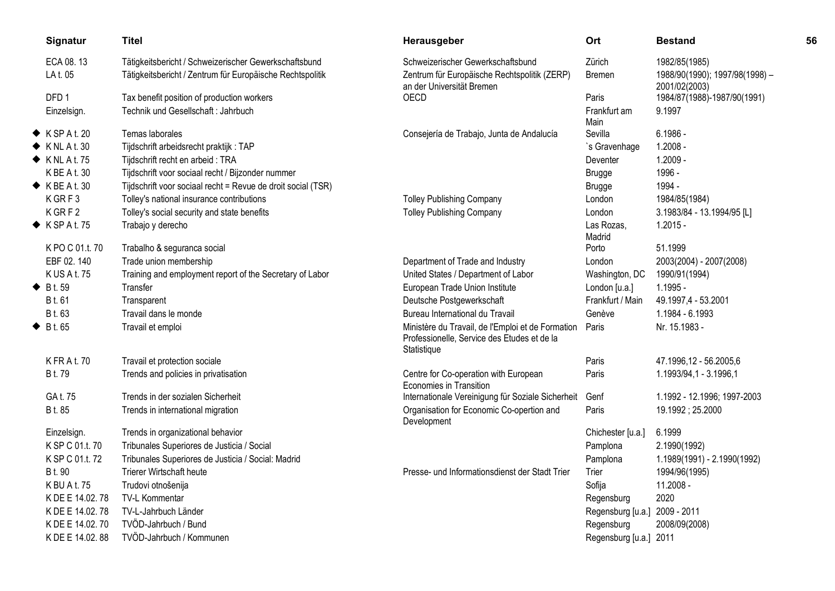| Signatur                   | <b>Titel</b>                                                 | Herausgeber                                                               | Ort                    | <b>Bestand</b>                                  | 56 |
|----------------------------|--------------------------------------------------------------|---------------------------------------------------------------------------|------------------------|-------------------------------------------------|----|
| ECA 08.13                  | Tätigkeitsbericht / Schweizerischer Gewerkschaftsbund        | Schweizerischer Gewerkschaftsbund                                         | Zürich                 | 1982/85(1985)                                   |    |
| LA t. 05                   | Tätigkeitsbericht / Zentrum für Europäische Rechtspolitik    | Zentrum für Europäische Rechtspolitik (ZERP)<br>an der Universität Bremen | Bremen                 | 1988/90(1990); 1997/98(1998) -<br>2001/02(2003) |    |
| DFD <sub>1</sub>           | Tax benefit position of production workers                   | OECD                                                                      | Paris                  | 1984/87(1988)-1987/90(1991)                     |    |
| Einzelsign.                | Technik und Gesellschaft : Jahrbuch                          |                                                                           | Frankfurt am           | 9.1997                                          |    |
| $\blacklozenge$ KSPAt. 20  | Temas laborales                                              | Consejería de Trabajo, Junta de Andalucía                                 | Main<br>Sevilla        | $6.1986 -$                                      |    |
| $\blacklozenge$ KNLAt. 30  | Tijdschrift arbeidsrecht praktijk: TAP                       |                                                                           | `s Gravenhage          | $1.2008 -$                                      |    |
| $\blacklozenge$ KNL At. 75 | Tijdschrift recht en arbeid: TRA                             |                                                                           | Deventer               | $1.2009 -$                                      |    |
| K BE A t. 30               | Tijdschrift voor sociaal recht / Bijzonder nummer            |                                                                           |                        | 1996 -                                          |    |
| $\blacklozenge$ KBE At. 30 |                                                              |                                                                           | <b>Brugge</b>          | 1994 -                                          |    |
|                            | Tijdschrift voor sociaal recht = Revue de droit social (TSR) |                                                                           | <b>Brugge</b>          |                                                 |    |
| KGRF3<br>KGRF2             | Tolley's national insurance contributions                    | <b>Tolley Publishing Company</b>                                          | London                 | 1984/85(1984)                                   |    |
| $\blacklozenge$ KSPAt.75   | Tolley's social security and state benefits                  | <b>Tolley Publishing Company</b>                                          | London<br>Las Rozas,   | 3.1983/84 - 13.1994/95 [L]<br>$1.2015 -$        |    |
|                            | Trabajo y derecho                                            |                                                                           | Madrid                 |                                                 |    |
| K PO C 01.t. 70            | Trabalho & seguranca social                                  |                                                                           | Porto                  | 51.1999                                         |    |
| EBF 02.140                 | Trade union membership                                       | Department of Trade and Industry                                          | London                 | 2003(2004) - 2007(2008)                         |    |
| K US A t. 75               | Training and employment report of the Secretary of Labor     | United States / Department of Labor                                       | Washington, DC         | 1990/91(1994)                                   |    |
| $\bullet$ Bt.59            | Transfer                                                     | European Trade Union Institute                                            | London [u.a.]          | $1.1995 -$                                      |    |
| B t. 61                    | Transparent                                                  | Deutsche Postgewerkschaft                                                 | Frankfurt / Main       | 49.1997,4 - 53.2001                             |    |
| B t. 63                    | Travail dans le monde                                        | Bureau International du Travail                                           | Genève                 | 1.1984 - 6.1993                                 |    |
| $\blacklozenge$ Bt.65      | Travail et emploi                                            | Ministère du Travail, de l'Emploi et de Formation                         | Paris                  | Nr. 15.1983 -                                   |    |
|                            |                                                              | Professionelle, Service des Etudes et de la<br>Statistique                |                        |                                                 |    |
| <b>KFRAt.70</b>            | Travail et protection sociale                                |                                                                           | Paris                  | 47.1996,12 - 56.2005,6                          |    |
| B t. 79                    | Trends and policies in privatisation                         | Centre for Co-operation with European<br>Economies in Transition          | Paris                  | 1.1993/94,1 - 3.1996,1                          |    |
| GA t. 75                   | Trends in der sozialen Sicherheit                            | Internationale Vereinigung für Soziale Sicherheit                         | Genf                   | 1.1992 - 12.1996; 1997-2003                     |    |
| B t. 85                    | Trends in international migration                            | Organisation for Economic Co-opertion and<br>Development                  | Paris                  | 19.1992; 25.2000                                |    |
| Einzelsign.                | Trends in organizational behavior                            |                                                                           | Chichester [u.a.]      | 6.1999                                          |    |
| K SP C 01.t. 70            | Tribunales Superiores de Justicia / Social                   |                                                                           | Pamplona               | 2.1990(1992)                                    |    |
| K SP C 01.t. 72            | Tribunales Superiores de Justicia / Social: Madrid           |                                                                           | Pamplona               | 1.1989(1991) - 2.1990(1992)                     |    |
| B t. 90                    | Trierer Wirtschaft heute                                     | Presse- und Informationsdienst der Stadt Trier                            | Trier                  | 1994/96(1995)                                   |    |
| K BU A t. 75               | Trudovi otnošenija                                           |                                                                           | Sofija                 | 11.2008 -                                       |    |
| K DE E 14.02.78            | TV-L Kommentar                                               |                                                                           | Regensburg             | 2020                                            |    |
| K DE E 14.02.78            | TV-L-Jahrbuch Länder                                         |                                                                           | Regensburg [u.a.]      | 2009 - 2011                                     |    |
| K DE E 14.02.70            | TVÖD-Jahrbuch / Bund                                         |                                                                           | Regensburg             | 2008/09(2008)                                   |    |
| K DE E 14.02.88            | TVÖD-Jahrbuch / Kommunen                                     |                                                                           | Regensburg [u.a.] 2011 |                                                 |    |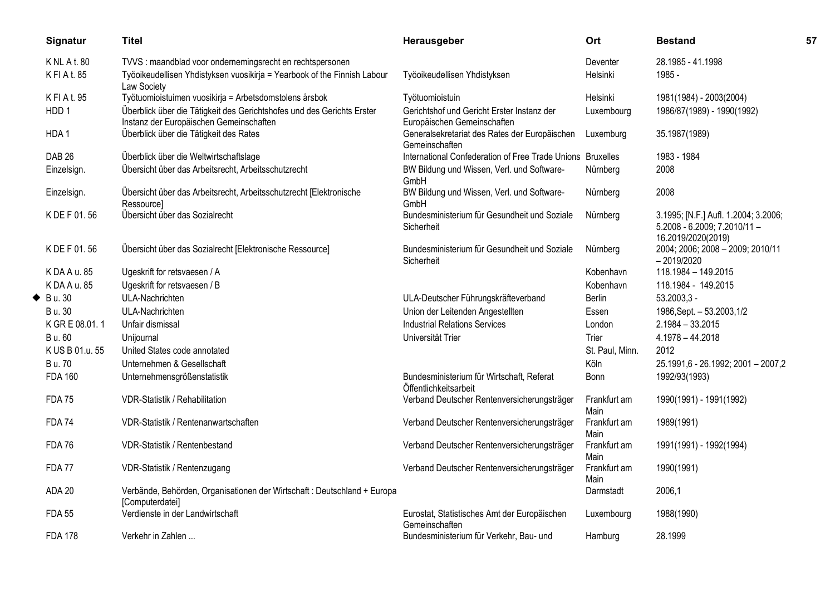| Signatur           | <b>Titel</b>                                                                                                      | Herausgeber                                                               | Ort                  | <b>Bestand</b>                                                                                  | 57 |
|--------------------|-------------------------------------------------------------------------------------------------------------------|---------------------------------------------------------------------------|----------------------|-------------------------------------------------------------------------------------------------|----|
| <b>KNLAt.80</b>    | TVVS : maandblad voor ondernemingsrecht en rechtspersonen                                                         |                                                                           | Deventer             | 28.1985 - 41.1998                                                                               |    |
| KFIAt. 85          | Työoikeudellisen Yhdistyksen vuosikirja = Yearbook of the Finnish Labour<br>Law Society                           | Työoikeudellisen Yhdistyksen                                              | Helsinki             | 1985 -                                                                                          |    |
| KFIAt. 95          | Työtuomioistuimen vuosikirja = Arbetsdomstolens årsbok                                                            | Työtuomioistuin                                                           | Helsinki             | 1981(1984) - 2003(2004)                                                                         |    |
| HDD <sub>1</sub>   | Überblick über die Tätigkeit des Gerichtshofes und des Gerichts Erster<br>Instanz der Europäischen Gemeinschaften | Gerichtshof und Gericht Erster Instanz der<br>Europäischen Gemeinschaften | Luxembourg           | 1986/87(1989) - 1990(1992)                                                                      |    |
| HDA1               | Überblick über die Tätigkeit des Rates                                                                            | Generalsekretariat des Rates der Europäischen<br>Gemeinschaften           | Luxemburg            | 35.1987(1989)                                                                                   |    |
| <b>DAB 26</b>      | Überblick über die Weltwirtschaftslage                                                                            | International Confederation of Free Trade Unions Bruxelles                |                      | 1983 - 1984                                                                                     |    |
| Einzelsign.        | Übersicht über das Arbeitsrecht, Arbeitsschutzrecht                                                               | BW Bildung und Wissen, Verl. und Software-<br>GmbH                        | Nürnberg             | 2008                                                                                            |    |
| Einzelsign.        | Übersicht über das Arbeitsrecht, Arbeitsschutzrecht [Elektronische<br>Ressource]                                  | BW Bildung und Wissen, Verl. und Software-<br>GmbH                        | Nürnberg             | 2008                                                                                            |    |
| K DE F 01.56       | Übersicht über das Sozialrecht                                                                                    | Bundesministerium für Gesundheit und Soziale<br>Sicherheit                | Nürnberg             | 3.1995; [N.F.] Aufl. 1.2004; 3.2006;<br>$5.2008 - 6.2009$ ; $7.2010/11 -$<br>16.2019/2020(2019) |    |
| K DE F 01.56       | Übersicht über das Sozialrecht [Elektronische Ressource]                                                          | Bundesministerium für Gesundheit und Soziale<br>Sicherheit                | Nürnberg             | 2004; 2006; 2008 - 2009; 2010/11<br>$-2019/2020$                                                |    |
| K DA A u. 85       | Ugeskrift for retsvaesen / A                                                                                      |                                                                           | Kobenhavn            | 118.1984 - 149.2015                                                                             |    |
| K DA A u. 85       | Ugeskrift for retsvaesen / B                                                                                      |                                                                           | Kobenhavn            | 118.1984 - 149.2015                                                                             |    |
| $\triangle$ Bu. 30 | ULA-Nachrichten                                                                                                   | ULA-Deutscher Führungskräfteverband                                       | Berlin               | $53.2003,3 -$                                                                                   |    |
| B u. 30            | ULA-Nachrichten                                                                                                   | Union der Leitenden Angestellten                                          | Essen                | 1986, Sept. - 53.2003, 1/2                                                                      |    |
| K GR E 08.01.1     | Unfair dismissal                                                                                                  | <b>Industrial Relations Services</b>                                      | London               | $2.1984 - 33.2015$                                                                              |    |
| B u. 60            | Unijournal                                                                                                        | Universität Trier                                                         | Trier                | $4.1978 - 44.2018$                                                                              |    |
| K US B 01.u. 55    | United States code annotated                                                                                      |                                                                           | St. Paul, Minn.      | 2012                                                                                            |    |
| <b>B</b> u. 70     | Unternehmen & Gesellschaft                                                                                        |                                                                           | Köln                 | 25.1991,6 - 26.1992; 2001 - 2007,2                                                              |    |
| <b>FDA 160</b>     | Unternehmensgrößenstatistik                                                                                       | Bundesministerium für Wirtschaft, Referat<br>Öffentlichkeitsarbeit        | Bonn                 | 1992/93(1993)                                                                                   |    |
| <b>FDA 75</b>      | VDR-Statistik / Rehabilitation                                                                                    | Verband Deutscher Rentenversicherungsträger                               | Frankfurt am<br>Main | 1990(1991) - 1991(1992)                                                                         |    |
| <b>FDA 74</b>      | VDR-Statistik / Rentenanwartschaften                                                                              | Verband Deutscher Rentenversicherungsträger                               | Frankfurt am<br>Main | 1989(1991)                                                                                      |    |
| <b>FDA76</b>       | VDR-Statistik / Rentenbestand                                                                                     | Verband Deutscher Rentenversicherungsträger                               | Frankfurt am<br>Main | 1991(1991) - 1992(1994)                                                                         |    |
| <b>FDA 77</b>      | VDR-Statistik / Rentenzugang                                                                                      | Verband Deutscher Rentenversicherungsträger                               | Frankfurt am<br>Main | 1990(1991)                                                                                      |    |
| ADA 20             | Verbände, Behörden, Organisationen der Wirtschaft : Deutschland + Europa<br>[Computerdatei]                       |                                                                           | Darmstadt            | 2006,1                                                                                          |    |
| <b>FDA 55</b>      | Verdienste in der Landwirtschaft                                                                                  | Eurostat, Statistisches Amt der Europäischen<br>Gemeinschaften            | Luxembourg           | 1988(1990)                                                                                      |    |
| <b>FDA 178</b>     | Verkehr in Zahlen                                                                                                 | Bundesministerium für Verkehr, Bau- und                                   | Hamburg              | 28.1999                                                                                         |    |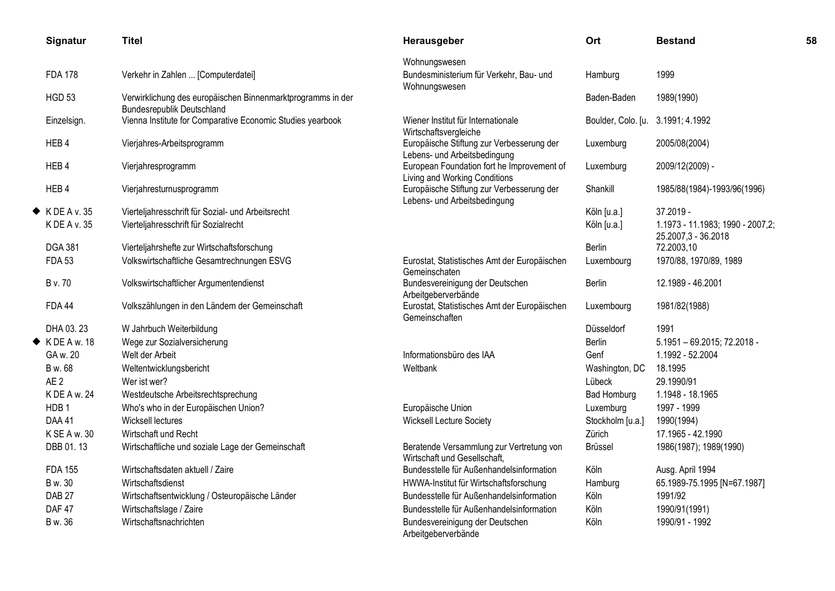| Signatur                   | <b>Titel</b>                                                                                     | Herausgeber                                                                 | Ort                | <b>Bestand</b>                                          | 58 |
|----------------------------|--------------------------------------------------------------------------------------------------|-----------------------------------------------------------------------------|--------------------|---------------------------------------------------------|----|
|                            |                                                                                                  | Wohnungswesen                                                               |                    |                                                         |    |
| <b>FDA 178</b>             | Verkehr in Zahlen  [Computerdatei]                                                               | Bundesministerium für Verkehr, Bau- und<br>Wohnungswesen                    | Hamburg            | 1999                                                    |    |
| <b>HGD 53</b>              | Verwirklichung des europäischen Binnenmarktprogramms in der<br><b>Bundesrepublik Deutschland</b> |                                                                             | Baden-Baden        | 1989(1990)                                              |    |
| Einzelsign.                | Vienna Institute for Comparative Economic Studies yearbook                                       | Wiener Institut für Internationale<br>Wirtschaftsvergleiche                 | Boulder, Colo. [u. | 3.1991; 4.1992                                          |    |
| HEB4                       | Vierjahres-Arbeitsprogramm                                                                       | Europäische Stiftung zur Verbesserung der<br>Lebens- und Arbeitsbedingung   | Luxemburg          | 2005/08(2004)                                           |    |
| HEB4                       | Vierjahresprogramm                                                                               | European Foundation fort he Improvement of<br>Living and Working Conditions | Luxemburg          | 2009/12(2009) -                                         |    |
| HEB4                       | Vierjahresturnusprogramm                                                                         | Europäische Stiftung zur Verbesserung der<br>Lebens- und Arbeitsbedingung   | Shankill           | 1985/88(1984)-1993/96(1996)                             |    |
| $\blacklozenge$ KDEA v. 35 | Vierteljahresschrift für Sozial- und Arbeitsrecht                                                |                                                                             | Köln [u.a.]        | 37.2019 -                                               |    |
| K DE A v. 35               | Vierteljahresschrift für Sozialrecht                                                             |                                                                             | Köln [u.a.]        | 1.1973 - 11.1983; 1990 - 2007,2;<br>25.2007,3 - 36.2018 |    |
| <b>DGA 381</b>             | Vierteljahrshefte zur Wirtschaftsforschung                                                       |                                                                             | <b>Berlin</b>      | 72.2003,10                                              |    |
| <b>FDA 53</b>              | Volkswirtschaftliche Gesamtrechnungen ESVG                                                       | Eurostat, Statistisches Amt der Europäischen<br>Gemeinschaten               | Luxembourg         | 1970/88, 1970/89, 1989                                  |    |
| <b>B</b> v. 70             | Volkswirtschaftlicher Argumentendienst                                                           | Bundesvereinigung der Deutschen<br>Arbeitgeberverbände                      | <b>Berlin</b>      | 12.1989 - 46.2001                                       |    |
| <b>FDA 44</b>              | Volkszählungen in den Ländern der Gemeinschaft                                                   | Eurostat, Statistisches Amt der Europäischen<br>Gemeinschaften              | Luxembourg         | 1981/82(1988)                                           |    |
| DHA 03.23                  | W Jahrbuch Weiterbildung                                                                         |                                                                             | Düsseldorf         | 1991                                                    |    |
| $\blacklozenge$ KDEAw. 18  | Wege zur Sozialversicherung                                                                      |                                                                             | <b>Berlin</b>      | $5.1951 - 69.2015$ ; $72.2018 -$                        |    |
| GA w. 20                   | Welt der Arbeit                                                                                  | Informationsbüro des IAA                                                    | Genf               | 1.1992 - 52.2004                                        |    |
| B w. 68                    | Weltentwicklungsbericht                                                                          | Weltbank                                                                    | Washington, DC     | 18.1995                                                 |    |
| AE <sub>2</sub>            | Wer ist wer?                                                                                     |                                                                             | Lübeck             | 29.1990/91                                              |    |
| K DE A w. 24               | Westdeutsche Arbeitsrechtsprechung                                                               |                                                                             | <b>Bad Homburg</b> | 1.1948 - 18.1965                                        |    |
| HDB <sub>1</sub>           | Who's who in der Europäischen Union?                                                             | Europäische Union                                                           | Luxemburg          | 1997 - 1999                                             |    |
| DAA 41                     | Wicksell lectures                                                                                | <b>Wicksell Lecture Society</b>                                             | Stockholm [u.a.]   | 1990(1994)                                              |    |
| K SE A w. 30               | Wirtschaft und Recht                                                                             |                                                                             | Zürich             | 17.1965 - 42.1990                                       |    |
| DBB 01.13                  | Wirtschaftliche und soziale Lage der Gemeinschaft                                                | Beratende Versammlung zur Vertretung von<br>Wirtschaft und Gesellschaft,    | <b>Brüssel</b>     | 1986(1987); 1989(1990)                                  |    |
| <b>FDA 155</b>             | Wirtschaftsdaten aktuell / Zaire                                                                 | Bundesstelle für Außenhandelsinformation                                    | Köln               | Ausg. April 1994                                        |    |
| B w. 30                    | Wirtschaftsdienst                                                                                | HWWA-Institut für Wirtschaftsforschung                                      | Hamburg            | 65.1989-75.1995 [N=67.1987]                             |    |
| DAB <sub>27</sub>          | Wirtschaftsentwicklung / Osteuropäische Länder                                                   | Bundesstelle für Außenhandelsinformation                                    | Köln               | 1991/92                                                 |    |
| DAF 47                     | Wirtschaftslage / Zaire                                                                          | Bundesstelle für Außenhandelsinformation                                    | Köln               | 1990/91(1991)                                           |    |
| B w. 36                    | Wirtschaftsnachrichten                                                                           | Bundesvereinigung der Deutschen<br>Arbeitgeberverbände                      | Köln               | 1990/91 - 1992                                          |    |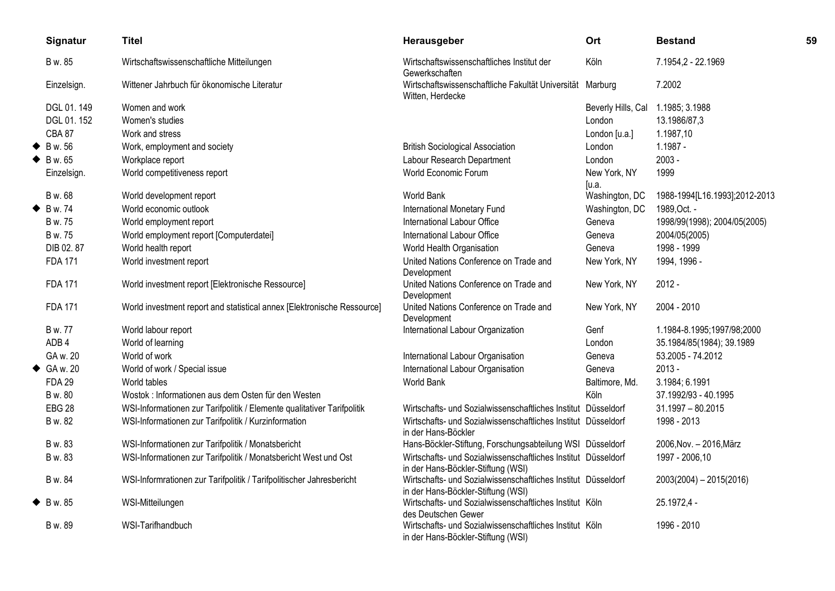|   | Signatur                 | <b>Titel</b>                                                            | Herausgeber                                                                                         | Ort                   | <b>Bestand</b>                | 59 |
|---|--------------------------|-------------------------------------------------------------------------|-----------------------------------------------------------------------------------------------------|-----------------------|-------------------------------|----|
|   | B w. 85                  | Wirtschaftswissenschaftliche Mitteilungen                               | Wirtschaftswissenschaftliches Institut der<br>Gewerkschaften                                        | Köln                  | 7.1954,2 - 22.1969            |    |
|   | Einzelsign.              | Wittener Jahrbuch für ökonomische Literatur                             | Wirtschaftswissenschaftliche Fakultät Universität Marburg<br>Witten, Herdecke                       |                       | 7.2002                        |    |
|   | DGL 01.149               | Women and work                                                          |                                                                                                     | Beverly Hills, Cal    | 1.1985; 3.1988                |    |
|   | DGL 01.152               | Women's studies                                                         |                                                                                                     | London                | 13.1986/87,3                  |    |
|   | <b>CBA 87</b>            | Work and stress                                                         |                                                                                                     | London [u.a.]         | 1.1987,10                     |    |
| ◆ | B w. 56                  | Work, employment and society                                            | <b>British Sociological Association</b>                                                             | London                | $1.1987 -$                    |    |
|   | $\blacklozenge$ Bw. 65   | Workplace report                                                        | Labour Research Department                                                                          | London                | $2003 -$                      |    |
|   | Einzelsign.              | World competitiveness report                                            | World Economic Forum                                                                                | New York, NY<br>[u.a. | 1999                          |    |
|   | B w. 68                  | World development report                                                | <b>World Bank</b>                                                                                   | Washington, DC        | 1988-1994[L16.1993];2012-2013 |    |
| ◆ | B w. 74                  | World economic outlook                                                  | International Monetary Fund                                                                         | Washington, DC        | 1989, Oct. -                  |    |
|   | B w. 75                  | World employment report                                                 | International Labour Office                                                                         | Geneva                | 1998/99(1998); 2004/05(2005)  |    |
|   | B w. 75                  | World employment report [Computerdatei]                                 | International Labour Office                                                                         | Geneva                | 2004/05(2005)                 |    |
|   | DIB 02.87                | World health report                                                     | World Health Organisation                                                                           | Geneva                | 1998 - 1999                   |    |
|   | <b>FDA 171</b>           | World investment report                                                 | United Nations Conference on Trade and<br>Development                                               | New York, NY          | 1994, 1996 -                  |    |
|   | <b>FDA 171</b>           | World investment report [Elektronische Ressource]                       | United Nations Conference on Trade and<br>Development                                               | New York, NY          | $2012 -$                      |    |
|   | <b>FDA 171</b>           | World investment report and statistical annex [Elektronische Ressource] | United Nations Conference on Trade and<br>Development                                               | New York, NY          | 2004 - 2010                   |    |
|   | B w. 77                  | World labour report                                                     | International Labour Organization                                                                   | Genf                  | 1.1984-8.1995;1997/98;2000    |    |
|   | ADB <sub>4</sub>         | World of learning                                                       |                                                                                                     | London                | 35.1984/85(1984); 39.1989     |    |
|   | GA w. 20                 | World of work                                                           | International Labour Organisation                                                                   | Geneva                | 53.2005 - 74.2012             |    |
|   | $\triangleleft$ GA w. 20 | World of work / Special issue                                           | International Labour Organisation                                                                   | Geneva                | $2013 -$                      |    |
|   | <b>FDA 29</b>            | World tables                                                            | <b>World Bank</b>                                                                                   | Baltimore, Md.        | 3.1984; 6.1991                |    |
|   | B w. 80                  | Wostok: Informationen aus dem Osten für den Westen                      |                                                                                                     | Köln                  | 37.1992/93 - 40.1995          |    |
|   | <b>EBG 28</b>            | WSI-Informationen zur Tarifpolitik / Elemente qualitativer Tarifpolitik | Wirtschafts- und Sozialwissenschaftliches Institut Düsseldorf                                       |                       | $31.1997 - 80.2015$           |    |
|   | B w. 82                  | WSI-Informationen zur Tarifpolitik / Kurzinformation                    | Wirtschafts- und Sozialwissenschaftliches Institut Düsseldorf<br>in der Hans-Böckler                |                       | 1998 - 2013                   |    |
|   | B w. 83                  | WSI-Informationen zur Tarifpolitik / Monatsbericht                      | Hans-Böckler-Stiftung, Forschungsabteilung WSI Düsseldorf                                           |                       | 2006, Nov. - 2016, März       |    |
|   | B w. 83                  | WSI-Informationen zur Tarifpolitik / Monatsbericht West und Ost         | Wirtschafts- und Sozialwissenschaftliches Institut Düsseldorf<br>in der Hans-Böckler-Stiftung (WSI) |                       | 1997 - 2006,10                |    |
|   | B w. 84                  | WSI-Informrationen zur Tarifpolitik / Tarifpolitischer Jahresbericht    | Wirtschafts- und Sozialwissenschaftliches Institut Düsseldorf<br>in der Hans-Böckler-Stiftung (WSI) |                       | 2003(2004) - 2015(2016)       |    |
|   | $\triangle$ B w. 85      | WSI-Mitteilungen                                                        | Wirtschafts- und Sozialwissenschaftliches Institut Köln<br>des Deutschen Gewer                      |                       | 25.1972,4 -                   |    |
|   | B w. 89                  | WSI-Tarifhandbuch                                                       | Wirtschafts- und Sozialwissenschaftliches Institut Köln<br>in der Hans-Böckler-Stiftung (WSI)       |                       | 1996 - 2010                   |    |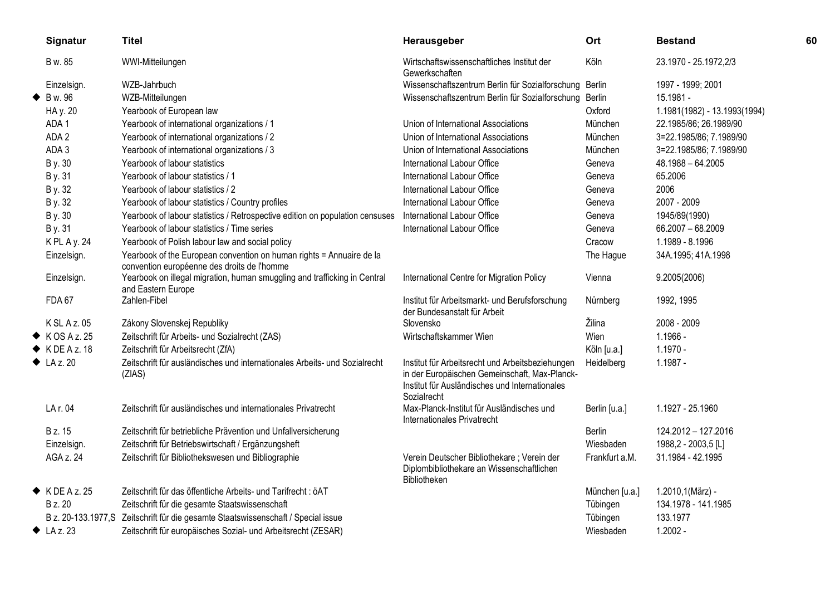| Signatur                     | <b>Titel</b>                                                                                                        | Herausgeber                                                                                                                                                        | Ort            | <b>Bestand</b>               | 60 |
|------------------------------|---------------------------------------------------------------------------------------------------------------------|--------------------------------------------------------------------------------------------------------------------------------------------------------------------|----------------|------------------------------|----|
| B w. 85                      | WWI-Mitteilungen                                                                                                    | Wirtschaftswissenschaftliches Institut der<br>Gewerkschaften                                                                                                       | Köln           | 23.1970 - 25.1972,2/3        |    |
| Einzelsign.                  | WZB-Jahrbuch                                                                                                        | Wissenschaftszentrum Berlin für Sozialforschung Berlin                                                                                                             |                | 1997 - 1999; 2001            |    |
| B w. 96                      | WZB-Mitteilungen                                                                                                    | Wissenschaftszentrum Berlin für Sozialforschung Berlin                                                                                                             |                | 15.1981 -                    |    |
| HA y. 20                     | Yearbook of European law                                                                                            |                                                                                                                                                                    | Oxford         | 1.1981(1982) - 13.1993(1994) |    |
| ADA1                         | Yearbook of international organizations / 1                                                                         | Union of International Associations                                                                                                                                | München        | 22.1985/86; 26.1989/90       |    |
| ADA 2                        | Yearbook of international organizations / 2                                                                         | Union of International Associations                                                                                                                                | München        | 3=22.1985/86; 7.1989/90      |    |
| ADA 3                        | Yearbook of international organizations / 3                                                                         | Union of International Associations                                                                                                                                | München        | 3=22.1985/86; 7.1989/90      |    |
| B y. 30                      | Yearbook of labour statistics                                                                                       | International Labour Office                                                                                                                                        | Geneva         | 48.1988 - 64.2005            |    |
| B y. 31                      | Yearbook of labour statistics / 1                                                                                   | International Labour Office                                                                                                                                        | Geneva         | 65.2006                      |    |
| B y. 32                      | Yearbook of labour statistics / 2                                                                                   | International Labour Office                                                                                                                                        | Geneva         | 2006                         |    |
| B y. 32                      | Yearbook of labour statistics / Country profiles                                                                    | International Labour Office                                                                                                                                        | Geneva         | 2007 - 2009                  |    |
| B y. 30                      | Yearbook of labour statistics / Retrospective edition on population censuses                                        | International Labour Office                                                                                                                                        | Geneva         | 1945/89(1990)                |    |
| B y. 31                      | Yearbook of labour statistics / Time series                                                                         | International Labour Office                                                                                                                                        | Geneva         | 66.2007 - 68.2009            |    |
| K PL A y. 24                 | Yearbook of Polish labour law and social policy                                                                     |                                                                                                                                                                    | Cracow         | 1.1989 - 8.1996              |    |
| Einzelsign.                  | Yearbook of the European convention on human rights = Annuaire de la<br>convention européenne des droits de l'homme |                                                                                                                                                                    | The Hague      | 34A.1995; 41A.1998           |    |
| Einzelsign.                  | Yearbook on illegal migration, human smuggling and trafficking in Central<br>and Eastern Europe                     | International Centre for Migration Policy                                                                                                                          | Vienna         | 9.2005(2006)                 |    |
| <b>FDA 67</b>                | Zahlen-Fibel                                                                                                        | Institut für Arbeitsmarkt- und Berufsforschung<br>der Bundesanstalt für Arbeit                                                                                     | Nürnberg       | 1992, 1995                   |    |
| K SL A z. 05                 | Zákony Slovenskej Republiky                                                                                         | Slovensko                                                                                                                                                          | Žilina         | 2008 - 2009                  |    |
| $\blacklozenge$ K OS A z. 25 | Zeitschrift für Arbeits- und Sozialrecht (ZAS)                                                                      | Wirtschaftskammer Wien                                                                                                                                             | Wien           | $1.1966 -$                   |    |
| $\blacklozenge$ KDEAz. 18    | Zeitschrift für Arbeitsrecht (ZfA)                                                                                  |                                                                                                                                                                    | Köln [u.a.]    | $1.1970 -$                   |    |
| $\blacklozenge$ LA z. 20     | Zeitschrift für ausländisches und internationales Arbeits- und Sozialrecht<br>(ZIAS)                                | Institut für Arbeitsrecht und Arbeitsbeziehungen<br>in der Europäischen Gemeinschaft, Max-Planck-<br>Institut für Ausländisches und Internationales<br>Sozialrecht | Heidelberg     | $1.1987 -$                   |    |
| LA r. 04                     | Zeitschrift für ausländisches und internationales Privatrecht                                                       | Max-Planck-Institut für Ausländisches und<br>Internationales Privatrecht                                                                                           | Berlin [u.a.]  | 1.1927 - 25.1960             |    |
| B z. 15                      | Zeitschrift für betriebliche Prävention und Unfallversicherung                                                      |                                                                                                                                                                    | Berlin         | 124.2012 - 127.2016          |    |
| Einzelsign.                  | Zeitschrift für Betriebswirtschaft / Ergänzungsheft                                                                 |                                                                                                                                                                    | Wiesbaden      | 1988,2 - 2003,5 [L]          |    |
| AGA z. 24                    | Zeitschrift für Bibliothekswesen und Bibliographie                                                                  | Verein Deutscher Bibliothekare; Verein der<br>Diplombibliothekare an Wissenschaftlichen<br>Bibliotheken                                                            | Frankfurt a.M. | 31.1984 - 42.1995            |    |
| $\blacklozenge$ KDEAz. 25    | Zeitschrift für das öffentliche Arbeits- und Tarifrecht : öAT                                                       |                                                                                                                                                                    | München [u.a.] | 1.2010,1(März) -             |    |
| <b>B</b> z. 20               | Zeitschrift für die gesamte Staatswissenschaft                                                                      |                                                                                                                                                                    | Tübingen       | 134.1978 - 141.1985          |    |
|                              | B z. 20-133.1977, S Zeitschrift für die gesamte Staatswissenschaft / Special issue                                  |                                                                                                                                                                    | Tübingen       | 133.1977                     |    |
| $\blacklozenge$ LA z. 23     | Zeitschrift für europäisches Sozial- und Arbeitsrecht (ZESAR)                                                       |                                                                                                                                                                    | Wiesbaden      | $1.2002 -$                   |    |
|                              |                                                                                                                     |                                                                                                                                                                    |                |                              |    |